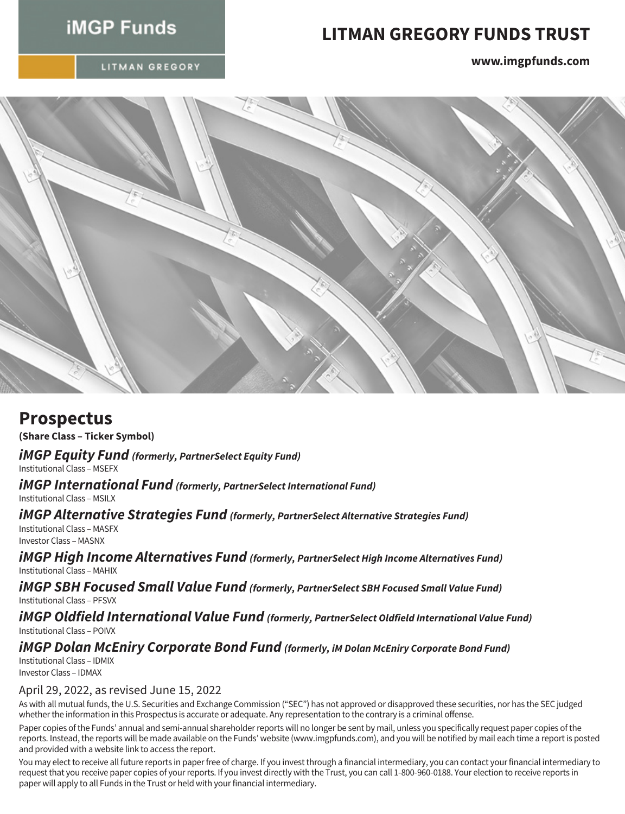# **iMGP Funds**

# **LITMAN GREGORY FUNDS TRUST**

LITMAN GREGORY

**www.imgpfunds.com**



## **Prospectus**

**(Share Class – Ticker Symbol)**

*iMGP Equity Fund (formerly, PartnerSelect Equity Fund)*

Institutional Class – MSEFX

*iMGP International Fund (formerly, PartnerSelect International Fund)*

Institutional Class – MSILX

### *iMGP Alternative Strategies Fund (formerly, PartnerSelect Alternative Strategies Fund)*

Institutional Class – MASFX Investor Class – MASNX

*iMGP High Income Alternatives Fund (formerly, PartnerSelect High Income Alternatives Fund)* Institutional Class – MAHIX

*iMGP SBH Focused Small Value Fund (formerly, PartnerSelect SBH Focused Small Value Fund)* Institutional Class – PFSVX

*iMGP Oldfield International Value Fund (formerly, PartnerSelect Oldfield International Value Fund)* Institutional Class – POIVX

### *iMGP Dolan McEniry Corporate Bond Fund (formerly, iM Dolan McEniry Corporate Bond Fund)*

Institutional Class – IDMIX Investor Class – IDMAX

### April 29, 2022, as revised June 15, 2022

As with all mutual funds, the U.S. Securities and Exchange Commission ("SEC") has not approved or disapproved these securities, nor has the SEC judged whether the information in this Prospectus is accurate or adequate. Any representation to the contrary is a criminal offense.

Paper copies of the Funds' annual and semi-annual shareholder reports will no longer be sent by mail, unless you specifically request paper copies of the reports. Instead, the reports will be made available on the Funds' website (www.imgpfunds.com), and you will be notified by mail each time a report is posted and provided with a website link to access the report.

You may elect to receive all future reports in paper free of charge. If you invest through a financial intermediary, you can contact your financial intermediary to request that you receive paper copies of your reports. If you invest directly with the Trust, you can call 1-800-960-0188. Your election to receive reports in paper will apply to all Funds in the Trust or held with your financial intermediary.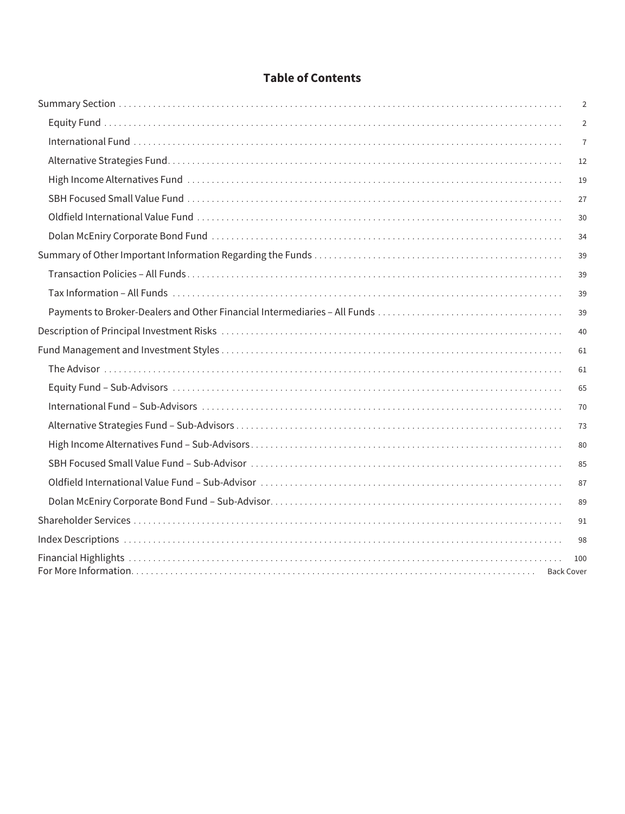### **Table of Contents**

|                   | 2              |
|-------------------|----------------|
|                   | $\overline{2}$ |
|                   | $\overline{7}$ |
|                   | 12             |
|                   | 19             |
|                   | 27             |
|                   | 30             |
|                   | 34             |
|                   | 39             |
|                   | 39             |
|                   | 39             |
|                   | 39             |
|                   | 40             |
|                   | 61             |
|                   | 61             |
|                   | 65             |
|                   | 70             |
|                   | 73             |
|                   | 80             |
|                   | 85             |
|                   | 87             |
|                   | 89             |
|                   | 91             |
|                   | 98             |
| <b>Back Cover</b> | 100            |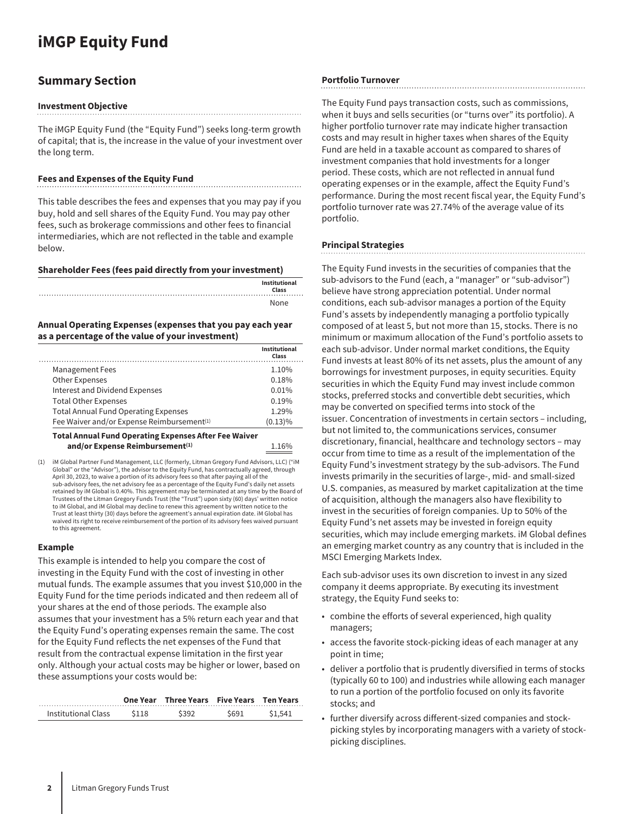# <span id="page-2-1"></span><span id="page-2-0"></span>**iMGP Equity Fund**

### **Summary Section**

#### **Investment Objective**

The iMGP Equity Fund (the "Equity Fund") seeks long-term growth of capital; that is, the increase in the value of your investment over the long term.

#### **Fees and Expenses of the Equity Fund**

This table describes the fees and expenses that you may pay if you buy, hold and sell shares of the Equity Fund. You may pay other fees, such as brokerage commissions and other fees to financial intermediaries, which are not reflected in the table and example below.

#### **Shareholder Fees (fees paid directly from your investment)**

|  |  |  | Institutional |
|--|--|--|---------------|
|  |  |  | Class         |
|  |  |  |               |
|  |  |  | None          |

#### **Annual Operating Expenses (expenses that you pay each year as a percentage of the value of your investment)**

|                                                        | <b>Institutional</b><br>Class |
|--------------------------------------------------------|-------------------------------|
| <b>Management Fees</b>                                 | 1.10%                         |
| Other Expenses                                         | 0.18%                         |
| Interest and Dividend Expenses                         | 0.01%                         |
| <b>Total Other Expenses</b>                            | 0.19%                         |
| <b>Total Annual Fund Operating Expenses</b>            | 1.29%                         |
| Fee Waiver and/or Expense Reimbursement <sup>(1)</sup> | $(0.13)\%$                    |
|                                                        |                               |

**Total Annual Fund Operating Expenses After Fee Waiver** and/or Expense Reimbursement<sup>(1)</sup> 1.16%

(1) iM Global Partner Fund Management, LLC (formerly, Litman Gregory Fund Advisors, LLC) ("iM Global" or the "Advisor"), the advisor to the Equity Fund, has contractually agreed, through April 30, 2023, to waive a portion of its advisory fees so that after paying all of the sub-advisory fees, the net advisory fee as a percentage of the Equity Fund's daily net assets retained by iM Global is 0.40%. This agreement may be terminated at any time by the Board of Trustees of the Litman Gregory Funds Trust (the "Trust") upon sixty (60) days' written notice to iM Global, and iM Global may decline to renew this agreement by written notice to the Trust at least thirty (30) days before the agreement's annual expiration date. iM Global has waived its right to receive reimbursement of the portion of its advisory fees waived pursuant to this agreement.

#### **Example**

This example is intended to help you compare the cost of investing in the Equity Fund with the cost of investing in other mutual funds. The example assumes that you invest \$10,000 in the Equity Fund for the time periods indicated and then redeem all of your shares at the end of those periods. The example also assumes that your investment has a 5% return each year and that the Equity Fund's operating expenses remain the same. The cost for the Equity Fund reflects the net expenses of the Fund that result from the contractual expense limitation in the first year only. Although your actual costs may be higher or lower, based on these assumptions your costs would be:

|                     |       | One Year Three Years Five Years Ten Years |       |         |
|---------------------|-------|-------------------------------------------|-------|---------|
| Institutional Class | \$118 | \$392                                     | \$691 | \$1.541 |
|                     |       |                                           |       |         |

#### **Portfolio Turnover**

The Equity Fund pays transaction costs, such as commissions, when it buys and sells securities (or "turns over" its portfolio). A higher portfolio turnover rate may indicate higher transaction costs and may result in higher taxes when shares of the Equity Fund are held in a taxable account as compared to shares of investment companies that hold investments for a longer period. These costs, which are not reflected in annual fund operating expenses or in the example, affect the Equity Fund's performance. During the most recent fiscal year, the Equity Fund's portfolio turnover rate was 27.74% of the average value of its portfolio.

#### **Principal Strategies**

The Equity Fund invests in the securities of companies that the sub-advisors to the Fund (each, a "manager" or "sub-advisor") believe have strong appreciation potential. Under normal conditions, each sub-advisor manages a portion of the Equity Fund's assets by independently managing a portfolio typically composed of at least 5, but not more than 15, stocks. There is no minimum or maximum allocation of the Fund's portfolio assets to each sub-advisor. Under normal market conditions, the Equity Fund invests at least 80% of its net assets, plus the amount of any borrowings for investment purposes, in equity securities. Equity securities in which the Equity Fund may invest include common stocks, preferred stocks and convertible debt securities, which may be converted on specified terms into stock of the issuer. Concentration of investments in certain sectors – including, but not limited to, the communications services, consumer discretionary, financial, healthcare and technology sectors – may occur from time to time as a result of the implementation of the Equity Fund's investment strategy by the sub-advisors. The Fund invests primarily in the securities of large-, mid- and small-sized U.S. companies, as measured by market capitalization at the time of acquisition, although the managers also have flexibility to invest in the securities of foreign companies. Up to 50% of the Equity Fund's net assets may be invested in foreign equity securities, which may include emerging markets. iM Global defines an emerging market country as any country that is included in the MSCI Emerging Markets Index.

Each sub-advisor uses its own discretion to invest in any sized company it deems appropriate. By executing its investment strategy, the Equity Fund seeks to:

- combine the efforts of several experienced, high quality managers;
- access the favorite stock-picking ideas of each manager at any point in time;
- deliver a portfolio that is prudently diversified in terms of stocks (typically 60 to 100) and industries while allowing each manager to run a portion of the portfolio focused on only its favorite stocks; and
- further diversify across different-sized companies and stockpicking styles by incorporating managers with a variety of stockpicking disciplines.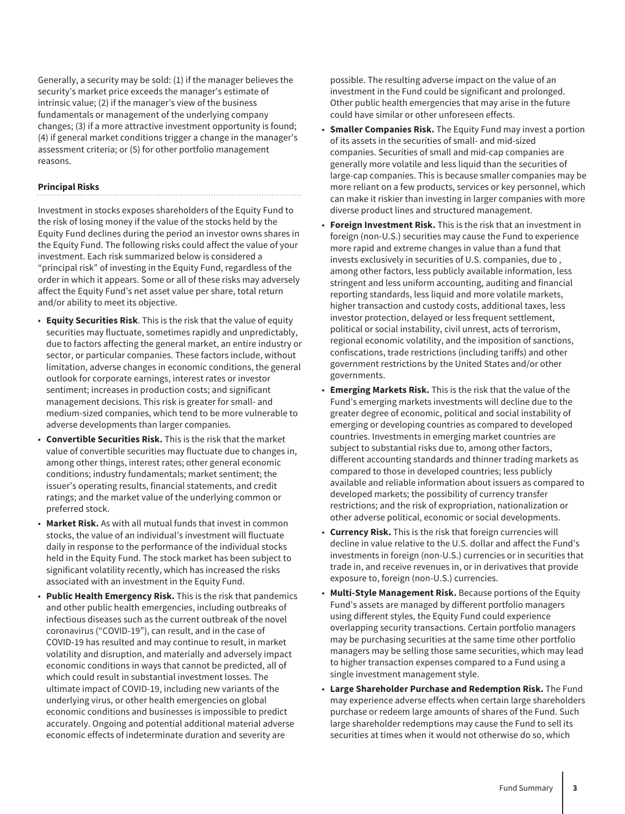Generally, a security may be sold: (1) if the manager believes the security's market price exceeds the manager's estimate of intrinsic value; (2) if the manager's view of the business fundamentals or management of the underlying company changes; (3) if a more attractive investment opportunity is found; (4) if general market conditions trigger a change in the manager's assessment criteria; or (5) for other portfolio management reasons.

#### **Principal Risks**

Investment in stocks exposes shareholders of the Equity Fund to the risk of losing money if the value of the stocks held by the Equity Fund declines during the period an investor owns shares in the Equity Fund. The following risks could affect the value of your investment. Each risk summarized below is considered a "principal risk" of investing in the Equity Fund, regardless of the order in which it appears. Some or all of these risks may adversely affect the Equity Fund's net asset value per share, total return and/or ability to meet its objective.

- **Equity Securities Risk**. This is the risk that the value of equity securities may fluctuate, sometimes rapidly and unpredictably, due to factors affecting the general market, an entire industry or sector, or particular companies. These factors include, without limitation, adverse changes in economic conditions, the general outlook for corporate earnings, interest rates or investor sentiment; increases in production costs; and significant management decisions. This risk is greater for small- and medium-sized companies, which tend to be more vulnerable to adverse developments than larger companies.
- **Convertible Securities Risk.** This is the risk that the market value of convertible securities may fluctuate due to changes in, among other things, interest rates; other general economic conditions; industry fundamentals; market sentiment; the issuer's operating results, financial statements, and credit ratings; and the market value of the underlying common or preferred stock.
- **Market Risk.** As with all mutual funds that invest in common stocks, the value of an individual's investment will fluctuate daily in response to the performance of the individual stocks held in the Equity Fund. The stock market has been subject to significant volatility recently, which has increased the risks associated with an investment in the Equity Fund.
- **Public Health Emergency Risk.** This is the risk that pandemics and other public health emergencies, including outbreaks of infectious diseases such as the current outbreak of the novel coronavirus ("COVID-19"), can result, and in the case of COVID-19 has resulted and may continue to result, in market volatility and disruption, and materially and adversely impact economic conditions in ways that cannot be predicted, all of which could result in substantial investment losses. The ultimate impact of COVID-19, including new variants of the underlying virus, or other health emergencies on global economic conditions and businesses is impossible to predict accurately. Ongoing and potential additional material adverse economic effects of indeterminate duration and severity are

possible. The resulting adverse impact on the value of an investment in the Fund could be significant and prolonged. Other public health emergencies that may arise in the future could have similar or other unforeseen effects.

- **Smaller Companies Risk.** The Equity Fund may invest a portion of its assets in the securities of small- and mid-sized companies. Securities of small and mid-cap companies are generally more volatile and less liquid than the securities of large-cap companies. This is because smaller companies may be more reliant on a few products, services or key personnel, which can make it riskier than investing in larger companies with more diverse product lines and structured management.
- **Foreign Investment Risk.** This is the risk that an investment in foreign (non-U.S.) securities may cause the Fund to experience more rapid and extreme changes in value than a fund that invests exclusively in securities of U.S. companies, due to , among other factors, less publicly available information, less stringent and less uniform accounting, auditing and financial reporting standards, less liquid and more volatile markets, higher transaction and custody costs, additional taxes, less investor protection, delayed or less frequent settlement, political or social instability, civil unrest, acts of terrorism, regional economic volatility, and the imposition of sanctions, confiscations, trade restrictions (including tariffs) and other government restrictions by the United States and/or other governments.
- **Emerging Markets Risk.** This is the risk that the value of the Fund's emerging markets investments will decline due to the greater degree of economic, political and social instability of emerging or developing countries as compared to developed countries. Investments in emerging market countries are subject to substantial risks due to, among other factors, different accounting standards and thinner trading markets as compared to those in developed countries; less publicly available and reliable information about issuers as compared to developed markets; the possibility of currency transfer restrictions; and the risk of expropriation, nationalization or other adverse political, economic or social developments.
- **Currency Risk.** This is the risk that foreign currencies will decline in value relative to the U.S. dollar and affect the Fund's investments in foreign (non-U.S.) currencies or in securities that trade in, and receive revenues in, or in derivatives that provide exposure to, foreign (non-U.S.) currencies.
- **Multi-Style Management Risk.** Because portions of the Equity Fund's assets are managed by different portfolio managers using different styles, the Equity Fund could experience overlapping security transactions. Certain portfolio managers may be purchasing securities at the same time other portfolio managers may be selling those same securities, which may lead to higher transaction expenses compared to a Fund using a single investment management style.
- **Large Shareholder Purchase and Redemption Risk.** The Fund may experience adverse effects when certain large shareholders purchase or redeem large amounts of shares of the Fund. Such large shareholder redemptions may cause the Fund to sell its securities at times when it would not otherwise do so, which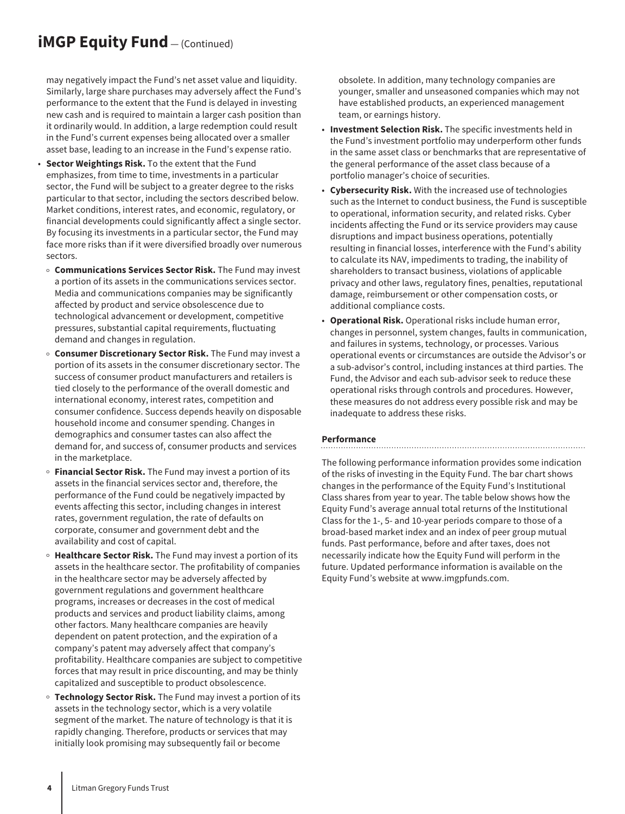## **iMGP Equity Fund** — (Continued)

may negatively impact the Fund's net asset value and liquidity. Similarly, large share purchases may adversely affect the Fund's performance to the extent that the Fund is delayed in investing new cash and is required to maintain a larger cash position than it ordinarily would. In addition, a large redemption could result in the Fund's current expenses being allocated over a smaller asset base, leading to an increase in the Fund's expense ratio.

- **Sector Weightings Risk.** To the extent that the Fund emphasizes, from time to time, investments in a particular sector, the Fund will be subject to a greater degree to the risks particular to that sector, including the sectors described below. Market conditions, interest rates, and economic, regulatory, or financial developments could significantly affect a single sector. By focusing its investments in a particular sector, the Fund may face more risks than if it were diversified broadly over numerous sectors.
- o **Communications Services Sector Risk.** The Fund may invest a portion of its assets in the communications services sector. Media and communications companies may be significantly affected by product and service obsolescence due to technological advancement or development, competitive pressures, substantial capital requirements, fluctuating demand and changes in regulation.
- o **Consumer Discretionary Sector Risk.** The Fund may invest a portion of its assets in the consumer discretionary sector. The success of consumer product manufacturers and retailers is tied closely to the performance of the overall domestic and international economy, interest rates, competition and consumer confidence. Success depends heavily on disposable household income and consumer spending. Changes in demographics and consumer tastes can also affect the demand for, and success of, consumer products and services in the marketplace.
- **Financial Sector Risk.** The Fund may invest a portion of its assets in the financial services sector and, therefore, the performance of the Fund could be negatively impacted by events affecting this sector, including changes in interest rates, government regulation, the rate of defaults on corporate, consumer and government debt and the availability and cost of capital.
- <sup>o</sup> Healthcare Sector Risk. The Fund may invest a portion of its assets in the healthcare sector. The profitability of companies in the healthcare sector may be adversely affected by government regulations and government healthcare programs, increases or decreases in the cost of medical products and services and product liability claims, among other factors. Many healthcare companies are heavily dependent on patent protection, and the expiration of a company's patent may adversely affect that company's profitability. Healthcare companies are subject to competitive forces that may result in price discounting, and may be thinly capitalized and susceptible to product obsolescence.
- o **Technology Sector Risk.** The Fund may invest a portion of its assets in the technology sector, which is a very volatile segment of the market. The nature of technology is that it is rapidly changing. Therefore, products or services that may initially look promising may subsequently fail or become

obsolete. In addition, many technology companies are younger, smaller and unseasoned companies which may not have established products, an experienced management team, or earnings history.

- **Investment Selection Risk.** The specific investments held in the Fund's investment portfolio may underperform other funds in the same asset class or benchmarks that are representative of the general performance of the asset class because of a portfolio manager's choice of securities.
- **Cybersecurity Risk.** With the increased use of technologies such as the Internet to conduct business, the Fund is susceptible to operational, information security, and related risks. Cyber incidents affecting the Fund or its service providers may cause disruptions and impact business operations, potentially resulting in financial losses, interference with the Fund's ability to calculate its NAV, impediments to trading, the inability of shareholders to transact business, violations of applicable privacy and other laws, regulatory fines, penalties, reputational damage, reimbursement or other compensation costs, or additional compliance costs.
- **Operational Risk.** Operational risks include human error, changes in personnel, system changes, faults in communication, and failures in systems, technology, or processes. Various operational events or circumstances are outside the Advisor's or a sub-advisor's control, including instances at third parties. The Fund, the Advisor and each sub-advisor seek to reduce these operational risks through controls and procedures. However, these measures do not address every possible risk and may be inadequate to address these risks.

#### **Performance**

The following performance information provides some indication of the risks of investing in the Equity Fund. The bar chart shows changes in the performance of the Equity Fund's Institutional Class shares from year to year. The table below shows how the Equity Fund's average annual total returns of the Institutional Class for the 1-, 5- and 10-year periods compare to those of a broad-based market index and an index of peer group mutual funds. Past performance, before and after taxes, does not necessarily indicate how the Equity Fund will perform in the future. Updated performance information is available on the Equity Fund's website at www.imgpfunds.com.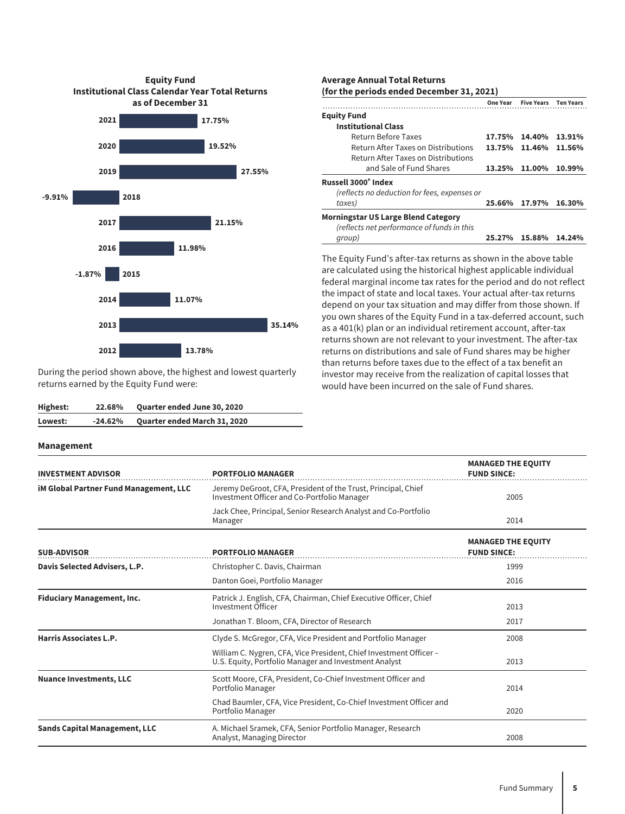

During the period shown above, the highest and lowest quarterly returns earned by the Equity Fund were:

| Highest: | 22.68%    | <b>Quarter ended June 30, 2020</b> |
|----------|-----------|------------------------------------|
| Lowest:  | $-24.62%$ | Quarter ended March 31, 2020       |

#### **Management**

#### **Average Annual Total Returns (for the periods ended December 31, 2021)**

|                                              | One Year | <b>Five Years</b> Ten Years |        |
|----------------------------------------------|----------|-----------------------------|--------|
| <b>Equity Fund</b>                           |          |                             |        |
| <b>Institutional Class</b>                   |          |                             |        |
| Return Before Taxes                          | 17.75%   | 14.40%                      | 13.91% |
| Return After Taxes on Distributions          | 13.75%   | 11.46%                      | 11.56% |
| Return After Taxes on Distributions          |          |                             |        |
| and Sale of Fund Shares                      | 13.25%   | 11.00%                      | 10.99% |
| Russell 3000° Index                          |          |                             |        |
| (reflects no deduction for fees, expenses or |          |                             |        |
| taxes)                                       | 25.66%   | 17.97%                      | 16.30% |
| <b>Morningstar US Large Blend Category</b>   |          |                             |        |
| (reflects net performance of funds in this   |          |                             |        |
| qroup)                                       | 25.27%   | 15.88%                      | 14.24% |

The Equity Fund's after-tax returns as shown in the above table are calculated using the historical highest applicable individual federal marginal income tax rates for the period and do not reflect the impact of state and local taxes. Your actual after-tax returns depend on your tax situation and may differ from those shown. If you own shares of the Equity Fund in a tax-deferred account, such as a 401(k) plan or an individual retirement account, after-tax returns shown are not relevant to your investment. The after-tax returns on distributions and sale of Fund shares may be higher than returns before taxes due to the effect of a tax benefit an investor may receive from the realization of capital losses that would have been incurred on the sale of Fund shares.

| <b>INVESTMENT ADVISOR</b>                     | <b>PORTFOLIO MANAGER</b>                                                                                                    | <b>MANAGED THE EQUITY</b><br><b>FUND SINCE:</b> |
|-----------------------------------------------|-----------------------------------------------------------------------------------------------------------------------------|-------------------------------------------------|
| <b>iM Global Partner Fund Management, LLC</b> | Jeremy DeGroot, CFA, President of the Trust, Principal, Chief<br>Investment Officer and Co-Portfolio Manager                | 2005                                            |
|                                               | Jack Chee, Principal, Senior Research Analyst and Co-Portfolio<br>Manager                                                   | 2014                                            |
| <b>SUB-ADVISOR</b>                            | <b>PORTFOLIO MANAGER</b>                                                                                                    | <b>MANAGED THE EQUITY</b><br><b>FUND SINCE:</b> |
| Davis Selected Advisers, L.P.                 | Christopher C. Davis, Chairman                                                                                              | 1999                                            |
|                                               | Danton Goei, Portfolio Manager                                                                                              | 2016                                            |
| <b>Fiduciary Management, Inc.</b>             | Patrick J. English, CFA, Chairman, Chief Executive Officer, Chief<br><b>Investment Officer</b>                              | 2013                                            |
|                                               | Jonathan T. Bloom, CFA, Director of Research                                                                                | 2017                                            |
| Harris Associates L.P.                        | Clyde S. McGregor, CFA, Vice President and Portfolio Manager                                                                | 2008                                            |
|                                               | William C. Nygren, CFA, Vice President, Chief Investment Officer -<br>U.S. Equity, Portfolio Manager and Investment Analyst | 2013                                            |
| <b>Nuance Investments, LLC</b>                | Scott Moore, CFA, President, Co-Chief Investment Officer and<br>Portfolio Manager                                           | 2014                                            |
|                                               | Chad Baumler, CFA, Vice President, Co-Chief Investment Officer and<br>Portfolio Manager                                     | 2020                                            |
| <b>Sands Capital Management, LLC</b>          | A. Michael Sramek, CFA, Senior Portfolio Manager, Research<br>Analyst, Managing Director                                    | 2008                                            |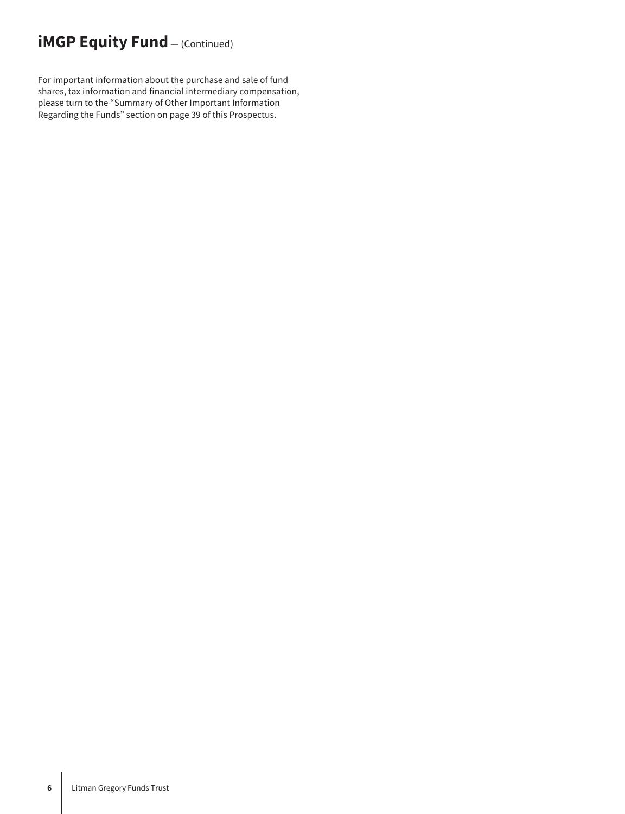## **iMGP Equity Fund** - (Continued)

For important information about the purchase and sale of fund shares, tax information and financial intermediary compensation, please turn to the "Summary of Other Important Information Regarding the Funds" section on page 39 of this Prospectus.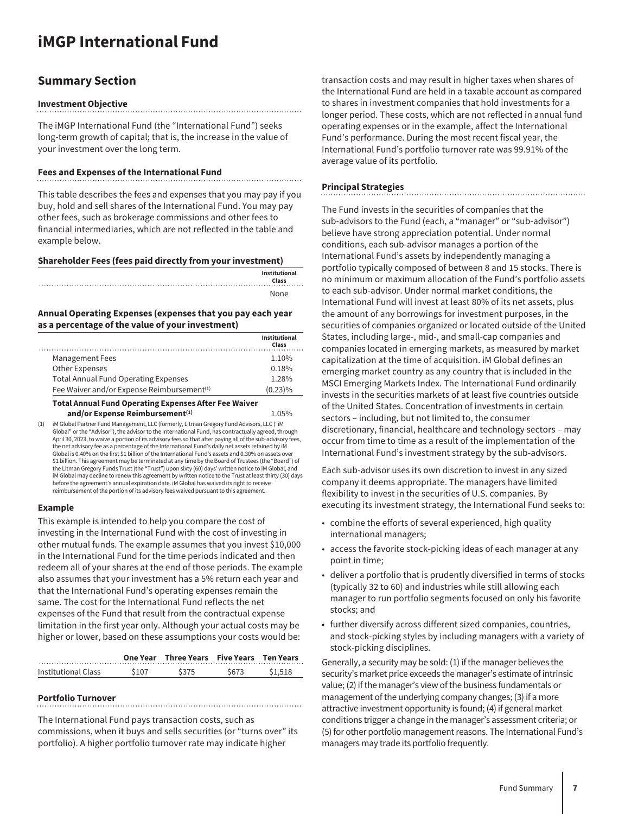# <span id="page-7-0"></span>**iMGP International Fund**

### **Summary Section**

#### **Investment Objective**

The iMGP International Fund (the "International Fund") seeks long-term growth of capital; that is, the increase in the value of your investment over the long term.

#### **Fees and Expenses of the International Fund**

This table describes the fees and expenses that you may pay if you buy, hold and sell shares of the International Fund. You may pay other fees, such as brokerage commissions and other fees to financial intermediaries, which are not reflected in the table and example below.

#### **Shareholder Fees (fees paid directly from your investment)**

| Institutional<br>Class |
|------------------------|
| None                   |

#### **Annual Operating Expenses (expenses that you pay each year as a percentage of the value of your investment)**

|                                                        | Institutional<br>Class |
|--------------------------------------------------------|------------------------|
| Management Fees                                        | 1.10%                  |
| Other Expenses                                         | 0.18%                  |
| <b>Total Annual Fund Operating Expenses</b>            | 1.28%                  |
| Fee Waiver and/or Expense Reimbursement <sup>(1)</sup> | $(0.23)\%$             |

**and/or Expense Reimbursement**<sup>(1)</sup> 1.05% (1) iM Global Partner Fund Management, LLC (formerly, Litman Gregory Fund Advisors, LLC ("iM Global" or the "Advisor"), the advisor to the International Fund, has contractually agreed, through April 30, 2023, to waive a portion of its advisory fees so that after paying all of the sub-advisory fees, the net advisory fee as a percentage of the International Fund's daily net assets retained by iM Global is 0.40% on the first \$1 billion of the International Fund's assets and 0.30% on assets over \$1 billion. This agreement may be terminated at any time by the Board of Trustees (the "Board") of the Litman Gregory Funds Trust (the "Trust") upon sixty (60) days' written notice to iM Global, and iM Global may decline to renew this agreement by written notice to the Trust at least thirty (30) days before the agreement's annual expiration date. iM Global has waived its right to receive reimbursement of the portion of its advisory fees waived pursuant to this agreement.

#### **Example**

This example is intended to help you compare the cost of investing in the International Fund with the cost of investing in other mutual funds. The example assumes that you invest \$10,000 in the International Fund for the time periods indicated and then redeem all of your shares at the end of those periods. The example also assumes that your investment has a 5% return each year and that the International Fund's operating expenses remain the same. The cost for the International Fund reflects the net expenses of the Fund that result from the contractual expense limitation in the first year only. Although your actual costs may be higher or lower, based on these assumptions your costs would be:

|                     |       | One Year Three Years Five Years Ten Years |       |         |
|---------------------|-------|-------------------------------------------|-------|---------|
| Institutional Class | \$107 | \$375                                     | \$673 | \$1,518 |

#### **Portfolio Turnover**

The International Fund pays transaction costs, such as commissions, when it buys and sells securities (or "turns over" its portfolio). A higher portfolio turnover rate may indicate higher

transaction costs and may result in higher taxes when shares of the International Fund are held in a taxable account as compared to shares in investment companies that hold investments for a longer period. These costs, which are not reflected in annual fund operating expenses or in the example, affect the International Fund's performance. During the most recent fiscal year, the International Fund's portfolio turnover rate was 99.91% of the average value of its portfolio.

#### **Principal Strategies**

The Fund invests in the securities of companies that the sub-advisors to the Fund (each, a "manager" or "sub-advisor") believe have strong appreciation potential. Under normal conditions, each sub-advisor manages a portion of the International Fund's assets by independently managing a portfolio typically composed of between 8 and 15 stocks. There is no minimum or maximum allocation of the Fund's portfolio assets to each sub-advisor. Under normal market conditions, the International Fund will invest at least 80% of its net assets, plus the amount of any borrowings for investment purposes, in the securities of companies organized or located outside of the United States, including large-, mid-, and small-cap companies and companies located in emerging markets, as measured by market capitalization at the time of acquisition. iM Global defines an emerging market country as any country that is included in the MSCI Emerging Markets Index. The International Fund ordinarily invests in the securities markets of at least five countries outside of the United States. Concentration of investments in certain sectors – including, but not limited to, the consumer discretionary, financial, healthcare and technology sectors – may occur from time to time as a result of the implementation of the International Fund's investment strategy by the sub-advisors.

Each sub-advisor uses its own discretion to invest in any sized company it deems appropriate. The managers have limited flexibility to invest in the securities of U.S. companies. By executing its investment strategy, the International Fund seeks to:

- combine the efforts of several experienced, high quality international managers;
- access the favorite stock-picking ideas of each manager at any point in time;
- deliver a portfolio that is prudently diversified in terms of stocks (typically 32 to 60) and industries while still allowing each manager to run portfolio segments focused on only his favorite stocks; and
- further diversify across different sized companies, countries, and stock-picking styles by including managers with a variety of stock-picking disciplines.

Generally, a security may be sold: (1) if the manager believes the security's market price exceeds the manager's estimate of intrinsic value; (2) if the manager's view of the business fundamentals or management of the underlying company changes; (3) if a more attractive investment opportunity is found; (4) if general market conditions trigger a change in the manager's assessment criteria; or (5) for other portfolio management reasons. The International Fund's managers may trade its portfolio frequently.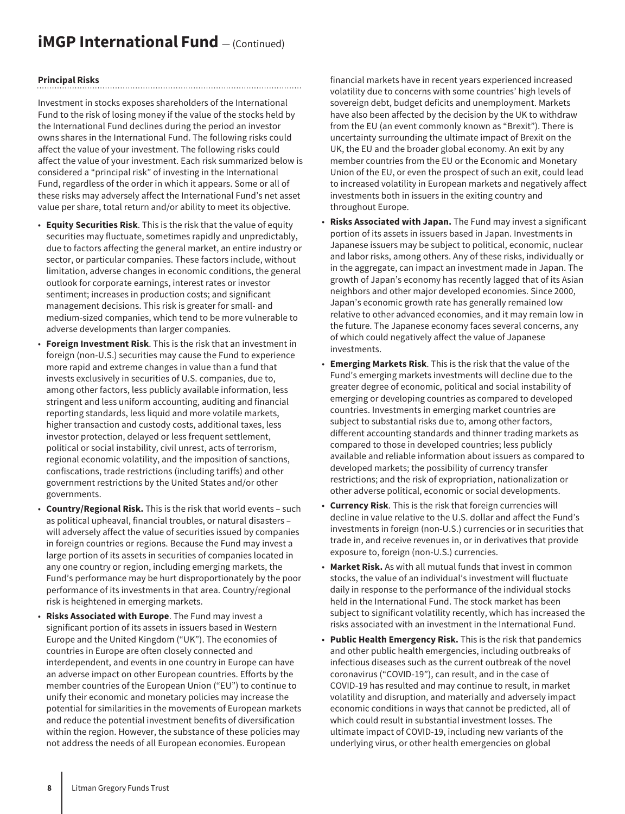## **iMGP International Fund**  $-$  (Continued)

#### **Principal Risks**

Investment in stocks exposes shareholders of the International Fund to the risk of losing money if the value of the stocks held by the International Fund declines during the period an investor owns shares in the International Fund. The following risks could affect the value of your investment. The following risks could affect the value of your investment. Each risk summarized below is considered a "principal risk" of investing in the International Fund, regardless of the order in which it appears. Some or all of these risks may adversely affect the International Fund's net asset value per share, total return and/or ability to meet its objective.

- **Equity Securities Risk**. This is the risk that the value of equity securities may fluctuate, sometimes rapidly and unpredictably, due to factors affecting the general market, an entire industry or sector, or particular companies. These factors include, without limitation, adverse changes in economic conditions, the general outlook for corporate earnings, interest rates or investor sentiment; increases in production costs; and significant management decisions. This risk is greater for small- and medium-sized companies, which tend to be more vulnerable to adverse developments than larger companies.
- **Foreign Investment Risk**. This is the risk that an investment in foreign (non-U.S.) securities may cause the Fund to experience more rapid and extreme changes in value than a fund that invests exclusively in securities of U.S. companies, due to, among other factors, less publicly available information, less stringent and less uniform accounting, auditing and financial reporting standards, less liquid and more volatile markets, higher transaction and custody costs, additional taxes, less investor protection, delayed or less frequent settlement, political or social instability, civil unrest, acts of terrorism, regional economic volatility, and the imposition of sanctions, confiscations, trade restrictions (including tariffs) and other government restrictions by the United States and/or other governments.
- **Country/Regional Risk.** This is the risk that world events such as political upheaval, financial troubles, or natural disasters – will adversely affect the value of securities issued by companies in foreign countries or regions. Because the Fund may invest a large portion of its assets in securities of companies located in any one country or region, including emerging markets, the Fund's performance may be hurt disproportionately by the poor performance of its investments in that area. Country/regional risk is heightened in emerging markets.
- **Risks Associated with Europe**. The Fund may invest a significant portion of its assets in issuers based in Western Europe and the United Kingdom ("UK"). The economies of countries in Europe are often closely connected and interdependent, and events in one country in Europe can have an adverse impact on other European countries. Efforts by the member countries of the European Union ("EU") to continue to unify their economic and monetary policies may increase the potential for similarities in the movements of European markets and reduce the potential investment benefits of diversification within the region. However, the substance of these policies may not address the needs of all European economies. European

financial markets have in recent years experienced increased volatility due to concerns with some countries' high levels of sovereign debt, budget deficits and unemployment. Markets have also been affected by the decision by the UK to withdraw from the EU (an event commonly known as "Brexit"). There is uncertainty surrounding the ultimate impact of Brexit on the UK, the EU and the broader global economy. An exit by any member countries from the EU or the Economic and Monetary Union of the EU, or even the prospect of such an exit, could lead to increased volatility in European markets and negatively affect investments both in issuers in the exiting country and throughout Europe.

- **Risks Associated with Japan.** The Fund may invest a significant portion of its assets in issuers based in Japan. Investments in Japanese issuers may be subject to political, economic, nuclear and labor risks, among others. Any of these risks, individually or in the aggregate, can impact an investment made in Japan. The growth of Japan's economy has recently lagged that of its Asian neighbors and other major developed economies. Since 2000, Japan's economic growth rate has generally remained low relative to other advanced economies, and it may remain low in the future. The Japanese economy faces several concerns, any of which could negatively affect the value of Japanese investments.
- **Emerging Markets Risk**. This is the risk that the value of the Fund's emerging markets investments will decline due to the greater degree of economic, political and social instability of emerging or developing countries as compared to developed countries. Investments in emerging market countries are subject to substantial risks due to, among other factors, different accounting standards and thinner trading markets as compared to those in developed countries; less publicly available and reliable information about issuers as compared to developed markets; the possibility of currency transfer restrictions; and the risk of expropriation, nationalization or other adverse political, economic or social developments.
- **Currency Risk**. This is the risk that foreign currencies will decline in value relative to the U.S. dollar and affect the Fund's investments in foreign (non-U.S.) currencies or in securities that trade in, and receive revenues in, or in derivatives that provide exposure to, foreign (non-U.S.) currencies.
- **Market Risk.** As with all mutual funds that invest in common stocks, the value of an individual's investment will fluctuate daily in response to the performance of the individual stocks held in the International Fund. The stock market has been subject to significant volatility recently, which has increased the risks associated with an investment in the International Fund.
- **Public Health Emergency Risk.** This is the risk that pandemics and other public health emergencies, including outbreaks of infectious diseases such as the current outbreak of the novel coronavirus ("COVID-19"), can result, and in the case of COVID-19 has resulted and may continue to result, in market volatility and disruption, and materially and adversely impact economic conditions in ways that cannot be predicted, all of which could result in substantial investment losses. The ultimate impact of COVID-19, including new variants of the underlying virus, or other health emergencies on global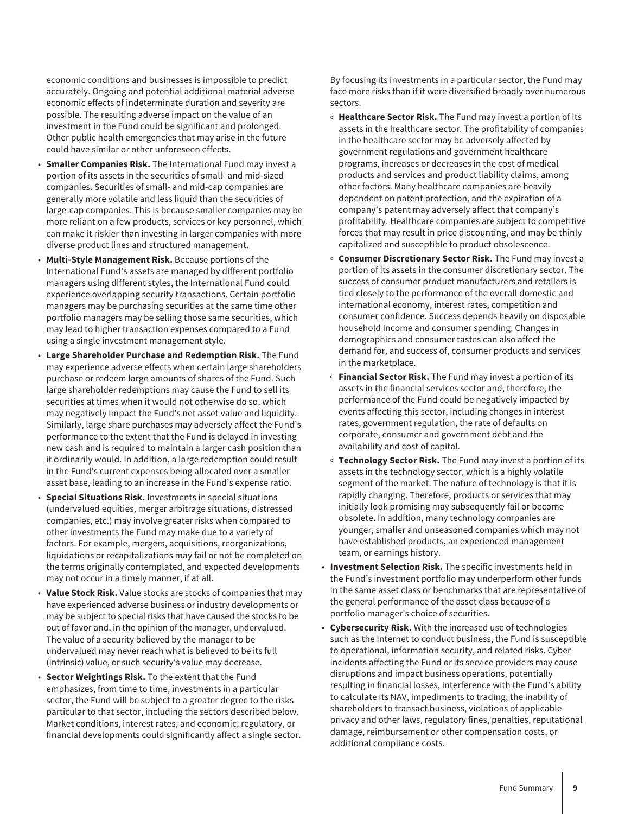economic conditions and businesses is impossible to predict accurately. Ongoing and potential additional material adverse economic effects of indeterminate duration and severity are possible. The resulting adverse impact on the value of an investment in the Fund could be significant and prolonged. Other public health emergencies that may arise in the future could have similar or other unforeseen effects.

- **Smaller Companies Risk.** The International Fund may invest a portion of its assets in the securities of small- and mid-sized companies. Securities of small- and mid-cap companies are generally more volatile and less liquid than the securities of large-cap companies. This is because smaller companies may be more reliant on a few products, services or key personnel, which can make it riskier than investing in larger companies with more diverse product lines and structured management.
- **Multi-Style Management Risk.** Because portions of the International Fund's assets are managed by different portfolio managers using different styles, the International Fund could experience overlapping security transactions. Certain portfolio managers may be purchasing securities at the same time other portfolio managers may be selling those same securities, which may lead to higher transaction expenses compared to a Fund using a single investment management style.
- **Large Shareholder Purchase and Redemption Risk.** The Fund may experience adverse effects when certain large shareholders purchase or redeem large amounts of shares of the Fund. Such large shareholder redemptions may cause the Fund to sell its securities at times when it would not otherwise do so, which may negatively impact the Fund's net asset value and liquidity. Similarly, large share purchases may adversely affect the Fund's performance to the extent that the Fund is delayed in investing new cash and is required to maintain a larger cash position than it ordinarily would. In addition, a large redemption could result in the Fund's current expenses being allocated over a smaller asset base, leading to an increase in the Fund's expense ratio.
- **Special Situations Risk.** Investments in special situations (undervalued equities, merger arbitrage situations, distressed companies, etc.) may involve greater risks when compared to other investments the Fund may make due to a variety of factors. For example, mergers, acquisitions, reorganizations, liquidations or recapitalizations may fail or not be completed on the terms originally contemplated, and expected developments may not occur in a timely manner, if at all.
- **Value Stock Risk.** Value stocks are stocks of companies that may have experienced adverse business or industry developments or may be subject to special risks that have caused the stocks to be out of favor and, in the opinion of the manager, undervalued. The value of a security believed by the manager to be undervalued may never reach what is believed to be its full (intrinsic) value, or such security's value may decrease.
- **Sector Weightings Risk.** To the extent that the Fund emphasizes, from time to time, investments in a particular sector, the Fund will be subject to a greater degree to the risks particular to that sector, including the sectors described below. Market conditions, interest rates, and economic, regulatory, or financial developments could significantly affect a single sector.

By focusing its investments in a particular sector, the Fund may face more risks than if it were diversified broadly over numerous sectors.

- <sup>o</sup> Healthcare Sector Risk. The Fund may invest a portion of its assets in the healthcare sector. The profitability of companies in the healthcare sector may be adversely affected by government regulations and government healthcare programs, increases or decreases in the cost of medical products and services and product liability claims, among other factors. Many healthcare companies are heavily dependent on patent protection, and the expiration of a company's patent may adversely affect that company's profitability. Healthcare companies are subject to competitive forces that may result in price discounting, and may be thinly capitalized and susceptible to product obsolescence.
- o **Consumer Discretionary Sector Risk.** The Fund may invest a portion of its assets in the consumer discretionary sector. The success of consumer product manufacturers and retailers is tied closely to the performance of the overall domestic and international economy, interest rates, competition and consumer confidence. Success depends heavily on disposable household income and consumer spending. Changes in demographics and consumer tastes can also affect the demand for, and success of, consumer products and services in the marketplace.
- **Einancial Sector Risk.** The Fund may invest a portion of its assets in the financial services sector and, therefore, the performance of the Fund could be negatively impacted by events affecting this sector, including changes in interest rates, government regulation, the rate of defaults on corporate, consumer and government debt and the availability and cost of capital.
- o **Technology Sector Risk.** The Fund may invest a portion of its assets in the technology sector, which is a highly volatile segment of the market. The nature of technology is that it is rapidly changing. Therefore, products or services that may initially look promising may subsequently fail or become obsolete. In addition, many technology companies are younger, smaller and unseasoned companies which may not have established products, an experienced management team, or earnings history.
- **Investment Selection Risk.** The specific investments held in the Fund's investment portfolio may underperform other funds in the same asset class or benchmarks that are representative of the general performance of the asset class because of a portfolio manager's choice of securities.
- **Cybersecurity Risk.** With the increased use of technologies such as the Internet to conduct business, the Fund is susceptible to operational, information security, and related risks. Cyber incidents affecting the Fund or its service providers may cause disruptions and impact business operations, potentially resulting in financial losses, interference with the Fund's ability to calculate its NAV, impediments to trading, the inability of shareholders to transact business, violations of applicable privacy and other laws, regulatory fines, penalties, reputational damage, reimbursement or other compensation costs, or additional compliance costs.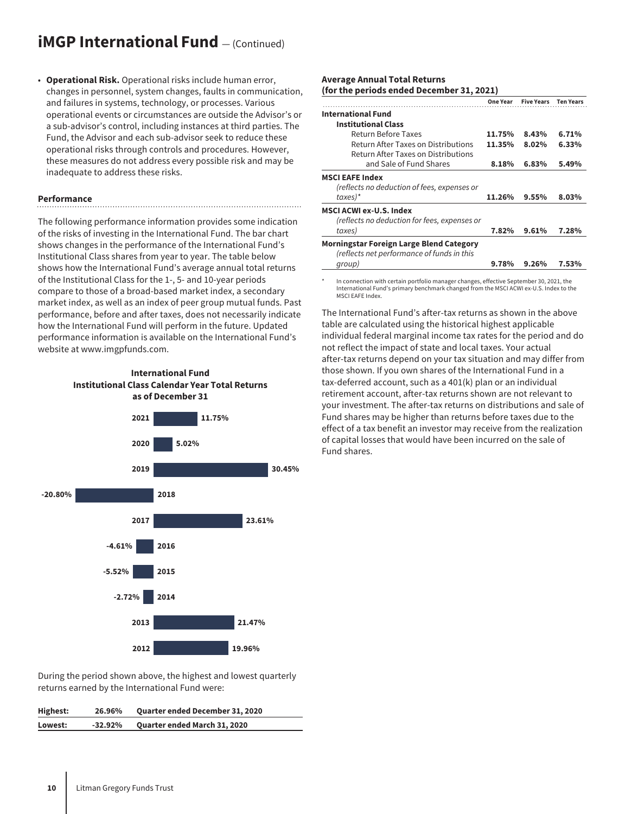### **iMGP International Fund**  $-$  (Continued)

• **Operational Risk.** Operational risks include human error, changes in personnel, system changes, faults in communication, and failures in systems, technology, or processes. Various operational events or circumstances are outside the Advisor's or a sub-advisor's control, including instances at third parties. The Fund, the Advisor and each sub-advisor seek to reduce these operational risks through controls and procedures. However, these measures do not address every possible risk and may be inadequate to address these risks.

#### **Performance**

The following performance information provides some indication of the risks of investing in the International Fund. The bar chart shows changes in the performance of the International Fund's Institutional Class shares from year to year. The table below shows how the International Fund's average annual total returns of the Institutional Class for the 1-, 5- and 10-year periods compare to those of a broad-based market index, a secondary market index, as well as an index of peer group mutual funds. Past performance, before and after taxes, does not necessarily indicate how the International Fund will perform in the future. Updated performance information is available on the International Fund's website at www.imgpfunds.com.





During the period shown above, the highest and lowest quarterly returns earned by the International Fund were:

| Highest: | 26.96%    | <b>Quarter ended December 31, 2020</b> |
|----------|-----------|----------------------------------------|
| Lowest:  | $-32.92%$ | <b>Quarter ended March 31, 2020</b>    |

#### **Average Annual Total Returns (for the periods ended December 31, 2021)**

|                                                 |        | One Year Five Years Ten Years |       |
|-------------------------------------------------|--------|-------------------------------|-------|
| <b>International Fund</b>                       |        |                               |       |
| <b>Institutional Class</b>                      |        |                               |       |
| Return Before Taxes                             | 11.75% | 8.43%                         | 6.71% |
| Return After Taxes on Distributions             | 11.35% | 8.02%                         | 6.33% |
| Return After Taxes on Distributions             |        |                               |       |
| and Sale of Fund Shares                         | 8.18%  | 6.83%                         | 5.49% |
| <b>MSCI EAFE Index</b>                          |        |                               |       |
| (reflects no deduction of fees, expenses or     |        |                               |       |
| $taxes)$ *                                      | 11.26% | 9.55%                         | 8.03% |
| <b>MSCI ACWI ex-U.S. Index</b>                  |        |                               |       |
| (reflects no deduction for fees, expenses or    |        |                               |       |
| taxes)                                          | 7.82%  | 9.61%                         | 7.28% |
| <b>Morningstar Foreign Large Blend Category</b> |        |                               |       |
| (reflects net performance of funds in this      |        |                               |       |
| group)                                          | 9.78%  | 9.26%                         | 7.53% |

In connection with certain portfolio manager changes, effective September 30, 2021, the International Fund's primary benchmark changed from the MSCI ACWI ex-U.S. Index to the MSCI EAFE Index.

The International Fund's after-tax returns as shown in the above table are calculated using the historical highest applicable individual federal marginal income tax rates for the period and do not reflect the impact of state and local taxes. Your actual after-tax returns depend on your tax situation and may differ from those shown. If you own shares of the International Fund in a tax-deferred account, such as a 401(k) plan or an individual retirement account, after-tax returns shown are not relevant to your investment. The after-tax returns on distributions and sale of Fund shares may be higher than returns before taxes due to the effect of a tax benefit an investor may receive from the realization of capital losses that would have been incurred on the sale of Fund shares.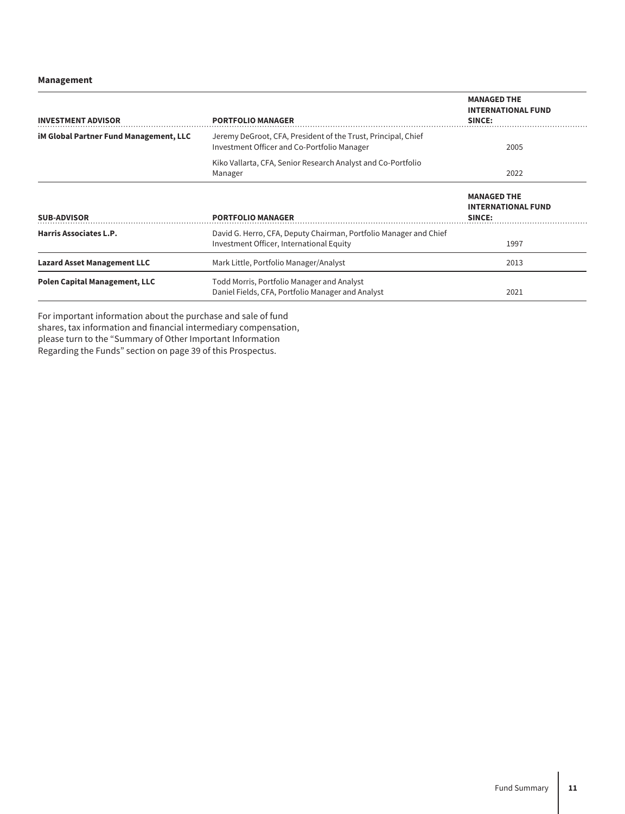#### **Management**

| <b>INVESTMENT ADVISOR</b>                     | <b>PORTFOLIO MANAGER</b>                                                                                      | <b>MANAGED THE</b><br><b>INTERNATIONAL FUND</b><br>SINCE: |  |
|-----------------------------------------------|---------------------------------------------------------------------------------------------------------------|-----------------------------------------------------------|--|
| <b>iM Global Partner Fund Management, LLC</b> | Jeremy DeGroot, CFA, President of the Trust, Principal, Chief<br>Investment Officer and Co-Portfolio Manager  | 2005                                                      |  |
|                                               | Kiko Vallarta, CFA, Senior Research Analyst and Co-Portfolio<br>Manager                                       | 2022                                                      |  |
| <b>SUB-ADVISOR</b>                            | <b>PORTFOLIO MANAGER</b>                                                                                      | <b>MANAGED THE</b><br><b>INTERNATIONAL FUND</b><br>SINCE: |  |
| Harris Associates L.P.                        | David G. Herro, CFA, Deputy Chairman, Portfolio Manager and Chief<br>Investment Officer, International Equity | 1997                                                      |  |
| <b>Lazard Asset Management LLC</b>            | Mark Little, Portfolio Manager/Analyst                                                                        | 2013                                                      |  |
| <b>Polen Capital Management, LLC</b>          | Todd Morris, Portfolio Manager and Analyst<br>Daniel Fields, CFA, Portfolio Manager and Analyst               | 2021                                                      |  |

For important information about the purchase and sale of fund shares, tax information and financial intermediary compensation, please turn to the "Summary of Other Important Information Regarding the Funds" section on page 39 of this Prospectus.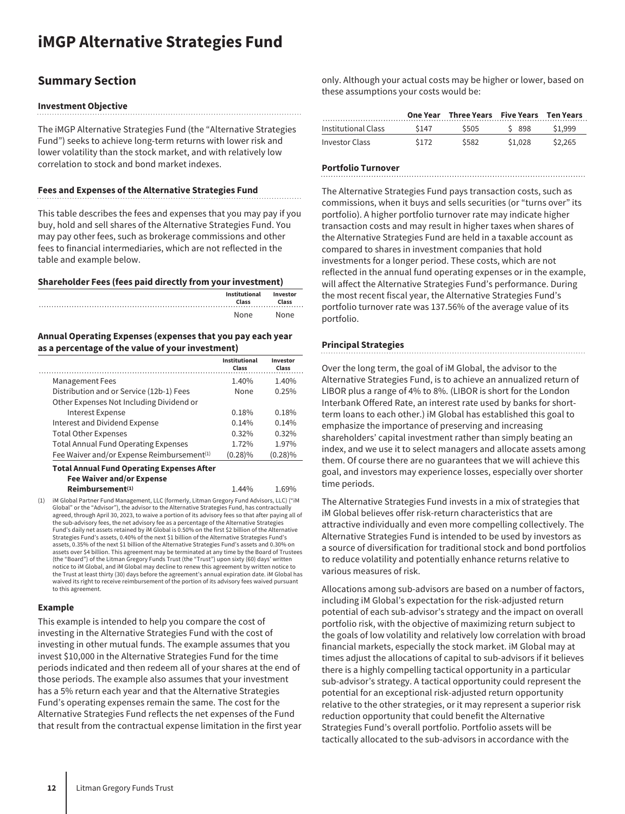## <span id="page-12-0"></span>**iMGP Alternative Strategies Fund**

### **Summary Section**

#### **Investment Objective**

The iMGP Alternative Strategies Fund (the "Alternative Strategies Fund") seeks to achieve long-term returns with lower risk and lower volatility than the stock market, and with relatively low correlation to stock and bond market indexes.

#### **Fees and Expenses of the Alternative Strategies Fund**

This table describes the fees and expenses that you may pay if you buy, hold and sell shares of the Alternative Strategies Fund. You may pay other fees, such as brokerage commissions and other fees to financial intermediaries, which are not reflected in the table and example below.

#### **Shareholder Fees (fees paid directly from your investment)**

| Institutional<br>Class | Investor<br>Class |
|------------------------|-------------------|
| None                   | None              |

#### **Annual Operating Expenses (expenses that you pay each year as a percentage of the value of your investment)**

|                                                        | Institutional<br>Class | Investor<br>Class |
|--------------------------------------------------------|------------------------|-------------------|
| <b>Management Fees</b>                                 | 1.40%                  | 1.40%             |
| Distribution and or Service (12b-1) Fees               | None                   | 0.25%             |
| Other Expenses Not Including Dividend or               |                        |                   |
| <b>Interest Expense</b>                                | 0.18%                  | 0.18%             |
| Interest and Dividend Expense                          | 0.14%                  | 0.14%             |
| <b>Total Other Expenses</b>                            | 0.32%                  | 0.32%             |
| <b>Total Annual Fund Operating Expenses</b>            | 1.72%                  | 1.97%             |
| Fee Waiver and/or Expense Reimbursement <sup>(1)</sup> | $(0.28)\%$             | $(0.28)\%$        |

**Fee Waiver and/or Expense Reimbursement**<sup>(1)</sup> 1.44% 1.69% (1) iM Global Partner Fund Management, LLC (formerly, Litman Gregory Fund Advisors, LLC) ("iM

Global" or the "Advisor"), the advisor to the Alternative Strategies Fund, has contractually agreed, through April 30, 2023, to waive a portion of its advisory fees so that after paying all of the sub-advisory fees, the net advisory fee as a percentage of the Alternative Strategies Fund's daily net assets retained by iM Global is 0.50% on the first \$2 billion of the Alternative Strategies Fund's assets, 0.40% of the next \$1 billion of the Alternative Strategies Fund's assets, 0.35% of the next \$1 billion of the Alternative Strategies Fund's assets and 0.30% on assets over \$4 billion. This agreement may be terminated at any time by the Board of Trustees (the "Board") of the Litman Gregory Funds Trust (the "Trust") upon sixty (60) days' written notice to iM Global, and iM Global may decline to renew this agreement by written notice to the Trust at least thirty (30) days before the agreement's annual expiration date. iM Global has waived its right to receive reimbursement of the portion of its advisory fees waived pursuant to this agreement.

#### **Example**

This example is intended to help you compare the cost of investing in the Alternative Strategies Fund with the cost of investing in other mutual funds. The example assumes that you invest \$10,000 in the Alternative Strategies Fund for the time periods indicated and then redeem all of your shares at the end of those periods. The example also assumes that your investment has a 5% return each year and that the Alternative Strategies Fund's operating expenses remain the same. The cost for the Alternative Strategies Fund reflects the net expenses of the Fund that result from the contractual expense limitation in the first year only. Although your actual costs may be higher or lower, based on these assumptions your costs would be:

|                       |       | One Year Three Years Five Years Ten Years |         |         |
|-----------------------|-------|-------------------------------------------|---------|---------|
| Institutional Class   | \$147 | \$505                                     | S 898   | S1.999  |
| <b>Investor Class</b> | \$172 | \$582                                     | \$1,028 | \$2.265 |

#### **Portfolio Turnover**

The Alternative Strategies Fund pays transaction costs, such as commissions, when it buys and sells securities (or "turns over" its portfolio). A higher portfolio turnover rate may indicate higher transaction costs and may result in higher taxes when shares of the Alternative Strategies Fund are held in a taxable account as compared to shares in investment companies that hold investments for a longer period. These costs, which are not reflected in the annual fund operating expenses or in the example, will affect the Alternative Strategies Fund's performance. During the most recent fiscal year, the Alternative Strategies Fund's portfolio turnover rate was 137.56% of the average value of its portfolio.

#### **Principal Strategies**

Over the long term, the goal of iM Global, the advisor to the Alternative Strategies Fund, is to achieve an annualized return of LIBOR plus a range of 4% to 8%. (LIBOR is short for the London Interbank Offered Rate, an interest rate used by banks for shortterm loans to each other.) iM Global has established this goal to emphasize the importance of preserving and increasing shareholders' capital investment rather than simply beating an index, and we use it to select managers and allocate assets among them. Of course there are no guarantees that we will achieve this goal, and investors may experience losses, especially over shorter time periods.

The Alternative Strategies Fund invests in a mix of strategies that iM Global believes offer risk-return characteristics that are attractive individually and even more compelling collectively. The Alternative Strategies Fund is intended to be used by investors as a source of diversification for traditional stock and bond portfolios to reduce volatility and potentially enhance returns relative to various measures of risk.

Allocations among sub-advisors are based on a number of factors, including iM Global's expectation for the risk-adjusted return potential of each sub-advisor's strategy and the impact on overall portfolio risk, with the objective of maximizing return subject to the goals of low volatility and relatively low correlation with broad financial markets, especially the stock market. iM Global may at times adjust the allocations of capital to sub-advisors if it believes there is a highly compelling tactical opportunity in a particular sub-advisor's strategy. A tactical opportunity could represent the potential for an exceptional risk-adjusted return opportunity relative to the other strategies, or it may represent a superior risk reduction opportunity that could benefit the Alternative Strategies Fund's overall portfolio. Portfolio assets will be tactically allocated to the sub-advisors in accordance with the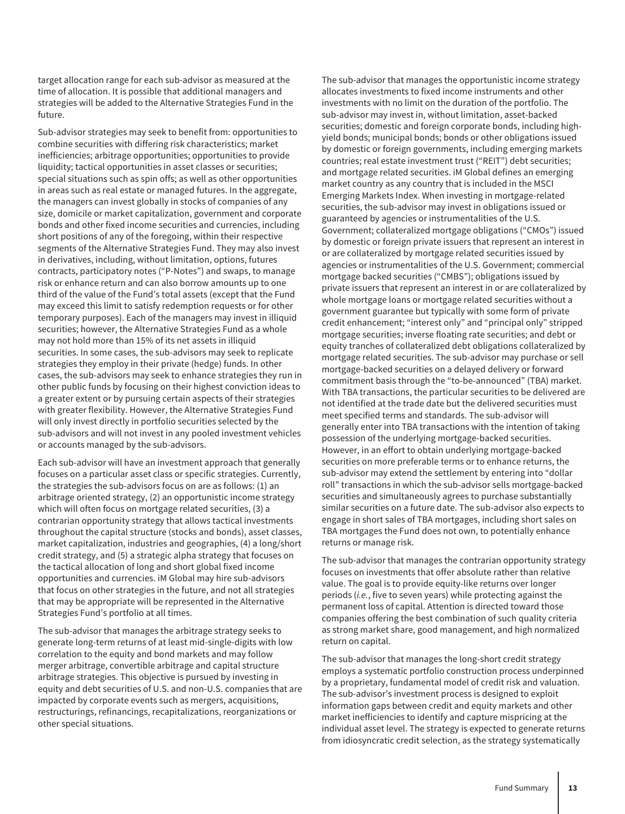target allocation range for each sub-advisor as measured at the time of allocation. It is possible that additional managers and strategies will be added to the Alternative Strategies Fund in the future.

Sub-advisor strategies may seek to benefit from: opportunities to combine securities with differing risk characteristics; market inefficiencies; arbitrage opportunities; opportunities to provide liquidity; tactical opportunities in asset classes or securities; special situations such as spin offs; as well as other opportunities in areas such as real estate or managed futures. In the aggregate, the managers can invest globally in stocks of companies of any size, domicile or market capitalization, government and corporate bonds and other fixed income securities and currencies, including short positions of any of the foregoing, within their respective segments of the Alternative Strategies Fund. They may also invest in derivatives, including, without limitation, options, futures contracts, participatory notes ("P-Notes") and swaps, to manage risk or enhance return and can also borrow amounts up to one third of the value of the Fund's total assets (except that the Fund may exceed this limit to satisfy redemption requests or for other temporary purposes). Each of the managers may invest in illiquid securities; however, the Alternative Strategies Fund as a whole may not hold more than 15% of its net assets in illiquid securities. In some cases, the sub-advisors may seek to replicate strategies they employ in their private (hedge) funds. In other cases, the sub-advisors may seek to enhance strategies they run in other public funds by focusing on their highest conviction ideas to a greater extent or by pursuing certain aspects of their strategies with greater flexibility. However, the Alternative Strategies Fund will only invest directly in portfolio securities selected by the sub-advisors and will not invest in any pooled investment vehicles or accounts managed by the sub-advisors.

Each sub-advisor will have an investment approach that generally focuses on a particular asset class or specific strategies. Currently, the strategies the sub-advisors focus on are as follows: (1) an arbitrage oriented strategy, (2) an opportunistic income strategy which will often focus on mortgage related securities, (3) a contrarian opportunity strategy that allows tactical investments throughout the capital structure (stocks and bonds), asset classes, market capitalization, industries and geographies, (4) a long/short credit strategy, and (5) a strategic alpha strategy that focuses on the tactical allocation of long and short global fixed income opportunities and currencies. iM Global may hire sub-advisors that focus on other strategies in the future, and not all strategies that may be appropriate will be represented in the Alternative Strategies Fund's portfolio at all times.

The sub-advisor that manages the arbitrage strategy seeks to generate long-term returns of at least mid-single-digits with low correlation to the equity and bond markets and may follow merger arbitrage, convertible arbitrage and capital structure arbitrage strategies. This objective is pursued by investing in equity and debt securities of U.S. and non-U.S. companies that are impacted by corporate events such as mergers, acquisitions, restructurings, refinancings, recapitalizations, reorganizations or other special situations.

The sub-advisor that manages the opportunistic income strategy allocates investments to fixed income instruments and other investments with no limit on the duration of the portfolio. The sub-advisor may invest in, without limitation, asset-backed securities; domestic and foreign corporate bonds, including highyield bonds; municipal bonds; bonds or other obligations issued by domestic or foreign governments, including emerging markets countries; real estate investment trust ("REIT") debt securities; and mortgage related securities. iM Global defines an emerging market country as any country that is included in the MSCI Emerging Markets Index. When investing in mortgage-related securities, the sub-advisor may invest in obligations issued or guaranteed by agencies or instrumentalities of the U.S. Government; collateralized mortgage obligations ("CMOs") issued by domestic or foreign private issuers that represent an interest in or are collateralized by mortgage related securities issued by agencies or instrumentalities of the U.S. Government; commercial mortgage backed securities ("CMBS"); obligations issued by private issuers that represent an interest in or are collateralized by whole mortgage loans or mortgage related securities without a government guarantee but typically with some form of private credit enhancement; "interest only" and "principal only" stripped mortgage securities; inverse floating rate securities; and debt or equity tranches of collateralized debt obligations collateralized by mortgage related securities. The sub-advisor may purchase or sell mortgage-backed securities on a delayed delivery or forward commitment basis through the "to-be-announced" (TBA) market. With TBA transactions, the particular securities to be delivered are not identified at the trade date but the delivered securities must meet specified terms and standards. The sub-advisor will generally enter into TBA transactions with the intention of taking possession of the underlying mortgage-backed securities. However, in an effort to obtain underlying mortgage-backed securities on more preferable terms or to enhance returns, the sub-advisor may extend the settlement by entering into "dollar roll" transactions in which the sub-advisor sells mortgage-backed securities and simultaneously agrees to purchase substantially similar securities on a future date. The sub-advisor also expects to engage in short sales of TBA mortgages, including short sales on TBA mortgages the Fund does not own, to potentially enhance returns or manage risk.

The sub-advisor that manages the contrarian opportunity strategy focuses on investments that offer absolute rather than relative value. The goal is to provide equity-like returns over longer periods (*i.e.*, five to seven years) while protecting against the permanent loss of capital. Attention is directed toward those companies offering the best combination of such quality criteria as strong market share, good management, and high normalized return on capital.

The sub-advisor that manages the long-short credit strategy employs a systematic portfolio construction process underpinned by a proprietary, fundamental model of credit risk and valuation. The sub-advisor's investment process is designed to exploit information gaps between credit and equity markets and other market inefficiencies to identify and capture mispricing at the individual asset level. The strategy is expected to generate returns from idiosyncratic credit selection, as the strategy systematically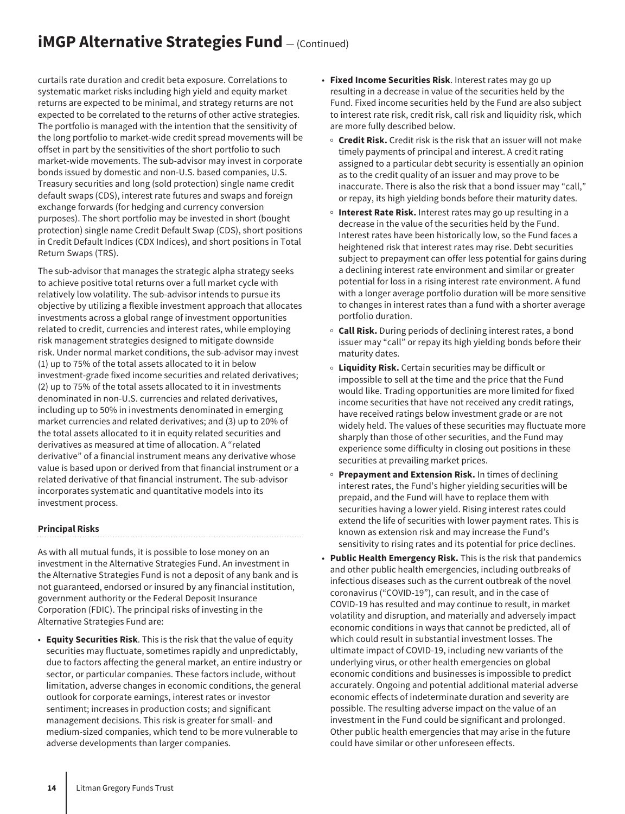## **iMGP Alternative Strategies Fund**  $-$  (Continued)

curtails rate duration and credit beta exposure. Correlations to systematic market risks including high yield and equity market returns are expected to be minimal, and strategy returns are not expected to be correlated to the returns of other active strategies. The portfolio is managed with the intention that the sensitivity of the long portfolio to market-wide credit spread movements will be offset in part by the sensitivities of the short portfolio to such market-wide movements. The sub-advisor may invest in corporate bonds issued by domestic and non-U.S. based companies, U.S. Treasury securities and long (sold protection) single name credit default swaps (CDS), interest rate futures and swaps and foreign exchange forwards (for hedging and currency conversion purposes). The short portfolio may be invested in short (bought protection) single name Credit Default Swap (CDS), short positions in Credit Default Indices (CDX Indices), and short positions in Total Return Swaps (TRS).

The sub-advisor that manages the strategic alpha strategy seeks to achieve positive total returns over a full market cycle with relatively low volatility. The sub-advisor intends to pursue its objective by utilizing a flexible investment approach that allocates investments across a global range of investment opportunities related to credit, currencies and interest rates, while employing risk management strategies designed to mitigate downside risk. Under normal market conditions, the sub-advisor may invest (1) up to 75% of the total assets allocated to it in below investment-grade fixed income securities and related derivatives; (2) up to 75% of the total assets allocated to it in investments denominated in non-U.S. currencies and related derivatives, including up to 50% in investments denominated in emerging market currencies and related derivatives; and (3) up to 20% of the total assets allocated to it in equity related securities and derivatives as measured at time of allocation. A "related derivative" of a financial instrument means any derivative whose value is based upon or derived from that financial instrument or a related derivative of that financial instrument. The sub-advisor incorporates systematic and quantitative models into its investment process.

#### **Principal Risks**

As with all mutual funds, it is possible to lose money on an investment in the Alternative Strategies Fund. An investment in the Alternative Strategies Fund is not a deposit of any bank and is not guaranteed, endorsed or insured by any financial institution, government authority or the Federal Deposit Insurance Corporation (FDIC). The principal risks of investing in the Alternative Strategies Fund are:

• **Equity Securities Risk**. This is the risk that the value of equity securities may fluctuate, sometimes rapidly and unpredictably, due to factors affecting the general market, an entire industry or sector, or particular companies. These factors include, without limitation, adverse changes in economic conditions, the general outlook for corporate earnings, interest rates or investor sentiment; increases in production costs; and significant management decisions. This risk is greater for small- and medium-sized companies, which tend to be more vulnerable to adverse developments than larger companies.

- **Fixed Income Securities Risk**. Interest rates may go up resulting in a decrease in value of the securities held by the Fund. Fixed income securities held by the Fund are also subject to interest rate risk, credit risk, call risk and liquidity risk, which are more fully described below.
	- <sup>o</sup> Credit Risk. Credit risk is the risk that an issuer will not make timely payments of principal and interest. A credit rating assigned to a particular debt security is essentially an opinion as to the credit quality of an issuer and may prove to be inaccurate. There is also the risk that a bond issuer may "call," or repay, its high yielding bonds before their maturity dates.
	- o **Interest Rate Risk.** Interest rates may go up resulting in a decrease in the value of the securities held by the Fund. Interest rates have been historically low, so the Fund faces a heightened risk that interest rates may rise. Debt securities subject to prepayment can offer less potential for gains during a declining interest rate environment and similar or greater potential for loss in a rising interest rate environment. A fund with a longer average portfolio duration will be more sensitive to changes in interest rates than a fund with a shorter average portfolio duration.
	- **Call Risk.** During periods of declining interest rates, a bond issuer may "call" or repay its high yielding bonds before their maturity dates.
	- <sup>O</sup> **Liquidity Risk.** Certain securities may be difficult or impossible to sell at the time and the price that the Fund would like. Trading opportunities are more limited for fixed income securities that have not received any credit ratings, have received ratings below investment grade or are not widely held. The values of these securities may fluctuate more sharply than those of other securities, and the Fund may experience some difficulty in closing out positions in these securities at prevailing market prices.
	- Prepayment and Extension Risk. In times of declining interest rates, the Fund's higher yielding securities will be prepaid, and the Fund will have to replace them with securities having a lower yield. Rising interest rates could extend the life of securities with lower payment rates. This is known as extension risk and may increase the Fund's sensitivity to rising rates and its potential for price declines.
- **Public Health Emergency Risk.** This is the risk that pandemics and other public health emergencies, including outbreaks of infectious diseases such as the current outbreak of the novel coronavirus ("COVID-19"), can result, and in the case of COVID-19 has resulted and may continue to result, in market volatility and disruption, and materially and adversely impact economic conditions in ways that cannot be predicted, all of which could result in substantial investment losses. The ultimate impact of COVID-19, including new variants of the underlying virus, or other health emergencies on global economic conditions and businesses is impossible to predict accurately. Ongoing and potential additional material adverse economic effects of indeterminate duration and severity are possible. The resulting adverse impact on the value of an investment in the Fund could be significant and prolonged. Other public health emergencies that may arise in the future could have similar or other unforeseen effects.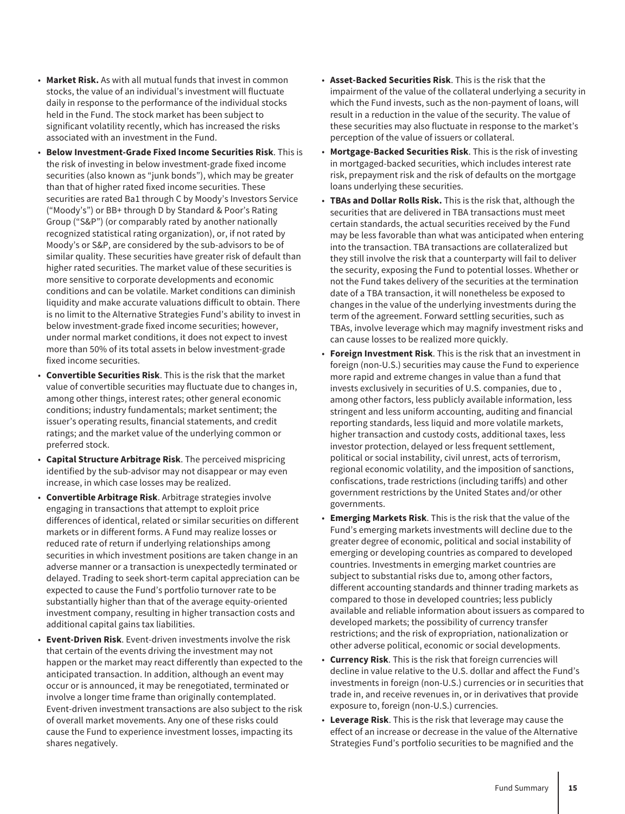- **Market Risk.** As with all mutual funds that invest in common stocks, the value of an individual's investment will fluctuate daily in response to the performance of the individual stocks held in the Fund. The stock market has been subject to significant volatility recently, which has increased the risks associated with an investment in the Fund.
- **Below Investment-Grade Fixed Income Securities Risk**. This is the risk of investing in below investment-grade fixed income securities (also known as "junk bonds"), which may be greater than that of higher rated fixed income securities. These securities are rated Ba1 through C by Moody's Investors Service ("Moody's") or BB+ through D by Standard & Poor's Rating Group ("S&P") (or comparably rated by another nationally recognized statistical rating organization), or, if not rated by Moody's or S&P, are considered by the sub-advisors to be of similar quality. These securities have greater risk of default than higher rated securities. The market value of these securities is more sensitive to corporate developments and economic conditions and can be volatile. Market conditions can diminish liquidity and make accurate valuations difficult to obtain. There is no limit to the Alternative Strategies Fund's ability to invest in below investment-grade fixed income securities; however, under normal market conditions, it does not expect to invest more than 50% of its total assets in below investment-grade fixed income securities.
- **Convertible Securities Risk**. This is the risk that the market value of convertible securities may fluctuate due to changes in, among other things, interest rates; other general economic conditions; industry fundamentals; market sentiment; the issuer's operating results, financial statements, and credit ratings; and the market value of the underlying common or preferred stock.
- **Capital Structure Arbitrage Risk**. The perceived mispricing identified by the sub-advisor may not disappear or may even increase, in which case losses may be realized.
- **Convertible Arbitrage Risk**. Arbitrage strategies involve engaging in transactions that attempt to exploit price differences of identical, related or similar securities on different markets or in different forms. A Fund may realize losses or reduced rate of return if underlying relationships among securities in which investment positions are taken change in an adverse manner or a transaction is unexpectedly terminated or delayed. Trading to seek short-term capital appreciation can be expected to cause the Fund's portfolio turnover rate to be substantially higher than that of the average equity-oriented investment company, resulting in higher transaction costs and additional capital gains tax liabilities.
- **Event-Driven Risk**. Event-driven investments involve the risk that certain of the events driving the investment may not happen or the market may react differently than expected to the anticipated transaction. In addition, although an event may occur or is announced, it may be renegotiated, terminated or involve a longer time frame than originally contemplated. Event-driven investment transactions are also subject to the risk of overall market movements. Any one of these risks could cause the Fund to experience investment losses, impacting its shares negatively.
- **Asset-Backed Securities Risk**. This is the risk that the impairment of the value of the collateral underlying a security in which the Fund invests, such as the non-payment of loans, will result in a reduction in the value of the security. The value of these securities may also fluctuate in response to the market's perception of the value of issuers or collateral.
- **Mortgage-Backed Securities Risk**. This is the risk of investing in mortgaged-backed securities, which includes interest rate risk, prepayment risk and the risk of defaults on the mortgage loans underlying these securities.
- **TBAs and Dollar Rolls Risk.** This is the risk that, although the securities that are delivered in TBA transactions must meet certain standards, the actual securities received by the Fund may be less favorable than what was anticipated when entering into the transaction. TBA transactions are collateralized but they still involve the risk that a counterparty will fail to deliver the security, exposing the Fund to potential losses. Whether or not the Fund takes delivery of the securities at the termination date of a TBA transaction, it will nonetheless be exposed to changes in the value of the underlying investments during the term of the agreement. Forward settling securities, such as TBAs, involve leverage which may magnify investment risks and can cause losses to be realized more quickly.
- **Foreign Investment Risk**. This is the risk that an investment in foreign (non-U.S.) securities may cause the Fund to experience more rapid and extreme changes in value than a fund that invests exclusively in securities of U.S. companies, due to , among other factors, less publicly available information, less stringent and less uniform accounting, auditing and financial reporting standards, less liquid and more volatile markets, higher transaction and custody costs, additional taxes, less investor protection, delayed or less frequent settlement, political or social instability, civil unrest, acts of terrorism, regional economic volatility, and the imposition of sanctions, confiscations, trade restrictions (including tariffs) and other government restrictions by the United States and/or other governments.
- **Emerging Markets Risk**. This is the risk that the value of the Fund's emerging markets investments will decline due to the greater degree of economic, political and social instability of emerging or developing countries as compared to developed countries. Investments in emerging market countries are subject to substantial risks due to, among other factors, different accounting standards and thinner trading markets as compared to those in developed countries; less publicly available and reliable information about issuers as compared to developed markets; the possibility of currency transfer restrictions; and the risk of expropriation, nationalization or other adverse political, economic or social developments.
- **Currency Risk**. This is the risk that foreign currencies will decline in value relative to the U.S. dollar and affect the Fund's investments in foreign (non-U.S.) currencies or in securities that trade in, and receive revenues in, or in derivatives that provide exposure to, foreign (non-U.S.) currencies.
- **Leverage Risk**. This is the risk that leverage may cause the effect of an increase or decrease in the value of the Alternative Strategies Fund's portfolio securities to be magnified and the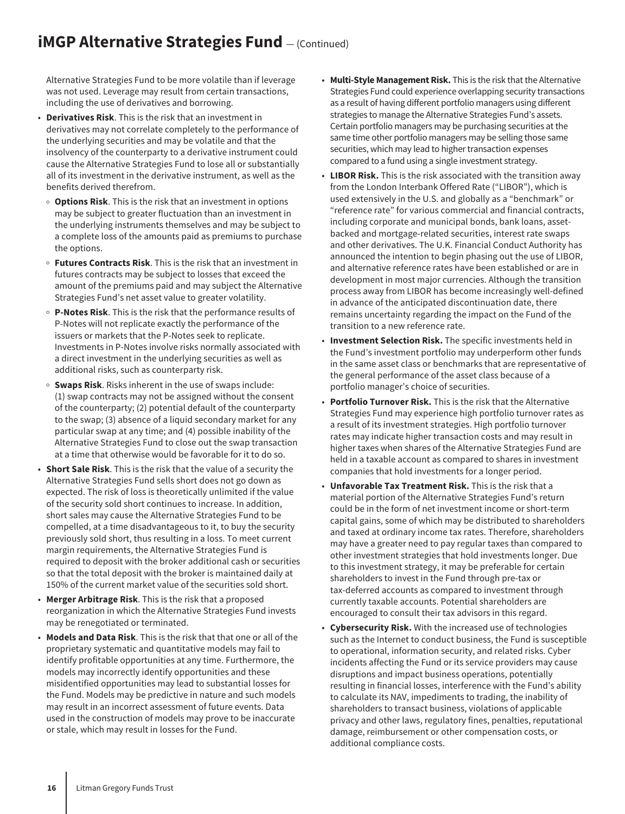## **iMGP Alternative Strategies Fund**  $-$  (Continued)

Alternative Strategies Fund to be more volatile than if leverage was not used. Leverage may result from certain transactions, including the use of derivatives and borrowing.

- **Derivatives Risk**. This is the risk that an investment in derivatives may not correlate completely to the performance of the underlying securities and may be volatile and that the insolvency of the counterparty to a derivative instrument could cause the Alternative Strategies Fund to lose all or substantially all of its investment in the derivative instrument, as well as the benefits derived therefrom.
	- **Options Risk**. This is the risk that an investment in options may be subject to greater fluctuation than an investment in the underlying instruments themselves and may be subject to a complete loss of the amounts paid as premiums to purchase the options.
	- <sup>O</sup> **Futures Contracts Risk**. This is the risk that an investment in futures contracts may be subject to losses that exceed the amount of the premiums paid and may subject the Alternative Strategies Fund's net asset value to greater volatility.
	- <sup>O</sup> **P-Notes Risk**. This is the risk that the performance results of P-Notes will not replicate exactly the performance of the issuers or markets that the P-Notes seek to replicate. Investments in P-Notes involve risks normally associated with a direct investment in the underlying securities as well as additional risks, such as counterparty risk.
- **Swaps Risk**. Risks inherent in the use of swaps include: (1) swap contracts may not be assigned without the consent of the counterparty; (2) potential default of the counterparty to the swap; (3) absence of a liquid secondary market for any particular swap at any time; and (4) possible inability of the Alternative Strategies Fund to close out the swap transaction at a time that otherwise would be favorable for it to do so.
- **Short Sale Risk**. This is the risk that the value of a security the Alternative Strategies Fund sells short does not go down as expected. The risk of loss is theoretically unlimited if the value of the security sold short continues to increase. In addition, short sales may cause the Alternative Strategies Fund to be compelled, at a time disadvantageous to it, to buy the security previously sold short, thus resulting in a loss. To meet current margin requirements, the Alternative Strategies Fund is required to deposit with the broker additional cash or securities so that the total deposit with the broker is maintained daily at 150% of the current market value of the securities sold short.
- **Merger Arbitrage Risk**. This is the risk that a proposed reorganization in which the Alternative Strategies Fund invests may be renegotiated or terminated.
- **Models and Data Risk**. This is the risk that that one or all of the proprietary systematic and quantitative models may fail to identify profitable opportunities at any time. Furthermore, the models may incorrectly identify opportunities and these misidentified opportunities may lead to substantial losses for the Fund. Models may be predictive in nature and such models may result in an incorrect assessment of future events. Data used in the construction of models may prove to be inaccurate or stale, which may result in losses for the Fund.
- **Multi-Style Management Risk.** This is the risk that the Alternative Strategies Fund could experience overlapping security transactions as a result of having different portfolio managers using different strategies to manage the Alternative Strategies Fund's assets. Certain portfolio managers may be purchasing securities at the same time other portfolio managers may be selling those same securities, which may lead to higher transaction expenses compared to a fund using a single investment strategy.
- **LIBOR Risk.** This is the risk associated with the transition away from the London Interbank Offered Rate ("LIBOR"), which is used extensively in the U.S. and globally as a "benchmark" or "reference rate" for various commercial and financial contracts, including corporate and municipal bonds, bank loans, assetbacked and mortgage-related securities, interest rate swaps and other derivatives. The U.K. Financial Conduct Authority has announced the intention to begin phasing out the use of LIBOR, and alternative reference rates have been established or are in development in most major currencies. Although the transition process away from LIBOR has become increasingly well-defined in advance of the anticipated discontinuation date, there remains uncertainty regarding the impact on the Fund of the transition to a new reference rate.
- **Investment Selection Risk.** The specific investments held in the Fund's investment portfolio may underperform other funds in the same asset class or benchmarks that are representative of the general performance of the asset class because of a portfolio manager's choice of securities.
- **Portfolio Turnover Risk.** This is the risk that the Alternative Strategies Fund may experience high portfolio turnover rates as a result of its investment strategies. High portfolio turnover rates may indicate higher transaction costs and may result in higher taxes when shares of the Alternative Strategies Fund are held in a taxable account as compared to shares in investment companies that hold investments for a longer period.
- **Unfavorable Tax Treatment Risk.** This is the risk that a material portion of the Alternative Strategies Fund's return could be in the form of net investment income or short-term capital gains, some of which may be distributed to shareholders and taxed at ordinary income tax rates. Therefore, shareholders may have a greater need to pay regular taxes than compared to other investment strategies that hold investments longer. Due to this investment strategy, it may be preferable for certain shareholders to invest in the Fund through pre-tax or tax-deferred accounts as compared to investment through currently taxable accounts. Potential shareholders are encouraged to consult their tax advisors in this regard.
- **Cybersecurity Risk.** With the increased use of technologies such as the Internet to conduct business, the Fund is susceptible to operational, information security, and related risks. Cyber incidents affecting the Fund or its service providers may cause disruptions and impact business operations, potentially resulting in financial losses, interference with the Fund's ability to calculate its NAV, impediments to trading, the inability of shareholders to transact business, violations of applicable privacy and other laws, regulatory fines, penalties, reputational damage, reimbursement or other compensation costs, or additional compliance costs.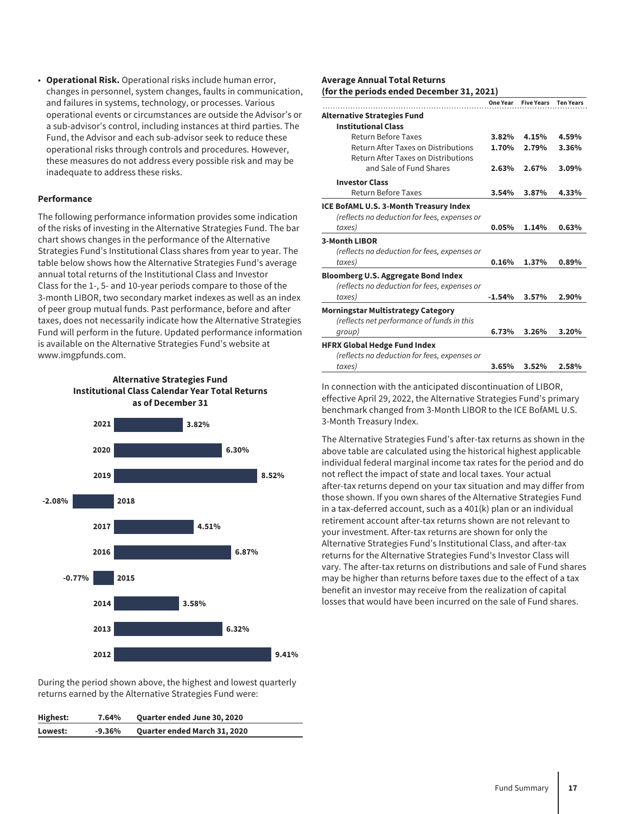• **Operational Risk.** Operational risks include human error, changes in personnel, system changes, faults in communication, and failures in systems, technology, or processes. Various operational events or circumstances are outside the Advisor's or a sub-advisor's control, including instances at third parties. The Fund, the Advisor and each sub-advisor seek to reduce these operational risks through controls and procedures. However, these measures do not address every possible risk and may be inadequate to address these risks.

#### **Performance**

The following performance information provides some indication of the risks of investing in the Alternative Strategies Fund. The bar chart shows changes in the performance of the Alternative Strategies Fund's Institutional Class shares from year to year. The table below shows how the Alternative Strategies Fund's average annual total returns of the Institutional Class and Investor Class for the 1-, 5- and 10-year periods compare to those of the 3-month LIBOR, two secondary market indexes as well as an index of peer group mutual funds. Past performance, before and after taxes, does not necessarily indicate how the Alternative Strategies Fund will perform in the future. Updated performance information is available on the Alternative Strategies Fund's website at www.imgpfunds.com.

#### **Alternative Strategies Fund Institutional Class Calendar Year Total Returns as of December 31**



During the period shown above, the highest and lowest quarterly returns earned by the Alternative Strategies Fund were:

| Highest: | 7.64%    | <b>Quarter ended June 30, 2020</b>  |
|----------|----------|-------------------------------------|
| Lowest:  | $-9.36%$ | <b>Quarter ended March 31, 2020</b> |

#### **Average Annual Total Returns (for the periods ended December 31, 2021)**

|                                              | One Year | <b>Five Years</b> | <b>Ten Years</b> |
|----------------------------------------------|----------|-------------------|------------------|
| <b>Alternative Strategies Fund</b>           |          |                   |                  |
| <b>Institutional Class</b>                   |          |                   |                  |
| Return Before Taxes                          | 3.82%    | 4.15%             | 4.59%            |
| Return After Taxes on Distributions          | 1.70%    | 2.79%             | 3.36%            |
| Return After Taxes on Distributions          |          |                   |                  |
| and Sale of Fund Shares                      | 2.63%    | 2.67%             | 3.09%            |
| <b>Investor Class</b>                        |          |                   |                  |
| Return Before Taxes                          | 3.54%    | 3.87%             | 4.33%            |
| ICE BofAML U.S. 3-Month Treasury Index       |          |                   |                  |
| (reflects no deduction for fees, expenses or |          |                   |                  |
| taxes)                                       | 0.05%    | 1.14%             | 0.63%            |
| 3-Month LIBOR                                |          |                   |                  |
| (reflects no deduction for fees, expenses or |          |                   |                  |
| taxes)                                       | 0.16%    | 1.37%             | 0.89%            |
| <b>Bloomberg U.S. Aggregate Bond Index</b>   |          |                   |                  |
| (reflects no deduction for fees, expenses or |          |                   |                  |
| taxes)                                       | $-1.54%$ | 3.57%             | 2.90%            |
| <b>Morningstar Multistrategy Category</b>    |          |                   |                  |
| (reflects net performance of funds in this   |          |                   |                  |
| group)                                       | 6.73%    | 3.26%             | 3.20%            |
| <b>HFRX Global Hedge Fund Index</b>          |          |                   |                  |
| (reflects no deduction for fees, expenses or |          |                   |                  |
| taxes)                                       | 3.65%    | 3.52%             | 2.58%            |

In connection with the anticipated discontinuation of LIBOR, effective April 29, 2022, the Alternative Strategies Fund's primary benchmark changed from 3-Month LIBOR to the ICE BofAML U.S. 3-Month Treasury Index.

The Alternative Strategies Fund's after-tax returns as shown in the above table are calculated using the historical highest applicable individual federal marginal income tax rates for the period and do not reflect the impact of state and local taxes. Your actual after-tax returns depend on your tax situation and may differ from those shown. If you own shares of the Alternative Strategies Fund in a tax-deferred account, such as a 401(k) plan or an individual retirement account after-tax returns shown are not relevant to your investment. After-tax returns are shown for only the Alternative Strategies Fund's Institutional Class, and after-tax returns for the Alternative Strategies Fund's Investor Class will vary. The after-tax returns on distributions and sale of Fund shares may be higher than returns before taxes due to the effect of a tax benefit an investor may receive from the realization of capital losses that would have been incurred on the sale of Fund shares.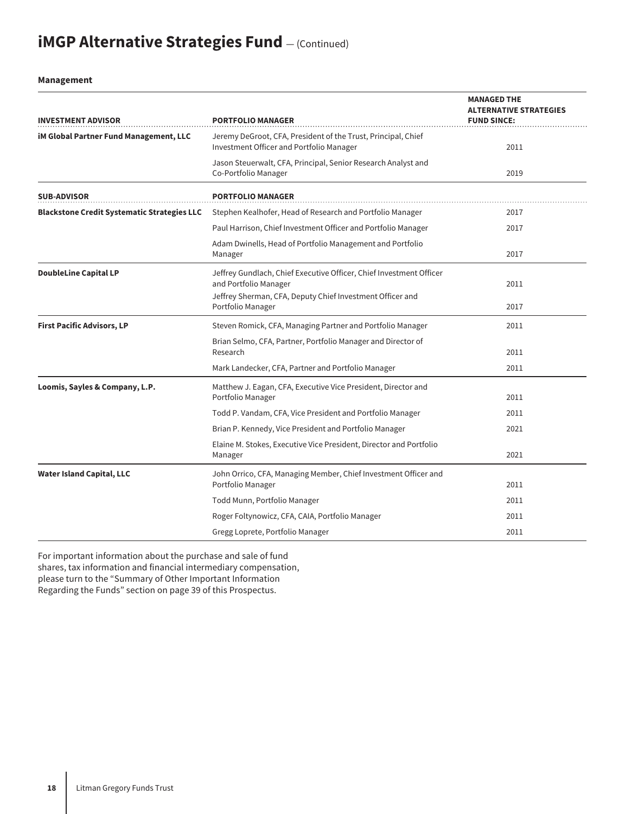# **iMGP Alternative Strategies Fund**  $-$  (Continued)

#### **Management**

| <b>INVESTMENT ADVISOR</b>                          | <b>PORTFOLIO MANAGER</b>                                                                                                                                  | <b>MANAGED THE</b><br><b>ALTERNATIVE STRATEGIES</b><br><b>FUND SINCE:</b> |
|----------------------------------------------------|-----------------------------------------------------------------------------------------------------------------------------------------------------------|---------------------------------------------------------------------------|
| <b>iM Global Partner Fund Management, LLC</b>      | Jeremy DeGroot, CFA, President of the Trust, Principal, Chief<br>Investment Officer and Portfolio Manager                                                 | 2011                                                                      |
|                                                    | Jason Steuerwalt, CFA, Principal, Senior Research Analyst and<br>Co-Portfolio Manager                                                                     | 2019                                                                      |
| <b>SUB-ADVISOR</b>                                 | <b>PORTFOLIO MANAGER</b>                                                                                                                                  |                                                                           |
| <b>Blackstone Credit Systematic Strategies LLC</b> | Stephen Kealhofer, Head of Research and Portfolio Manager                                                                                                 | 2017                                                                      |
|                                                    | Paul Harrison, Chief Investment Officer and Portfolio Manager                                                                                             | 2017                                                                      |
|                                                    | Adam Dwinells, Head of Portfolio Management and Portfolio<br>Manager                                                                                      | 2017                                                                      |
| <b>DoubleLine Capital LP</b>                       | Jeffrey Gundlach, Chief Executive Officer, Chief Investment Officer<br>and Portfolio Manager<br>Jeffrey Sherman, CFA, Deputy Chief Investment Officer and | 2011                                                                      |
|                                                    | Portfolio Manager                                                                                                                                         | 2017                                                                      |
| <b>First Pacific Advisors, LP</b>                  | Steven Romick, CFA, Managing Partner and Portfolio Manager                                                                                                | 2011                                                                      |
|                                                    | Brian Selmo, CFA, Partner, Portfolio Manager and Director of<br>Research                                                                                  | 2011                                                                      |
|                                                    | Mark Landecker, CFA, Partner and Portfolio Manager                                                                                                        | 2011                                                                      |
| Loomis, Sayles & Company, L.P.                     | Matthew J. Eagan, CFA, Executive Vice President, Director and<br>Portfolio Manager                                                                        | 2011                                                                      |
|                                                    | Todd P. Vandam, CFA, Vice President and Portfolio Manager                                                                                                 | 2011                                                                      |
|                                                    | Brian P. Kennedy, Vice President and Portfolio Manager                                                                                                    | 2021                                                                      |
|                                                    | Elaine M. Stokes, Executive Vice President, Director and Portfolio<br>Manager                                                                             | 2021                                                                      |
| <b>Water Island Capital, LLC</b>                   | John Orrico, CFA, Managing Member, Chief Investment Officer and<br>Portfolio Manager                                                                      | 2011                                                                      |
|                                                    | Todd Munn, Portfolio Manager                                                                                                                              | 2011                                                                      |
|                                                    | Roger Foltynowicz, CFA, CAIA, Portfolio Manager                                                                                                           | 2011                                                                      |
|                                                    | Gregg Loprete, Portfolio Manager                                                                                                                          | 2011                                                                      |

For important information about the purchase and sale of fund

shares, tax information and financial intermediary compensation,

please turn to the "Summary of Other Important Information

Regarding the Funds" section on page 39 of this Prospectus.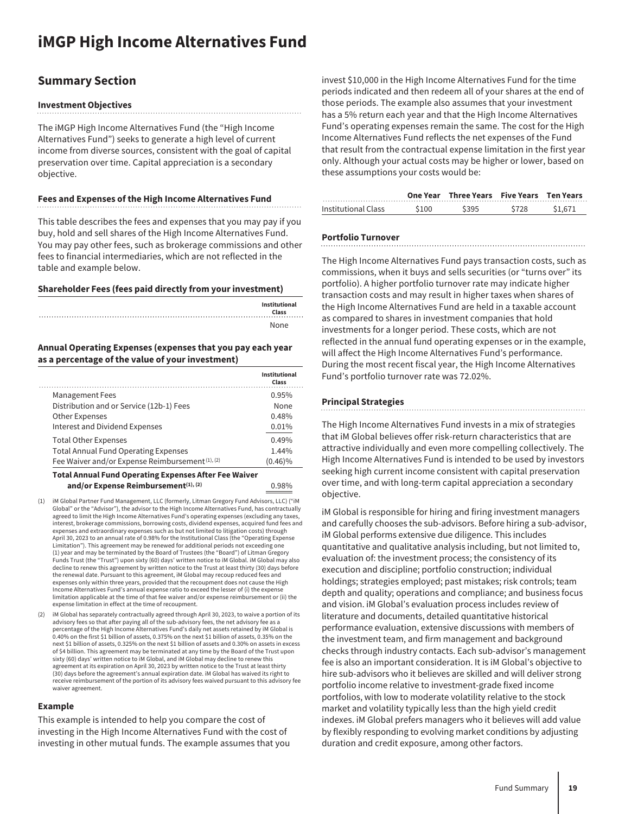### <span id="page-19-0"></span>**Summary Section**

#### **Investment Objectives**

The iMGP High Income Alternatives Fund (the "High Income Alternatives Fund") seeks to generate a high level of current income from diverse sources, consistent with the goal of capital preservation over time. Capital appreciation is a secondary objective.

#### **Fees and Expenses of the High Income Alternatives Fund**

This table describes the fees and expenses that you may pay if you buy, hold and sell shares of the High Income Alternatives Fund. You may pay other fees, such as brokerage commissions and other fees to financial intermediaries, which are not reflected in the table and example below.

#### **Shareholder Fees (fees paid directly from your investment)**

| Institutional<br>Class<br>. |
|-----------------------------|
| None                        |

#### **Annual Operating Expenses (expenses that you pay each year as a percentage of the value of your investment)**

|                                                  | Institutional<br>Class |
|--------------------------------------------------|------------------------|
| <b>Management Fees</b>                           | 0.95%                  |
| Distribution and or Service (12b-1) Fees         | None                   |
| <b>Other Expenses</b>                            | 0.48%                  |
| Interest and Dividend Expenses                   | 0.01%                  |
| <b>Total Other Expenses</b>                      | 0.49%                  |
| <b>Total Annual Fund Operating Expenses</b>      | 1.44%                  |
| Fee Waiver and/or Expense Reimbursement (1), (2) | $(0.46)\%$             |

#### **Total Annual Fund Operating Expenses After Fee Waiver** and/or Expense Reimbursement<sup>(1), (2)</sup> 0.98%

- (1) iM Global Partner Fund Management, LLC (formerly, Litman Gregory Fund Advisors, LLC) ("iM Global" or the "Advisor"), the advisor to the High Income Alternatives Fund, has contractually agreed to limit the High Income Alternatives Fund's operating expenses (excluding any taxes, interest, brokerage commissions, borrowing costs, dividend expenses, acquired fund fees and expenses and extraordinary expenses such as but not limited to litigation costs) through April 30, 2023 to an annual rate of 0.98% for the Institutional Class (the "Operating Expense Limitation"). This agreement may be renewed for additional periods not exceeding one (1) year and may be terminated by the Board of Trustees (the "Board") of Litman Gregory Funds Trust (the "Trust") upon sixty (60) days' written notice to iM Global. iM Global may also decline to renew this agreement by written notice to the Trust at least thirty (30) days before the renewal date. Pursuant to this agreement, iM Global may recoup reduced fees and expenses only within three years, provided that the recoupment does not cause the High Income Alternatives Fund's annual expense ratio to exceed the lesser of (i) the expense limitation applicable at the time of that fee waiver and/or expense reimbursement or (ii) the expense limitation in effect at the time of recoupment.
- (2) iM Global has separately contractually agreed through April 30, 2023, to waive a portion of its advisory fees so that after paying all of the sub-advisory fees, the net advisory fee as a percentage of the High Income Alternatives Fund's daily net assets retained by iM Global is 0.40% on the first \$1 billion of assets, 0.375% on the next \$1 billion of assets, 0.35% on the next \$1 billion of assets, 0.325% on the next \$1 billion of assets and 0.30% on assets in excess of \$4 billion. This agreement may be terminated at any time by the Board of the Trust upon sixty (60) days' written notice to iM Global, and iM Global may decline to renew this agreement at its expiration on April 30, 2023 by written notice to the Trust at least thirty (30) days before the agreement's annual expiration date. iM Global has waived its right to receive reimbursement of the portion of its advisory fees waived pursuant to this advisory fee waiver agreement.

#### **Example**

This example is intended to help you compare the cost of investing in the High Income Alternatives Fund with the cost of investing in other mutual funds. The example assumes that you invest \$10,000 in the High Income Alternatives Fund for the time periods indicated and then redeem all of your shares at the end of those periods. The example also assumes that your investment has a 5% return each year and that the High Income Alternatives Fund's operating expenses remain the same. The cost for the High Income Alternatives Fund reflects the net expenses of the Fund that result from the contractual expense limitation in the first year only. Although your actual costs may be higher or lower, based on these assumptions your costs would be:

|                     |       | One Year Three Years Five Years Ten Years |       |         |
|---------------------|-------|-------------------------------------------|-------|---------|
| Institutional Class | \$100 | <b>S395</b>                               | \$728 | \$1,671 |

#### **Portfolio Turnover**

The High Income Alternatives Fund pays transaction costs, such as commissions, when it buys and sells securities (or "turns over" its portfolio). A higher portfolio turnover rate may indicate higher transaction costs and may result in higher taxes when shares of the High Income Alternatives Fund are held in a taxable account as compared to shares in investment companies that hold investments for a longer period. These costs, which are not reflected in the annual fund operating expenses or in the example, will affect the High Income Alternatives Fund's performance. During the most recent fiscal year, the High Income Alternatives Fund's portfolio turnover rate was 72.02%.

#### **Principal Strategies**

The High Income Alternatives Fund invests in a mix of strategies that iM Global believes offer risk-return characteristics that are attractive individually and even more compelling collectively. The High Income Alternatives Fund is intended to be used by investors seeking high current income consistent with capital preservation over time, and with long-term capital appreciation a secondary objective.

iM Global is responsible for hiring and firing investment managers and carefully chooses the sub-advisors. Before hiring a sub-advisor, iM Global performs extensive due diligence. This includes quantitative and qualitative analysis including, but not limited to, evaluation of: the investment process; the consistency of its execution and discipline; portfolio construction; individual holdings; strategies employed; past mistakes; risk controls; team depth and quality; operations and compliance; and business focus and vision. iM Global's evaluation process includes review of literature and documents, detailed quantitative historical performance evaluation, extensive discussions with members of the investment team, and firm management and background checks through industry contacts. Each sub-advisor's management fee is also an important consideration. It is iM Global's objective to hire sub-advisors who it believes are skilled and will deliver strong portfolio income relative to investment-grade fixed income portfolios, with low to moderate volatility relative to the stock market and volatility typically less than the high yield credit indexes. iM Global prefers managers who it believes will add value by flexibly responding to evolving market conditions by adjusting duration and credit exposure, among other factors.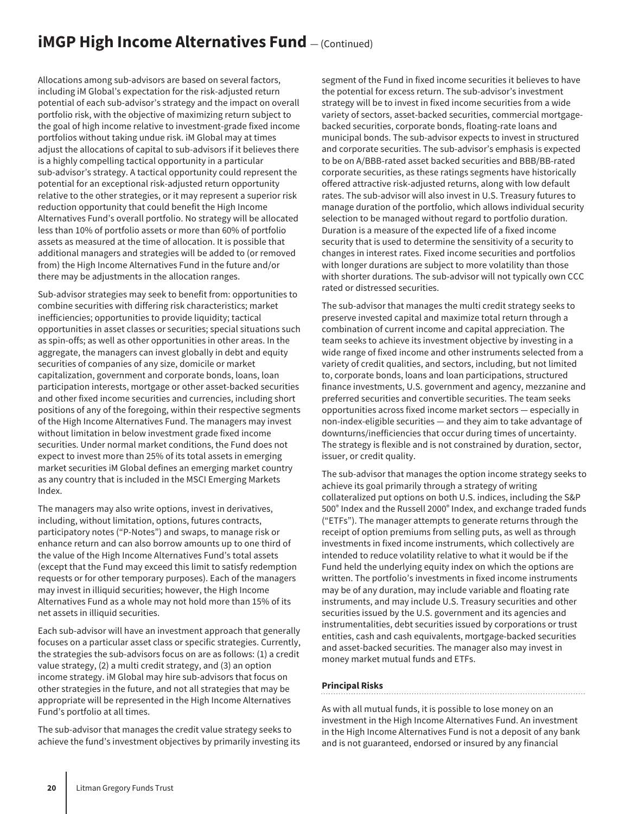## **iMGP High Income Alternatives Fund**  $-$  (Continued)

Allocations among sub-advisors are based on several factors, including iM Global's expectation for the risk-adjusted return potential of each sub-advisor's strategy and the impact on overall portfolio risk, with the objective of maximizing return subject to the goal of high income relative to investment-grade fixed income portfolios without taking undue risk. iM Global may at times adjust the allocations of capital to sub-advisors if it believes there is a highly compelling tactical opportunity in a particular sub-advisor's strategy. A tactical opportunity could represent the potential for an exceptional risk-adjusted return opportunity relative to the other strategies, or it may represent a superior risk reduction opportunity that could benefit the High Income Alternatives Fund's overall portfolio. No strategy will be allocated less than 10% of portfolio assets or more than 60% of portfolio assets as measured at the time of allocation. It is possible that additional managers and strategies will be added to (or removed from) the High Income Alternatives Fund in the future and/or there may be adjustments in the allocation ranges.

Sub-advisor strategies may seek to benefit from: opportunities to combine securities with differing risk characteristics; market inefficiencies; opportunities to provide liquidity; tactical opportunities in asset classes or securities; special situations such as spin-offs; as well as other opportunities in other areas. In the aggregate, the managers can invest globally in debt and equity securities of companies of any size, domicile or market capitalization, government and corporate bonds, loans, loan participation interests, mortgage or other asset-backed securities and other fixed income securities and currencies, including short positions of any of the foregoing, within their respective segments of the High Income Alternatives Fund. The managers may invest without limitation in below investment grade fixed income securities. Under normal market conditions, the Fund does not expect to invest more than 25% of its total assets in emerging market securities iM Global defines an emerging market country as any country that is included in the MSCI Emerging Markets Index.

The managers may also write options, invest in derivatives, including, without limitation, options, futures contracts, participatory notes ("P-Notes") and swaps, to manage risk or enhance return and can also borrow amounts up to one third of the value of the High Income Alternatives Fund's total assets (except that the Fund may exceed this limit to satisfy redemption requests or for other temporary purposes). Each of the managers may invest in illiquid securities; however, the High Income Alternatives Fund as a whole may not hold more than 15% of its net assets in illiquid securities.

Each sub-advisor will have an investment approach that generally focuses on a particular asset class or specific strategies. Currently, the strategies the sub-advisors focus on are as follows: (1) a credit value strategy, (2) a multi credit strategy, and (3) an option income strategy. iM Global may hire sub-advisors that focus on other strategies in the future, and not all strategies that may be appropriate will be represented in the High Income Alternatives Fund's portfolio at all times.

The sub-advisor that manages the credit value strategy seeks to achieve the fund's investment objectives by primarily investing its segment of the Fund in fixed income securities it believes to have the potential for excess return. The sub-advisor's investment strategy will be to invest in fixed income securities from a wide variety of sectors, asset-backed securities, commercial mortgagebacked securities, corporate bonds, floating-rate loans and municipal bonds. The sub-advisor expects to invest in structured and corporate securities. The sub-advisor's emphasis is expected to be on A/BBB-rated asset backed securities and BBB/BB-rated corporate securities, as these ratings segments have historically offered attractive risk-adjusted returns, along with low default rates. The sub-advisor will also invest in U.S. Treasury futures to manage duration of the portfolio, which allows individual security selection to be managed without regard to portfolio duration. Duration is a measure of the expected life of a fixed income security that is used to determine the sensitivity of a security to changes in interest rates. Fixed income securities and portfolios with longer durations are subject to more volatility than those with shorter durations. The sub-advisor will not typically own CCC rated or distressed securities.

The sub-advisor that manages the multi credit strategy seeks to preserve invested capital and maximize total return through a combination of current income and capital appreciation. The team seeks to achieve its investment objective by investing in a wide range of fixed income and other instruments selected from a variety of credit qualities, and sectors, including, but not limited to, corporate bonds, loans and loan participations, structured finance investments, U.S. government and agency, mezzanine and preferred securities and convertible securities. The team seeks opportunities across fixed income market sectors — especially in non-index-eligible securities — and they aim to take advantage of downturns/inefficiencies that occur during times of uncertainty. The strategy is flexible and is not constrained by duration, sector, issuer, or credit quality.

The sub-advisor that manages the option income strategy seeks to achieve its goal primarily through a strategy of writing collateralized put options on both U.S. indices, including the S&P 500® Index and the Russell 2000® Index, and exchange traded funds ("ETFs"). The manager attempts to generate returns through the receipt of option premiums from selling puts, as well as through investments in fixed income instruments, which collectively are intended to reduce volatility relative to what it would be if the Fund held the underlying equity index on which the options are written. The portfolio's investments in fixed income instruments may be of any duration, may include variable and floating rate instruments, and may include U.S. Treasury securities and other securities issued by the U.S. government and its agencies and instrumentalities, debt securities issued by corporations or trust entities, cash and cash equivalents, mortgage-backed securities and asset-backed securities. The manager also may invest in money market mutual funds and ETFs.

#### **Principal Risks**

As with all mutual funds, it is possible to lose money on an investment in the High Income Alternatives Fund. An investment in the High Income Alternatives Fund is not a deposit of any bank and is not guaranteed, endorsed or insured by any financial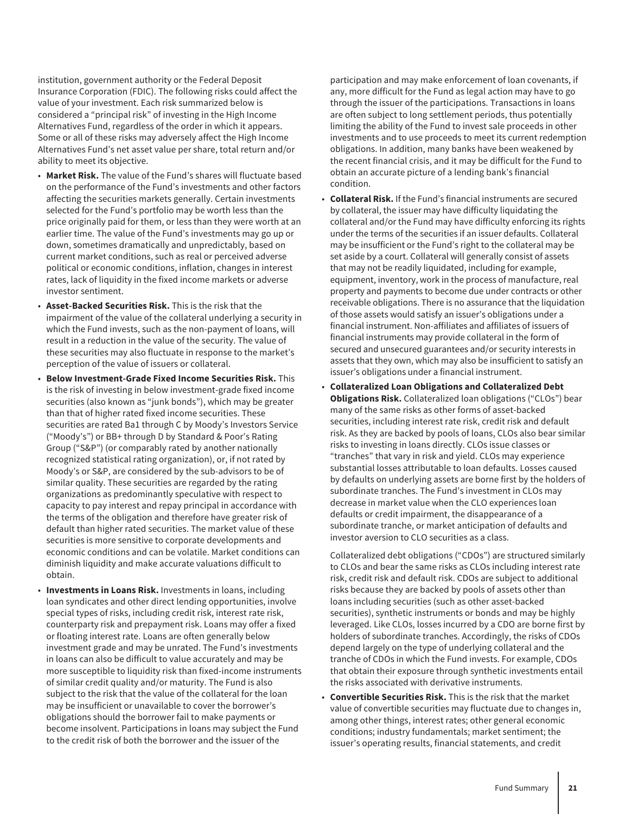institution, government authority or the Federal Deposit Insurance Corporation (FDIC). The following risks could affect the value of your investment. Each risk summarized below is considered a "principal risk" of investing in the High Income Alternatives Fund, regardless of the order in which it appears. Some or all of these risks may adversely affect the High Income Alternatives Fund's net asset value per share, total return and/or ability to meet its objective.

- **Market Risk.** The value of the Fund's shares will fluctuate based on the performance of the Fund's investments and other factors affecting the securities markets generally. Certain investments selected for the Fund's portfolio may be worth less than the price originally paid for them, or less than they were worth at an earlier time. The value of the Fund's investments may go up or down, sometimes dramatically and unpredictably, based on current market conditions, such as real or perceived adverse political or economic conditions, inflation, changes in interest rates, lack of liquidity in the fixed income markets or adverse investor sentiment.
- **Asset-Backed Securities Risk.** This is the risk that the impairment of the value of the collateral underlying a security in which the Fund invests, such as the non-payment of loans, will result in a reduction in the value of the security. The value of these securities may also fluctuate in response to the market's perception of the value of issuers or collateral.
- **Below Investment-Grade Fixed Income Securities Risk.** This is the risk of investing in below investment-grade fixed income securities (also known as "junk bonds"), which may be greater than that of higher rated fixed income securities. These securities are rated Ba1 through C by Moody's Investors Service ("Moody's") or BB+ through D by Standard & Poor's Rating Group ("S&P") (or comparably rated by another nationally recognized statistical rating organization), or, if not rated by Moody's or S&P, are considered by the sub-advisors to be of similar quality. These securities are regarded by the rating organizations as predominantly speculative with respect to capacity to pay interest and repay principal in accordance with the terms of the obligation and therefore have greater risk of default than higher rated securities. The market value of these securities is more sensitive to corporate developments and economic conditions and can be volatile. Market conditions can diminish liquidity and make accurate valuations difficult to obtain.
- **Investments in Loans Risk.** Investments in loans, including loan syndicates and other direct lending opportunities, involve special types of risks, including credit risk, interest rate risk, counterparty risk and prepayment risk. Loans may offer a fixed or floating interest rate. Loans are often generally below investment grade and may be unrated. The Fund's investments in loans can also be difficult to value accurately and may be more susceptible to liquidity risk than fixed-income instruments of similar credit quality and/or maturity. The Fund is also subject to the risk that the value of the collateral for the loan may be insufficient or unavailable to cover the borrower's obligations should the borrower fail to make payments or become insolvent. Participations in loans may subject the Fund to the credit risk of both the borrower and the issuer of the

participation and may make enforcement of loan covenants, if any, more difficult for the Fund as legal action may have to go through the issuer of the participations. Transactions in loans are often subject to long settlement periods, thus potentially limiting the ability of the Fund to invest sale proceeds in other investments and to use proceeds to meet its current redemption obligations. In addition, many banks have been weakened by the recent financial crisis, and it may be difficult for the Fund to obtain an accurate picture of a lending bank's financial condition.

- **Collateral Risk.** If the Fund's financial instruments are secured by collateral, the issuer may have difficulty liquidating the collateral and/or the Fund may have difficulty enforcing its rights under the terms of the securities if an issuer defaults. Collateral may be insufficient or the Fund's right to the collateral may be set aside by a court. Collateral will generally consist of assets that may not be readily liquidated, including for example, equipment, inventory, work in the process of manufacture, real property and payments to become due under contracts or other receivable obligations. There is no assurance that the liquidation of those assets would satisfy an issuer's obligations under a financial instrument. Non-affiliates and affiliates of issuers of financial instruments may provide collateral in the form of secured and unsecured guarantees and/or security interests in assets that they own, which may also be insufficient to satisfy an issuer's obligations under a financial instrument.
- **Collateralized Loan Obligations and Collateralized Debt Obligations Risk.** Collateralized loan obligations ("CLOs") bear many of the same risks as other forms of asset-backed securities, including interest rate risk, credit risk and default risk. As they are backed by pools of loans, CLOs also bear similar risks to investing in loans directly. CLOs issue classes or "tranches" that vary in risk and yield. CLOs may experience substantial losses attributable to loan defaults. Losses caused by defaults on underlying assets are borne first by the holders of subordinate tranches. The Fund's investment in CLOs may decrease in market value when the CLO experiences loan defaults or credit impairment, the disappearance of a subordinate tranche, or market anticipation of defaults and investor aversion to CLO securities as a class.

Collateralized debt obligations ("CDOs") are structured similarly to CLOs and bear the same risks as CLOs including interest rate risk, credit risk and default risk. CDOs are subject to additional risks because they are backed by pools of assets other than loans including securities (such as other asset-backed securities), synthetic instruments or bonds and may be highly leveraged. Like CLOs, losses incurred by a CDO are borne first by holders of subordinate tranches. Accordingly, the risks of CDOs depend largely on the type of underlying collateral and the tranche of CDOs in which the Fund invests. For example, CDOs that obtain their exposure through synthetic investments entail the risks associated with derivative instruments.

• **Convertible Securities Risk.** This is the risk that the market value of convertible securities may fluctuate due to changes in, among other things, interest rates; other general economic conditions; industry fundamentals; market sentiment; the issuer's operating results, financial statements, and credit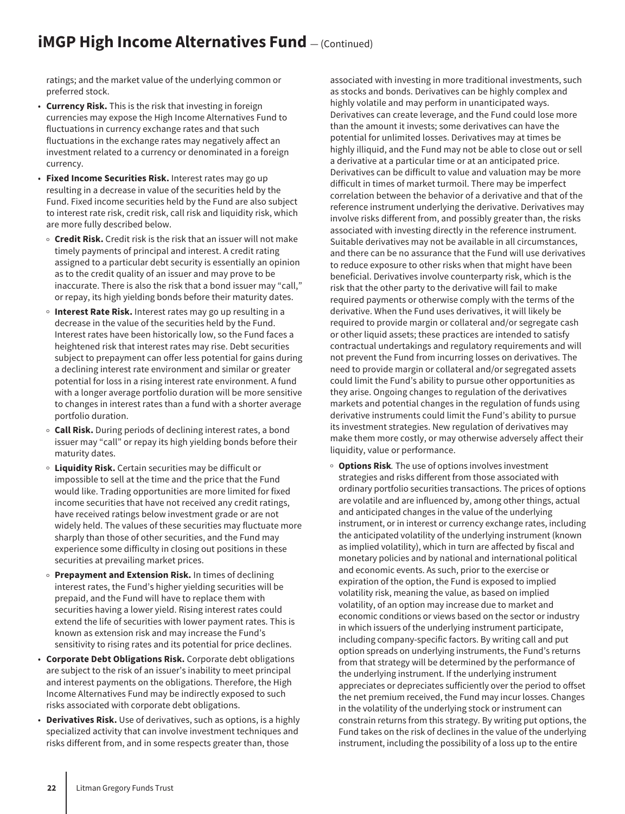## **iMGP High Income Alternatives Fund**  $-$  (Continued)

ratings; and the market value of the underlying common or preferred stock.

- **Currency Risk.** This is the risk that investing in foreign currencies may expose the High Income Alternatives Fund to fluctuations in currency exchange rates and that such fluctuations in the exchange rates may negatively affect an investment related to a currency or denominated in a foreign currency.
- **Fixed Income Securities Risk.** Interest rates may go up resulting in a decrease in value of the securities held by the Fund. Fixed income securities held by the Fund are also subject to interest rate risk, credit risk, call risk and liquidity risk, which are more fully described below.
	- **Credit Risk.** Credit risk is the risk that an issuer will not make timely payments of principal and interest. A credit rating assigned to a particular debt security is essentially an opinion as to the credit quality of an issuer and may prove to be inaccurate. There is also the risk that a bond issuer may "call," or repay, its high yielding bonds before their maturity dates.
- o **Interest Rate Risk.** Interest rates may go up resulting in a decrease in the value of the securities held by the Fund. Interest rates have been historically low, so the Fund faces a heightened risk that interest rates may rise. Debt securities subject to prepayment can offer less potential for gains during a declining interest rate environment and similar or greater potential for loss in a rising interest rate environment. A fund with a longer average portfolio duration will be more sensitive to changes in interest rates than a fund with a shorter average portfolio duration.
- <sup>o</sup> Call Risk. During periods of declining interest rates, a bond issuer may "call" or repay its high yielding bonds before their maturity dates.
- <sup>O</sup> **Liquidity Risk.** Certain securities may be difficult or impossible to sell at the time and the price that the Fund would like. Trading opportunities are more limited for fixed income securities that have not received any credit ratings, have received ratings below investment grade or are not widely held. The values of these securities may fluctuate more sharply than those of other securities, and the Fund may experience some difficulty in closing out positions in these securities at prevailing market prices.
- o **Prepayment and Extension Risk.** In times of declining interest rates, the Fund's higher yielding securities will be prepaid, and the Fund will have to replace them with securities having a lower yield. Rising interest rates could extend the life of securities with lower payment rates. This is known as extension risk and may increase the Fund's sensitivity to rising rates and its potential for price declines.
- **Corporate Debt Obligations Risk.** Corporate debt obligations are subject to the risk of an issuer's inability to meet principal and interest payments on the obligations. Therefore, the High Income Alternatives Fund may be indirectly exposed to such risks associated with corporate debt obligations.
- **Derivatives Risk.** Use of derivatives, such as options, is a highly specialized activity that can involve investment techniques and risks different from, and in some respects greater than, those

associated with investing in more traditional investments, such as stocks and bonds. Derivatives can be highly complex and highly volatile and may perform in unanticipated ways. Derivatives can create leverage, and the Fund could lose more than the amount it invests; some derivatives can have the potential for unlimited losses. Derivatives may at times be highly illiquid, and the Fund may not be able to close out or sell a derivative at a particular time or at an anticipated price. Derivatives can be difficult to value and valuation may be more difficult in times of market turmoil. There may be imperfect correlation between the behavior of a derivative and that of the reference instrument underlying the derivative. Derivatives may involve risks different from, and possibly greater than, the risks associated with investing directly in the reference instrument. Suitable derivatives may not be available in all circumstances, and there can be no assurance that the Fund will use derivatives to reduce exposure to other risks when that might have been beneficial. Derivatives involve counterparty risk, which is the risk that the other party to the derivative will fail to make required payments or otherwise comply with the terms of the derivative. When the Fund uses derivatives, it will likely be required to provide margin or collateral and/or segregate cash or other liquid assets; these practices are intended to satisfy contractual undertakings and regulatory requirements and will not prevent the Fund from incurring losses on derivatives. The need to provide margin or collateral and/or segregated assets could limit the Fund's ability to pursue other opportunities as they arise. Ongoing changes to regulation of the derivatives markets and potential changes in the regulation of funds using derivative instruments could limit the Fund's ability to pursue its investment strategies. New regulation of derivatives may make them more costly, or may otherwise adversely affect their liquidity, value or performance.

<sup>O</sup> **Options Risk***.* The use of options involves investment strategies and risks different from those associated with ordinary portfolio securities transactions. The prices of options are volatile and are influenced by, among other things, actual and anticipated changes in the value of the underlying instrument, or in interest or currency exchange rates, including the anticipated volatility of the underlying instrument (known as implied volatility), which in turn are affected by fiscal and monetary policies and by national and international political and economic events. As such, prior to the exercise or expiration of the option, the Fund is exposed to implied volatility risk, meaning the value, as based on implied volatility, of an option may increase due to market and economic conditions or views based on the sector or industry in which issuers of the underlying instrument participate, including company-specific factors. By writing call and put option spreads on underlying instruments, the Fund's returns from that strategy will be determined by the performance of the underlying instrument. If the underlying instrument appreciates or depreciates sufficiently over the period to offset the net premium received, the Fund may incur losses. Changes in the volatility of the underlying stock or instrument can constrain returns from this strategy. By writing put options, the Fund takes on the risk of declines in the value of the underlying instrument, including the possibility of a loss up to the entire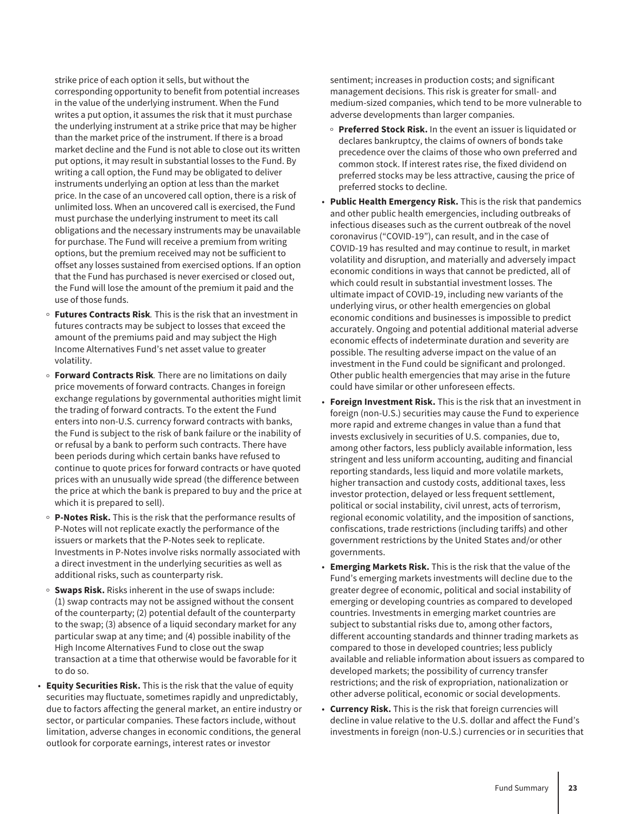strike price of each option it sells, but without the corresponding opportunity to benefit from potential increases in the value of the underlying instrument. When the Fund writes a put option, it assumes the risk that it must purchase the underlying instrument at a strike price that may be higher than the market price of the instrument. If there is a broad market decline and the Fund is not able to close out its written put options, it may result in substantial losses to the Fund. By writing a call option, the Fund may be obligated to deliver instruments underlying an option at less than the market price. In the case of an uncovered call option, there is a risk of unlimited loss. When an uncovered call is exercised, the Fund must purchase the underlying instrument to meet its call obligations and the necessary instruments may be unavailable for purchase. The Fund will receive a premium from writing options, but the premium received may not be sufficient to offset any losses sustained from exercised options. If an option that the Fund has purchased is never exercised or closed out, the Fund will lose the amount of the premium it paid and the use of those funds.

- <sup>O</sup> **Futures Contracts Risk***.* This is the risk that an investment in futures contracts may be subject to losses that exceed the amount of the premiums paid and may subject the High Income Alternatives Fund's net asset value to greater volatility.
- <sup>o</sup> Forward Contracts Risk. There are no limitations on daily price movements of forward contracts. Changes in foreign exchange regulations by governmental authorities might limit the trading of forward contracts. To the extent the Fund enters into non-U.S. currency forward contracts with banks, the Fund is subject to the risk of bank failure or the inability of or refusal by a bank to perform such contracts. There have been periods during which certain banks have refused to continue to quote prices for forward contracts or have quoted prices with an unusually wide spread (the difference between the price at which the bank is prepared to buy and the price at which it is prepared to sell).
- <sup>O</sup> **P-Notes Risk.** This is the risk that the performance results of P-Notes will not replicate exactly the performance of the issuers or markets that the P-Notes seek to replicate. Investments in P-Notes involve risks normally associated with a direct investment in the underlying securities as well as additional risks, such as counterparty risk.
- **Swaps Risk.** Risks inherent in the use of swaps include: (1) swap contracts may not be assigned without the consent of the counterparty; (2) potential default of the counterparty to the swap; (3) absence of a liquid secondary market for any particular swap at any time; and (4) possible inability of the High Income Alternatives Fund to close out the swap transaction at a time that otherwise would be favorable for it to do so.
- **Equity Securities Risk.** This is the risk that the value of equity securities may fluctuate, sometimes rapidly and unpredictably, due to factors affecting the general market, an entire industry or sector, or particular companies. These factors include, without limitation, adverse changes in economic conditions, the general outlook for corporate earnings, interest rates or investor

sentiment; increases in production costs; and significant management decisions. This risk is greater for small- and medium-sized companies, which tend to be more vulnerable to adverse developments than larger companies.

- <sup>O</sup> **Preferred Stock Risk.** In the event an issuer is liquidated or declares bankruptcy, the claims of owners of bonds take precedence over the claims of those who own preferred and common stock. If interest rates rise, the fixed dividend on preferred stocks may be less attractive, causing the price of preferred stocks to decline.
- **Public Health Emergency Risk.** This is the risk that pandemics and other public health emergencies, including outbreaks of infectious diseases such as the current outbreak of the novel coronavirus ("COVID-19"), can result, and in the case of COVID-19 has resulted and may continue to result, in market volatility and disruption, and materially and adversely impact economic conditions in ways that cannot be predicted, all of which could result in substantial investment losses. The ultimate impact of COVID-19, including new variants of the underlying virus, or other health emergencies on global economic conditions and businesses is impossible to predict accurately. Ongoing and potential additional material adverse economic effects of indeterminate duration and severity are possible. The resulting adverse impact on the value of an investment in the Fund could be significant and prolonged. Other public health emergencies that may arise in the future could have similar or other unforeseen effects.
- **Foreign Investment Risk.** This is the risk that an investment in foreign (non-U.S.) securities may cause the Fund to experience more rapid and extreme changes in value than a fund that invests exclusively in securities of U.S. companies, due to, among other factors, less publicly available information, less stringent and less uniform accounting, auditing and financial reporting standards, less liquid and more volatile markets, higher transaction and custody costs, additional taxes, less investor protection, delayed or less frequent settlement, political or social instability, civil unrest, acts of terrorism, regional economic volatility, and the imposition of sanctions, confiscations, trade restrictions (including tariffs) and other government restrictions by the United States and/or other governments.
- **Emerging Markets Risk.** This is the risk that the value of the Fund's emerging markets investments will decline due to the greater degree of economic, political and social instability of emerging or developing countries as compared to developed countries. Investments in emerging market countries are subject to substantial risks due to, among other factors, different accounting standards and thinner trading markets as compared to those in developed countries; less publicly available and reliable information about issuers as compared to developed markets; the possibility of currency transfer restrictions; and the risk of expropriation, nationalization or other adverse political, economic or social developments.
- **Currency Risk.** This is the risk that foreign currencies will decline in value relative to the U.S. dollar and affect the Fund's investments in foreign (non-U.S.) currencies or in securities that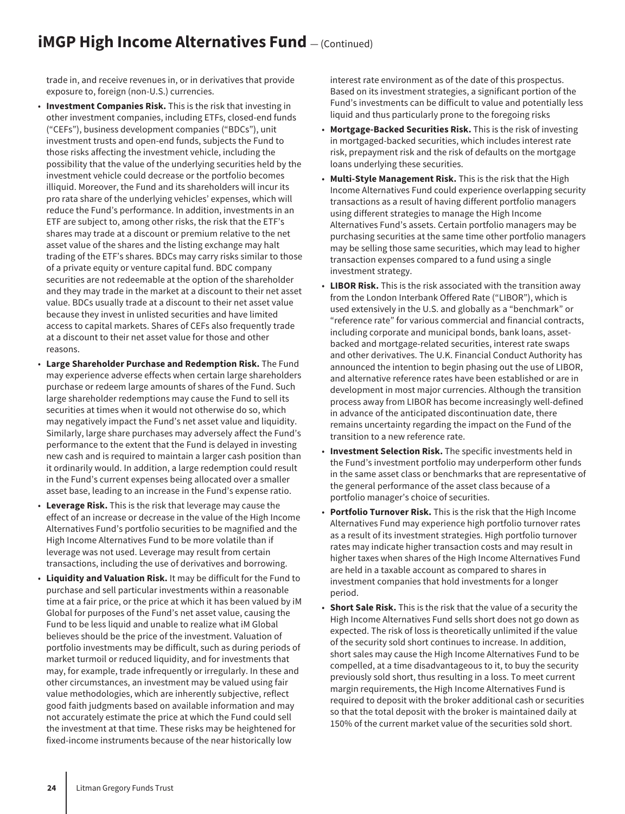## **iMGP High Income Alternatives Fund**  $-$  (Continued)

trade in, and receive revenues in, or in derivatives that provide exposure to, foreign (non-U.S.) currencies.

- **Investment Companies Risk.** This is the risk that investing in other investment companies, including ETFs, closed-end funds ("CEFs"), business development companies ("BDCs"), unit investment trusts and open-end funds, subjects the Fund to those risks affecting the investment vehicle, including the possibility that the value of the underlying securities held by the investment vehicle could decrease or the portfolio becomes illiquid. Moreover, the Fund and its shareholders will incur its pro rata share of the underlying vehicles' expenses, which will reduce the Fund's performance. In addition, investments in an ETF are subject to, among other risks, the risk that the ETF's shares may trade at a discount or premium relative to the net asset value of the shares and the listing exchange may halt trading of the ETF's shares. BDCs may carry risks similar to those of a private equity or venture capital fund. BDC company securities are not redeemable at the option of the shareholder and they may trade in the market at a discount to their net asset value. BDCs usually trade at a discount to their net asset value because they invest in unlisted securities and have limited access to capital markets. Shares of CEFs also frequently trade at a discount to their net asset value for those and other reasons.
- **Large Shareholder Purchase and Redemption Risk.** The Fund may experience adverse effects when certain large shareholders purchase or redeem large amounts of shares of the Fund. Such large shareholder redemptions may cause the Fund to sell its securities at times when it would not otherwise do so, which may negatively impact the Fund's net asset value and liquidity. Similarly, large share purchases may adversely affect the Fund's performance to the extent that the Fund is delayed in investing new cash and is required to maintain a larger cash position than it ordinarily would. In addition, a large redemption could result in the Fund's current expenses being allocated over a smaller asset base, leading to an increase in the Fund's expense ratio.
- **Leverage Risk.** This is the risk that leverage may cause the effect of an increase or decrease in the value of the High Income Alternatives Fund's portfolio securities to be magnified and the High Income Alternatives Fund to be more volatile than if leverage was not used. Leverage may result from certain transactions, including the use of derivatives and borrowing.
- **Liquidity and Valuation Risk.** It may be difficult for the Fund to purchase and sell particular investments within a reasonable time at a fair price, or the price at which it has been valued by iM Global for purposes of the Fund's net asset value, causing the Fund to be less liquid and unable to realize what iM Global believes should be the price of the investment. Valuation of portfolio investments may be difficult, such as during periods of market turmoil or reduced liquidity, and for investments that may, for example, trade infrequently or irregularly. In these and other circumstances, an investment may be valued using fair value methodologies, which are inherently subjective, reflect good faith judgments based on available information and may not accurately estimate the price at which the Fund could sell the investment at that time. These risks may be heightened for fixed-income instruments because of the near historically low

interest rate environment as of the date of this prospectus. Based on its investment strategies, a significant portion of the Fund's investments can be difficult to value and potentially less liquid and thus particularly prone to the foregoing risks

- **Mortgage-Backed Securities Risk.** This is the risk of investing in mortgaged-backed securities, which includes interest rate risk, prepayment risk and the risk of defaults on the mortgage loans underlying these securities.
- **Multi-Style Management Risk.** This is the risk that the High Income Alternatives Fund could experience overlapping security transactions as a result of having different portfolio managers using different strategies to manage the High Income Alternatives Fund's assets. Certain portfolio managers may be purchasing securities at the same time other portfolio managers may be selling those same securities, which may lead to higher transaction expenses compared to a fund using a single investment strategy.
- **LIBOR Risk.** This is the risk associated with the transition away from the London Interbank Offered Rate ("LIBOR"), which is used extensively in the U.S. and globally as a "benchmark" or "reference rate" for various commercial and financial contracts, including corporate and municipal bonds, bank loans, assetbacked and mortgage-related securities, interest rate swaps and other derivatives. The U.K. Financial Conduct Authority has announced the intention to begin phasing out the use of LIBOR, and alternative reference rates have been established or are in development in most major currencies. Although the transition process away from LIBOR has become increasingly well-defined in advance of the anticipated discontinuation date, there remains uncertainty regarding the impact on the Fund of the transition to a new reference rate.
- **Investment Selection Risk.** The specific investments held in the Fund's investment portfolio may underperform other funds in the same asset class or benchmarks that are representative of the general performance of the asset class because of a portfolio manager's choice of securities.
- **Portfolio Turnover Risk.** This is the risk that the High Income Alternatives Fund may experience high portfolio turnover rates as a result of its investment strategies. High portfolio turnover rates may indicate higher transaction costs and may result in higher taxes when shares of the High Income Alternatives Fund are held in a taxable account as compared to shares in investment companies that hold investments for a longer period.
- **Short Sale Risk.** This is the risk that the value of a security the High Income Alternatives Fund sells short does not go down as expected. The risk of loss is theoretically unlimited if the value of the security sold short continues to increase. In addition, short sales may cause the High Income Alternatives Fund to be compelled, at a time disadvantageous to it, to buy the security previously sold short, thus resulting in a loss. To meet current margin requirements, the High Income Alternatives Fund is required to deposit with the broker additional cash or securities so that the total deposit with the broker is maintained daily at 150% of the current market value of the securities sold short.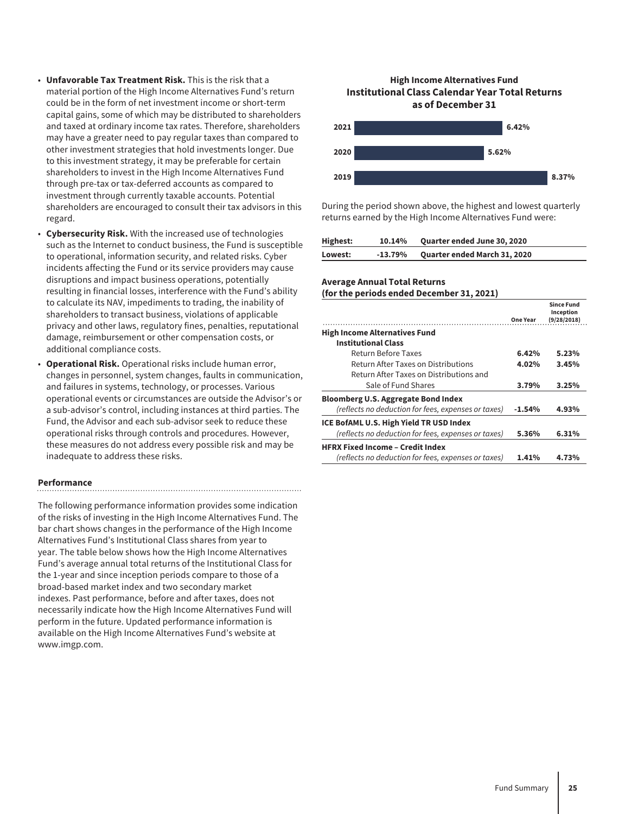- **Unfavorable Tax Treatment Risk.** This is the risk that a material portion of the High Income Alternatives Fund's return could be in the form of net investment income or short-term capital gains, some of which may be distributed to shareholders and taxed at ordinary income tax rates. Therefore, shareholders may have a greater need to pay regular taxes than compared to other investment strategies that hold investments longer. Due to this investment strategy, it may be preferable for certain shareholders to invest in the High Income Alternatives Fund through pre-tax or tax-deferred accounts as compared to investment through currently taxable accounts. Potential shareholders are encouraged to consult their tax advisors in this regard.
- **Cybersecurity Risk.** With the increased use of technologies such as the Internet to conduct business, the Fund is susceptible to operational, information security, and related risks. Cyber incidents affecting the Fund or its service providers may cause disruptions and impact business operations, potentially resulting in financial losses, interference with the Fund's ability to calculate its NAV, impediments to trading, the inability of shareholders to transact business, violations of applicable privacy and other laws, regulatory fines, penalties, reputational damage, reimbursement or other compensation costs, or additional compliance costs.
- **Operational Risk.** Operational risks include human error, changes in personnel, system changes, faults in communication, and failures in systems, technology, or processes. Various operational events or circumstances are outside the Advisor's or a sub-advisor's control, including instances at third parties. The Fund, the Advisor and each sub-advisor seek to reduce these operational risks through controls and procedures. However, these measures do not address every possible risk and may be inadequate to address these risks.

#### **Performance**

The following performance information provides some indication of the risks of investing in the High Income Alternatives Fund. The bar chart shows changes in the performance of the High Income Alternatives Fund's Institutional Class shares from year to year. The table below shows how the High Income Alternatives Fund's average annual total returns of the Institutional Class for the 1-year and since inception periods compare to those of a broad-based market index and two secondary market indexes. Past performance, before and after taxes, does not necessarily indicate how the High Income Alternatives Fund will perform in the future. Updated performance information is available on the High Income Alternatives Fund's website at www.imgp.com.

#### **High Income Alternatives Fund Institutional Class Calendar Year Total Returns as of December 31**



During the period shown above, the highest and lowest quarterly returns earned by the High Income Alternatives Fund were:

| Highest: | 10.14%    | <b>Quarter ended June 30, 2020</b>  |
|----------|-----------|-------------------------------------|
| Lowest:  | $-13.79%$ | <b>Quarter ended March 31, 2020</b> |

#### **Average Annual Total Returns**

**(for the periods ended December 31, 2021)**

|                                                     | <b>One Year</b> | <b>Since Fund</b><br>Inception<br>(9/28/2018) |
|-----------------------------------------------------|-----------------|-----------------------------------------------|
| <b>High Income Alternatives Fund</b>                |                 |                                               |
| <b>Institutional Class</b>                          |                 |                                               |
| Return Before Taxes                                 | 6.42%           | 5.23%                                         |
| Return After Taxes on Distributions                 | 4.02%           | 3.45%                                         |
| Return After Taxes on Distributions and             |                 |                                               |
| Sale of Fund Shares                                 | 3.79%           | 3.25%                                         |
| <b>Bloomberg U.S. Aggregate Bond Index</b>          |                 |                                               |
| (reflects no deduction for fees, expenses or taxes) | $-1.54%$        | 4.93%                                         |
| ICE BofAML U.S. High Yield TR USD Index             |                 |                                               |
| (reflects no deduction for fees, expenses or taxes) | 5.36%           | 6.31%                                         |
| <b>HFRX Fixed Income - Credit Index</b>             |                 |                                               |
| (reflects no deduction for fees, expenses or taxes) | 1.41%           | 4.73%                                         |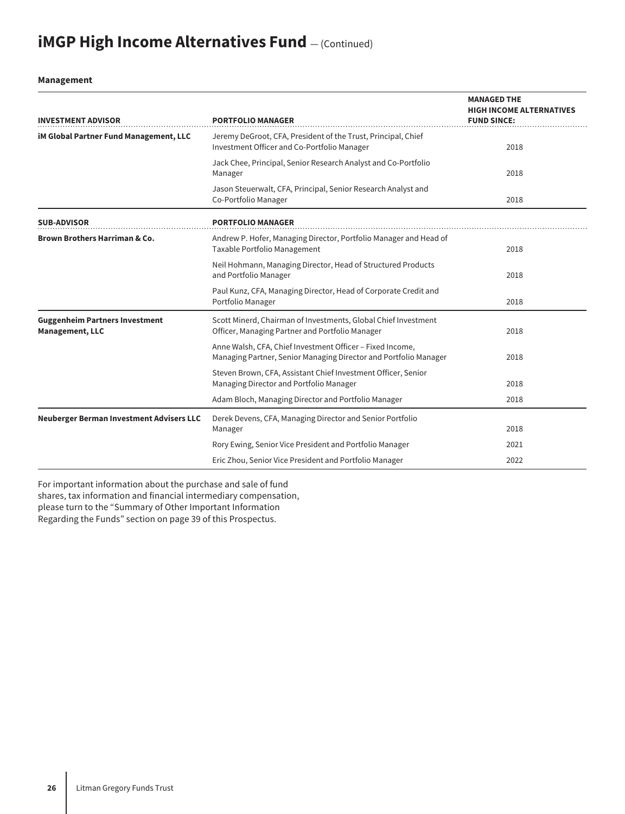# **iMGP High Income Alternatives Fund**  $-$  (Continued)

**Management**

| <b>INVESTMENT ADVISOR</b>                                       | <b>PORTFOLIO MANAGER</b>                                                                                                      | <b>MANAGED THE</b><br><b>HIGH INCOME ALTERNATIVES</b><br><b>FUND SINCE:</b> |
|-----------------------------------------------------------------|-------------------------------------------------------------------------------------------------------------------------------|-----------------------------------------------------------------------------|
| <b>iM Global Partner Fund Management, LLC</b>                   | Jeremy DeGroot, CFA, President of the Trust, Principal, Chief<br>Investment Officer and Co-Portfolio Manager                  | 2018                                                                        |
|                                                                 | Jack Chee, Principal, Senior Research Analyst and Co-Portfolio<br>Manager                                                     | 2018                                                                        |
|                                                                 | Jason Steuerwalt, CFA, Principal, Senior Research Analyst and<br>Co-Portfolio Manager                                         | 2018                                                                        |
| <b>SUB-ADVISOR</b>                                              | <b>PORTFOLIO MANAGER</b>                                                                                                      |                                                                             |
| <b>Brown Brothers Harriman &amp; Co.</b>                        | Andrew P. Hofer, Managing Director, Portfolio Manager and Head of<br>Taxable Portfolio Management                             | 2018                                                                        |
|                                                                 | Neil Hohmann, Managing Director, Head of Structured Products<br>and Portfolio Manager                                         | 2018                                                                        |
|                                                                 | Paul Kunz, CFA, Managing Director, Head of Corporate Credit and<br>Portfolio Manager                                          | 2018                                                                        |
| <b>Guggenheim Partners Investment</b><br><b>Management, LLC</b> | Scott Minerd, Chairman of Investments, Global Chief Investment<br>Officer, Managing Partner and Portfolio Manager             | 2018                                                                        |
|                                                                 | Anne Walsh, CFA, Chief Investment Officer - Fixed Income,<br>Managing Partner, Senior Managing Director and Portfolio Manager | 2018                                                                        |
|                                                                 | Steven Brown, CFA, Assistant Chief Investment Officer, Senior<br>Managing Director and Portfolio Manager                      | 2018                                                                        |
|                                                                 | Adam Bloch, Managing Director and Portfolio Manager                                                                           | 2018                                                                        |
| <b>Neuberger Berman Investment Advisers LLC</b>                 | Derek Devens, CFA, Managing Director and Senior Portfolio<br>Manager                                                          | 2018                                                                        |
|                                                                 | Rory Ewing, Senior Vice President and Portfolio Manager                                                                       | 2021                                                                        |
|                                                                 | Eric Zhou, Senior Vice President and Portfolio Manager                                                                        | 2022                                                                        |

For important information about the purchase and sale of fund shares, tax information and financial intermediary compensation, please turn to the "Summary of Other Important Information Regarding the Funds" section on page 39 of this Prospectus.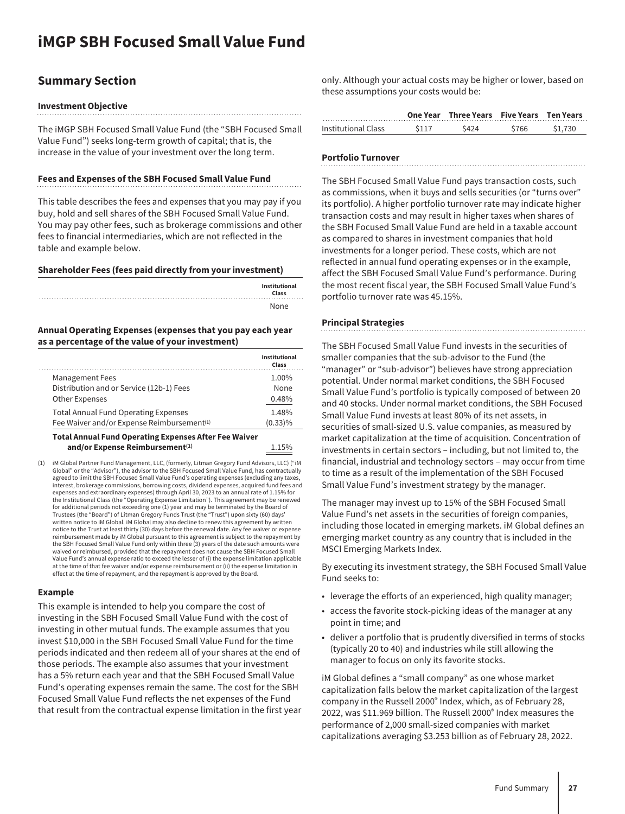## <span id="page-27-0"></span>**iMGP SBH Focused Small Value Fund**

### **Summary Section**

#### **Investment Objective**

The iMGP SBH Focused Small Value Fund (the "SBH Focused Small Value Fund") seeks long-term growth of capital; that is, the increase in the value of your investment over the long term.

#### **Fees and Expenses of the SBH Focused Small Value Fund**

This table describes the fees and expenses that you may pay if you buy, hold and sell shares of the SBH Focused Small Value Fund. You may pay other fees, such as brokerage commissions and other fees to financial intermediaries, which are not reflected in the table and example below.

#### **Shareholder Fees (fees paid directly from your investment)**

| Institutional<br>Class |
|------------------------|
| None                   |

#### **Annual Operating Expenses (expenses that you pay each year as a percentage of the value of your investment)**

|                                                              | Institutional<br>Class |
|--------------------------------------------------------------|------------------------|
| <b>Management Fees</b>                                       | 1.00%                  |
| Distribution and or Service (12b-1) Fees                     | None                   |
| <b>Other Expenses</b>                                        | 0.48%                  |
| <b>Total Annual Fund Operating Expenses</b>                  | 1.48%                  |
| Fee Waiver and/or Expense Reimbursement <sup>(1)</sup>       | $(0.33)\%$             |
| <b>Total Annual Fund Operating Expenses After Fee Waiver</b> |                        |
| and/or Expense Reimbursement <sup>(1)</sup>                  | 1.15%                  |

(1) iM Global Partner Fund Management, LLC, (formerly, Litman Gregory Fund Advisors, LLC) ("iM Global" or the "Advisor"), the advisor to the SBH Focused Small Value Fund, has contractually agreed to limit the SBH Focused Small Value Fund's operating expenses (excluding any taxes, interest, brokerage commissions, borrowing costs, dividend expenses, acquired fund fees and expenses and extraordinary expenses) through April 30, 2023 to an annual rate of 1.15% for the Institutional Class (the "Operating Expense Limitation"). This agreement may be renewed for additional periods not exceeding one (1) year and may be terminated by the Board of Trustees (the "Board") of Litman Gregory Funds Trust (the "Trust") upon sixty (60) days' written notice to iM Global. iM Global may also decline to renew this agreement by written notice to the Trust at least thirty (30) days before the renewal date. Any fee waiver or expense reimbursement made by iM Global pursuant to this agreement is subject to the repayment by the SBH Focused Small Value Fund only within three (3) years of the date such amounts were waived or reimbursed, provided that the repayment does not cause the SBH Focused Small Value Fund's annual expense ratio to exceed the lesser of (i) the expense limitation applicable at the time of that fee waiver and/or expense reimbursement or (ii) the expense limitation in effect at the time of repayment, and the repayment is approved by the Board.

#### **Example**

This example is intended to help you compare the cost of investing in the SBH Focused Small Value Fund with the cost of investing in other mutual funds. The example assumes that you invest \$10,000 in the SBH Focused Small Value Fund for the time periods indicated and then redeem all of your shares at the end of those periods. The example also assumes that your investment has a 5% return each year and that the SBH Focused Small Value Fund's operating expenses remain the same. The cost for the SBH Focused Small Value Fund reflects the net expenses of the Fund that result from the contractual expense limitation in the first year only. Although your actual costs may be higher or lower, based on these assumptions your costs would be:

|                     |       | One Year Three Years Five Years Ten Years |       |         |
|---------------------|-------|-------------------------------------------|-------|---------|
| Institutional Class | \$117 | \$424                                     | \$766 | \$1.730 |

#### **Portfolio Turnover**

The SBH Focused Small Value Fund pays transaction costs, such as commissions, when it buys and sells securities (or "turns over" its portfolio). A higher portfolio turnover rate may indicate higher transaction costs and may result in higher taxes when shares of the SBH Focused Small Value Fund are held in a taxable account as compared to shares in investment companies that hold investments for a longer period. These costs, which are not reflected in annual fund operating expenses or in the example, affect the SBH Focused Small Value Fund's performance. During the most recent fiscal year, the SBH Focused Small Value Fund's portfolio turnover rate was 45.15%.

#### **Principal Strategies**

The SBH Focused Small Value Fund invests in the securities of smaller companies that the sub-advisor to the Fund (the "manager" or "sub-advisor") believes have strong appreciation potential. Under normal market conditions, the SBH Focused Small Value Fund's portfolio is typically composed of between 20 and 40 stocks. Under normal market conditions, the SBH Focused Small Value Fund invests at least 80% of its net assets, in securities of small-sized U.S. value companies, as measured by market capitalization at the time of acquisition. Concentration of investments in certain sectors – including, but not limited to, the financial, industrial and technology sectors – may occur from time to time as a result of the implementation of the SBH Focused Small Value Fund's investment strategy by the manager.

The manager may invest up to 15% of the SBH Focused Small Value Fund's net assets in the securities of foreign companies, including those located in emerging markets. iM Global defines an emerging market country as any country that is included in the MSCI Emerging Markets Index.

By executing its investment strategy, the SBH Focused Small Value Fund seeks to:

- leverage the efforts of an experienced, high quality manager;
- access the favorite stock-picking ideas of the manager at any point in time; and
- deliver a portfolio that is prudently diversified in terms of stocks (typically 20 to 40) and industries while still allowing the manager to focus on only its favorite stocks.

iM Global defines a "small company" as one whose market capitalization falls below the market capitalization of the largest company in the Russell 2000® Index, which, as of February 28, 2022, was \$11.969 billion. The Russell 2000® Index measures the performance of 2,000 small-sized companies with market capitalizations averaging \$3.253 billion as of February 28, 2022.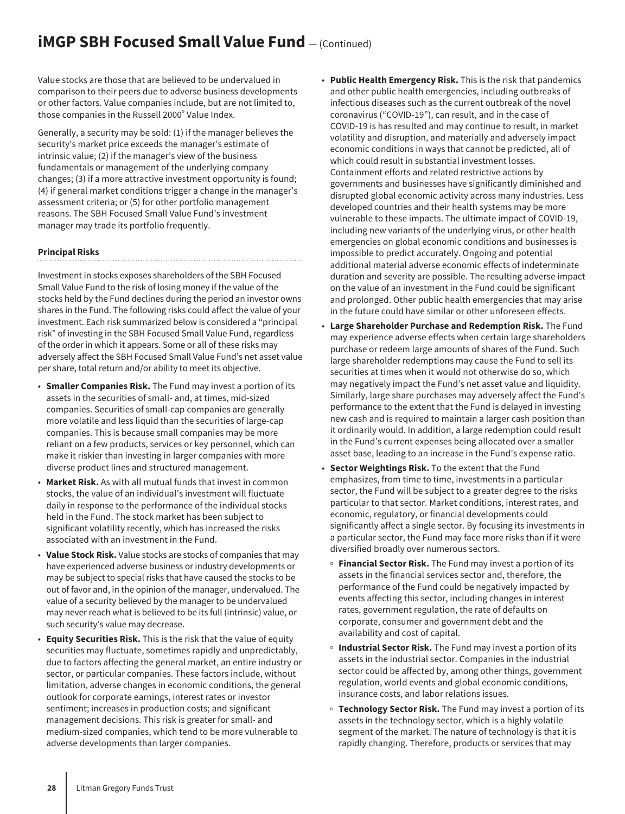## **iMGP SBH Focused Small Value Fund**  $-$  (Continued)

Value stocks are those that are believed to be undervalued in comparison to their peers due to adverse business developments or other factors. Value companies include, but are not limited to, those companies in the Russell 2000® Value Index.

Generally, a security may be sold: (1) if the manager believes the security's market price exceeds the manager's estimate of intrinsic value; (2) if the manager's view of the business fundamentals or management of the underlying company changes; (3) if a more attractive investment opportunity is found; (4) if general market conditions trigger a change in the manager's assessment criteria; or (5) for other portfolio management reasons. The SBH Focused Small Value Fund's investment manager may trade its portfolio frequently.

#### **Principal Risks**

Investment in stocks exposes shareholders of the SBH Focused Small Value Fund to the risk of losing money if the value of the stocks held by the Fund declines during the period an investor owns shares in the Fund. The following risks could affect the value of your investment. Each risk summarized below is considered a "principal risk" of investing in the SBH Focused Small Value Fund, regardless of the order in which it appears. Some or all of these risks may adversely affect the SBH Focused Small Value Fund's net asset value per share, total return and/or ability to meet its objective.

- **Smaller Companies Risk.** The Fund may invest a portion of its assets in the securities of small- and, at times, mid-sized companies. Securities of small-cap companies are generally more volatile and less liquid than the securities of large-cap companies. This is because small companies may be more reliant on a few products, services or key personnel, which can make it riskier than investing in larger companies with more diverse product lines and structured management.
- **Market Risk.** As with all mutual funds that invest in common stocks, the value of an individual's investment will fluctuate daily in response to the performance of the individual stocks held in the Fund. The stock market has been subject to significant volatility recently, which has increased the risks associated with an investment in the Fund.
- **Value Stock Risk.** Value stocks are stocks of companies that may have experienced adverse business or industry developments or may be subject to special risks that have caused the stocks to be out of favor and, in the opinion of the manager, undervalued. The value of a security believed by the manager to be undervalued may never reach what is believed to be its full (intrinsic) value, or such security's value may decrease.
- **Equity Securities Risk.** This is the risk that the value of equity securities may fluctuate, sometimes rapidly and unpredictably, due to factors affecting the general market, an entire industry or sector, or particular companies. These factors include, without limitation, adverse changes in economic conditions, the general outlook for corporate earnings, interest rates or investor sentiment; increases in production costs; and significant management decisions. This risk is greater for small- and medium-sized companies, which tend to be more vulnerable to adverse developments than larger companies.
- **Public Health Emergency Risk.** This is the risk that pandemics and other public health emergencies, including outbreaks of infectious diseases such as the current outbreak of the novel coronavirus ("COVID-19"), can result, and in the case of COVID-19 is has resulted and may continue to result, in market volatility and disruption, and materially and adversely impact economic conditions in ways that cannot be predicted, all of which could result in substantial investment losses. Containment efforts and related restrictive actions by governments and businesses have significantly diminished and disrupted global economic activity across many industries. Less developed countries and their health systems may be more vulnerable to these impacts. The ultimate impact of COVID-19, including new variants of the underlying virus, or other health emergencies on global economic conditions and businesses is impossible to predict accurately. Ongoing and potential additional material adverse economic effects of indeterminate duration and severity are possible. The resulting adverse impact on the value of an investment in the Fund could be significant and prolonged. Other public health emergencies that may arise in the future could have similar or other unforeseen effects.
- **Large Shareholder Purchase and Redemption Risk.** The Fund may experience adverse effects when certain large shareholders purchase or redeem large amounts of shares of the Fund. Such large shareholder redemptions may cause the Fund to sell its securities at times when it would not otherwise do so, which may negatively impact the Fund's net asset value and liquidity. Similarly, large share purchases may adversely affect the Fund's performance to the extent that the Fund is delayed in investing new cash and is required to maintain a larger cash position than it ordinarily would. In addition, a large redemption could result in the Fund's current expenses being allocated over a smaller asset base, leading to an increase in the Fund's expense ratio.
- **Sector Weightings Risk.** To the extent that the Fund emphasizes, from time to time, investments in a particular sector, the Fund will be subject to a greater degree to the risks particular to that sector. Market conditions, interest rates, and economic, regulatory, or financial developments could significantly affect a single sector. By focusing its investments in a particular sector, the Fund may face more risks than if it were diversified broadly over numerous sectors.
	- **Financial Sector Risk.** The Fund may invest a portion of its assets in the financial services sector and, therefore, the performance of the Fund could be negatively impacted by events affecting this sector, including changes in interest rates, government regulation, the rate of defaults on corporate, consumer and government debt and the availability and cost of capital.
	- **Industrial Sector Risk.** The Fund may invest a portion of its assets in the industrial sector. Companies in the industrial sector could be affected by, among other things, government regulation, world events and global economic conditions, insurance costs, and labor relations issues.
	- o Technology Sector Risk. The Fund may invest a portion of its assets in the technology sector, which is a highly volatile segment of the market. The nature of technology is that it is rapidly changing. Therefore, products or services that may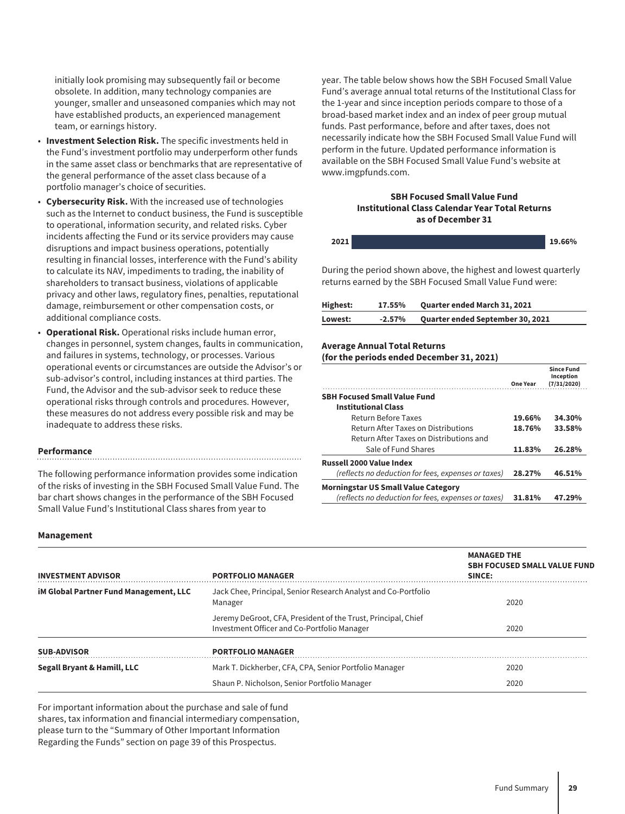initially look promising may subsequently fail or become obsolete. In addition, many technology companies are younger, smaller and unseasoned companies which may not have established products, an experienced management team, or earnings history.

- **Investment Selection Risk.** The specific investments held in the Fund's investment portfolio may underperform other funds in the same asset class or benchmarks that are representative of the general performance of the asset class because of a portfolio manager's choice of securities.
- **Cybersecurity Risk.** With the increased use of technologies such as the Internet to conduct business, the Fund is susceptible to operational, information security, and related risks. Cyber incidents affecting the Fund or its service providers may cause disruptions and impact business operations, potentially resulting in financial losses, interference with the Fund's ability to calculate its NAV, impediments to trading, the inability of shareholders to transact business, violations of applicable privacy and other laws, regulatory fines, penalties, reputational damage, reimbursement or other compensation costs, or additional compliance costs.
- **Operational Risk.** Operational risks include human error, changes in personnel, system changes, faults in communication, and failures in systems, technology, or processes. Various operational events or circumstances are outside the Advisor's or sub-advisor's control, including instances at third parties. The Fund, the Advisor and the sub-advisor seek to reduce these operational risks through controls and procedures. However, these measures do not address every possible risk and may be inadequate to address these risks.

#### **Performance**

The following performance information provides some indication of the risks of investing in the SBH Focused Small Value Fund. The bar chart shows changes in the performance of the SBH Focused Small Value Fund's Institutional Class shares from year to

year. The table below shows how the SBH Focused Small Value Fund's average annual total returns of the Institutional Class for the 1-year and since inception periods compare to those of a broad-based market index and an index of peer group mutual funds. Past performance, before and after taxes, does not necessarily indicate how the SBH Focused Small Value Fund will perform in the future. Updated performance information is available on the SBH Focused Small Value Fund's website at www.imgpfunds.com.

#### **SBH Focused Small Value Fund Institutional Class Calendar Year Total Returns as of December 31**

| 321. | 19.660/ |
|------|---------|
|      |         |

During the period shown above, the highest and lowest quarterly returns earned by the SBH Focused Small Value Fund were:

| Highest: | 17.55%    | <b>Quarter ended March 31, 2021</b>     |
|----------|-----------|-----------------------------------------|
| Lowest:  | $-2.57\%$ | <b>Quarter ended September 30, 2021</b> |

#### **Average Annual Total Returns**

#### **(for the periods ended December 31, 2021)**

|                                                     | One Year | <b>Since Fund</b><br>Inception<br>(7/31/2020) |
|-----------------------------------------------------|----------|-----------------------------------------------|
| <b>SBH Focused Small Value Fund</b>                 |          |                                               |
| <b>Institutional Class</b>                          |          |                                               |
| Return Before Taxes                                 | 19.66%   | 34.30%                                        |
| Return After Taxes on Distributions                 | 18.76%   | 33.58%                                        |
| Return After Taxes on Distributions and             |          |                                               |
| Sale of Fund Shares                                 | 11.83%   | 26.28%                                        |
| Russell 2000 Value Index                            |          |                                               |
| (reflects no deduction for fees, expenses or taxes) | 28.27%   | 46.51%                                        |
| <b>Morningstar US Small Value Category</b>          |          |                                               |
| (reflects no deduction for fees, expenses or taxes) | 31.81%   | 47.29%                                        |

#### **Management**

| <b>INVESTMENT ADVISOR</b>                     | <b>PORTFOLIO MANAGER</b>                                                                                     | <b>MANAGED THE</b><br><b>SBH FOCUSED SMALL VALUE FUND</b><br>SINCE: |
|-----------------------------------------------|--------------------------------------------------------------------------------------------------------------|---------------------------------------------------------------------|
| <b>iM Global Partner Fund Management, LLC</b> | Jack Chee, Principal, Senior Research Analyst and Co-Portfolio<br>Manager                                    | 2020                                                                |
|                                               | Jeremy DeGroot, CFA, President of the Trust, Principal, Chief<br>Investment Officer and Co-Portfolio Manager | 2020                                                                |
| SUB-ADVISOR                                   | <b>PORTFOLIO MANAGER</b>                                                                                     |                                                                     |
| Segall Bryant & Hamill, LLC                   | Mark T. Dickherber, CFA, CPA, Senior Portfolio Manager                                                       | 2020                                                                |
|                                               | Shaun P. Nicholson, Senior Portfolio Manager                                                                 | 2020                                                                |

For important information about the purchase and sale of fund shares, tax information and financial intermediary compensation, please turn to the "Summary of Other Important Information Regarding the Funds" section on page 39 of this Prospectus.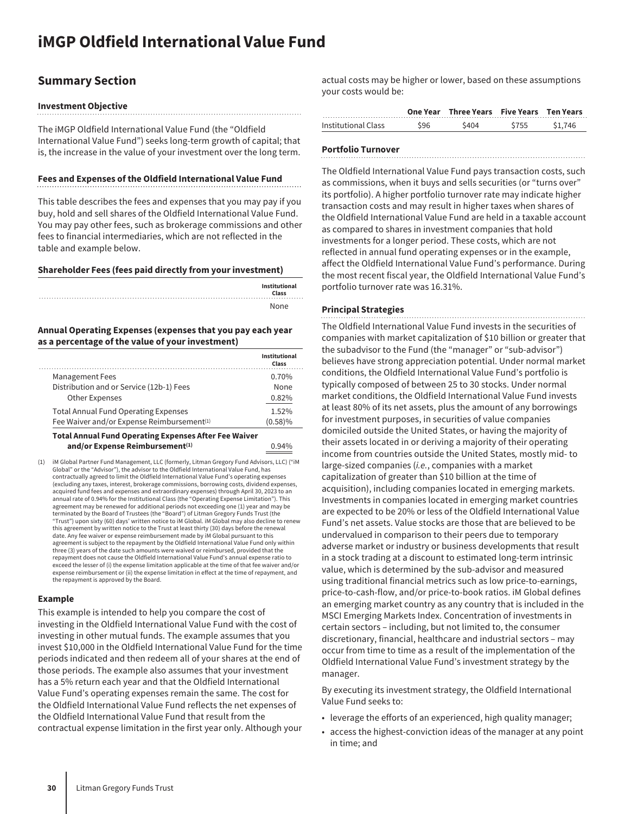### <span id="page-30-0"></span>**Summary Section**

#### **Investment Objective**

The iMGP Oldfield International Value Fund (the "Oldfield International Value Fund") seeks long-term growth of capital; that is, the increase in the value of your investment over the long term.

#### **Fees and Expenses of the Oldfield International Value Fund**

This table describes the fees and expenses that you may pay if you buy, hold and sell shares of the Oldfield International Value Fund. You may pay other fees, such as brokerage commissions and other fees to financial intermediaries, which are not reflected in the table and example below.

#### **Shareholder Fees (fees paid directly from your investment)**

| Institutional<br>Class |
|------------------------|
| None                   |

#### **Annual Operating Expenses (expenses that you pay each year as a percentage of the value of your investment)**

| <b>Management Fees</b>                                 | 0.70%   |
|--------------------------------------------------------|---------|
| Distribution and or Service (12b-1) Fees               | None    |
| Other Expenses                                         | 0.82%   |
| <b>Total Annual Fund Operating Expenses</b>            | 1.52%   |
| Fee Waiver and/or Expense Reimbursement <sup>(1)</sup> | (0.58)% |

#### **Total Annual Fund Operating Expenses After Fee Waiver** and/or Expense Reimbursement<sup>(1)</sup> 0.94%

(1) iM Global Partner Fund Management, LLC (formerly, Litman Gregory Fund Advisors, LLC) ("iM Global" or the "Advisor"), the advisor to the Oldfield International Value Fund, has contractually agreed to limit the Oldfield International Value Fund's operating expenses (excluding any taxes, interest, brokerage commissions, borrowing costs, dividend expenses, acquired fund fees and expenses and extraordinary expenses) through April 30, 2023 to an annual rate of 0.94% for the Institutional Class (the "Operating Expense Limitation"). This agreement may be renewed for additional periods not exceeding one (1) year and may be<br>terminated by the Board of Trustees (the "Board") of Litman Gregory Funds Trust (the<br>"Trust") upon sixty (60) days' written notice to iM this agreement by written notice to the Trust at least thirty (30) days before the renewal date. Any fee waiver or expense reimbursement made by iM Global pursuant to this agreement is subject to the repayment by the Oldfield International Value Fund only within three (3) years of the date such amounts were waived or reimbursed, provided that the repayment does not cause the Oldfield International Value Fund's annual expense ratio to exceed the lesser of (i) the expense limitation applicable at the time of that fee waiver and/or expense reimbursement or (ii) the expense limitation in effect at the time of repayment, and the repayment is approved by the Board.

#### **Example**

This example is intended to help you compare the cost of investing in the Oldfield International Value Fund with the cost of investing in other mutual funds. The example assumes that you invest \$10,000 in the Oldfield International Value Fund for the time periods indicated and then redeem all of your shares at the end of those periods. The example also assumes that your investment has a 5% return each year and that the Oldfield International Value Fund's operating expenses remain the same. The cost for the Oldfield International Value Fund reflects the net expenses of the Oldfield International Value Fund that result from the contractual expense limitation in the first year only. Although your

actual costs may be higher or lower, based on these assumptions your costs would be:

|                     |     | One Year Three Years Five Years Ten Years |      |         |
|---------------------|-----|-------------------------------------------|------|---------|
| Institutional Class | 596 | \$404                                     | ~755 | \$1 746 |

### **Portfolio Turnover**

The Oldfield International Value Fund pays transaction costs, such as commissions, when it buys and sells securities (or "turns over" its portfolio). A higher portfolio turnover rate may indicate higher transaction costs and may result in higher taxes when shares of the Oldfield International Value Fund are held in a taxable account as compared to shares in investment companies that hold investments for a longer period. These costs, which are not reflected in annual fund operating expenses or in the example, affect the Oldfield International Value Fund's performance. During the most recent fiscal year, the Oldfield International Value Fund's portfolio turnover rate was 16.31%.

#### **Principal Strategies**

The Oldfield International Value Fund invests in the securities of companies with market capitalization of \$10 billion or greater that the subadvisor to the Fund (the "manager" or "sub-advisor") believes have strong appreciation potential. Under normal market conditions, the Oldfield International Value Fund's portfolio is typically composed of between 25 to 30 stocks. Under normal market conditions, the Oldfield International Value Fund invests at least 80% of its net assets, plus the amount of any borrowings for investment purposes, in securities of value companies domiciled outside the United States, or having the majority of their assets located in or deriving a majority of their operating income from countries outside the United States*,* mostly mid- to large-sized companies (*i.e.*, companies with a market capitalization of greater than \$10 billion at the time of acquisition), including companies located in emerging markets. Investments in companies located in emerging market countries are expected to be 20% or less of the Oldfield International Value Fund's net assets. Value stocks are those that are believed to be undervalued in comparison to their peers due to temporary adverse market or industry or business developments that result in a stock trading at a discount to estimated long-term intrinsic value, which is determined by the sub-advisor and measured using traditional financial metrics such as low price-to-earnings, price-to-cash-flow, and/or price-to-book ratios. iM Global defines an emerging market country as any country that is included in the MSCI Emerging Markets Index. Concentration of investments in certain sectors – including, but not limited to, the consumer discretionary, financial, healthcare and industrial sectors – may occur from time to time as a result of the implementation of the Oldfield International Value Fund's investment strategy by the manager.

By executing its investment strategy, the Oldfield International Value Fund seeks to:

- leverage the efforts of an experienced, high quality manager;
- access the highest-conviction ideas of the manager at any point in time; and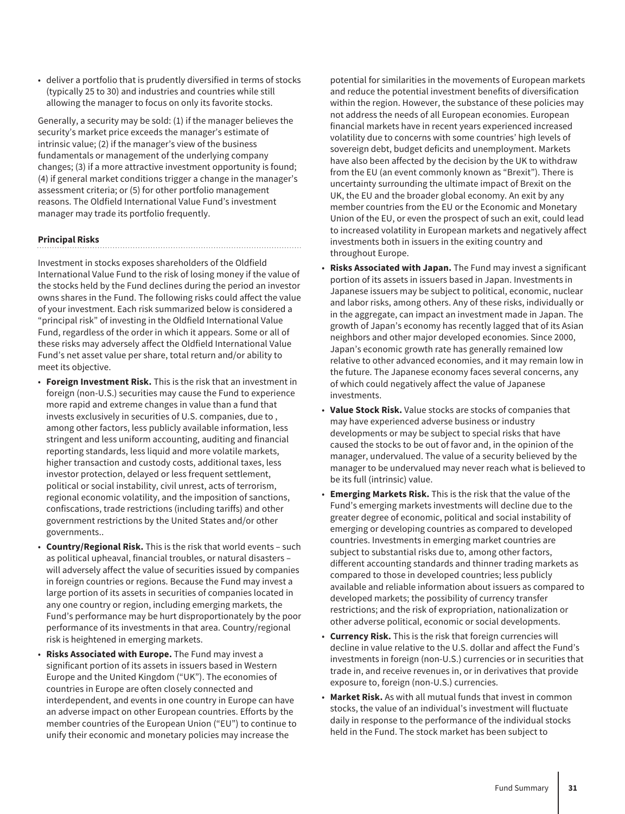• deliver a portfolio that is prudently diversified in terms of stocks (typically 25 to 30) and industries and countries while still allowing the manager to focus on only its favorite stocks.

Generally, a security may be sold: (1) if the manager believes the security's market price exceeds the manager's estimate of intrinsic value; (2) if the manager's view of the business fundamentals or management of the underlying company changes; (3) if a more attractive investment opportunity is found; (4) if general market conditions trigger a change in the manager's assessment criteria; or (5) for other portfolio management reasons. The Oldfield International Value Fund's investment manager may trade its portfolio frequently.

#### **Principal Risks**

Investment in stocks exposes shareholders of the Oldfield International Value Fund to the risk of losing money if the value of the stocks held by the Fund declines during the period an investor owns shares in the Fund. The following risks could affect the value of your investment. Each risk summarized below is considered a "principal risk" of investing in the Oldfield International Value Fund, regardless of the order in which it appears. Some or all of these risks may adversely affect the Oldfield International Value Fund's net asset value per share, total return and/or ability to meet its objective.

- **Foreign Investment Risk.** This is the risk that an investment in foreign (non-U.S.) securities may cause the Fund to experience more rapid and extreme changes in value than a fund that invests exclusively in securities of U.S. companies, due to , among other factors, less publicly available information, less stringent and less uniform accounting, auditing and financial reporting standards, less liquid and more volatile markets, higher transaction and custody costs, additional taxes, less investor protection, delayed or less frequent settlement, political or social instability, civil unrest, acts of terrorism, regional economic volatility, and the imposition of sanctions, confiscations, trade restrictions (including tariffs) and other government restrictions by the United States and/or other governments..
- **Country/Regional Risk.** This is the risk that world events such as political upheaval, financial troubles, or natural disasters – will adversely affect the value of securities issued by companies in foreign countries or regions. Because the Fund may invest a large portion of its assets in securities of companies located in any one country or region, including emerging markets, the Fund's performance may be hurt disproportionately by the poor performance of its investments in that area. Country/regional risk is heightened in emerging markets.
- **Risks Associated with Europe.** The Fund may invest a significant portion of its assets in issuers based in Western Europe and the United Kingdom ("UK"). The economies of countries in Europe are often closely connected and interdependent, and events in one country in Europe can have an adverse impact on other European countries. Efforts by the member countries of the European Union ("EU") to continue to unify their economic and monetary policies may increase the

potential for similarities in the movements of European markets and reduce the potential investment benefits of diversification within the region. However, the substance of these policies may not address the needs of all European economies. European financial markets have in recent years experienced increased volatility due to concerns with some countries' high levels of sovereign debt, budget deficits and unemployment. Markets have also been affected by the decision by the UK to withdraw from the EU (an event commonly known as "Brexit"). There is uncertainty surrounding the ultimate impact of Brexit on the UK, the EU and the broader global economy. An exit by any member countries from the EU or the Economic and Monetary Union of the EU, or even the prospect of such an exit, could lead to increased volatility in European markets and negatively affect investments both in issuers in the exiting country and throughout Europe.

- **Risks Associated with Japan.** The Fund may invest a significant portion of its assets in issuers based in Japan. Investments in Japanese issuers may be subject to political, economic, nuclear and labor risks, among others. Any of these risks, individually or in the aggregate, can impact an investment made in Japan. The growth of Japan's economy has recently lagged that of its Asian neighbors and other major developed economies. Since 2000, Japan's economic growth rate has generally remained low relative to other advanced economies, and it may remain low in the future. The Japanese economy faces several concerns, any of which could negatively affect the value of Japanese investments.
- **Value Stock Risk.** Value stocks are stocks of companies that may have experienced adverse business or industry developments or may be subject to special risks that have caused the stocks to be out of favor and, in the opinion of the manager, undervalued. The value of a security believed by the manager to be undervalued may never reach what is believed to be its full (intrinsic) value.
- **Emerging Markets Risk.** This is the risk that the value of the Fund's emerging markets investments will decline due to the greater degree of economic, political and social instability of emerging or developing countries as compared to developed countries. Investments in emerging market countries are subject to substantial risks due to, among other factors, different accounting standards and thinner trading markets as compared to those in developed countries; less publicly available and reliable information about issuers as compared to developed markets; the possibility of currency transfer restrictions; and the risk of expropriation, nationalization or other adverse political, economic or social developments.
- **Currency Risk.** This is the risk that foreign currencies will decline in value relative to the U.S. dollar and affect the Fund's investments in foreign (non-U.S.) currencies or in securities that trade in, and receive revenues in, or in derivatives that provide exposure to, foreign (non-U.S.) currencies.
- **Market Risk.** As with all mutual funds that invest in common stocks, the value of an individual's investment will fluctuate daily in response to the performance of the individual stocks held in the Fund. The stock market has been subject to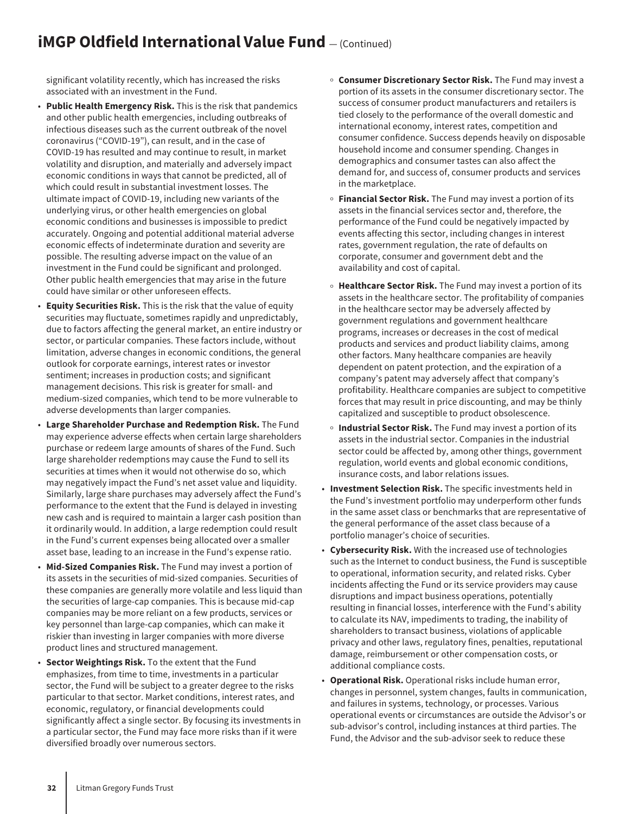# **iMGP Oldfield International Value Fund**  $-$  (Continued)

significant volatility recently, which has increased the risks associated with an investment in the Fund.

- **Public Health Emergency Risk.** This is the risk that pandemics and other public health emergencies, including outbreaks of infectious diseases such as the current outbreak of the novel coronavirus ("COVID-19"), can result, and in the case of COVID-19 has resulted and may continue to result, in market volatility and disruption, and materially and adversely impact economic conditions in ways that cannot be predicted, all of which could result in substantial investment losses. The ultimate impact of COVID-19, including new variants of the underlying virus, or other health emergencies on global economic conditions and businesses is impossible to predict accurately. Ongoing and potential additional material adverse economic effects of indeterminate duration and severity are possible. The resulting adverse impact on the value of an investment in the Fund could be significant and prolonged. Other public health emergencies that may arise in the future could have similar or other unforeseen effects.
- **Equity Securities Risk.** This is the risk that the value of equity securities may fluctuate, sometimes rapidly and unpredictably, due to factors affecting the general market, an entire industry or sector, or particular companies. These factors include, without limitation, adverse changes in economic conditions, the general outlook for corporate earnings, interest rates or investor sentiment; increases in production costs; and significant management decisions. This risk is greater for small- and medium-sized companies, which tend to be more vulnerable to adverse developments than larger companies.
- **Large Shareholder Purchase and Redemption Risk.** The Fund may experience adverse effects when certain large shareholders purchase or redeem large amounts of shares of the Fund. Such large shareholder redemptions may cause the Fund to sell its securities at times when it would not otherwise do so, which may negatively impact the Fund's net asset value and liquidity. Similarly, large share purchases may adversely affect the Fund's performance to the extent that the Fund is delayed in investing new cash and is required to maintain a larger cash position than it ordinarily would. In addition, a large redemption could result in the Fund's current expenses being allocated over a smaller asset base, leading to an increase in the Fund's expense ratio.
- **Mid-Sized Companies Risk.** The Fund may invest a portion of its assets in the securities of mid-sized companies. Securities of these companies are generally more volatile and less liquid than the securities of large-cap companies. This is because mid-cap companies may be more reliant on a few products, services or key personnel than large-cap companies, which can make it riskier than investing in larger companies with more diverse product lines and structured management.
- **Sector Weightings Risk.** To the extent that the Fund emphasizes, from time to time, investments in a particular sector, the Fund will be subject to a greater degree to the risks particular to that sector. Market conditions, interest rates, and economic, regulatory, or financial developments could significantly affect a single sector. By focusing its investments in a particular sector, the Fund may face more risks than if it were diversified broadly over numerous sectors.
- o **Consumer Discretionary Sector Risk.** The Fund may invest a portion of its assets in the consumer discretionary sector. The success of consumer product manufacturers and retailers is tied closely to the performance of the overall domestic and international economy, interest rates, competition and consumer confidence. Success depends heavily on disposable household income and consumer spending. Changes in demographics and consumer tastes can also affect the demand for, and success of, consumer products and services in the marketplace.
- <sup>o</sup> Financial Sector Risk. The Fund may invest a portion of its assets in the financial services sector and, therefore, the performance of the Fund could be negatively impacted by events affecting this sector, including changes in interest rates, government regulation, the rate of defaults on corporate, consumer and government debt and the availability and cost of capital.
- <sup>o</sup> Healthcare Sector Risk. The Fund may invest a portion of its assets in the healthcare sector. The profitability of companies in the healthcare sector may be adversely affected by government regulations and government healthcare programs, increases or decreases in the cost of medical products and services and product liability claims, among other factors. Many healthcare companies are heavily dependent on patent protection, and the expiration of a company's patent may adversely affect that company's profitability. Healthcare companies are subject to competitive forces that may result in price discounting, and may be thinly capitalized and susceptible to product obsolescence.
- o **Industrial Sector Risk.** The Fund may invest a portion of its assets in the industrial sector. Companies in the industrial sector could be affected by, among other things, government regulation, world events and global economic conditions, insurance costs, and labor relations issues.
- **Investment Selection Risk.** The specific investments held in the Fund's investment portfolio may underperform other funds in the same asset class or benchmarks that are representative of the general performance of the asset class because of a portfolio manager's choice of securities.
- **Cybersecurity Risk.** With the increased use of technologies such as the Internet to conduct business, the Fund is susceptible to operational, information security, and related risks. Cyber incidents affecting the Fund or its service providers may cause disruptions and impact business operations, potentially resulting in financial losses, interference with the Fund's ability to calculate its NAV, impediments to trading, the inability of shareholders to transact business, violations of applicable privacy and other laws, regulatory fines, penalties, reputational damage, reimbursement or other compensation costs, or additional compliance costs.
- **Operational Risk.** Operational risks include human error, changes in personnel, system changes, faults in communication, and failures in systems, technology, or processes. Various operational events or circumstances are outside the Advisor's or sub-advisor's control, including instances at third parties. The Fund, the Advisor and the sub-advisor seek to reduce these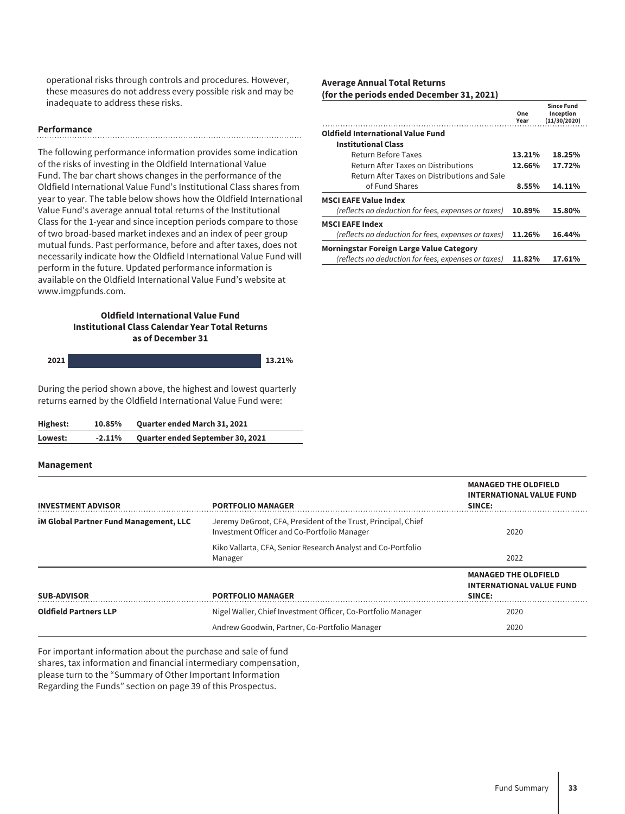operational risks through controls and procedures. However, these measures do not address every possible risk and may be inadequate to address these risks.

#### **Performance**

The following performance information provides some indication of the risks of investing in the Oldfield International Value Fund. The bar chart shows changes in the performance of the Oldfield International Value Fund's Institutional Class shares from year to year. The table below shows how the Oldfield International Value Fund's average annual total returns of the Institutional Class for the 1-year and since inception periods compare to those of two broad-based market indexes and an index of peer group mutual funds. Past performance, before and after taxes, does not necessarily indicate how the Oldfield International Value Fund will perform in the future. Updated performance information is available on the Oldfield International Value Fund's website at www.imgpfunds.com.

#### **Oldfield International Value Fund Institutional Class Calendar Year Total Returns as of December 31**

| .<br>. הר | 12.210% |
|-----------|---------|
|           |         |

During the period shown above, the highest and lowest quarterly returns earned by the Oldfield International Value Fund were:

| Highest: | 10.85%   | <b>Quarter ended March 31, 2021</b> |
|----------|----------|-------------------------------------|
| Lowest:  | $-2.11%$ | Quarter ended September 30, 2021    |

#### **Management**

#### **Average Annual Total Returns (for the periods ended December 31, 2021)**

|                                                     | One<br>Year | <b>Since Fund</b><br>Inception<br>(11/30/2020) |
|-----------------------------------------------------|-------------|------------------------------------------------|
| Oldfield International Value Fund                   |             |                                                |
| <b>Institutional Class</b>                          |             |                                                |
| Return Before Taxes                                 | 13.21%      | 18.25%                                         |
| Return After Taxes on Distributions                 | 12.66%      | 17.72%                                         |
| Return After Taxes on Distributions and Sale        |             |                                                |
| of Fund Shares                                      | 8.55%       | 14.11%                                         |
| MSCI EAFE Value Index                               |             |                                                |
| (reflects no deduction for fees, expenses or taxes) | 10.89%      | 15.80%                                         |
| MSCI EAFE Index                                     |             |                                                |
| (reflects no deduction for fees, expenses or taxes) | 11.26%      | 16.44%                                         |
| Morningstar Foreign Large Value Category            |             |                                                |
| (reflects no deduction for fees, expenses or taxes) | 11.82%      | 17.61%                                         |

| <b>INVESTMENT ADVISOR</b>                     | <b>PORTFOLIO MANAGER</b>                                                                                     | <b>MANAGED THE OLDFIELD</b><br><b>INTERNATIONAL VALUE FUND</b><br>SINCE: |
|-----------------------------------------------|--------------------------------------------------------------------------------------------------------------|--------------------------------------------------------------------------|
| <b>iM Global Partner Fund Management, LLC</b> | Jeremy DeGroot, CFA, President of the Trust, Principal, Chief<br>Investment Officer and Co-Portfolio Manager | 2020                                                                     |
|                                               | Kiko Vallarta, CFA, Senior Research Analyst and Co-Portfolio<br>Manager                                      | 2022                                                                     |
| <b>SUB-ADVISOR</b>                            | <b>PORTFOLIO MANAGER</b>                                                                                     | <b>MANAGED THE OLDFIELD</b><br><b>INTERNATIONAL VALUE FUND</b><br>SINCE: |
| <b>Oldfield Partners LLP</b>                  | Nigel Waller, Chief Investment Officer, Co-Portfolio Manager                                                 | 2020                                                                     |
|                                               | Andrew Goodwin, Partner, Co-Portfolio Manager                                                                | 2020                                                                     |

For important information about the purchase and sale of fund shares, tax information and financial intermediary compensation, please turn to the "Summary of Other Important Information Regarding the Funds" section on page 39 of this Prospectus.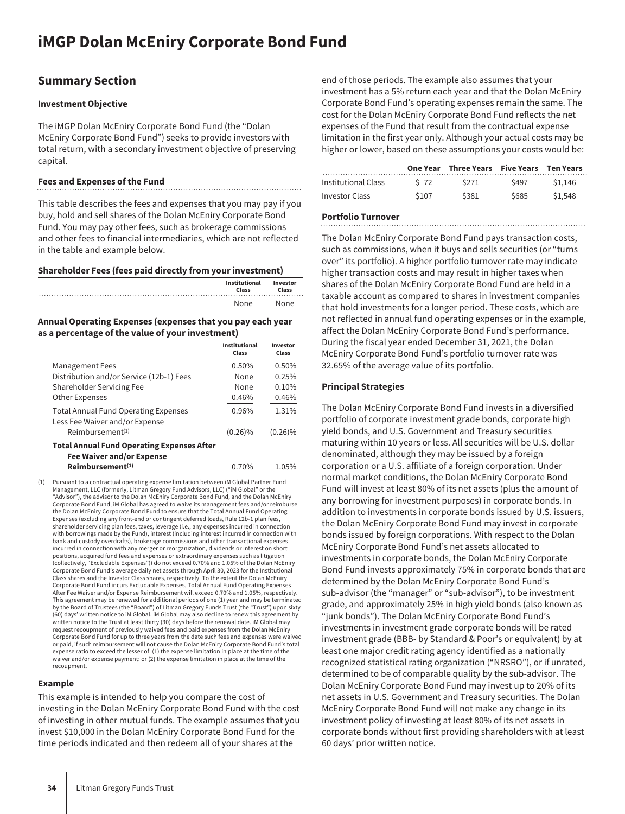### <span id="page-34-0"></span>**Summary Section**

#### **Investment Objective**

The iMGP Dolan McEniry Corporate Bond Fund (the "Dolan McEniry Corporate Bond Fund") seeks to provide investors with total return, with a secondary investment objective of preserving capital.

#### **Fees and Expenses of the Fund**

This table describes the fees and expenses that you may pay if you buy, hold and sell shares of the Dolan McEniry Corporate Bond Fund. You may pay other fees, such as brokerage commissions and other fees to financial intermediaries, which are not reflected in the table and example below.

**Shareholder Fees (fees paid directly from your investment)**

| Institutional<br>Class | Investor<br>Class |
|------------------------|-------------------|
| None                   | None              |

#### **Annual Operating Expenses (expenses that you pay each year as a percentage of the value of your investment)**

|                                             | Institutional<br>Class | Investor<br>Class |
|---------------------------------------------|------------------------|-------------------|
| <b>Management Fees</b>                      | 0.50%                  | 0.50%             |
| Distribution and/or Service (12b-1) Fees    | None                   | 0.25%             |
| Shareholder Servicing Fee                   | None                   | 0.10%             |
| <b>Other Expenses</b>                       | 0.46%                  | 0.46%             |
| <b>Total Annual Fund Operating Expenses</b> | 0.96%                  | 1.31%             |
| Less Fee Waiver and/or Expense              |                        |                   |
| Reimbursement <sup>(1)</sup>                | $(0.26)\%$             | $(0.26)\%$        |

**Fee Waiver and/or Expense Reimbursement(1)** 0.70% 1.05%

(1) Pursuant to a contractual operating expense limitation between iM Global Partner Fund Management, LLC (formerly, Litman Gregory Fund Advisors, LLC) ("iM Global" or the "Advisor"), the advisor to the Dolan McEniry Corporate Bond Fund, and the Dolan McEniry Corporate Bond Fund, iM Global has agreed to waive its management fees and/or reimburse the Dolan McEniry Corporate Bond Fund to ensure that the Total Annual Fund Operating Expenses (excluding any front-end or contingent deferred loads, Rule 12b-1 plan fees, shareholder servicing plan fees, taxes, leverage (i.e., any expenses incurred in connection with borrowings made by the Fund), interest (including interest incurred in connection with bank and custody overdrafts), brokerage commissions and other transactional expenses incurred in connection with any merger or reorganization, dividends or interest on short positions, acquired fund fees and expenses or extraordinary expenses such as litigation (collectively, "Excludable Expenses")) do not exceed 0.70% and 1.05% of the Dolan McEniry Corporate Bond Fund's average daily net assets through April 30, 2023 for the Institutional Class shares and the Investor Class shares, respectively. To the extent the Dolan McEniry Corporate Bond Fund incurs Excludable Expenses, Total Annual Fund Operating Expenses After Fee Waiver and/or Expense Reimbursement will exceed 0.70% and 1.05%, respectively. This agreement may be renewed for additional periods of one (1) year and may be terminated by the Board of Trustees (the "Board") of Litman Gregory Funds Trust (the "Trust") upon sixty (60) days' written notice to iM Global. iM Global may also decline to renew this agreement by written notice to the Trust at least thirty (30) days before the renewal date. iM Global may request recoupment of previously waived fees and paid expenses from the Dolan McEniry Corporate Bond Fund for up to three years from the date such fees and expenses were waived or paid, if such reimbursement will not cause the Dolan McEniry Corporate Bond Fund's total expense ratio to exceed the lesser of: (1) the expense limitation in place at the time of the waiver and/or expense payment; or (2) the expense limitation in place at the time of the recoupment.

#### **Example**

This example is intended to help you compare the cost of investing in the Dolan McEniry Corporate Bond Fund with the cost of investing in other mutual funds. The example assumes that you invest \$10,000 in the Dolan McEniry Corporate Bond Fund for the time periods indicated and then redeem all of your shares at the

end of those periods. The example also assumes that your investment has a 5% return each year and that the Dolan McEniry Corporate Bond Fund's operating expenses remain the same. The cost for the Dolan McEniry Corporate Bond Fund reflects the net expenses of the Fund that result from the contractual expense limitation in the first year only. Although your actual costs may be higher or lower, based on these assumptions your costs would be:

|                       |       | One Year Three Years Five Years Ten Years |      |         |
|-----------------------|-------|-------------------------------------------|------|---------|
| Institutional Class   | S 72  | S271                                      | S497 | \$1.146 |
| <b>Investor Class</b> | \$107 | \$381                                     | S685 | \$1,548 |

#### **Portfolio Turnover**

The Dolan McEniry Corporate Bond Fund pays transaction costs, such as commissions, when it buys and sells securities (or "turns over" its portfolio). A higher portfolio turnover rate may indicate higher transaction costs and may result in higher taxes when shares of the Dolan McEniry Corporate Bond Fund are held in a taxable account as compared to shares in investment companies that hold investments for a longer period. These costs, which are not reflected in annual fund operating expenses or in the example, affect the Dolan McEniry Corporate Bond Fund's performance. During the fiscal year ended December 31, 2021, the Dolan McEniry Corporate Bond Fund's portfolio turnover rate was 32.65% of the average value of its portfolio.

#### **Principal Strategies**

The Dolan McEniry Corporate Bond Fund invests in a diversified portfolio of corporate investment grade bonds, corporate high yield bonds, and U.S. Government and Treasury securities maturing within 10 years or less. All securities will be U.S. dollar denominated, although they may be issued by a foreign corporation or a U.S. affiliate of a foreign corporation. Under normal market conditions, the Dolan McEniry Corporate Bond Fund will invest at least 80% of its net assets (plus the amount of any borrowing for investment purposes) in corporate bonds. In addition to investments in corporate bonds issued by U.S. issuers, the Dolan McEniry Corporate Bond Fund may invest in corporate bonds issued by foreign corporations. With respect to the Dolan McEniry Corporate Bond Fund's net assets allocated to investments in corporate bonds, the Dolan McEniry Corporate Bond Fund invests approximately 75% in corporate bonds that are determined by the Dolan McEniry Corporate Bond Fund's sub-advisor (the "manager" or "sub-advisor"), to be investment grade, and approximately 25% in high yield bonds (also known as "junk bonds"). The Dolan McEniry Corporate Bond Fund's investments in investment grade corporate bonds will be rated investment grade (BBB- by Standard & Poor's or equivalent) by at least one major credit rating agency identified as a nationally recognized statistical rating organization ("NRSRO"), or if unrated, determined to be of comparable quality by the sub-advisor. The Dolan McEniry Corporate Bond Fund may invest up to 20% of its net assets in U.S. Government and Treasury securities. The Dolan McEniry Corporate Bond Fund will not make any change in its investment policy of investing at least 80% of its net assets in corporate bonds without first providing shareholders with at least 60 days' prior written notice.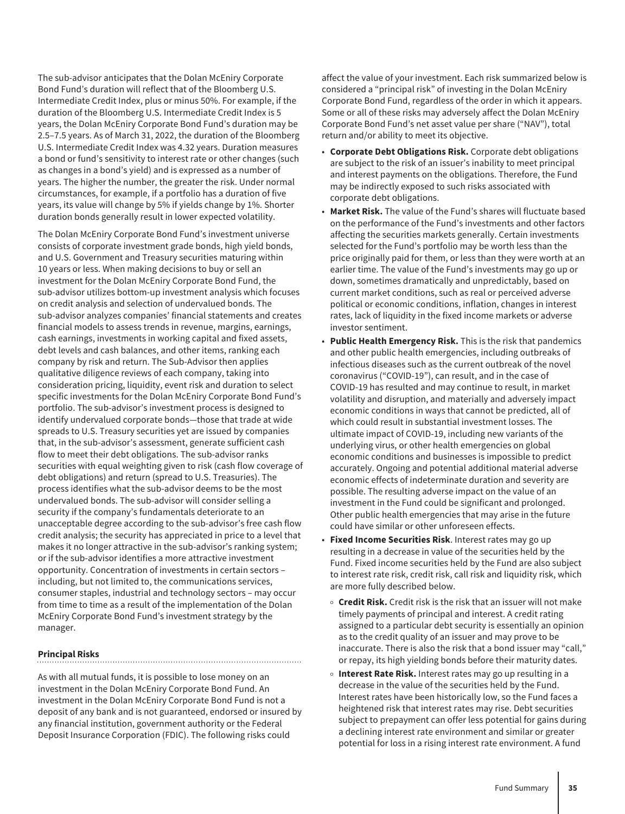The sub-advisor anticipates that the Dolan McEniry Corporate Bond Fund's duration will reflect that of the Bloomberg U.S. Intermediate Credit Index, plus or minus 50%. For example, if the duration of the Bloomberg U.S. Intermediate Credit Index is 5 years, the Dolan McEniry Corporate Bond Fund's duration may be 2.5–7.5 years. As of March 31, 2022, the duration of the Bloomberg U.S. Intermediate Credit Index was 4.32 years. Duration measures a bond or fund's sensitivity to interest rate or other changes (such as changes in a bond's yield) and is expressed as a number of years. The higher the number, the greater the risk. Under normal circumstances, for example, if a portfolio has a duration of five years, its value will change by 5% if yields change by 1%. Shorter duration bonds generally result in lower expected volatility.

The Dolan McEniry Corporate Bond Fund's investment universe consists of corporate investment grade bonds, high yield bonds, and U.S. Government and Treasury securities maturing within 10 years or less. When making decisions to buy or sell an investment for the Dolan McEniry Corporate Bond Fund, the sub-advisor utilizes bottom-up investment analysis which focuses on credit analysis and selection of undervalued bonds. The sub-advisor analyzes companies' financial statements and creates financial models to assess trends in revenue, margins, earnings, cash earnings, investments in working capital and fixed assets, debt levels and cash balances, and other items, ranking each company by risk and return. The Sub-Advisor then applies qualitative diligence reviews of each company, taking into consideration pricing, liquidity, event risk and duration to select specific investments for the Dolan McEniry Corporate Bond Fund's portfolio. The sub-advisor's investment process is designed to identify undervalued corporate bonds—those that trade at wide spreads to U.S. Treasury securities yet are issued by companies that, in the sub-advisor's assessment, generate sufficient cash flow to meet their debt obligations. The sub-advisor ranks securities with equal weighting given to risk (cash flow coverage of debt obligations) and return (spread to U.S. Treasuries). The process identifies what the sub-advisor deems to be the most undervalued bonds. The sub-advisor will consider selling a security if the company's fundamentals deteriorate to an unacceptable degree according to the sub-advisor's free cash flow credit analysis; the security has appreciated in price to a level that makes it no longer attractive in the sub-advisor's ranking system; or if the sub-advisor identifies a more attractive investment opportunity. Concentration of investments in certain sectors – including, but not limited to, the communications services, consumer staples, industrial and technology sectors – may occur from time to time as a result of the implementation of the Dolan McEniry Corporate Bond Fund's investment strategy by the manager.

#### **Principal Risks**

As with all mutual funds, it is possible to lose money on an investment in the Dolan McEniry Corporate Bond Fund. An investment in the Dolan McEniry Corporate Bond Fund is not a deposit of any bank and is not guaranteed, endorsed or insured by any financial institution, government authority or the Federal Deposit Insurance Corporation (FDIC). The following risks could

affect the value of your investment. Each risk summarized below is considered a "principal risk" of investing in the Dolan McEniry Corporate Bond Fund, regardless of the order in which it appears. Some or all of these risks may adversely affect the Dolan McEniry Corporate Bond Fund's net asset value per share ("NAV"), total return and/or ability to meet its objective.

- **Corporate Debt Obligations Risk.** Corporate debt obligations are subject to the risk of an issuer's inability to meet principal and interest payments on the obligations. Therefore, the Fund may be indirectly exposed to such risks associated with corporate debt obligations.
- **Market Risk.** The value of the Fund's shares will fluctuate based on the performance of the Fund's investments and other factors affecting the securities markets generally. Certain investments selected for the Fund's portfolio may be worth less than the price originally paid for them, or less than they were worth at an earlier time. The value of the Fund's investments may go up or down, sometimes dramatically and unpredictably, based on current market conditions, such as real or perceived adverse political or economic conditions, inflation, changes in interest rates, lack of liquidity in the fixed income markets or adverse investor sentiment.
- **Public Health Emergency Risk.** This is the risk that pandemics and other public health emergencies, including outbreaks of infectious diseases such as the current outbreak of the novel coronavirus ("COVID-19"), can result, and in the case of COVID-19 has resulted and may continue to result, in market volatility and disruption, and materially and adversely impact economic conditions in ways that cannot be predicted, all of which could result in substantial investment losses. The ultimate impact of COVID-19, including new variants of the underlying virus, or other health emergencies on global economic conditions and businesses is impossible to predict accurately. Ongoing and potential additional material adverse economic effects of indeterminate duration and severity are possible. The resulting adverse impact on the value of an investment in the Fund could be significant and prolonged. Other public health emergencies that may arise in the future could have similar or other unforeseen effects.
- **Fixed Income Securities Risk**. Interest rates may go up resulting in a decrease in value of the securities held by the Fund. Fixed income securities held by the Fund are also subject to interest rate risk, credit risk, call risk and liquidity risk, which are more fully described below.
- $\circ$  **Credit Risk.** Credit risk is the risk that an issuer will not make timely payments of principal and interest. A credit rating assigned to a particular debt security is essentially an opinion as to the credit quality of an issuer and may prove to be inaccurate. There is also the risk that a bond issuer may "call," or repay, its high yielding bonds before their maturity dates.
- <sup>o</sup> Interest Rate Risk. Interest rates may go up resulting in a decrease in the value of the securities held by the Fund. Interest rates have been historically low, so the Fund faces a heightened risk that interest rates may rise. Debt securities subject to prepayment can offer less potential for gains during a declining interest rate environment and similar or greater potential for loss in a rising interest rate environment. A fund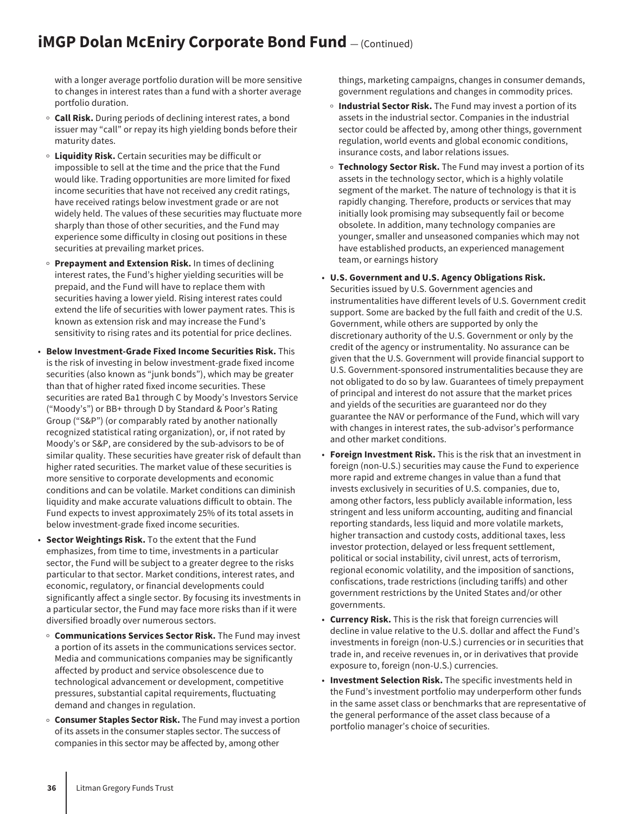### **iMGP Dolan McEniry Corporate Bond Fund**  $-$  (Continued)

with a longer average portfolio duration will be more sensitive to changes in interest rates than a fund with a shorter average portfolio duration.

- <sup>o</sup> Call Risk. During periods of declining interest rates, a bond issuer may "call" or repay its high yielding bonds before their maturity dates.
- <sup>O</sup> **Liquidity Risk.** Certain securities may be difficult or impossible to sell at the time and the price that the Fund would like. Trading opportunities are more limited for fixed income securities that have not received any credit ratings, have received ratings below investment grade or are not widely held. The values of these securities may fluctuate more sharply than those of other securities, and the Fund may experience some difficulty in closing out positions in these securities at prevailing market prices.
- o Prepayment and Extension Risk. In times of declining interest rates, the Fund's higher yielding securities will be prepaid, and the Fund will have to replace them with securities having a lower yield. Rising interest rates could extend the life of securities with lower payment rates. This is known as extension risk and may increase the Fund's sensitivity to rising rates and its potential for price declines.
- **Below Investment-Grade Fixed Income Securities Risk.** This is the risk of investing in below investment-grade fixed income securities (also known as "junk bonds"), which may be greater than that of higher rated fixed income securities. These securities are rated Ba1 through C by Moody's Investors Service ("Moody's") or BB+ through D by Standard & Poor's Rating Group ("S&P") (or comparably rated by another nationally recognized statistical rating organization), or, if not rated by Moody's or S&P, are considered by the sub-advisors to be of similar quality. These securities have greater risk of default than higher rated securities. The market value of these securities is more sensitive to corporate developments and economic conditions and can be volatile. Market conditions can diminish liquidity and make accurate valuations difficult to obtain. The Fund expects to invest approximately 25% of its total assets in below investment-grade fixed income securities.
- **Sector Weightings Risk.** To the extent that the Fund emphasizes, from time to time, investments in a particular sector, the Fund will be subject to a greater degree to the risks particular to that sector. Market conditions, interest rates, and economic, regulatory, or financial developments could significantly affect a single sector. By focusing its investments in a particular sector, the Fund may face more risks than if it were diversified broadly over numerous sectors.
- o **Communications Services Sector Risk.** The Fund may invest a portion of its assets in the communications services sector. Media and communications companies may be significantly affected by product and service obsolescence due to technological advancement or development, competitive pressures, substantial capital requirements, fluctuating demand and changes in regulation.
- o **Consumer Staples Sector Risk.** The Fund may invest a portion of its assets in the consumer staples sector. The success of companies in this sector may be affected by, among other

things, marketing campaigns, changes in consumer demands, government regulations and changes in commodity prices.

- <sup>o</sup> Industrial Sector Risk. The Fund may invest a portion of its assets in the industrial sector. Companies in the industrial sector could be affected by, among other things, government regulation, world events and global economic conditions, insurance costs, and labor relations issues.
- <sup>o</sup> Technology Sector Risk. The Fund may invest a portion of its assets in the technology sector, which is a highly volatile segment of the market. The nature of technology is that it is rapidly changing. Therefore, products or services that may initially look promising may subsequently fail or become obsolete. In addition, many technology companies are younger, smaller and unseasoned companies which may not have established products, an experienced management team, or earnings history
- **U.S. Government and U.S. Agency Obligations Risk.** Securities issued by U.S. Government agencies and instrumentalities have different levels of U.S. Government credit support. Some are backed by the full faith and credit of the U.S. Government, while others are supported by only the discretionary authority of the U.S. Government or only by the credit of the agency or instrumentality. No assurance can be given that the U.S. Government will provide financial support to U.S. Government-sponsored instrumentalities because they are not obligated to do so by law. Guarantees of timely prepayment of principal and interest do not assure that the market prices and yields of the securities are guaranteed nor do they guarantee the NAV or performance of the Fund, which will vary with changes in interest rates, the sub-advisor's performance and other market conditions.
- **Foreign Investment Risk.** This is the risk that an investment in foreign (non-U.S.) securities may cause the Fund to experience more rapid and extreme changes in value than a fund that invests exclusively in securities of U.S. companies, due to, among other factors, less publicly available information, less stringent and less uniform accounting, auditing and financial reporting standards, less liquid and more volatile markets, higher transaction and custody costs, additional taxes, less investor protection, delayed or less frequent settlement, political or social instability, civil unrest, acts of terrorism, regional economic volatility, and the imposition of sanctions, confiscations, trade restrictions (including tariffs) and other government restrictions by the United States and/or other governments.
- **Currency Risk.** This is the risk that foreign currencies will decline in value relative to the U.S. dollar and affect the Fund's investments in foreign (non-U.S.) currencies or in securities that trade in, and receive revenues in, or in derivatives that provide exposure to, foreign (non-U.S.) currencies.
- **Investment Selection Risk.** The specific investments held in the Fund's investment portfolio may underperform other funds in the same asset class or benchmarks that are representative of the general performance of the asset class because of a portfolio manager's choice of securities.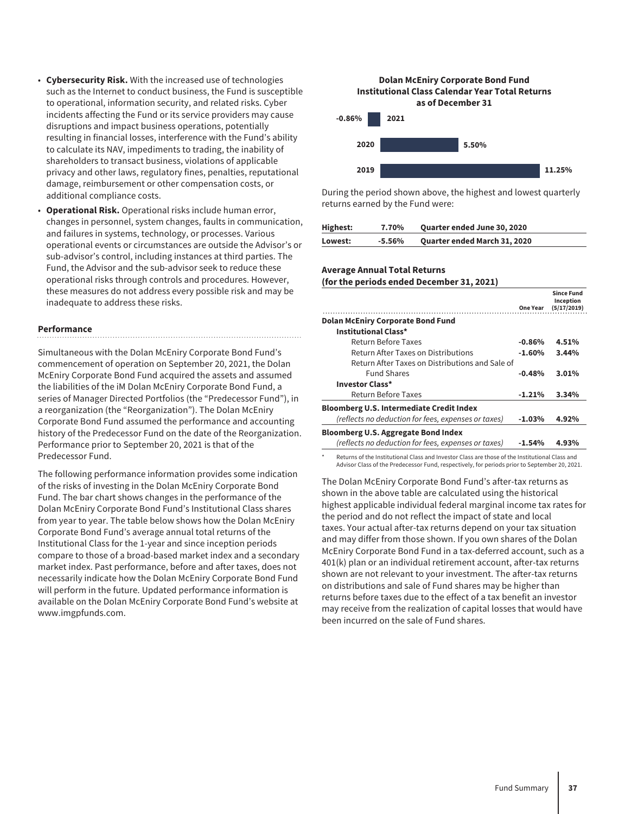- **Cybersecurity Risk.** With the increased use of technologies such as the Internet to conduct business, the Fund is susceptible to operational, information security, and related risks. Cyber incidents affecting the Fund or its service providers may cause disruptions and impact business operations, potentially resulting in financial losses, interference with the Fund's ability to calculate its NAV, impediments to trading, the inability of shareholders to transact business, violations of applicable privacy and other laws, regulatory fines, penalties, reputational damage, reimbursement or other compensation costs, or additional compliance costs.
- **Operational Risk.** Operational risks include human error, changes in personnel, system changes, faults in communication, and failures in systems, technology, or processes. Various operational events or circumstances are outside the Advisor's or sub-advisor's control, including instances at third parties. The Fund, the Advisor and the sub-advisor seek to reduce these operational risks through controls and procedures. However, these measures do not address every possible risk and may be inadequate to address these risks.

#### **Performance**

Simultaneous with the Dolan McEniry Corporate Bond Fund's commencement of operation on September 20, 2021, the Dolan McEniry Corporate Bond Fund acquired the assets and assumed the liabilities of the iM Dolan McEniry Corporate Bond Fund, a series of Manager Directed Portfolios (the "Predecessor Fund"), in a reorganization (the "Reorganization"). The Dolan McEniry Corporate Bond Fund assumed the performance and accounting history of the Predecessor Fund on the date of the Reorganization. Performance prior to September 20, 2021 is that of the Predecessor Fund.

The following performance information provides some indication of the risks of investing in the Dolan McEniry Corporate Bond Fund. The bar chart shows changes in the performance of the Dolan McEniry Corporate Bond Fund's Institutional Class shares from year to year. The table below shows how the Dolan McEniry Corporate Bond Fund's average annual total returns of the Institutional Class for the 1-year and since inception periods compare to those of a broad-based market index and a secondary market index. Past performance, before and after taxes, does not necessarily indicate how the Dolan McEniry Corporate Bond Fund will perform in the future. Updated performance information is available on the Dolan McEniry Corporate Bond Fund's website at www.imgpfunds.com.



During the period shown above, the highest and lowest quarterly returns earned by the Fund were:

| Highest: | 7.70%     | <b>Quarter ended June 30, 2020</b> |
|----------|-----------|------------------------------------|
| Lowest:  | $-5.56\%$ | Quarter ended March 31, 2020       |

#### **Average Annual Total Returns**

**(for the periods ended December 31, 2021)**

|                                                     | One Year | <b>Since Fund</b><br>Inception<br>(5/17/2019) |
|-----------------------------------------------------|----------|-----------------------------------------------|
| <b>Dolan McEniry Corporate Bond Fund</b>            |          |                                               |
| Institutional Class*                                |          |                                               |
| Return Before Taxes                                 | $-0.86%$ | 4.51%                                         |
| Return After Taxes on Distributions                 | $-1.60%$ | 3.44%                                         |
| Return After Taxes on Distributions and Sale of     |          |                                               |
| <b>Fund Shares</b>                                  | $-0.48%$ | 3.01%                                         |
| <b>Investor Class*</b>                              |          |                                               |
| Return Before Taxes                                 | $-1.21%$ | 3.34%                                         |
| <b>Bloomberg U.S. Intermediate Credit Index</b>     |          |                                               |
| (reflects no deduction for fees, expenses or taxes) | $-1.03%$ | 4.92%                                         |
| <b>Bloomberg U.S. Aggregate Bond Index</b>          |          |                                               |
| (reflects no deduction for fees, expenses or taxes) | $-1.54%$ | 4.93%                                         |
|                                                     |          |                                               |

Returns of the Institutional Class and Investor Class are those of the Institutional Class and Advisor Class of the Predecessor Fund, respectively, for periods prior to September 20, 2021.

The Dolan McEniry Corporate Bond Fund's after-tax returns as shown in the above table are calculated using the historical highest applicable individual federal marginal income tax rates for the period and do not reflect the impact of state and local taxes. Your actual after-tax returns depend on your tax situation and may differ from those shown. If you own shares of the Dolan McEniry Corporate Bond Fund in a tax-deferred account, such as a 401(k) plan or an individual retirement account, after-tax returns shown are not relevant to your investment. The after-tax returns on distributions and sale of Fund shares may be higher than returns before taxes due to the effect of a tax benefit an investor may receive from the realization of capital losses that would have been incurred on the sale of Fund shares.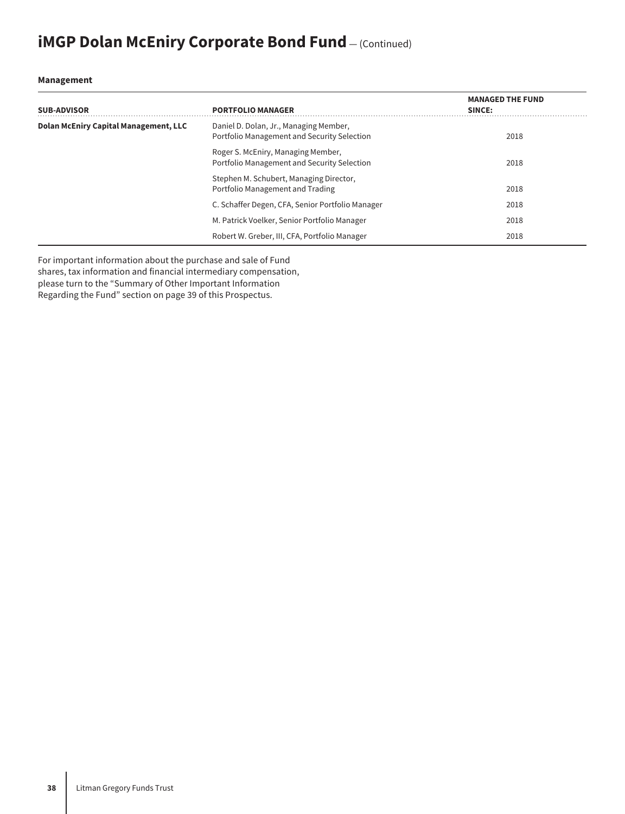## **iMGP Dolan McEniry Corporate Bond Fund** – (Continued)

#### **Management**

| <b>SUB-ADVISOR</b>                           | <b>PORTFOLIO MANAGER</b>                                                              | <b>MANAGED THE FUND</b><br>SINCE: |
|----------------------------------------------|---------------------------------------------------------------------------------------|-----------------------------------|
| <b>Dolan McEniry Capital Management, LLC</b> | Daniel D. Dolan, Jr., Managing Member,<br>Portfolio Management and Security Selection | 2018                              |
|                                              | Roger S. McEniry, Managing Member,<br>Portfolio Management and Security Selection     | 2018                              |
|                                              | Stephen M. Schubert, Managing Director,<br>Portfolio Management and Trading           | 2018                              |
|                                              | C. Schaffer Degen, CFA, Senior Portfolio Manager                                      | 2018                              |
|                                              | M. Patrick Voelker, Senior Portfolio Manager                                          | 2018                              |
|                                              | Robert W. Greber, III, CFA, Portfolio Manager                                         | 2018                              |

For important information about the purchase and sale of Fund shares, tax information and financial intermediary compensation, please turn to the "Summary of Other Important Information Regarding the Fund" section on page 39 of this Prospectus.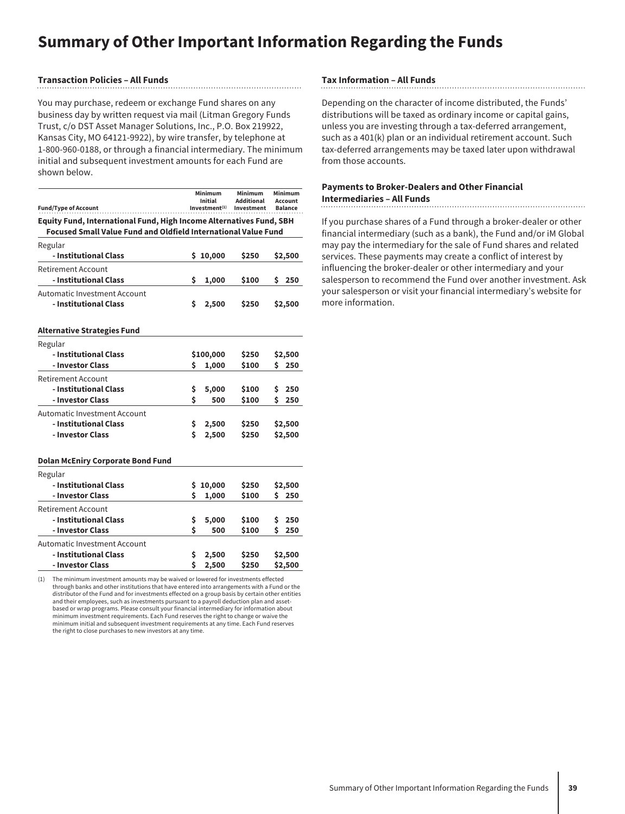## **Summary of Other Important Information Regarding the Funds**

#### **Transaction Policies – All Funds**

You may purchase, redeem or exchange Fund shares on any business day by written request via mail (Litman Gregory Funds Trust, c/o DST Asset Manager Solutions, Inc., P.O. Box 219922, Kansas City, MO 64121-9922), by wire transfer, by telephone at 1-800-960-0188, or through a financial intermediary. The minimum initial and subsequent investment amounts for each Fund are shown below.

| <b>Fund/Type of Account</b>                                                                                                                         |    | Minimum<br>Initial<br>Investment <sup>(1)</sup> | Minimum<br><b>Additional</b><br>Investment | Minimum<br>Account<br><b>Balance</b> |
|-----------------------------------------------------------------------------------------------------------------------------------------------------|----|-------------------------------------------------|--------------------------------------------|--------------------------------------|
| <b>Equity Fund, International Fund, High Income Alternatives Fund, SBH</b><br><b>Focused Small Value Fund and Oldfield International Value Fund</b> |    |                                                 |                                            |                                      |
| Regular                                                                                                                                             |    |                                                 |                                            |                                      |
| - Institutional Class                                                                                                                               |    | \$10,000                                        | \$250                                      | \$2,500                              |
| Retirement Account<br>- Institutional Class                                                                                                         | \$ | 1,000                                           | \$100                                      | 250<br>s                             |
| Automatic Investment Account<br>- Institutional Class                                                                                               | \$ | 2,500                                           | \$250                                      | \$2,500                              |
| <b>Alternative Strategies Fund</b>                                                                                                                  |    |                                                 |                                            |                                      |
| Regular                                                                                                                                             |    |                                                 |                                            |                                      |
| - Institutional Class                                                                                                                               |    | \$100,000                                       | \$250                                      | \$2,500                              |
| - Investor Class                                                                                                                                    | \$ | 1,000                                           | \$100                                      | S.<br>250                            |
| Retirement Account                                                                                                                                  |    |                                                 |                                            |                                      |
| - Institutional Class                                                                                                                               | \$ | 5,000                                           | \$100                                      | \$<br>250                            |
| - Investor Class                                                                                                                                    | Ś  | 500                                             | \$100                                      | Ś.<br>250                            |
| Automatic Investment Account                                                                                                                        |    |                                                 |                                            |                                      |
| - Institutional Class                                                                                                                               | \$ | 2,500                                           | \$250                                      | \$2,500                              |
| - Investor Class                                                                                                                                    | Ś  | 2,500                                           | \$250                                      | \$2,500                              |
| <b>Dolan McEniry Corporate Bond Fund</b>                                                                                                            |    |                                                 |                                            |                                      |
| Regular                                                                                                                                             |    |                                                 |                                            |                                      |
| - Institutional Class                                                                                                                               | S  | 10,000                                          | \$250                                      | \$2,500                              |
| - Investor Class                                                                                                                                    | Ś  | 1,000                                           | \$100                                      | S.<br>250                            |
| Retirement Account                                                                                                                                  |    |                                                 |                                            |                                      |
| - Institutional Class                                                                                                                               | \$ | 5,000                                           | \$100                                      | \$<br>250                            |
| - Investor Class                                                                                                                                    | Ś  | 500                                             | \$100                                      | Ś<br>250                             |
| Automatic Investment Account                                                                                                                        |    |                                                 |                                            |                                      |
| - Institutional Class                                                                                                                               | \$ | 2,500                                           | \$250                                      | \$2,500                              |
| - Investor Class                                                                                                                                    | \$ | 2,500                                           | \$250                                      | \$2,500                              |

The minimum investment amounts may be waived or lowered for investments effected through banks and other institutions that have entered into arrangements with a Fund or the distributor of the Fund and for investments effected on a group basis by certain other entities and their employees, such as investments pursuant to a payroll deduction plan and assetbased or wrap programs. Please consult your financial intermediary for information about minimum investment requirements. Each Fund reserves the right to change or waive the minimum initial and subsequent investment requirements at any time. Each Fund reserves the right to close purchases to new investors at any time.

#### **Tax Information – All Funds**

Depending on the character of income distributed, the Funds' distributions will be taxed as ordinary income or capital gains, unless you are investing through a tax-deferred arrangement, such as a 401(k) plan or an individual retirement account. Such tax-deferred arrangements may be taxed later upon withdrawal from those accounts.

#### **Payments to Broker-Dealers and Other Financial Intermediaries – All Funds**

If you purchase shares of a Fund through a broker-dealer or other financial intermediary (such as a bank), the Fund and/or iM Global may pay the intermediary for the sale of Fund shares and related services. These payments may create a conflict of interest by influencing the broker-dealer or other intermediary and your salesperson to recommend the Fund over another investment. Ask your salesperson or visit your financial intermediary's website for more information.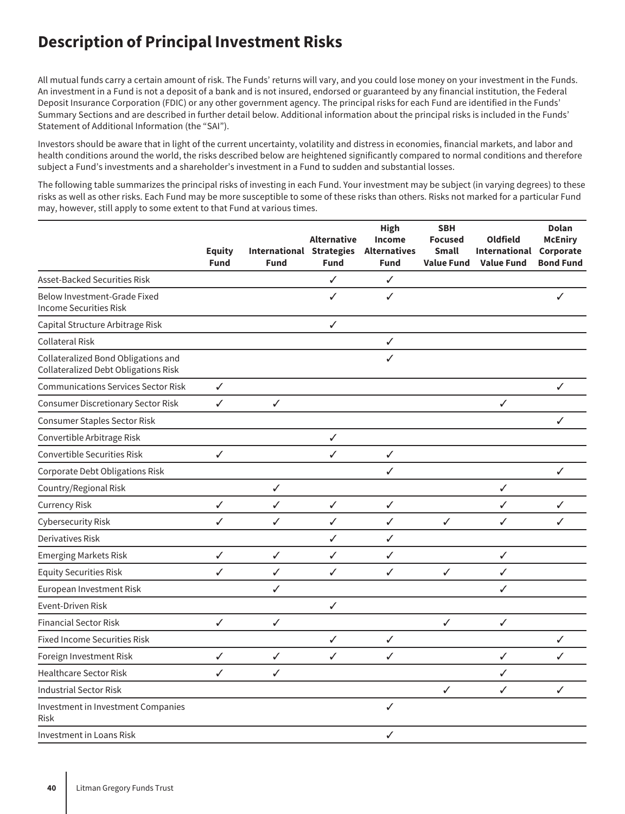## **Description of Principal Investment Risks**

All mutual funds carry a certain amount of risk. The Funds' returns will vary, and you could lose money on your investment in the Funds. An investment in a Fund is not a deposit of a bank and is not insured, endorsed or guaranteed by any financial institution, the Federal Deposit Insurance Corporation (FDIC) or any other government agency. The principal risks for each Fund are identified in the Funds' Summary Sections and are described in further detail below. Additional information about the principal risks is included in the Funds' Statement of Additional Information (the "SAI").

Investors should be aware that in light of the current uncertainty, volatility and distress in economies, financial markets, and labor and health conditions around the world, the risks described below are heightened significantly compared to normal conditions and therefore subject a Fund's investments and a shareholder's investment in a Fund to sudden and substantial losses.

The following table summarizes the principal risks of investing in each Fund. Your investment may be subject (in varying degrees) to these risks as well as other risks. Each Fund may be more susceptible to some of these risks than others. Risks not marked for a particular Fund may, however, still apply to some extent to that Fund at various times.

|                                                                                    | <b>Equity</b><br><b>Fund</b> | <b>International Strategies</b><br><b>Fund</b> | <b>Alternative</b><br><b>Fund</b> | <b>High</b><br>Income<br><b>Alternatives</b><br><b>Fund</b> | <b>SBH</b><br><b>Focused</b><br>Small<br><b>Value Fund</b> | <b>Oldfield</b><br>International<br><b>Value Fund</b> | <b>Dolan</b><br><b>McEniry</b><br>Corporate<br><b>Bond Fund</b> |
|------------------------------------------------------------------------------------|------------------------------|------------------------------------------------|-----------------------------------|-------------------------------------------------------------|------------------------------------------------------------|-------------------------------------------------------|-----------------------------------------------------------------|
| Asset-Backed Securities Risk                                                       |                              |                                                | $\checkmark$                      | $\checkmark$                                                |                                                            |                                                       |                                                                 |
| Below Investment-Grade Fixed<br><b>Income Securities Risk</b>                      |                              |                                                | ✓                                 | ✓                                                           |                                                            |                                                       | ✓                                                               |
| Capital Structure Arbitrage Risk                                                   |                              |                                                | ✓                                 |                                                             |                                                            |                                                       |                                                                 |
| <b>Collateral Risk</b>                                                             |                              |                                                |                                   | ✓                                                           |                                                            |                                                       |                                                                 |
| Collateralized Bond Obligations and<br><b>Collateralized Debt Obligations Risk</b> |                              |                                                |                                   | ✓                                                           |                                                            |                                                       |                                                                 |
| <b>Communications Services Sector Risk</b>                                         | $\checkmark$                 |                                                |                                   |                                                             |                                                            |                                                       | ✓                                                               |
| <b>Consumer Discretionary Sector Risk</b>                                          | ✓                            | ✓                                              |                                   |                                                             |                                                            | ✓                                                     |                                                                 |
| Consumer Staples Sector Risk                                                       |                              |                                                |                                   |                                                             |                                                            |                                                       | ✓                                                               |
| Convertible Arbitrage Risk                                                         |                              |                                                | $\checkmark$                      |                                                             |                                                            |                                                       |                                                                 |
| Convertible Securities Risk                                                        | ✓                            |                                                | ✓                                 | ✓                                                           |                                                            |                                                       |                                                                 |
| Corporate Debt Obligations Risk                                                    |                              |                                                |                                   | ✓                                                           |                                                            |                                                       | ✓                                                               |
| Country/Regional Risk                                                              |                              | $\checkmark$                                   |                                   |                                                             |                                                            | ✓                                                     |                                                                 |
| <b>Currency Risk</b>                                                               | $\checkmark$                 | $\checkmark$                                   | $\checkmark$                      | $\checkmark$                                                |                                                            | ✓                                                     | ✓                                                               |
| Cybersecurity Risk                                                                 | ✓                            | ✓                                              | ✓                                 | ✓                                                           | ✓                                                          | ✓                                                     | ✓                                                               |
| Derivatives Risk                                                                   |                              |                                                | ✓                                 | ✓                                                           |                                                            |                                                       |                                                                 |
| <b>Emerging Markets Risk</b>                                                       | $\checkmark$                 | $\checkmark$                                   | ✓                                 | ✓                                                           |                                                            | $\checkmark$                                          |                                                                 |
| <b>Equity Securities Risk</b>                                                      | ✓                            | $\checkmark$                                   | ✓                                 | ✓                                                           | ✓                                                          | $\checkmark$                                          |                                                                 |
| European Investment Risk                                                           |                              | $\checkmark$                                   |                                   |                                                             |                                                            | ✓                                                     |                                                                 |
| <b>Event-Driven Risk</b>                                                           |                              |                                                | ✓                                 |                                                             |                                                            |                                                       |                                                                 |
| <b>Financial Sector Risk</b>                                                       | ✓                            | ✓                                              |                                   |                                                             | $\checkmark$                                               | $\checkmark$                                          |                                                                 |
| <b>Fixed Income Securities Risk</b>                                                |                              |                                                | ✓                                 | $\checkmark$                                                |                                                            |                                                       | ✓                                                               |
| Foreign Investment Risk                                                            | ✓                            | $\checkmark$                                   | ✓                                 | ✓                                                           |                                                            | ✓                                                     | ✓                                                               |
| <b>Healthcare Sector Risk</b>                                                      | ✓                            | ✓                                              |                                   |                                                             |                                                            | ✓                                                     |                                                                 |
| <b>Industrial Sector Risk</b>                                                      |                              |                                                |                                   |                                                             | ✓                                                          | ✓                                                     | ✓                                                               |
| Investment in Investment Companies<br>Risk                                         |                              |                                                |                                   | ✓                                                           |                                                            |                                                       |                                                                 |
| <b>Investment in Loans Risk</b>                                                    |                              |                                                |                                   | ✓                                                           |                                                            |                                                       |                                                                 |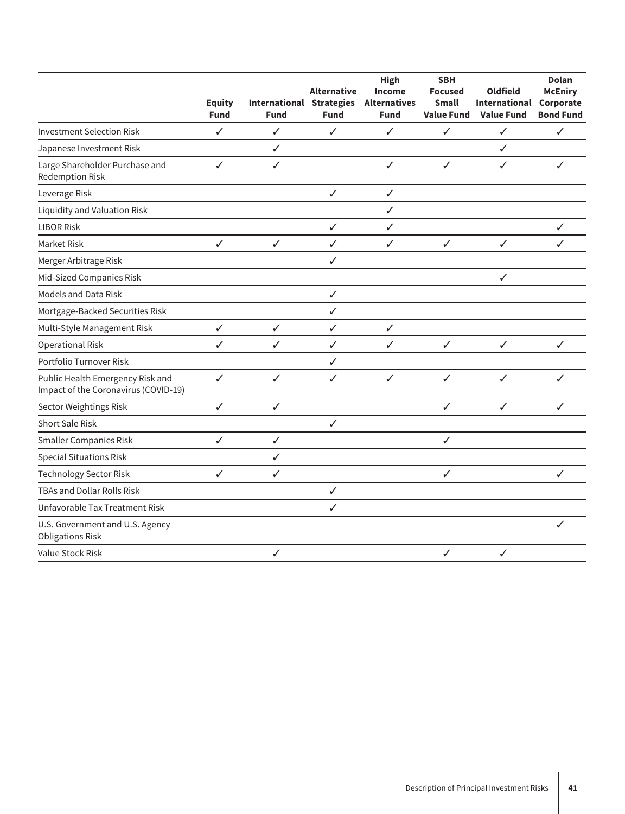|                                                                          | <b>Equity</b><br><b>Fund</b> | <b>International Strategies</b><br><b>Fund</b> | <b>Alternative</b><br><b>Fund</b> | High<br>Income<br><b>Alternatives</b><br><b>Fund</b> | <b>SBH</b><br><b>Focused</b><br><b>Small</b><br><b>Value Fund</b> | <b>Oldfield</b><br><b>International</b><br><b>Value Fund</b> | <b>Dolan</b><br><b>McEniry</b><br>Corporate<br><b>Bond Fund</b> |
|--------------------------------------------------------------------------|------------------------------|------------------------------------------------|-----------------------------------|------------------------------------------------------|-------------------------------------------------------------------|--------------------------------------------------------------|-----------------------------------------------------------------|
| <b>Investment Selection Risk</b>                                         | ✓                            | ✓                                              | ✓                                 | ✓                                                    | ✓                                                                 | ✓                                                            | ✓                                                               |
| Japanese Investment Risk                                                 |                              | ✓                                              |                                   |                                                      |                                                                   | ✓                                                            |                                                                 |
| Large Shareholder Purchase and<br><b>Redemption Risk</b>                 | ✓                            | $\checkmark$                                   |                                   | ✓                                                    | ✓                                                                 | ✓                                                            | ✓                                                               |
| Leverage Risk                                                            |                              |                                                | $\checkmark$                      | ✓                                                    |                                                                   |                                                              |                                                                 |
| <b>Liquidity and Valuation Risk</b>                                      |                              |                                                |                                   | ✓                                                    |                                                                   |                                                              |                                                                 |
| <b>LIBOR Risk</b>                                                        |                              |                                                | $\checkmark$                      | ✓                                                    |                                                                   |                                                              | $\checkmark$                                                    |
| Market Risk                                                              | $\checkmark$                 | $\checkmark$                                   | $\checkmark$                      | ✓                                                    | ✓                                                                 | $\checkmark$                                                 | ✓                                                               |
| Merger Arbitrage Risk                                                    |                              |                                                | ✓                                 |                                                      |                                                                   |                                                              |                                                                 |
| Mid-Sized Companies Risk                                                 |                              |                                                |                                   |                                                      |                                                                   | ✓                                                            |                                                                 |
| <b>Models and Data Risk</b>                                              |                              |                                                | $\checkmark$                      |                                                      |                                                                   |                                                              |                                                                 |
| Mortgage-Backed Securities Risk                                          |                              |                                                | $\checkmark$                      |                                                      |                                                                   |                                                              |                                                                 |
| Multi-Style Management Risk                                              | $\checkmark$                 | $\checkmark$                                   | $\checkmark$                      | ✓                                                    |                                                                   |                                                              |                                                                 |
| <b>Operational Risk</b>                                                  | $\checkmark$                 | $\checkmark$                                   | $\checkmark$                      | ✓                                                    | $\checkmark$                                                      | $\checkmark$                                                 | $\checkmark$                                                    |
| Portfolio Turnover Risk                                                  |                              |                                                | $\checkmark$                      |                                                      |                                                                   |                                                              |                                                                 |
| Public Health Emergency Risk and<br>Impact of the Coronavirus (COVID-19) | $\checkmark$                 | $\checkmark$                                   | $\checkmark$                      | ✓                                                    | ✓                                                                 | $\checkmark$                                                 | ✓                                                               |
| Sector Weightings Risk                                                   | ✓                            | ✓                                              |                                   |                                                      | ✓                                                                 | ✓                                                            | ✓                                                               |
| <b>Short Sale Risk</b>                                                   |                              |                                                | $\checkmark$                      |                                                      |                                                                   |                                                              |                                                                 |
| <b>Smaller Companies Risk</b>                                            | ✓                            | $\checkmark$                                   |                                   |                                                      | ✓                                                                 |                                                              |                                                                 |
| <b>Special Situations Risk</b>                                           |                              | ✓                                              |                                   |                                                      |                                                                   |                                                              |                                                                 |
| <b>Technology Sector Risk</b>                                            | ✓                            | ✓                                              |                                   |                                                      | ✓                                                                 |                                                              | ✓                                                               |
| <b>TBAs and Dollar Rolls Risk</b>                                        |                              |                                                | $\checkmark$                      |                                                      |                                                                   |                                                              |                                                                 |
| Unfavorable Tax Treatment Risk                                           |                              |                                                | ✓                                 |                                                      |                                                                   |                                                              |                                                                 |
| U.S. Government and U.S. Agency<br><b>Obligations Risk</b>               |                              |                                                |                                   |                                                      |                                                                   |                                                              | ✓                                                               |
| Value Stock Risk                                                         |                              | ✓                                              |                                   |                                                      | $\checkmark$                                                      | $\checkmark$                                                 |                                                                 |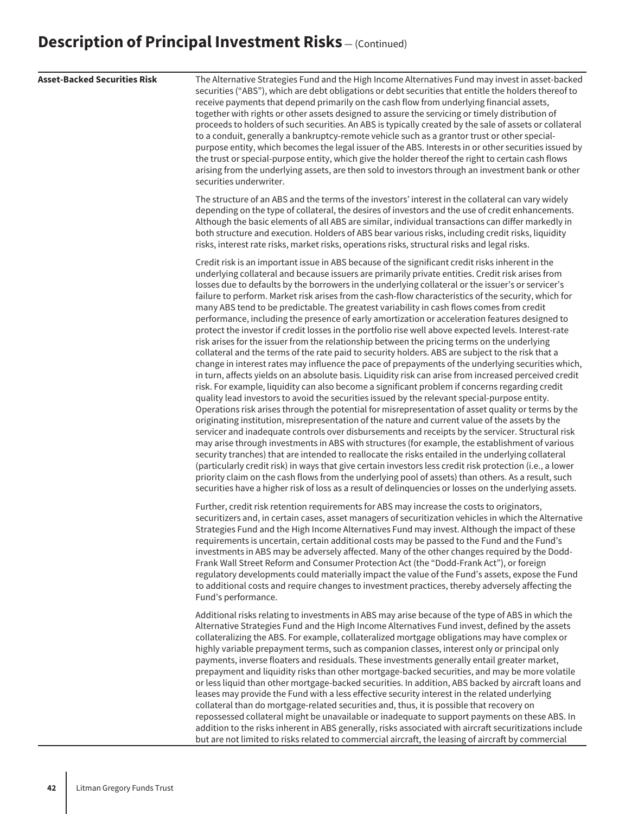| <b>Asset-Backed Securities Risk</b> | The Alternative Strategies Fund and the High Income Alternatives Fund may invest in asset-backed<br>securities ("ABS"), which are debt obligations or debt securities that entitle the holders thereof to<br>receive payments that depend primarily on the cash flow from underlying financial assets,<br>together with rights or other assets designed to assure the servicing or timely distribution of<br>proceeds to holders of such securities. An ABS is typically created by the sale of assets or collateral<br>to a conduit, generally a bankruptcy-remote vehicle such as a grantor trust or other special-<br>purpose entity, which becomes the legal issuer of the ABS. Interests in or other securities issued by<br>the trust or special-purpose entity, which give the holder thereof the right to certain cash flows<br>arising from the underlying assets, are then sold to investors through an investment bank or other<br>securities underwriter.                                                                                                                                                                                                                                                                                                                                                                                                                                                                                                                                                                                                                                                                                                                                                                                                                                                                                                                                                                                                                                                                                                                                                                                                                                                                                                                                    |
|-------------------------------------|----------------------------------------------------------------------------------------------------------------------------------------------------------------------------------------------------------------------------------------------------------------------------------------------------------------------------------------------------------------------------------------------------------------------------------------------------------------------------------------------------------------------------------------------------------------------------------------------------------------------------------------------------------------------------------------------------------------------------------------------------------------------------------------------------------------------------------------------------------------------------------------------------------------------------------------------------------------------------------------------------------------------------------------------------------------------------------------------------------------------------------------------------------------------------------------------------------------------------------------------------------------------------------------------------------------------------------------------------------------------------------------------------------------------------------------------------------------------------------------------------------------------------------------------------------------------------------------------------------------------------------------------------------------------------------------------------------------------------------------------------------------------------------------------------------------------------------------------------------------------------------------------------------------------------------------------------------------------------------------------------------------------------------------------------------------------------------------------------------------------------------------------------------------------------------------------------------------------------------------------------------------------------------------------------------|
|                                     | The structure of an ABS and the terms of the investors' interest in the collateral can vary widely<br>depending on the type of collateral, the desires of investors and the use of credit enhancements.<br>Although the basic elements of all ABS are similar, individual transactions can differ markedly in<br>both structure and execution. Holders of ABS bear various risks, including credit risks, liquidity<br>risks, interest rate risks, market risks, operations risks, structural risks and legal risks.                                                                                                                                                                                                                                                                                                                                                                                                                                                                                                                                                                                                                                                                                                                                                                                                                                                                                                                                                                                                                                                                                                                                                                                                                                                                                                                                                                                                                                                                                                                                                                                                                                                                                                                                                                                     |
|                                     | Credit risk is an important issue in ABS because of the significant credit risks inherent in the<br>underlying collateral and because issuers are primarily private entities. Credit risk arises from<br>losses due to defaults by the borrowers in the underlying collateral or the issuer's or servicer's<br>failure to perform. Market risk arises from the cash-flow characteristics of the security, which for<br>many ABS tend to be predictable. The greatest variability in cash flows comes from credit<br>performance, including the presence of early amortization or acceleration features designed to<br>protect the investor if credit losses in the portfolio rise well above expected levels. Interest-rate<br>risk arises for the issuer from the relationship between the pricing terms on the underlying<br>collateral and the terms of the rate paid to security holders. ABS are subject to the risk that a<br>change in interest rates may influence the pace of prepayments of the underlying securities which,<br>in turn, affects yields on an absolute basis. Liquidity risk can arise from increased perceived credit<br>risk. For example, liquidity can also become a significant problem if concerns regarding credit<br>quality lead investors to avoid the securities issued by the relevant special-purpose entity.<br>Operations risk arises through the potential for misrepresentation of asset quality or terms by the<br>originating institution, misrepresentation of the nature and current value of the assets by the<br>servicer and inadequate controls over disbursements and receipts by the servicer. Structural risk<br>may arise through investments in ABS with structures (for example, the establishment of various<br>security tranches) that are intended to reallocate the risks entailed in the underlying collateral<br>(particularly credit risk) in ways that give certain investors less credit risk protection (i.e., a lower<br>priority claim on the cash flows from the underlying pool of assets) than others. As a result, such<br>securities have a higher risk of loss as a result of delinquencies or losses on the underlying assets.<br>Further, credit risk retention requirements for ABS may increase the costs to originators, |
|                                     | securitizers and, in certain cases, asset managers of securitization vehicles in which the Alternative<br>Strategies Fund and the High Income Alternatives Fund may invest. Although the impact of these<br>requirements is uncertain, certain additional costs may be passed to the Fund and the Fund's<br>investments in ABS may be adversely affected. Many of the other changes required by the Dodd-<br>Frank Wall Street Reform and Consumer Protection Act (the "Dodd-Frank Act"), or foreign<br>regulatory developments could materially impact the value of the Fund's assets, expose the Fund<br>to additional costs and require changes to investment practices, thereby adversely affecting the<br>Fund's performance.                                                                                                                                                                                                                                                                                                                                                                                                                                                                                                                                                                                                                                                                                                                                                                                                                                                                                                                                                                                                                                                                                                                                                                                                                                                                                                                                                                                                                                                                                                                                                                       |
|                                     | Additional risks relating to investments in ABS may arise because of the type of ABS in which the<br>Alternative Strategies Fund and the High Income Alternatives Fund invest, defined by the assets<br>collateralizing the ABS. For example, collateralized mortgage obligations may have complex or<br>highly variable prepayment terms, such as companion classes, interest only or principal only<br>payments, inverse floaters and residuals. These investments generally entail greater market,<br>prepayment and liquidity risks than other mortgage-backed securities, and may be more volatile<br>or less liquid than other mortgage-backed securities. In addition, ABS backed by aircraft loans and<br>leases may provide the Fund with a less effective security interest in the related underlying<br>collateral than do mortgage-related securities and, thus, it is possible that recovery on<br>repossessed collateral might be unavailable or inadequate to support payments on these ABS. In<br>addition to the risks inherent in ABS generally, risks associated with aircraft securitizations include<br>but are not limited to risks related to commercial aircraft, the leasing of aircraft by commercial                                                                                                                                                                                                                                                                                                                                                                                                                                                                                                                                                                                                                                                                                                                                                                                                                                                                                                                                                                                                                                                                          |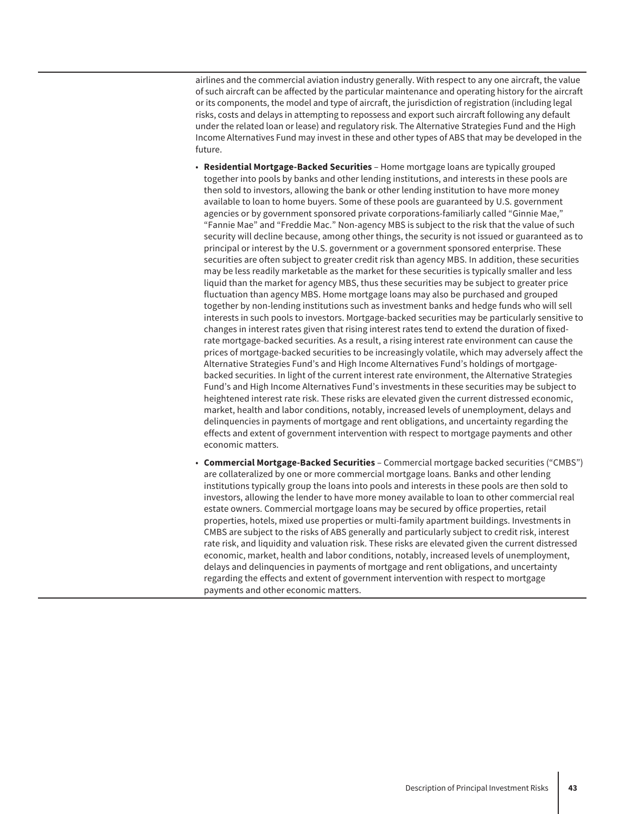airlines and the commercial aviation industry generally. With respect to any one aircraft, the value of such aircraft can be affected by the particular maintenance and operating history for the aircraft or its components, the model and type of aircraft, the jurisdiction of registration (including legal risks, costs and delays in attempting to repossess and export such aircraft following any default under the related loan or lease) and regulatory risk. The Alternative Strategies Fund and the High Income Alternatives Fund may invest in these and other types of ABS that may be developed in the future.

- **Residential Mortgage-Backed Securities** Home mortgage loans are typically grouped together into pools by banks and other lending institutions, and interests in these pools are then sold to investors, allowing the bank or other lending institution to have more money available to loan to home buyers. Some of these pools are guaranteed by U.S. government agencies or by government sponsored private corporations-familiarly called "Ginnie Mae," "Fannie Mae" and "Freddie Mac." Non-agency MBS is subject to the risk that the value of such security will decline because, among other things, the security is not issued or guaranteed as to principal or interest by the U.S. government or a government sponsored enterprise. These securities are often subject to greater credit risk than agency MBS. In addition, these securities may be less readily marketable as the market for these securities is typically smaller and less liquid than the market for agency MBS, thus these securities may be subject to greater price fluctuation than agency MBS. Home mortgage loans may also be purchased and grouped together by non-lending institutions such as investment banks and hedge funds who will sell interests in such pools to investors. Mortgage-backed securities may be particularly sensitive to changes in interest rates given that rising interest rates tend to extend the duration of fixedrate mortgage-backed securities. As a result, a rising interest rate environment can cause the prices of mortgage-backed securities to be increasingly volatile, which may adversely affect the Alternative Strategies Fund's and High Income Alternatives Fund's holdings of mortgagebacked securities. In light of the current interest rate environment, the Alternative Strategies Fund's and High Income Alternatives Fund's investments in these securities may be subject to heightened interest rate risk. These risks are elevated given the current distressed economic, market, health and labor conditions, notably, increased levels of unemployment, delays and delinquencies in payments of mortgage and rent obligations, and uncertainty regarding the effects and extent of government intervention with respect to mortgage payments and other economic matters.
- **Commercial Mortgage-Backed Securities** Commercial mortgage backed securities ("CMBS") are collateralized by one or more commercial mortgage loans. Banks and other lending institutions typically group the loans into pools and interests in these pools are then sold to investors, allowing the lender to have more money available to loan to other commercial real estate owners. Commercial mortgage loans may be secured by office properties, retail properties, hotels, mixed use properties or multi-family apartment buildings. Investments in CMBS are subject to the risks of ABS generally and particularly subject to credit risk, interest rate risk, and liquidity and valuation risk. These risks are elevated given the current distressed economic, market, health and labor conditions, notably, increased levels of unemployment, delays and delinquencies in payments of mortgage and rent obligations, and uncertainty regarding the effects and extent of government intervention with respect to mortgage payments and other economic matters.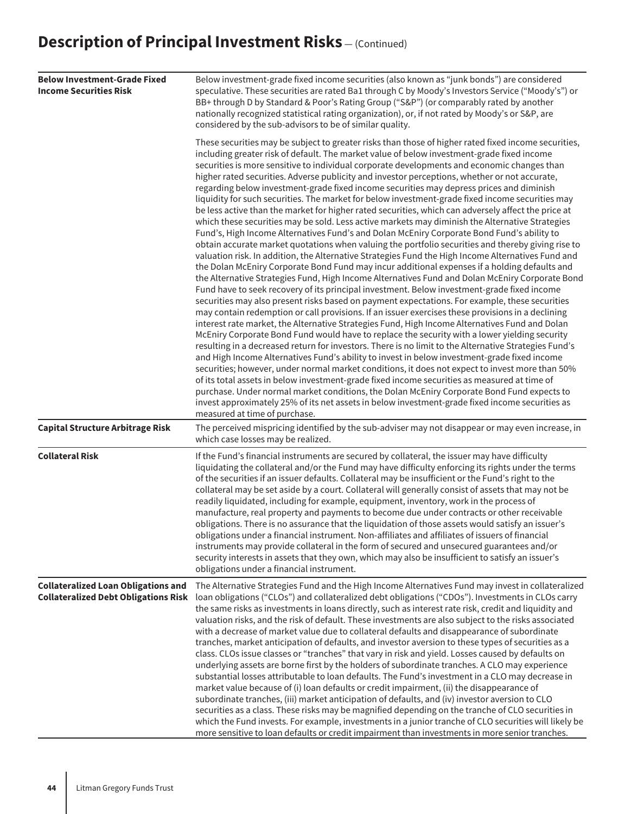| <b>Below Investment-Grade Fixed</b><br><b>Income Securities Risk</b>                      | Below investment-grade fixed income securities (also known as "junk bonds") are considered<br>speculative. These securities are rated Ba1 through C by Moody's Investors Service ("Moody's") or<br>BB+ through D by Standard & Poor's Rating Group ("S&P") (or comparably rated by another<br>nationally recognized statistical rating organization), or, if not rated by Moody's or S&P, are<br>considered by the sub-advisors to be of similar quality.                                                                                                                                                                                                                                                                                                                                                                                                                                                                                                                                                                                                                                                                                                                                                                                                                                                                                                                                                                                                                                                                                                                                                                                                                                                                                                                                                                                                                                                                                                                                                                                                                                                                                                                                                                                                                                                                                                                                                                                                                         |
|-------------------------------------------------------------------------------------------|-----------------------------------------------------------------------------------------------------------------------------------------------------------------------------------------------------------------------------------------------------------------------------------------------------------------------------------------------------------------------------------------------------------------------------------------------------------------------------------------------------------------------------------------------------------------------------------------------------------------------------------------------------------------------------------------------------------------------------------------------------------------------------------------------------------------------------------------------------------------------------------------------------------------------------------------------------------------------------------------------------------------------------------------------------------------------------------------------------------------------------------------------------------------------------------------------------------------------------------------------------------------------------------------------------------------------------------------------------------------------------------------------------------------------------------------------------------------------------------------------------------------------------------------------------------------------------------------------------------------------------------------------------------------------------------------------------------------------------------------------------------------------------------------------------------------------------------------------------------------------------------------------------------------------------------------------------------------------------------------------------------------------------------------------------------------------------------------------------------------------------------------------------------------------------------------------------------------------------------------------------------------------------------------------------------------------------------------------------------------------------------------------------------------------------------------------------------------------------------|
|                                                                                           | These securities may be subject to greater risks than those of higher rated fixed income securities,<br>including greater risk of default. The market value of below investment-grade fixed income<br>securities is more sensitive to individual corporate developments and economic changes than<br>higher rated securities. Adverse publicity and investor perceptions, whether or not accurate,<br>regarding below investment-grade fixed income securities may depress prices and diminish<br>liquidity for such securities. The market for below investment-grade fixed income securities may<br>be less active than the market for higher rated securities, which can adversely affect the price at<br>which these securities may be sold. Less active markets may diminish the Alternative Strategies<br>Fund's, High Income Alternatives Fund's and Dolan McEniry Corporate Bond Fund's ability to<br>obtain accurate market quotations when valuing the portfolio securities and thereby giving rise to<br>valuation risk. In addition, the Alternative Strategies Fund the High Income Alternatives Fund and<br>the Dolan McEniry Corporate Bond Fund may incur additional expenses if a holding defaults and<br>the Alternative Strategies Fund, High Income Alternatives Fund and Dolan McEniry Corporate Bond<br>Fund have to seek recovery of its principal investment. Below investment-grade fixed income<br>securities may also present risks based on payment expectations. For example, these securities<br>may contain redemption or call provisions. If an issuer exercises these provisions in a declining<br>interest rate market, the Alternative Strategies Fund, High Income Alternatives Fund and Dolan<br>McEniry Corporate Bond Fund would have to replace the security with a lower yielding security<br>resulting in a decreased return for investors. There is no limit to the Alternative Strategies Fund's<br>and High Income Alternatives Fund's ability to invest in below investment-grade fixed income<br>securities; however, under normal market conditions, it does not expect to invest more than 50%<br>of its total assets in below investment-grade fixed income securities as measured at time of<br>purchase. Under normal market conditions, the Dolan McEniry Corporate Bond Fund expects to<br>invest approximately 25% of its net assets in below investment-grade fixed income securities as<br>measured at time of purchase. |
| <b>Capital Structure Arbitrage Risk</b>                                                   | The perceived mispricing identified by the sub-adviser may not disappear or may even increase, in<br>which case losses may be realized.                                                                                                                                                                                                                                                                                                                                                                                                                                                                                                                                                                                                                                                                                                                                                                                                                                                                                                                                                                                                                                                                                                                                                                                                                                                                                                                                                                                                                                                                                                                                                                                                                                                                                                                                                                                                                                                                                                                                                                                                                                                                                                                                                                                                                                                                                                                                           |
| <b>Collateral Risk</b>                                                                    | If the Fund's financial instruments are secured by collateral, the issuer may have difficulty<br>liquidating the collateral and/or the Fund may have difficulty enforcing its rights under the terms<br>of the securities if an issuer defaults. Collateral may be insufficient or the Fund's right to the<br>collateral may be set aside by a court. Collateral will generally consist of assets that may not be<br>readily liquidated, including for example, equipment, inventory, work in the process of<br>manufacture, real property and payments to become due under contracts or other receivable<br>obligations. There is no assurance that the liquidation of those assets would satisfy an issuer's<br>obligations under a financial instrument. Non-affiliates and affiliates of issuers of financial<br>instruments may provide collateral in the form of secured and unsecured guarantees and/or<br>security interests in assets that they own, which may also be insufficient to satisfy an issuer's<br>obligations under a financial instrument.                                                                                                                                                                                                                                                                                                                                                                                                                                                                                                                                                                                                                                                                                                                                                                                                                                                                                                                                                                                                                                                                                                                                                                                                                                                                                                                                                                                                                  |
| <b>Collateralized Loan Obligations and</b><br><b>Collateralized Debt Obligations Risk</b> | The Alternative Strategies Fund and the High Income Alternatives Fund may invest in collateralized<br>loan obligations ("CLOs") and collateralized debt obligations ("CDOs"). Investments in CLOs carry<br>the same risks as investments in loans directly, such as interest rate risk, credit and liquidity and<br>valuation risks, and the risk of default. These investments are also subject to the risks associated<br>with a decrease of market value due to collateral defaults and disappearance of subordinate<br>tranches, market anticipation of defaults, and investor aversion to these types of securities as a<br>class. CLOs issue classes or "tranches" that vary in risk and yield. Losses caused by defaults on<br>underlying assets are borne first by the holders of subordinate tranches. A CLO may experience<br>substantial losses attributable to loan defaults. The Fund's investment in a CLO may decrease in<br>market value because of (i) loan defaults or credit impairment, (ii) the disappearance of<br>subordinate tranches, (iii) market anticipation of defaults, and (iv) investor aversion to CLO<br>securities as a class. These risks may be magnified depending on the tranche of CLO securities in<br>which the Fund invests. For example, investments in a junior tranche of CLO securities will likely be<br>more sensitive to loan defaults or credit impairment than investments in more senior tranches.                                                                                                                                                                                                                                                                                                                                                                                                                                                                                                                                                                                                                                                                                                                                                                                                                                                                                                                                                                                                                           |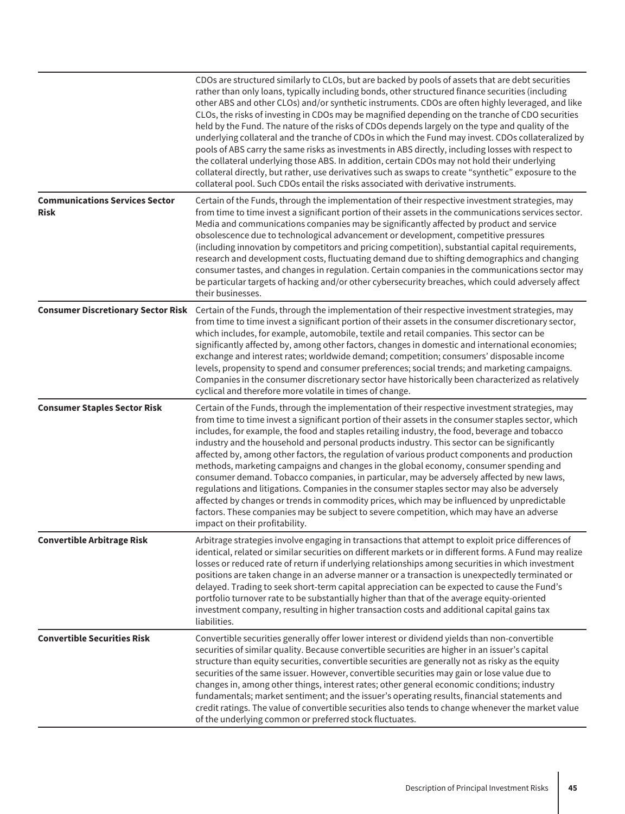|                                                      | CDOs are structured similarly to CLOs, but are backed by pools of assets that are debt securities<br>rather than only loans, typically including bonds, other structured finance securities (including<br>other ABS and other CLOs) and/or synthetic instruments. CDOs are often highly leveraged, and like<br>CLOs, the risks of investing in CDOs may be magnified depending on the tranche of CDO securities<br>held by the Fund. The nature of the risks of CDOs depends largely on the type and quality of the<br>underlying collateral and the tranche of CDOs in which the Fund may invest. CDOs collateralized by<br>pools of ABS carry the same risks as investments in ABS directly, including losses with respect to<br>the collateral underlying those ABS. In addition, certain CDOs may not hold their underlying<br>collateral directly, but rather, use derivatives such as swaps to create "synthetic" exposure to the<br>collateral pool. Such CDOs entail the risks associated with derivative instruments. |
|------------------------------------------------------|--------------------------------------------------------------------------------------------------------------------------------------------------------------------------------------------------------------------------------------------------------------------------------------------------------------------------------------------------------------------------------------------------------------------------------------------------------------------------------------------------------------------------------------------------------------------------------------------------------------------------------------------------------------------------------------------------------------------------------------------------------------------------------------------------------------------------------------------------------------------------------------------------------------------------------------------------------------------------------------------------------------------------------|
| <b>Communications Services Sector</b><br><b>Risk</b> | Certain of the Funds, through the implementation of their respective investment strategies, may<br>from time to time invest a significant portion of their assets in the communications services sector.<br>Media and communications companies may be significantly affected by product and service<br>obsolescence due to technological advancement or development, competitive pressures<br>(including innovation by competitors and pricing competition), substantial capital requirements,<br>research and development costs, fluctuating demand due to shifting demographics and changing<br>consumer tastes, and changes in regulation. Certain companies in the communications sector may<br>be particular targets of hacking and/or other cybersecurity breaches, which could adversely affect<br>their businesses.                                                                                                                                                                                                    |
|                                                      | Consumer Discretionary Sector Risk Certain of the Funds, through the implementation of their respective investment strategies, may<br>from time to time invest a significant portion of their assets in the consumer discretionary sector,<br>which includes, for example, automobile, textile and retail companies. This sector can be<br>significantly affected by, among other factors, changes in domestic and international economies;<br>exchange and interest rates; worldwide demand; competition; consumers' disposable income<br>levels, propensity to spend and consumer preferences; social trends; and marketing campaigns.<br>Companies in the consumer discretionary sector have historically been characterized as relatively<br>cyclical and therefore more volatile in times of change.                                                                                                                                                                                                                      |
| <b>Consumer Staples Sector Risk</b>                  | Certain of the Funds, through the implementation of their respective investment strategies, may<br>from time to time invest a significant portion of their assets in the consumer staples sector, which<br>includes, for example, the food and staples retailing industry, the food, beverage and tobacco<br>industry and the household and personal products industry. This sector can be significantly<br>affected by, among other factors, the regulation of various product components and production<br>methods, marketing campaigns and changes in the global economy, consumer spending and<br>consumer demand. Tobacco companies, in particular, may be adversely affected by new laws,<br>regulations and litigations. Companies in the consumer staples sector may also be adversely<br>affected by changes or trends in commodity prices, which may be influenced by unpredictable<br>factors. These companies may be subject to severe competition, which may have an adverse<br>impact on their profitability.    |
| <b>Convertible Arbitrage Risk</b>                    | Arbitrage strategies involve engaging in transactions that attempt to exploit price differences of<br>identical, related or similar securities on different markets or in different forms. A Fund may realize<br>losses or reduced rate of return if underlying relationships among securities in which investment<br>positions are taken change in an adverse manner or a transaction is unexpectedly terminated or<br>delayed. Trading to seek short-term capital appreciation can be expected to cause the Fund's<br>portfolio turnover rate to be substantially higher than that of the average equity-oriented<br>investment company, resulting in higher transaction costs and additional capital gains tax<br>liabilities.                                                                                                                                                                                                                                                                                              |
| <b>Convertible Securities Risk</b>                   | Convertible securities generally offer lower interest or dividend yields than non-convertible<br>securities of similar quality. Because convertible securities are higher in an issuer's capital<br>structure than equity securities, convertible securities are generally not as risky as the equity<br>securities of the same issuer. However, convertible securities may gain or lose value due to<br>changes in, among other things, interest rates; other general economic conditions; industry<br>fundamentals; market sentiment; and the issuer's operating results, financial statements and<br>credit ratings. The value of convertible securities also tends to change whenever the market value<br>of the underlying common or preferred stock fluctuates.                                                                                                                                                                                                                                                          |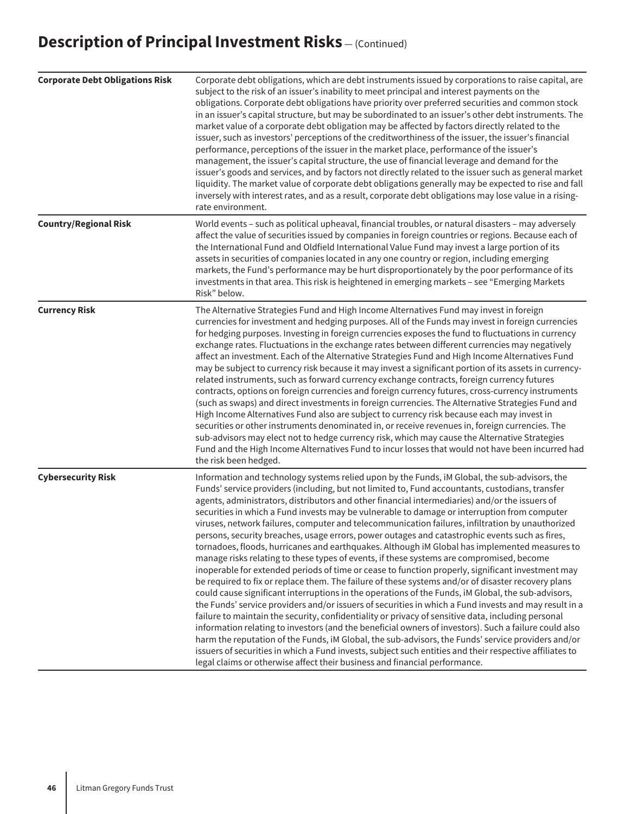| <b>Corporate Debt Obligations Risk</b> | Corporate debt obligations, which are debt instruments issued by corporations to raise capital, are<br>subject to the risk of an issuer's inability to meet principal and interest payments on the<br>obligations. Corporate debt obligations have priority over preferred securities and common stock<br>in an issuer's capital structure, but may be subordinated to an issuer's other debt instruments. The<br>market value of a corporate debt obligation may be affected by factors directly related to the<br>issuer, such as investors' perceptions of the creditworthiness of the issuer, the issuer's financial<br>performance, perceptions of the issuer in the market place, performance of the issuer's<br>management, the issuer's capital structure, the use of financial leverage and demand for the<br>issuer's goods and services, and by factors not directly related to the issuer such as general market<br>liquidity. The market value of corporate debt obligations generally may be expected to rise and fall<br>inversely with interest rates, and as a result, corporate debt obligations may lose value in a rising-<br>rate environment.                                                                                                                                                                                                                                                                                                                                                                                                                                                                                                                                                                           |
|----------------------------------------|-----------------------------------------------------------------------------------------------------------------------------------------------------------------------------------------------------------------------------------------------------------------------------------------------------------------------------------------------------------------------------------------------------------------------------------------------------------------------------------------------------------------------------------------------------------------------------------------------------------------------------------------------------------------------------------------------------------------------------------------------------------------------------------------------------------------------------------------------------------------------------------------------------------------------------------------------------------------------------------------------------------------------------------------------------------------------------------------------------------------------------------------------------------------------------------------------------------------------------------------------------------------------------------------------------------------------------------------------------------------------------------------------------------------------------------------------------------------------------------------------------------------------------------------------------------------------------------------------------------------------------------------------------------------------------------------------------------------------------------------------|
| <b>Country/Regional Risk</b>           | World events - such as political upheaval, financial troubles, or natural disasters - may adversely<br>affect the value of securities issued by companies in foreign countries or regions. Because each of<br>the International Fund and Oldfield International Value Fund may invest a large portion of its<br>assets in securities of companies located in any one country or region, including emerging<br>markets, the Fund's performance may be hurt disproportionately by the poor performance of its<br>investments in that area. This risk is heightened in emerging markets - see "Emerging Markets<br>Risk" below.                                                                                                                                                                                                                                                                                                                                                                                                                                                                                                                                                                                                                                                                                                                                                                                                                                                                                                                                                                                                                                                                                                                  |
| <b>Currency Risk</b>                   | The Alternative Strategies Fund and High Income Alternatives Fund may invest in foreign<br>currencies for investment and hedging purposes. All of the Funds may invest in foreign currencies<br>for hedging purposes. Investing in foreign currencies exposes the fund to fluctuations in currency<br>exchange rates. Fluctuations in the exchange rates between different currencies may negatively<br>affect an investment. Each of the Alternative Strategies Fund and High Income Alternatives Fund<br>may be subject to currency risk because it may invest a significant portion of its assets in currency-<br>related instruments, such as forward currency exchange contracts, foreign currency futures<br>contracts, options on foreign currencies and foreign currency futures, cross-currency instruments<br>(such as swaps) and direct investments in foreign currencies. The Alternative Strategies Fund and<br>High Income Alternatives Fund also are subject to currency risk because each may invest in<br>securities or other instruments denominated in, or receive revenues in, foreign currencies. The<br>sub-advisors may elect not to hedge currency risk, which may cause the Alternative Strategies<br>Fund and the High Income Alternatives Fund to incur losses that would not have been incurred had<br>the risk been hedged.                                                                                                                                                                                                                                                                                                                                                                                      |
| <b>Cybersecurity Risk</b>              | Information and technology systems relied upon by the Funds, iM Global, the sub-advisors, the<br>Funds' service providers (including, but not limited to, Fund accountants, custodians, transfer<br>agents, administrators, distributors and other financial intermediaries) and/or the issuers of<br>securities in which a Fund invests may be vulnerable to damage or interruption from computer<br>viruses, network failures, computer and telecommunication failures, infiltration by unauthorized<br>persons, security breaches, usage errors, power outages and catastrophic events such as fires,<br>tornadoes, floods, hurricanes and earthquakes. Although iM Global has implemented measures to<br>manage risks relating to these types of events, if these systems are compromised, become<br>inoperable for extended periods of time or cease to function properly, significant investment may<br>be required to fix or replace them. The failure of these systems and/or of disaster recovery plans<br>could cause significant interruptions in the operations of the Funds, iM Global, the sub-advisors,<br>the Funds' service providers and/or issuers of securities in which a Fund invests and may result in a<br>failure to maintain the security, confidentiality or privacy of sensitive data, including personal<br>information relating to investors (and the beneficial owners of investors). Such a failure could also<br>harm the reputation of the Funds, iM Global, the sub-advisors, the Funds' service providers and/or<br>issuers of securities in which a Fund invests, subject such entities and their respective affiliates to<br>legal claims or otherwise affect their business and financial performance. |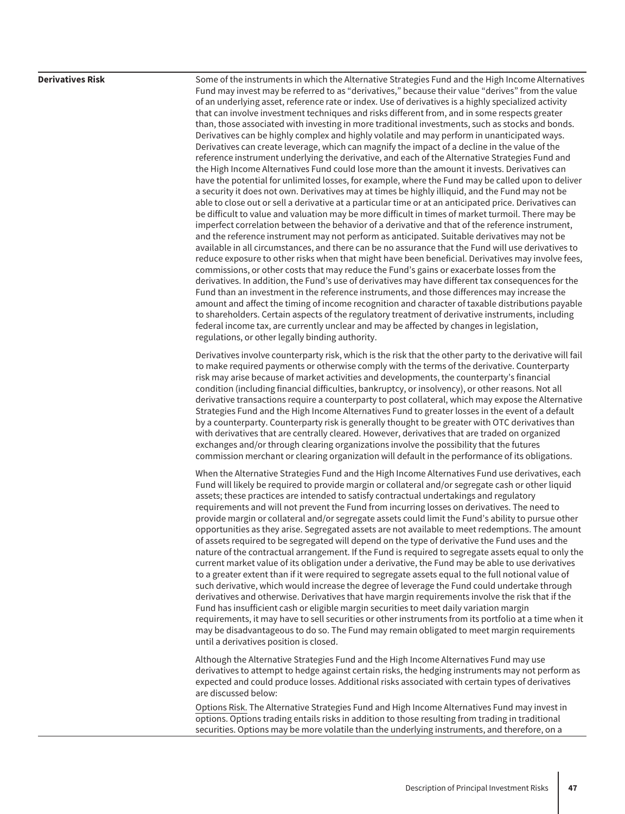**Derivatives Risk** Some of the instruments in which the Alternative Strategies Fund and the High Income Alternatives Fund may invest may be referred to as "derivatives," because their value "derives" from the value of an underlying asset, reference rate or index. Use of derivatives is a highly specialized activity that can involve investment techniques and risks different from, and in some respects greater than, those associated with investing in more traditional investments, such as stocks and bonds. Derivatives can be highly complex and highly volatile and may perform in unanticipated ways. Derivatives can create leverage, which can magnify the impact of a decline in the value of the reference instrument underlying the derivative, and each of the Alternative Strategies Fund and the High Income Alternatives Fund could lose more than the amount it invests. Derivatives can have the potential for unlimited losses, for example, where the Fund may be called upon to deliver a security it does not own. Derivatives may at times be highly illiquid, and the Fund may not be able to close out or sell a derivative at a particular time or at an anticipated price. Derivatives can be difficult to value and valuation may be more difficult in times of market turmoil. There may be imperfect correlation between the behavior of a derivative and that of the reference instrument, and the reference instrument may not perform as anticipated. Suitable derivatives may not be available in all circumstances, and there can be no assurance that the Fund will use derivatives to reduce exposure to other risks when that might have been beneficial. Derivatives may involve fees, commissions, or other costs that may reduce the Fund's gains or exacerbate losses from the derivatives. In addition, the Fund's use of derivatives may have different tax consequences for the Fund than an investment in the reference instruments, and those differences may increase the amount and affect the timing of income recognition and character of taxable distributions payable to shareholders. Certain aspects of the regulatory treatment of derivative instruments, including federal income tax, are currently unclear and may be affected by changes in legislation, regulations, or other legally binding authority.

> Derivatives involve counterparty risk, which is the risk that the other party to the derivative will fail to make required payments or otherwise comply with the terms of the derivative. Counterparty risk may arise because of market activities and developments, the counterparty's financial condition (including financial difficulties, bankruptcy, or insolvency), or other reasons. Not all derivative transactions require a counterparty to post collateral, which may expose the Alternative Strategies Fund and the High Income Alternatives Fund to greater losses in the event of a default by a counterparty. Counterparty risk is generally thought to be greater with OTC derivatives than with derivatives that are centrally cleared. However, derivatives that are traded on organized exchanges and/or through clearing organizations involve the possibility that the futures commission merchant or clearing organization will default in the performance of its obligations.

> When the Alternative Strategies Fund and the High Income Alternatives Fund use derivatives, each Fund will likely be required to provide margin or collateral and/or segregate cash or other liquid assets; these practices are intended to satisfy contractual undertakings and regulatory requirements and will not prevent the Fund from incurring losses on derivatives. The need to provide margin or collateral and/or segregate assets could limit the Fund's ability to pursue other opportunities as they arise. Segregated assets are not available to meet redemptions. The amount of assets required to be segregated will depend on the type of derivative the Fund uses and the nature of the contractual arrangement. If the Fund is required to segregate assets equal to only the current market value of its obligation under a derivative, the Fund may be able to use derivatives to a greater extent than if it were required to segregate assets equal to the full notional value of such derivative, which would increase the degree of leverage the Fund could undertake through derivatives and otherwise. Derivatives that have margin requirements involve the risk that if the Fund has insufficient cash or eligible margin securities to meet daily variation margin requirements, it may have to sell securities or other instruments from its portfolio at a time when it may be disadvantageous to do so. The Fund may remain obligated to meet margin requirements until a derivatives position is closed.

> Although the Alternative Strategies Fund and the High Income Alternatives Fund may use derivatives to attempt to hedge against certain risks, the hedging instruments may not perform as expected and could produce losses. Additional risks associated with certain types of derivatives are discussed below:

Options Risk. The Alternative Strategies Fund and High Income Alternatives Fund may invest in options. Options trading entails risks in addition to those resulting from trading in traditional securities. Options may be more volatile than the underlying instruments, and therefore, on a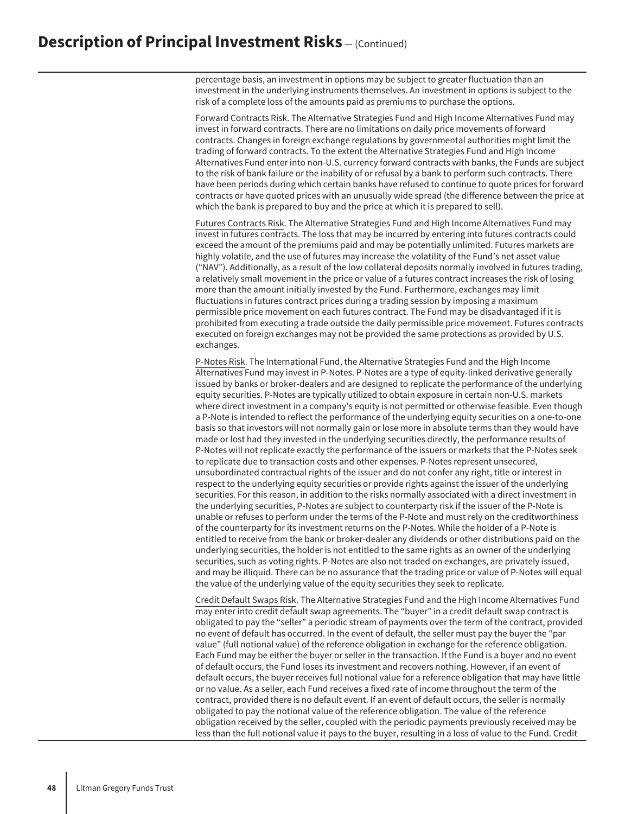percentage basis, an investment in options may be subject to greater fluctuation than an investment in the underlying instruments themselves. An investment in options is subject to the risk of a complete loss of the amounts paid as premiums to purchase the options.

Forward Contracts Risk. The Alternative Strategies Fund and High Income Alternatives Fund may invest in forward contracts. There are no limitations on daily price movements of forward contracts. Changes in foreign exchange regulations by governmental authorities might limit the trading of forward contracts. To the extent the Alternative Strategies Fund and High Income Alternatives Fund enter into non-U.S. currency forward contracts with banks, the Funds are subject to the risk of bank failure or the inability of or refusal by a bank to perform such contracts. There have been periods during which certain banks have refused to continue to quote prices for forward contracts or have quoted prices with an unusually wide spread (the difference between the price at which the bank is prepared to buy and the price at which it is prepared to sell).

Futures Contracts Risk. The Alternative Strategies Fund and High Income Alternatives Fund may invest in futures contracts. The loss that may be incurred by entering into futures contracts could exceed the amount of the premiums paid and may be potentially unlimited. Futures markets are highly volatile, and the use of futures may increase the volatility of the Fund's net asset value ("NAV"). Additionally, as a result of the low collateral deposits normally involved in futures trading, a relatively small movement in the price or value of a futures contract increases the risk of losing more than the amount initially invested by the Fund. Furthermore, exchanges may limit fluctuations in futures contract prices during a trading session by imposing a maximum permissible price movement on each futures contract. The Fund may be disadvantaged if it is prohibited from executing a trade outside the daily permissible price movement. Futures contracts executed on foreign exchanges may not be provided the same protections as provided by U.S. exchanges.

P-Notes Risk. The International Fund, the Alternative Strategies Fund and the High Income Alternatives Fund may invest in P-Notes. P-Notes are a type of equity-linked derivative generally issued by banks or broker-dealers and are designed to replicate the performance of the underlying equity securities. P-Notes are typically utilized to obtain exposure in certain non-U.S. markets where direct investment in a company's equity is not permitted or otherwise feasible. Even though a P-Note is intended to reflect the performance of the underlying equity securities on a one-to-one basis so that investors will not normally gain or lose more in absolute terms than they would have made or lost had they invested in the underlying securities directly, the performance results of P-Notes will not replicate exactly the performance of the issuers or markets that the P-Notes seek to replicate due to transaction costs and other expenses. P-Notes represent unsecured, unsubordinated contractual rights of the issuer and do not confer any right, title or interest in respect to the underlying equity securities or provide rights against the issuer of the underlying securities. For this reason, in addition to the risks normally associated with a direct investment in the underlying securities, P-Notes are subject to counterparty risk if the issuer of the P-Note is unable or refuses to perform under the terms of the P-Note and must rely on the creditworthiness of the counterparty for its investment returns on the P-Notes. While the holder of a P-Note is entitled to receive from the bank or broker-dealer any dividends or other distributions paid on the underlying securities, the holder is not entitled to the same rights as an owner of the underlying securities, such as voting rights. P-Notes are also not traded on exchanges, are privately issued, and may be illiquid. There can be no assurance that the trading price or value of P-Notes will equal the value of the underlying value of the equity securities they seek to replicate.

Credit Default Swaps Risk. The Alternative Strategies Fund and the High Income Alternatives Fund may enter into credit default swap agreements. The "buyer" in a credit default swap contract is obligated to pay the "seller" a periodic stream of payments over the term of the contract, provided no event of default has occurred. In the event of default, the seller must pay the buyer the "par value" (full notional value) of the reference obligation in exchange for the reference obligation. Each Fund may be either the buyer or seller in the transaction. If the Fund is a buyer and no event of default occurs, the Fund loses its investment and recovers nothing. However, if an event of default occurs, the buyer receives full notional value for a reference obligation that may have little or no value. As a seller, each Fund receives a fixed rate of income throughout the term of the contract, provided there is no default event. If an event of default occurs, the seller is normally obligated to pay the notional value of the reference obligation. The value of the reference obligation received by the seller, coupled with the periodic payments previously received may be less than the full notional value it pays to the buyer, resulting in a loss of value to the Fund. Credit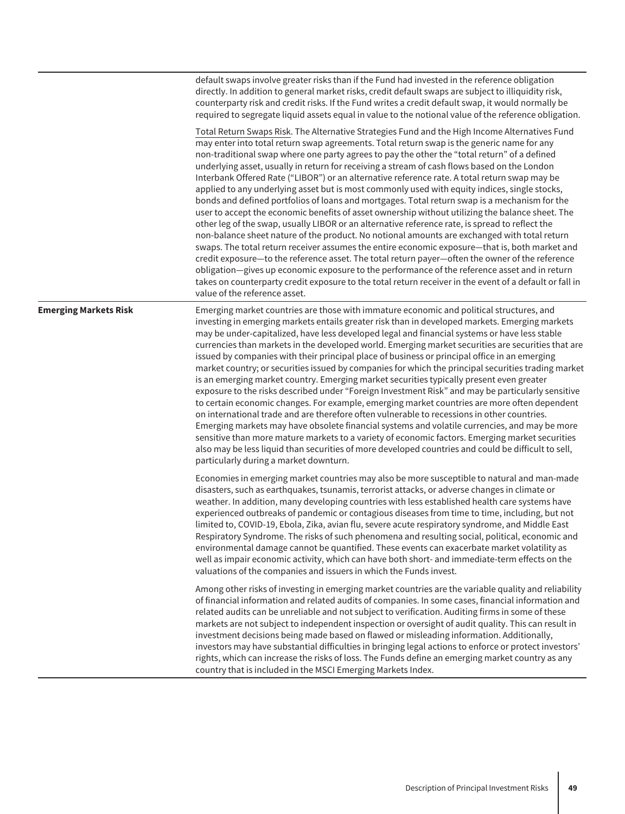|                              | default swaps involve greater risks than if the Fund had invested in the reference obligation<br>directly. In addition to general market risks, credit default swaps are subject to illiquidity risk,<br>counterparty risk and credit risks. If the Fund writes a credit default swap, it would normally be<br>required to segregate liquid assets equal in value to the notional value of the reference obligation.                                                                                                                                                                                                                                                                                                                                                                                                                                                                                                                                                                                                                                                                                                                                                                                                                                                                                                                                                                                                                                     |
|------------------------------|----------------------------------------------------------------------------------------------------------------------------------------------------------------------------------------------------------------------------------------------------------------------------------------------------------------------------------------------------------------------------------------------------------------------------------------------------------------------------------------------------------------------------------------------------------------------------------------------------------------------------------------------------------------------------------------------------------------------------------------------------------------------------------------------------------------------------------------------------------------------------------------------------------------------------------------------------------------------------------------------------------------------------------------------------------------------------------------------------------------------------------------------------------------------------------------------------------------------------------------------------------------------------------------------------------------------------------------------------------------------------------------------------------------------------------------------------------|
|                              | Total Return Swaps Risk. The Alternative Strategies Fund and the High Income Alternatives Fund<br>may enter into total return swap agreements. Total return swap is the generic name for any<br>non-traditional swap where one party agrees to pay the other the "total return" of a defined<br>underlying asset, usually in return for receiving a stream of cash flows based on the London<br>Interbank Offered Rate ("LIBOR") or an alternative reference rate. A total return swap may be<br>applied to any underlying asset but is most commonly used with equity indices, single stocks,<br>bonds and defined portfolios of loans and mortgages. Total return swap is a mechanism for the<br>user to accept the economic benefits of asset ownership without utilizing the balance sheet. The<br>other leg of the swap, usually LIBOR or an alternative reference rate, is spread to reflect the<br>non-balance sheet nature of the product. No notional amounts are exchanged with total return<br>swaps. The total return receiver assumes the entire economic exposure-that is, both market and<br>credit exposure-to the reference asset. The total return payer-often the owner of the reference<br>obligation-gives up economic exposure to the performance of the reference asset and in return<br>takes on counterparty credit exposure to the total return receiver in the event of a default or fall in<br>value of the reference asset. |
| <b>Emerging Markets Risk</b> | Emerging market countries are those with immature economic and political structures, and<br>investing in emerging markets entails greater risk than in developed markets. Emerging markets<br>may be under-capitalized, have less developed legal and financial systems or have less stable<br>currencies than markets in the developed world. Emerging market securities are securities that are<br>issued by companies with their principal place of business or principal office in an emerging<br>market country; or securities issued by companies for which the principal securities trading market<br>is an emerging market country. Emerging market securities typically present even greater<br>exposure to the risks described under "Foreign Investment Risk" and may be particularly sensitive<br>to certain economic changes. For example, emerging market countries are more often dependent<br>on international trade and are therefore often vulnerable to recessions in other countries.<br>Emerging markets may have obsolete financial systems and volatile currencies, and may be more<br>sensitive than more mature markets to a variety of economic factors. Emerging market securities<br>also may be less liquid than securities of more developed countries and could be difficult to sell,<br>particularly during a market downturn.                                                                                           |
|                              | Economies in emerging market countries may also be more susceptible to natural and man-made<br>disasters, such as earthquakes, tsunamis, terrorist attacks, or adverse changes in climate or<br>weather. In addition, many developing countries with less established health care systems have<br>experienced outbreaks of pandemic or contagious diseases from time to time, including, but not<br>limited to, COVID-19, Ebola, Zika, avian flu, severe acute respiratory syndrome, and Middle East<br>Respiratory Syndrome. The risks of such phenomena and resulting social, political, economic and<br>environmental damage cannot be quantified. These events can exacerbate market volatility as<br>well as impair economic activity, which can have both short- and immediate-term effects on the<br>valuations of the companies and issuers in which the Funds invest.                                                                                                                                                                                                                                                                                                                                                                                                                                                                                                                                                                           |
|                              | Among other risks of investing in emerging market countries are the variable quality and reliability<br>of financial information and related audits of companies. In some cases, financial information and<br>related audits can be unreliable and not subject to verification. Auditing firms in some of these<br>markets are not subject to independent inspection or oversight of audit quality. This can result in<br>investment decisions being made based on flawed or misleading information. Additionally,<br>investors may have substantial difficulties in bringing legal actions to enforce or protect investors'<br>rights, which can increase the risks of loss. The Funds define an emerging market country as any<br>country that is included in the MSCI Emerging Markets Index.                                                                                                                                                                                                                                                                                                                                                                                                                                                                                                                                                                                                                                                         |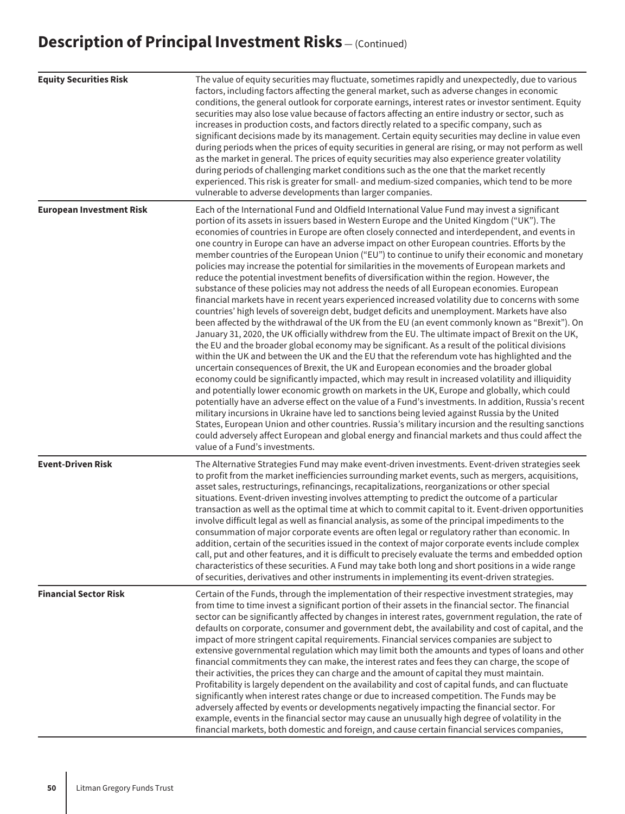| <b>Equity Securities Risk</b>   | The value of equity securities may fluctuate, sometimes rapidly and unexpectedly, due to various<br>factors, including factors affecting the general market, such as adverse changes in economic<br>conditions, the general outlook for corporate earnings, interest rates or investor sentiment. Equity<br>securities may also lose value because of factors affecting an entire industry or sector, such as<br>increases in production costs, and factors directly related to a specific company, such as<br>significant decisions made by its management. Certain equity securities may decline in value even<br>during periods when the prices of equity securities in general are rising, or may not perform as well<br>as the market in general. The prices of equity securities may also experience greater volatility<br>during periods of challenging market conditions such as the one that the market recently<br>experienced. This risk is greater for small- and medium-sized companies, which tend to be more<br>vulnerable to adverse developments than larger companies.                                                                                                                                                                                                                                                                                                                                                                                                                                                                                                                                                                                                                                                                                                                                                                                                                                                                                                                                                                                                                                                                                 |
|---------------------------------|--------------------------------------------------------------------------------------------------------------------------------------------------------------------------------------------------------------------------------------------------------------------------------------------------------------------------------------------------------------------------------------------------------------------------------------------------------------------------------------------------------------------------------------------------------------------------------------------------------------------------------------------------------------------------------------------------------------------------------------------------------------------------------------------------------------------------------------------------------------------------------------------------------------------------------------------------------------------------------------------------------------------------------------------------------------------------------------------------------------------------------------------------------------------------------------------------------------------------------------------------------------------------------------------------------------------------------------------------------------------------------------------------------------------------------------------------------------------------------------------------------------------------------------------------------------------------------------------------------------------------------------------------------------------------------------------------------------------------------------------------------------------------------------------------------------------------------------------------------------------------------------------------------------------------------------------------------------------------------------------------------------------------------------------------------------------------------------------------------------------------------------------------------------------------|
| <b>European Investment Risk</b> | Each of the International Fund and Oldfield International Value Fund may invest a significant<br>portion of its assets in issuers based in Western Europe and the United Kingdom ("UK"). The<br>economies of countries in Europe are often closely connected and interdependent, and events in<br>one country in Europe can have an adverse impact on other European countries. Efforts by the<br>member countries of the European Union ("EU") to continue to unify their economic and monetary<br>policies may increase the potential for similarities in the movements of European markets and<br>reduce the potential investment benefits of diversification within the region. However, the<br>substance of these policies may not address the needs of all European economies. European<br>financial markets have in recent years experienced increased volatility due to concerns with some<br>countries' high levels of sovereign debt, budget deficits and unemployment. Markets have also<br>been affected by the withdrawal of the UK from the EU (an event commonly known as "Brexit"). On<br>January 31, 2020, the UK officially withdrew from the EU. The ultimate impact of Brexit on the UK,<br>the EU and the broader global economy may be significant. As a result of the political divisions<br>within the UK and between the UK and the EU that the referendum vote has highlighted and the<br>uncertain consequences of Brexit, the UK and European economies and the broader global<br>economy could be significantly impacted, which may result in increased volatility and illiquidity<br>and potentially lower economic growth on markets in the UK, Europe and globally, which could<br>potentially have an adverse effect on the value of a Fund's investments. In addition, Russia's recent<br>military incursions in Ukraine have led to sanctions being levied against Russia by the United<br>States, European Union and other countries. Russia's military incursion and the resulting sanctions<br>could adversely affect European and global energy and financial markets and thus could affect the<br>value of a Fund's investments. |
| <b>Event-Driven Risk</b>        | The Alternative Strategies Fund may make event-driven investments. Event-driven strategies seek<br>to profit from the market inefficiencies surrounding market events, such as mergers, acquisitions,<br>asset sales, restructurings, refinancings, recapitalizations, reorganizations or other special<br>situations. Event-driven investing involves attempting to predict the outcome of a particular<br>transaction as well as the optimal time at which to commit capital to it. Event-driven opportunities<br>involve difficult legal as well as financial analysis, as some of the principal impediments to the<br>consummation of major corporate events are often legal or regulatory rather than economic. In<br>addition, certain of the securities issued in the context of major corporate events include complex<br>call, put and other features, and it is difficult to precisely evaluate the terms and embedded option<br>characteristics of these securities. A Fund may take both long and short positions in a wide range<br>of securities, derivatives and other instruments in implementing its event-driven strategies.                                                                                                                                                                                                                                                                                                                                                                                                                                                                                                                                                                                                                                                                                                                                                                                                                                                                                                                                                                                                                           |
| <b>Financial Sector Risk</b>    | Certain of the Funds, through the implementation of their respective investment strategies, may<br>from time to time invest a significant portion of their assets in the financial sector. The financial<br>sector can be significantly affected by changes in interest rates, government regulation, the rate of<br>defaults on corporate, consumer and government debt, the availability and cost of capital, and the<br>impact of more stringent capital requirements. Financial services companies are subject to<br>extensive governmental regulation which may limit both the amounts and types of loans and other<br>financial commitments they can make, the interest rates and fees they can charge, the scope of<br>their activities, the prices they can charge and the amount of capital they must maintain.<br>Profitability is largely dependent on the availability and cost of capital funds, and can fluctuate<br>significantly when interest rates change or due to increased competition. The Funds may be<br>adversely affected by events or developments negatively impacting the financial sector. For<br>example, events in the financial sector may cause an unusually high degree of volatility in the<br>financial markets, both domestic and foreign, and cause certain financial services companies,                                                                                                                                                                                                                                                                                                                                                                                                                                                                                                                                                                                                                                                                                                                                                                                                                                         |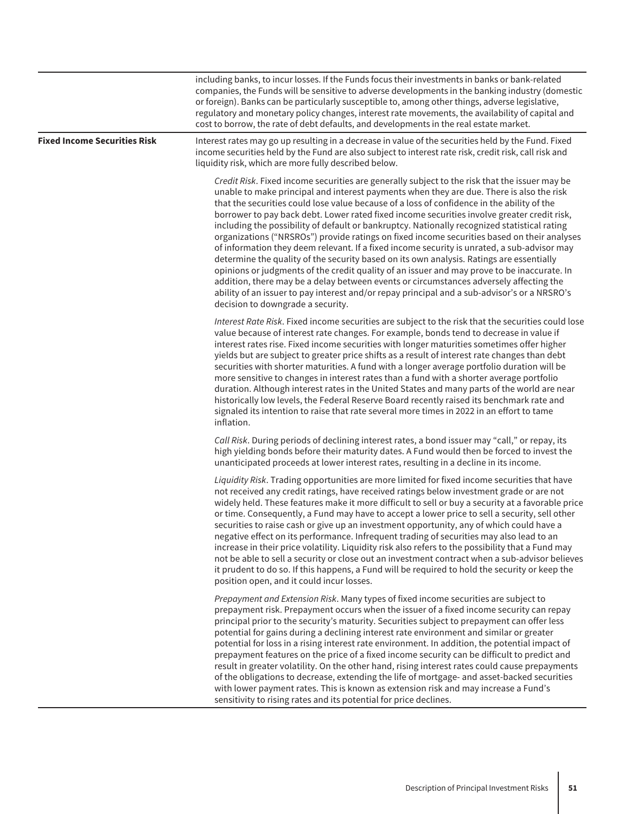|                                     | including banks, to incur losses. If the Funds focus their investments in banks or bank-related<br>companies, the Funds will be sensitive to adverse developments in the banking industry (domestic<br>or foreign). Banks can be particularly susceptible to, among other things, adverse legislative,<br>regulatory and monetary policy changes, interest rate movements, the availability of capital and<br>cost to borrow, the rate of debt defaults, and developments in the real estate market.                                                                                                                                                                                                                                                                                                                                                                                                                                                                                                                                                                                                           |
|-------------------------------------|----------------------------------------------------------------------------------------------------------------------------------------------------------------------------------------------------------------------------------------------------------------------------------------------------------------------------------------------------------------------------------------------------------------------------------------------------------------------------------------------------------------------------------------------------------------------------------------------------------------------------------------------------------------------------------------------------------------------------------------------------------------------------------------------------------------------------------------------------------------------------------------------------------------------------------------------------------------------------------------------------------------------------------------------------------------------------------------------------------------|
| <b>Fixed Income Securities Risk</b> | Interest rates may go up resulting in a decrease in value of the securities held by the Fund. Fixed<br>income securities held by the Fund are also subject to interest rate risk, credit risk, call risk and<br>liquidity risk, which are more fully described below.                                                                                                                                                                                                                                                                                                                                                                                                                                                                                                                                                                                                                                                                                                                                                                                                                                          |
|                                     | Credit Risk. Fixed income securities are generally subject to the risk that the issuer may be<br>unable to make principal and interest payments when they are due. There is also the risk<br>that the securities could lose value because of a loss of confidence in the ability of the<br>borrower to pay back debt. Lower rated fixed income securities involve greater credit risk,<br>including the possibility of default or bankruptcy. Nationally recognized statistical rating<br>organizations ("NRSROs") provide ratings on fixed income securities based on their analyses<br>of information they deem relevant. If a fixed income security is unrated, a sub-advisor may<br>determine the quality of the security based on its own analysis. Ratings are essentially<br>opinions or judgments of the credit quality of an issuer and may prove to be inaccurate. In<br>addition, there may be a delay between events or circumstances adversely affecting the<br>ability of an issuer to pay interest and/or repay principal and a sub-advisor's or a NRSRO's<br>decision to downgrade a security. |
|                                     | Interest Rate Risk. Fixed income securities are subject to the risk that the securities could lose<br>value because of interest rate changes. For example, bonds tend to decrease in value if<br>interest rates rise. Fixed income securities with longer maturities sometimes offer higher<br>yields but are subject to greater price shifts as a result of interest rate changes than debt<br>securities with shorter maturities. A fund with a longer average portfolio duration will be<br>more sensitive to changes in interest rates than a fund with a shorter average portfolio<br>duration. Although interest rates in the United States and many parts of the world are near<br>historically low levels, the Federal Reserve Board recently raised its benchmark rate and<br>signaled its intention to raise that rate several more times in 2022 in an effort to tame<br>inflation.                                                                                                                                                                                                                 |
|                                     | Call Risk. During periods of declining interest rates, a bond issuer may "call," or repay, its<br>high yielding bonds before their maturity dates. A Fund would then be forced to invest the<br>unanticipated proceeds at lower interest rates, resulting in a decline in its income.                                                                                                                                                                                                                                                                                                                                                                                                                                                                                                                                                                                                                                                                                                                                                                                                                          |
|                                     | Liquidity Risk. Trading opportunities are more limited for fixed income securities that have<br>not received any credit ratings, have received ratings below investment grade or are not<br>widely held. These features make it more difficult to sell or buy a security at a favorable price<br>or time. Consequently, a Fund may have to accept a lower price to sell a security, sell other<br>securities to raise cash or give up an investment opportunity, any of which could have a<br>negative effect on its performance. Infrequent trading of securities may also lead to an<br>increase in their price volatility. Liquidity risk also refers to the possibility that a Fund may<br>not be able to sell a security or close out an investment contract when a sub-advisor believes<br>it prudent to do so. If this happens, a Fund will be required to hold the security or keep the<br>position open, and it could incur losses.                                                                                                                                                                   |
|                                     | Prepayment and Extension Risk. Many types of fixed income securities are subject to<br>prepayment risk. Prepayment occurs when the issuer of a fixed income security can repay<br>principal prior to the security's maturity. Securities subject to prepayment can offer less<br>potential for gains during a declining interest rate environment and similar or greater<br>potential for loss in a rising interest rate environment. In addition, the potential impact of<br>prepayment features on the price of a fixed income security can be difficult to predict and<br>result in greater volatility. On the other hand, rising interest rates could cause prepayments<br>of the obligations to decrease, extending the life of mortgage- and asset-backed securities<br>with lower payment rates. This is known as extension risk and may increase a Fund's<br>sensitivity to rising rates and its potential for price declines.                                                                                                                                                                         |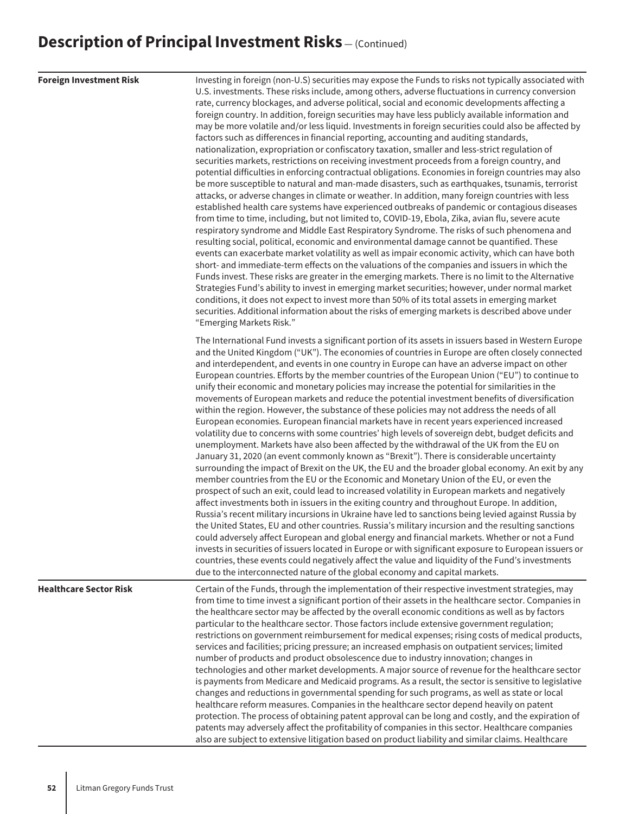| <b>Foreign Investment Risk</b> | Investing in foreign (non-U.S) securities may expose the Funds to risks not typically associated with<br>U.S. investments. These risks include, among others, adverse fluctuations in currency conversion<br>rate, currency blockages, and adverse political, social and economic developments affecting a<br>foreign country. In addition, foreign securities may have less publicly available information and<br>may be more volatile and/or less liquid. Investments in foreign securities could also be affected by<br>factors such as differences in financial reporting, accounting and auditing standards,<br>nationalization, expropriation or confiscatory taxation, smaller and less-strict regulation of<br>securities markets, restrictions on receiving investment proceeds from a foreign country, and<br>potential difficulties in enforcing contractual obligations. Economies in foreign countries may also<br>be more susceptible to natural and man-made disasters, such as earthquakes, tsunamis, terrorist<br>attacks, or adverse changes in climate or weather. In addition, many foreign countries with less<br>established health care systems have experienced outbreaks of pandemic or contagious diseases<br>from time to time, including, but not limited to, COVID-19, Ebola, Zika, avian flu, severe acute<br>respiratory syndrome and Middle East Respiratory Syndrome. The risks of such phenomena and<br>resulting social, political, economic and environmental damage cannot be quantified. These<br>events can exacerbate market volatility as well as impair economic activity, which can have both<br>short- and immediate-term effects on the valuations of the companies and issuers in which the<br>Funds invest. These risks are greater in the emerging markets. There is no limit to the Alternative<br>Strategies Fund's ability to invest in emerging market securities; however, under normal market<br>conditions, it does not expect to invest more than 50% of its total assets in emerging market<br>securities. Additional information about the risks of emerging markets is described above under<br>"Emerging Markets Risk." |
|--------------------------------|-------------------------------------------------------------------------------------------------------------------------------------------------------------------------------------------------------------------------------------------------------------------------------------------------------------------------------------------------------------------------------------------------------------------------------------------------------------------------------------------------------------------------------------------------------------------------------------------------------------------------------------------------------------------------------------------------------------------------------------------------------------------------------------------------------------------------------------------------------------------------------------------------------------------------------------------------------------------------------------------------------------------------------------------------------------------------------------------------------------------------------------------------------------------------------------------------------------------------------------------------------------------------------------------------------------------------------------------------------------------------------------------------------------------------------------------------------------------------------------------------------------------------------------------------------------------------------------------------------------------------------------------------------------------------------------------------------------------------------------------------------------------------------------------------------------------------------------------------------------------------------------------------------------------------------------------------------------------------------------------------------------------------------------------------------------------------------------------------------------------------------------------------------------------------------------|
|                                | The International Fund invests a significant portion of its assets in issuers based in Western Europe<br>and the United Kingdom ("UK"). The economies of countries in Europe are often closely connected<br>and interdependent, and events in one country in Europe can have an adverse impact on other<br>European countries. Efforts by the member countries of the European Union ("EU") to continue to<br>unify their economic and monetary policies may increase the potential for similarities in the<br>movements of European markets and reduce the potential investment benefits of diversification<br>within the region. However, the substance of these policies may not address the needs of all<br>European economies. European financial markets have in recent years experienced increased<br>volatility due to concerns with some countries' high levels of sovereign debt, budget deficits and<br>unemployment. Markets have also been affected by the withdrawal of the UK from the EU on<br>January 31, 2020 (an event commonly known as "Brexit"). There is considerable uncertainty<br>surrounding the impact of Brexit on the UK, the EU and the broader global economy. An exit by any<br>member countries from the EU or the Economic and Monetary Union of the EU, or even the<br>prospect of such an exit, could lead to increased volatility in European markets and negatively<br>affect investments both in issuers in the exiting country and throughout Europe. In addition,<br>Russia's recent military incursions in Ukraine have led to sanctions being levied against Russia by<br>the United States, EU and other countries. Russia's military incursion and the resulting sanctions<br>could adversely affect European and global energy and financial markets. Whether or not a Fund<br>invests in securities of issuers located in Europe or with significant exposure to European issuers or<br>countries, these events could negatively affect the value and liquidity of the Fund's investments<br>due to the interconnected nature of the global economy and capital markets.                                                            |
| <b>Healthcare Sector Risk</b>  | Certain of the Funds, through the implementation of their respective investment strategies, may<br>from time to time invest a significant portion of their assets in the healthcare sector. Companies in<br>the healthcare sector may be affected by the overall economic conditions as well as by factors<br>particular to the healthcare sector. Those factors include extensive government regulation;<br>restrictions on government reimbursement for medical expenses; rising costs of medical products,<br>services and facilities; pricing pressure; an increased emphasis on outpatient services; limited<br>number of products and product obsolescence due to industry innovation; changes in<br>technologies and other market developments. A major source of revenue for the healthcare sector<br>is payments from Medicare and Medicaid programs. As a result, the sector is sensitive to legislative<br>changes and reductions in governmental spending for such programs, as well as state or local<br>healthcare reform measures. Companies in the healthcare sector depend heavily on patent<br>protection. The process of obtaining patent approval can be long and costly, and the expiration of<br>patents may adversely affect the profitability of companies in this sector. Healthcare companies<br>also are subject to extensive litigation based on product liability and similar claims. Healthcare                                                                                                                                                                                                                                                                                                                                                                                                                                                                                                                                                                                                                                                                                                                                                       |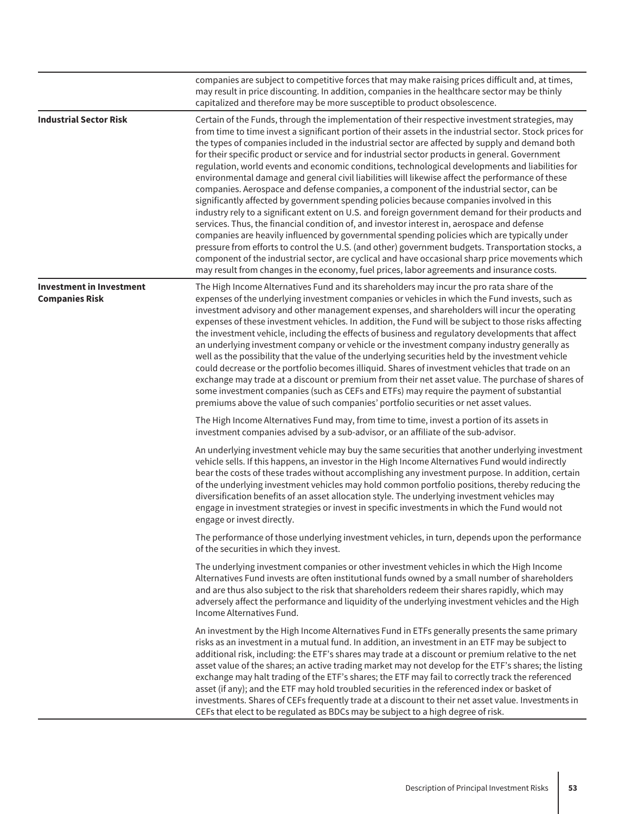|                                                          | companies are subject to competitive forces that may make raising prices difficult and, at times,<br>may result in price discounting. In addition, companies in the healthcare sector may be thinly<br>capitalized and therefore may be more susceptible to product obsolescence.                                                                                                                                                                                                                                                                                                                                                                                                                                                                                                                                                                                                                                                                                                                                                                                                                                                                                                                                                                                                                                                                                                                                                |
|----------------------------------------------------------|----------------------------------------------------------------------------------------------------------------------------------------------------------------------------------------------------------------------------------------------------------------------------------------------------------------------------------------------------------------------------------------------------------------------------------------------------------------------------------------------------------------------------------------------------------------------------------------------------------------------------------------------------------------------------------------------------------------------------------------------------------------------------------------------------------------------------------------------------------------------------------------------------------------------------------------------------------------------------------------------------------------------------------------------------------------------------------------------------------------------------------------------------------------------------------------------------------------------------------------------------------------------------------------------------------------------------------------------------------------------------------------------------------------------------------|
| <b>Industrial Sector Risk</b>                            | Certain of the Funds, through the implementation of their respective investment strategies, may<br>from time to time invest a significant portion of their assets in the industrial sector. Stock prices for<br>the types of companies included in the industrial sector are affected by supply and demand both<br>for their specific product or service and for industrial sector products in general. Government<br>regulation, world events and economic conditions, technological developments and liabilities for<br>environmental damage and general civil liabilities will likewise affect the performance of these<br>companies. Aerospace and defense companies, a component of the industrial sector, can be<br>significantly affected by government spending policies because companies involved in this<br>industry rely to a significant extent on U.S. and foreign government demand for their products and<br>services. Thus, the financial condition of, and investor interest in, aerospace and defense<br>companies are heavily influenced by governmental spending policies which are typically under<br>pressure from efforts to control the U.S. (and other) government budgets. Transportation stocks, a<br>component of the industrial sector, are cyclical and have occasional sharp price movements which<br>may result from changes in the economy, fuel prices, labor agreements and insurance costs. |
| <b>Investment in Investment</b><br><b>Companies Risk</b> | The High Income Alternatives Fund and its shareholders may incur the pro rata share of the<br>expenses of the underlying investment companies or vehicles in which the Fund invests, such as<br>investment advisory and other management expenses, and shareholders will incur the operating<br>expenses of these investment vehicles. In addition, the Fund will be subject to those risks affecting<br>the investment vehicle, including the effects of business and regulatory developments that affect<br>an underlying investment company or vehicle or the investment company industry generally as<br>well as the possibility that the value of the underlying securities held by the investment vehicle<br>could decrease or the portfolio becomes illiquid. Shares of investment vehicles that trade on an<br>exchange may trade at a discount or premium from their net asset value. The purchase of shares of<br>some investment companies (such as CEFs and ETFs) may require the payment of substantial<br>premiums above the value of such companies' portfolio securities or net asset values.                                                                                                                                                                                                                                                                                                                    |
|                                                          | The High Income Alternatives Fund may, from time to time, invest a portion of its assets in<br>investment companies advised by a sub-advisor, or an affiliate of the sub-advisor.                                                                                                                                                                                                                                                                                                                                                                                                                                                                                                                                                                                                                                                                                                                                                                                                                                                                                                                                                                                                                                                                                                                                                                                                                                                |
|                                                          | An underlying investment vehicle may buy the same securities that another underlying investment<br>vehicle sells. If this happens, an investor in the High Income Alternatives Fund would indirectly<br>bear the costs of these trades without accomplishing any investment purpose. In addition, certain<br>of the underlying investment vehicles may hold common portfolio positions, thereby reducing the<br>diversification benefits of an asset allocation style. The underlying investment vehicles may<br>engage in investment strategies or invest in specific investments in which the Fund would not<br>engage or invest directly.                                                                                                                                                                                                                                                                                                                                                                                                                                                                                                                                                                                                                                                                                                                                                                                     |
|                                                          | The performance of those underlying investment vehicles, in turn, depends upon the performance<br>of the securities in which they invest.                                                                                                                                                                                                                                                                                                                                                                                                                                                                                                                                                                                                                                                                                                                                                                                                                                                                                                                                                                                                                                                                                                                                                                                                                                                                                        |
|                                                          | The underlying investment companies or other investment vehicles in which the High Income<br>Alternatives Fund invests are often institutional funds owned by a small number of shareholders<br>and are thus also subject to the risk that shareholders redeem their shares rapidly, which may<br>adversely affect the performance and liquidity of the underlying investment vehicles and the High<br>Income Alternatives Fund.                                                                                                                                                                                                                                                                                                                                                                                                                                                                                                                                                                                                                                                                                                                                                                                                                                                                                                                                                                                                 |
|                                                          | An investment by the High Income Alternatives Fund in ETFs generally presents the same primary<br>risks as an investment in a mutual fund. In addition, an investment in an ETF may be subject to<br>additional risk, including: the ETF's shares may trade at a discount or premium relative to the net<br>asset value of the shares; an active trading market may not develop for the ETF's shares; the listing<br>exchange may halt trading of the ETF's shares; the ETF may fail to correctly track the referenced<br>asset (if any); and the ETF may hold troubled securities in the referenced index or basket of<br>investments. Shares of CEFs frequently trade at a discount to their net asset value. Investments in<br>CEFs that elect to be regulated as BDCs may be subject to a high degree of risk.                                                                                                                                                                                                                                                                                                                                                                                                                                                                                                                                                                                                               |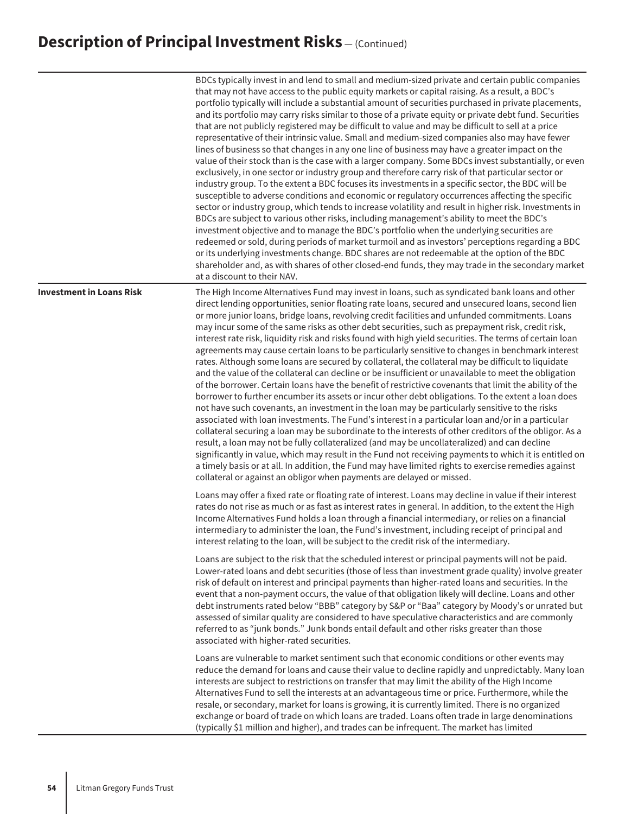|                                 | BDCs typically invest in and lend to small and medium-sized private and certain public companies<br>that may not have access to the public equity markets or capital raising. As a result, a BDC's<br>portfolio typically will include a substantial amount of securities purchased in private placements,<br>and its portfolio may carry risks similar to those of a private equity or private debt fund. Securities<br>that are not publicly registered may be difficult to value and may be difficult to sell at a price<br>representative of their intrinsic value. Small and medium-sized companies also may have fewer<br>lines of business so that changes in any one line of business may have a greater impact on the<br>value of their stock than is the case with a larger company. Some BDCs invest substantially, or even<br>exclusively, in one sector or industry group and therefore carry risk of that particular sector or<br>industry group. To the extent a BDC focuses its investments in a specific sector, the BDC will be<br>susceptible to adverse conditions and economic or regulatory occurrences affecting the specific<br>sector or industry group, which tends to increase volatility and result in higher risk. Investments in<br>BDCs are subject to various other risks, including management's ability to meet the BDC's<br>investment objective and to manage the BDC's portfolio when the underlying securities are<br>redeemed or sold, during periods of market turmoil and as investors' perceptions regarding a BDC<br>or its underlying investments change. BDC shares are not redeemable at the option of the BDC<br>shareholder and, as with shares of other closed-end funds, they may trade in the secondary market<br>at a discount to their NAV. |
|---------------------------------|--------------------------------------------------------------------------------------------------------------------------------------------------------------------------------------------------------------------------------------------------------------------------------------------------------------------------------------------------------------------------------------------------------------------------------------------------------------------------------------------------------------------------------------------------------------------------------------------------------------------------------------------------------------------------------------------------------------------------------------------------------------------------------------------------------------------------------------------------------------------------------------------------------------------------------------------------------------------------------------------------------------------------------------------------------------------------------------------------------------------------------------------------------------------------------------------------------------------------------------------------------------------------------------------------------------------------------------------------------------------------------------------------------------------------------------------------------------------------------------------------------------------------------------------------------------------------------------------------------------------------------------------------------------------------------------------------------------------------------------------------------------------------------------------------|
| <b>Investment in Loans Risk</b> | The High Income Alternatives Fund may invest in loans, such as syndicated bank loans and other<br>direct lending opportunities, senior floating rate loans, secured and unsecured loans, second lien<br>or more junior loans, bridge loans, revolving credit facilities and unfunded commitments. Loans<br>may incur some of the same risks as other debt securities, such as prepayment risk, credit risk,<br>interest rate risk, liquidity risk and risks found with high yield securities. The terms of certain loan<br>agreements may cause certain loans to be particularly sensitive to changes in benchmark interest<br>rates. Although some loans are secured by collateral, the collateral may be difficult to liquidate<br>and the value of the collateral can decline or be insufficient or unavailable to meet the obligation<br>of the borrower. Certain loans have the benefit of restrictive covenants that limit the ability of the<br>borrower to further encumber its assets or incur other debt obligations. To the extent a loan does<br>not have such covenants, an investment in the loan may be particularly sensitive to the risks<br>associated with loan investments. The Fund's interest in a particular loan and/or in a particular<br>collateral securing a loan may be subordinate to the interests of other creditors of the obligor. As a<br>result, a loan may not be fully collateralized (and may be uncollateralized) and can decline<br>significantly in value, which may result in the Fund not receiving payments to which it is entitled on<br>a timely basis or at all. In addition, the Fund may have limited rights to exercise remedies against<br>collateral or against an obligor when payments are delayed or missed.                             |
|                                 | Loans may offer a fixed rate or floating rate of interest. Loans may decline in value if their interest<br>rates do not rise as much or as fast as interest rates in general. In addition, to the extent the High<br>Income Alternatives Fund holds a loan through a financial intermediary, or relies on a financial<br>intermediary to administer the loan, the Fund's investment, including receipt of principal and<br>interest relating to the loan, will be subject to the credit risk of the intermediary.<br>Loans are subject to the risk that the scheduled interest or principal payments will not be paid.<br>Lower-rated loans and debt securities (those of less than investment grade quality) involve greater<br>risk of default on interest and principal payments than higher-rated loans and securities. In the<br>event that a non-payment occurs, the value of that obligation likely will decline. Loans and other<br>debt instruments rated below "BBB" category by S&P or "Baa" category by Moody's or unrated but<br>assessed of similar quality are considered to have speculative characteristics and are commonly<br>referred to as "junk bonds." Junk bonds entail default and other risks greater than those<br>associated with higher-rated securities.<br>Loans are vulnerable to market sentiment such that economic conditions or other events may<br>reduce the demand for loans and cause their value to decline rapidly and unpredictably. Many loan                                                                                                                                                                                                                                                                                                        |
|                                 | interests are subject to restrictions on transfer that may limit the ability of the High Income<br>Alternatives Fund to sell the interests at an advantageous time or price. Furthermore, while the<br>resale, or secondary, market for loans is growing, it is currently limited. There is no organized<br>exchange or board of trade on which loans are traded. Loans often trade in large denominations<br>(typically \$1 million and higher), and trades can be infrequent. The market has limited                                                                                                                                                                                                                                                                                                                                                                                                                                                                                                                                                                                                                                                                                                                                                                                                                                                                                                                                                                                                                                                                                                                                                                                                                                                                                           |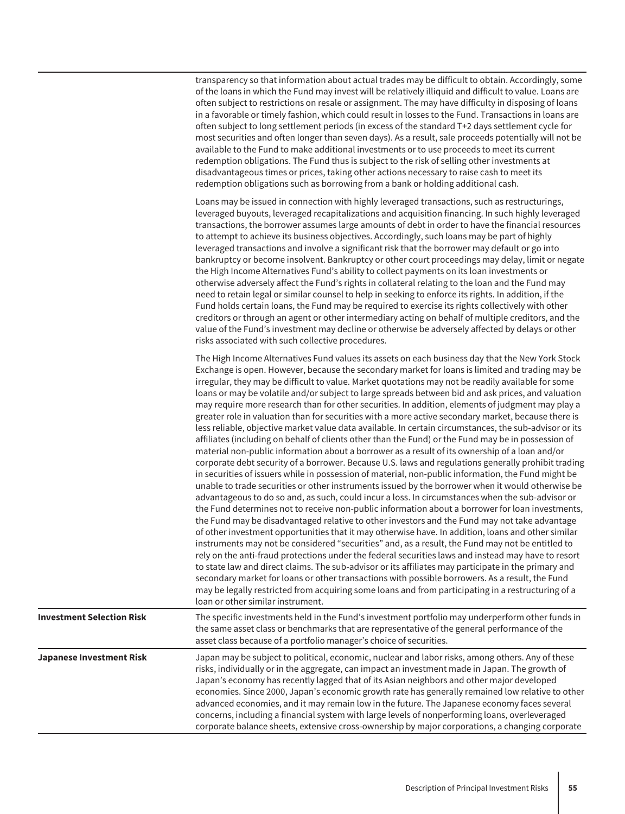transparency so that information about actual trades may be difficult to obtain. Accordingly, some of the loans in which the Fund may invest will be relatively illiquid and difficult to value. Loans are often subject to restrictions on resale or assignment. The may have difficulty in disposing of loans in a favorable or timely fashion, which could result in losses to the Fund. Transactions in loans are often subject to long settlement periods (in excess of the standard T+2 days settlement cycle for most securities and often longer than seven days). As a result, sale proceeds potentially will not be available to the Fund to make additional investments or to use proceeds to meet its current redemption obligations. The Fund thus is subject to the risk of selling other investments at disadvantageous times or prices, taking other actions necessary to raise cash to meet its redemption obligations such as borrowing from a bank or holding additional cash.

Loans may be issued in connection with highly leveraged transactions, such as restructurings, leveraged buyouts, leveraged recapitalizations and acquisition financing. In such highly leveraged transactions, the borrower assumes large amounts of debt in order to have the financial resources to attempt to achieve its business objectives. Accordingly, such loans may be part of highly leveraged transactions and involve a significant risk that the borrower may default or go into bankruptcy or become insolvent. Bankruptcy or other court proceedings may delay, limit or negate the High Income Alternatives Fund's ability to collect payments on its loan investments or otherwise adversely affect the Fund's rights in collateral relating to the loan and the Fund may need to retain legal or similar counsel to help in seeking to enforce its rights. In addition, if the Fund holds certain loans, the Fund may be required to exercise its rights collectively with other creditors or through an agent or other intermediary acting on behalf of multiple creditors, and the value of the Fund's investment may decline or otherwise be adversely affected by delays or other risks associated with such collective procedures.

|                                  | The High Income Alternatives Fund values its assets on each business day that the New York Stock<br>Exchange is open. However, because the secondary market for loans is limited and trading may be<br>irregular, they may be difficult to value. Market quotations may not be readily available for some<br>loans or may be volatile and/or subject to large spreads between bid and ask prices, and valuation<br>may require more research than for other securities. In addition, elements of judgment may play a<br>greater role in valuation than for securities with a more active secondary market, because there is<br>less reliable, objective market value data available. In certain circumstances, the sub-advisor or its<br>affiliates (including on behalf of clients other than the Fund) or the Fund may be in possession of<br>material non-public information about a borrower as a result of its ownership of a loan and/or<br>corporate debt security of a borrower. Because U.S. laws and regulations generally prohibit trading<br>in securities of issuers while in possession of material, non-public information, the Fund might be<br>unable to trade securities or other instruments issued by the borrower when it would otherwise be<br>advantageous to do so and, as such, could incur a loss. In circumstances when the sub-advisor or<br>the Fund determines not to receive non-public information about a borrower for loan investments,<br>the Fund may be disadvantaged relative to other investors and the Fund may not take advantage<br>of other investment opportunities that it may otherwise have. In addition, loans and other similar<br>instruments may not be considered "securities" and, as a result, the Fund may not be entitled to<br>rely on the anti-fraud protections under the federal securities laws and instead may have to resort<br>to state law and direct claims. The sub-advisor or its affiliates may participate in the primary and<br>secondary market for loans or other transactions with possible borrowers. As a result, the Fund<br>may be legally restricted from acquiring some loans and from participating in a restructuring of a<br>loan or other similar instrument. |
|----------------------------------|---------------------------------------------------------------------------------------------------------------------------------------------------------------------------------------------------------------------------------------------------------------------------------------------------------------------------------------------------------------------------------------------------------------------------------------------------------------------------------------------------------------------------------------------------------------------------------------------------------------------------------------------------------------------------------------------------------------------------------------------------------------------------------------------------------------------------------------------------------------------------------------------------------------------------------------------------------------------------------------------------------------------------------------------------------------------------------------------------------------------------------------------------------------------------------------------------------------------------------------------------------------------------------------------------------------------------------------------------------------------------------------------------------------------------------------------------------------------------------------------------------------------------------------------------------------------------------------------------------------------------------------------------------------------------------------------------------------------------------------------------------------------------------------------------------------------------------------------------------------------------------------------------------------------------------------------------------------------------------------------------------------------------------------------------------------------------------------------------------------------------------------------------------------------------------------------------------------------------------------------------|
| <b>Investment Selection Risk</b> | The specific investments held in the Fund's investment portfolio may underperform other funds in<br>the same asset class or benchmarks that are representative of the general performance of the<br>asset class because of a portfolio manager's choice of securities.                                                                                                                                                                                                                                                                                                                                                                                                                                                                                                                                                                                                                                                                                                                                                                                                                                                                                                                                                                                                                                                                                                                                                                                                                                                                                                                                                                                                                                                                                                                                                                                                                                                                                                                                                                                                                                                                                                                                                                            |
| <b>Japanese Investment Risk</b>  | Japan may be subject to political, economic, nuclear and labor risks, among others. Any of these<br>risks, individually or in the aggregate, can impact an investment made in Japan. The growth of<br>Japan's economy has recently lagged that of its Asian neighbors and other major developed<br>economies. Since 2000, Japan's economic growth rate has generally remained low relative to other<br>advanced economies, and it may remain low in the future. The Japanese economy faces several<br>concerns, including a financial system with large levels of nonperforming loans, overleveraged<br>corporate balance sheets, extensive cross-ownership by major corporations, a changing corporate                                                                                                                                                                                                                                                                                                                                                                                                                                                                                                                                                                                                                                                                                                                                                                                                                                                                                                                                                                                                                                                                                                                                                                                                                                                                                                                                                                                                                                                                                                                                           |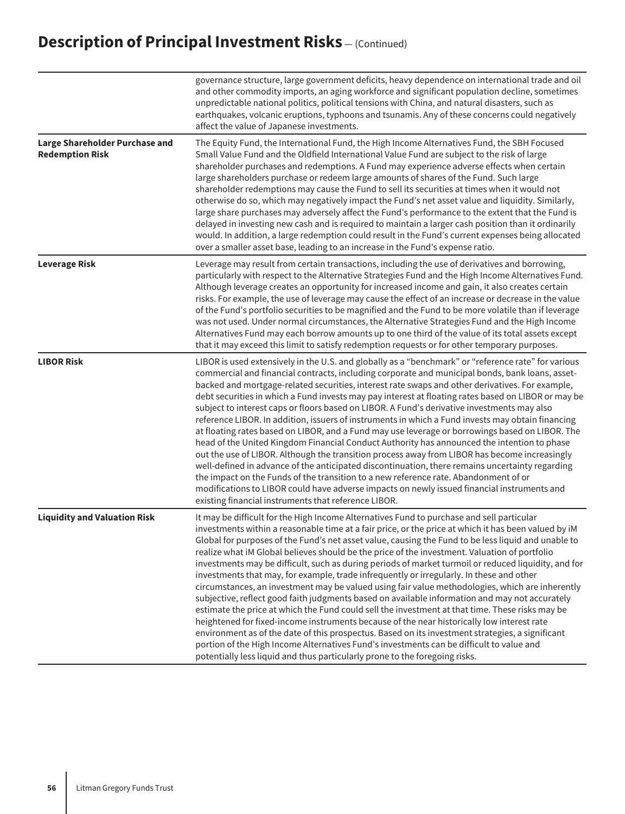|                                                          | governance structure, large government deficits, heavy dependence on international trade and oil<br>and other commodity imports, an aging workforce and significant population decline, sometimes<br>unpredictable national politics, political tensions with China, and natural disasters, such as<br>earthquakes, volcanic eruptions, typhoons and tsunamis. Any of these concerns could negatively<br>affect the value of Japanese investments.                                                                                                                                                                                                                                                                                                                                                                                                                                                                                                                                                                                                                                                                                                                                                                                                                                                 |
|----------------------------------------------------------|----------------------------------------------------------------------------------------------------------------------------------------------------------------------------------------------------------------------------------------------------------------------------------------------------------------------------------------------------------------------------------------------------------------------------------------------------------------------------------------------------------------------------------------------------------------------------------------------------------------------------------------------------------------------------------------------------------------------------------------------------------------------------------------------------------------------------------------------------------------------------------------------------------------------------------------------------------------------------------------------------------------------------------------------------------------------------------------------------------------------------------------------------------------------------------------------------------------------------------------------------------------------------------------------------|
| Large Shareholder Purchase and<br><b>Redemption Risk</b> | The Equity Fund, the International Fund, the High Income Alternatives Fund, the SBH Focused<br>Small Value Fund and the Oldfield International Value Fund are subject to the risk of large<br>shareholder purchases and redemptions. A Fund may experience adverse effects when certain<br>large shareholders purchase or redeem large amounts of shares of the Fund. Such large<br>shareholder redemptions may cause the Fund to sell its securities at times when it would not<br>otherwise do so, which may negatively impact the Fund's net asset value and liquidity. Similarly,<br>large share purchases may adversely affect the Fund's performance to the extent that the Fund is<br>delayed in investing new cash and is required to maintain a larger cash position than it ordinarily<br>would. In addition, a large redemption could result in the Fund's current expenses being allocated<br>over a smaller asset base, leading to an increase in the Fund's expense ratio.                                                                                                                                                                                                                                                                                                           |
| <b>Leverage Risk</b>                                     | Leverage may result from certain transactions, including the use of derivatives and borrowing,<br>particularly with respect to the Alternative Strategies Fund and the High Income Alternatives Fund.<br>Although leverage creates an opportunity for increased income and gain, it also creates certain<br>risks. For example, the use of leverage may cause the effect of an increase or decrease in the value<br>of the Fund's portfolio securities to be magnified and the Fund to be more volatile than if leverage<br>was not used. Under normal circumstances, the Alternative Strategies Fund and the High Income<br>Alternatives Fund may each borrow amounts up to one third of the value of its total assets except<br>that it may exceed this limit to satisfy redemption requests or for other temporary purposes.                                                                                                                                                                                                                                                                                                                                                                                                                                                                    |
| <b>LIBOR Risk</b>                                        | LIBOR is used extensively in the U.S. and globally as a "benchmark" or "reference rate" for various<br>commercial and financial contracts, including corporate and municipal bonds, bank loans, asset-<br>backed and mortgage-related securities, interest rate swaps and other derivatives. For example,<br>debt securities in which a Fund invests may pay interest at floating rates based on LIBOR or may be<br>subject to interest caps or floors based on LIBOR. A Fund's derivative investments may also<br>reference LIBOR. In addition, issuers of instruments in which a Fund invests may obtain financing<br>at floating rates based on LIBOR, and a Fund may use leverage or borrowings based on LIBOR. The<br>head of the United Kingdom Financial Conduct Authority has announced the intention to phase<br>out the use of LIBOR. Although the transition process away from LIBOR has become increasingly<br>well-defined in advance of the anticipated discontinuation, there remains uncertainty regarding<br>the impact on the Funds of the transition to a new reference rate. Abandonment of or<br>modifications to LIBOR could have adverse impacts on newly issued financial instruments and<br>existing financial instruments that reference LIBOR.                          |
| <b>Liquidity and Valuation Risk</b>                      | It may be difficult for the High Income Alternatives Fund to purchase and sell particular<br>investments within a reasonable time at a fair price, or the price at which it has been valued by iM<br>Global for purposes of the Fund's net asset value, causing the Fund to be less liquid and unable to<br>realize what iM Global believes should be the price of the investment. Valuation of portfolio<br>investments may be difficult, such as during periods of market turmoil or reduced liquidity, and for<br>investments that may, for example, trade infrequently or irregularly. In these and other<br>circumstances, an investment may be valued using fair value methodologies, which are inherently<br>subjective, reflect good faith judgments based on available information and may not accurately<br>estimate the price at which the Fund could sell the investment at that time. These risks may be<br>heightened for fixed-income instruments because of the near historically low interest rate<br>environment as of the date of this prospectus. Based on its investment strategies, a significant<br>portion of the High Income Alternatives Fund's investments can be difficult to value and<br>potentially less liquid and thus particularly prone to the foregoing risks. |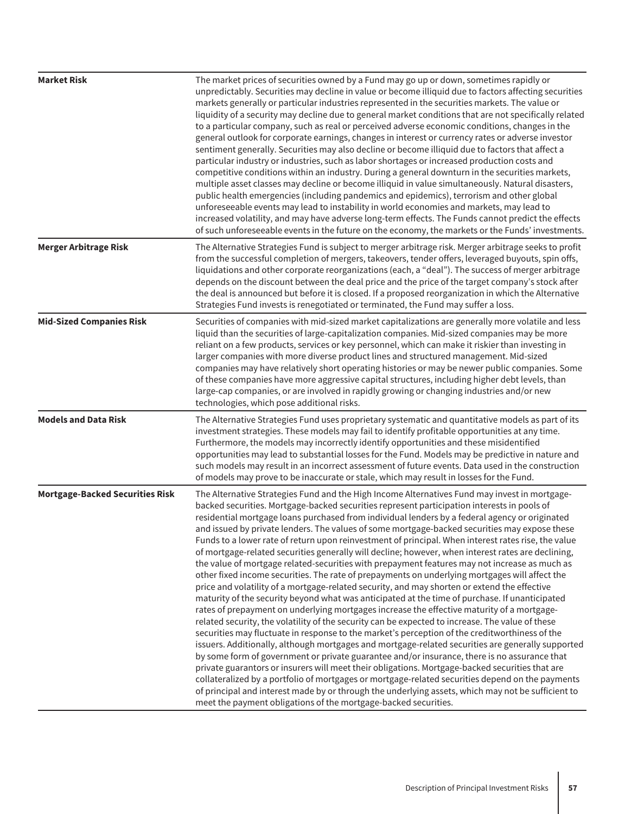| <b>Market Risk</b>                     | The market prices of securities owned by a Fund may go up or down, sometimes rapidly or<br>unpredictably. Securities may decline in value or become illiquid due to factors affecting securities<br>markets generally or particular industries represented in the securities markets. The value or<br>liquidity of a security may decline due to general market conditions that are not specifically related<br>to a particular company, such as real or perceived adverse economic conditions, changes in the<br>general outlook for corporate earnings, changes in interest or currency rates or adverse investor<br>sentiment generally. Securities may also decline or become illiquid due to factors that affect a<br>particular industry or industries, such as labor shortages or increased production costs and<br>competitive conditions within an industry. During a general downturn in the securities markets,<br>multiple asset classes may decline or become illiquid in value simultaneously. Natural disasters,<br>public health emergencies (including pandemics and epidemics), terrorism and other global<br>unforeseeable events may lead to instability in world economies and markets, may lead to<br>increased volatility, and may have adverse long-term effects. The Funds cannot predict the effects<br>of such unforeseeable events in the future on the economy, the markets or the Funds' investments.                                                                                                                                                                                                                                                                                                                                                                                                                                                                        |
|----------------------------------------|------------------------------------------------------------------------------------------------------------------------------------------------------------------------------------------------------------------------------------------------------------------------------------------------------------------------------------------------------------------------------------------------------------------------------------------------------------------------------------------------------------------------------------------------------------------------------------------------------------------------------------------------------------------------------------------------------------------------------------------------------------------------------------------------------------------------------------------------------------------------------------------------------------------------------------------------------------------------------------------------------------------------------------------------------------------------------------------------------------------------------------------------------------------------------------------------------------------------------------------------------------------------------------------------------------------------------------------------------------------------------------------------------------------------------------------------------------------------------------------------------------------------------------------------------------------------------------------------------------------------------------------------------------------------------------------------------------------------------------------------------------------------------------------------------------------------------------------------------------------------------------------------------------|
| <b>Merger Arbitrage Risk</b>           | The Alternative Strategies Fund is subject to merger arbitrage risk. Merger arbitrage seeks to profit<br>from the successful completion of mergers, takeovers, tender offers, leveraged buyouts, spin offs,<br>liquidations and other corporate reorganizations (each, a "deal"). The success of merger arbitrage<br>depends on the discount between the deal price and the price of the target company's stock after<br>the deal is announced but before it is closed. If a proposed reorganization in which the Alternative<br>Strategies Fund invests is renegotiated or terminated, the Fund may suffer a loss.                                                                                                                                                                                                                                                                                                                                                                                                                                                                                                                                                                                                                                                                                                                                                                                                                                                                                                                                                                                                                                                                                                                                                                                                                                                                                        |
| <b>Mid-Sized Companies Risk</b>        | Securities of companies with mid-sized market capitalizations are generally more volatile and less<br>liquid than the securities of large-capitalization companies. Mid-sized companies may be more<br>reliant on a few products, services or key personnel, which can make it riskier than investing in<br>larger companies with more diverse product lines and structured management. Mid-sized<br>companies may have relatively short operating histories or may be newer public companies. Some<br>of these companies have more aggressive capital structures, including higher debt levels, than<br>large-cap companies, or are involved in rapidly growing or changing industries and/or new<br>technologies, which pose additional risks.                                                                                                                                                                                                                                                                                                                                                                                                                                                                                                                                                                                                                                                                                                                                                                                                                                                                                                                                                                                                                                                                                                                                                           |
| <b>Models and Data Risk</b>            | The Alternative Strategies Fund uses proprietary systematic and quantitative models as part of its<br>investment strategies. These models may fail to identify profitable opportunities at any time.<br>Furthermore, the models may incorrectly identify opportunities and these misidentified<br>opportunities may lead to substantial losses for the Fund. Models may be predictive in nature and<br>such models may result in an incorrect assessment of future events. Data used in the construction<br>of models may prove to be inaccurate or stale, which may result in losses for the Fund.                                                                                                                                                                                                                                                                                                                                                                                                                                                                                                                                                                                                                                                                                                                                                                                                                                                                                                                                                                                                                                                                                                                                                                                                                                                                                                        |
| <b>Mortgage-Backed Securities Risk</b> | The Alternative Strategies Fund and the High Income Alternatives Fund may invest in mortgage-<br>backed securities. Mortgage-backed securities represent participation interests in pools of<br>residential mortgage loans purchased from individual lenders by a federal agency or originated<br>and issued by private lenders. The values of some mortgage-backed securities may expose these<br>Funds to a lower rate of return upon reinvestment of principal. When interest rates rise, the value<br>of mortgage-related securities generally will decline; however, when interest rates are declining,<br>the value of mortgage related-securities with prepayment features may not increase as much as<br>other fixed income securities. The rate of prepayments on underlying mortgages will affect the<br>price and volatility of a mortgage-related security, and may shorten or extend the effective<br>maturity of the security beyond what was anticipated at the time of purchase. If unanticipated<br>rates of prepayment on underlying mortgages increase the effective maturity of a mortgage-<br>related security, the volatility of the security can be expected to increase. The value of these<br>securities may fluctuate in response to the market's perception of the creditworthiness of the<br>issuers. Additionally, although mortgages and mortgage-related securities are generally supported<br>by some form of government or private guarantee and/or insurance, there is no assurance that<br>private guarantors or insurers will meet their obligations. Mortgage-backed securities that are<br>collateralized by a portfolio of mortgages or mortgage-related securities depend on the payments<br>of principal and interest made by or through the underlying assets, which may not be sufficient to<br>meet the payment obligations of the mortgage-backed securities. |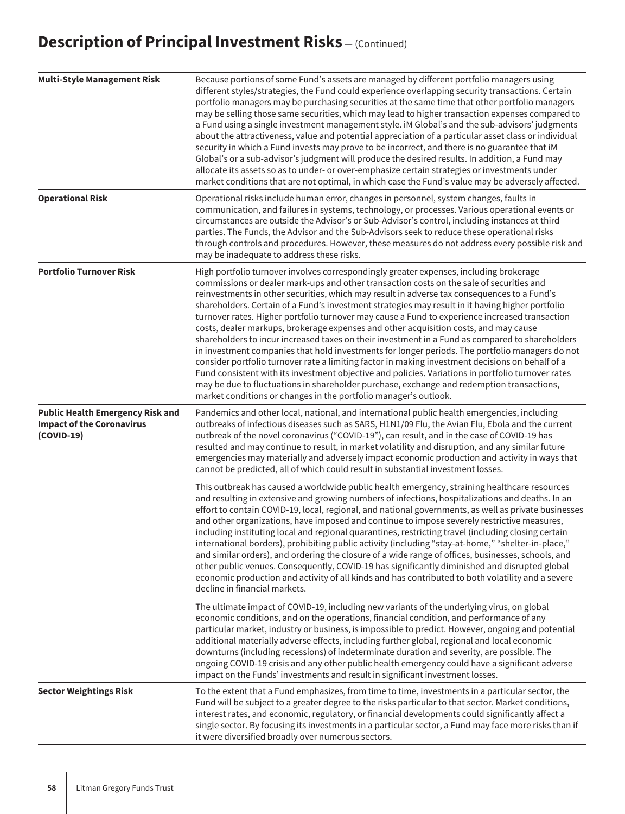| <b>Multi-Style Management Risk</b>                                                          | Because portions of some Fund's assets are managed by different portfolio managers using<br>different styles/strategies, the Fund could experience overlapping security transactions. Certain<br>portfolio managers may be purchasing securities at the same time that other portfolio managers<br>may be selling those same securities, which may lead to higher transaction expenses compared to<br>a Fund using a single investment management style. iM Global's and the sub-advisors' judgments<br>about the attractiveness, value and potential appreciation of a particular asset class or individual<br>security in which a Fund invests may prove to be incorrect, and there is no guarantee that iM<br>Global's or a sub-advisor's judgment will produce the desired results. In addition, a Fund may<br>allocate its assets so as to under- or over-emphasize certain strategies or investments under<br>market conditions that are not optimal, in which case the Fund's value may be adversely affected.                                                                                                                                            |
|---------------------------------------------------------------------------------------------|------------------------------------------------------------------------------------------------------------------------------------------------------------------------------------------------------------------------------------------------------------------------------------------------------------------------------------------------------------------------------------------------------------------------------------------------------------------------------------------------------------------------------------------------------------------------------------------------------------------------------------------------------------------------------------------------------------------------------------------------------------------------------------------------------------------------------------------------------------------------------------------------------------------------------------------------------------------------------------------------------------------------------------------------------------------------------------------------------------------------------------------------------------------|
| <b>Operational Risk</b>                                                                     | Operational risks include human error, changes in personnel, system changes, faults in<br>communication, and failures in systems, technology, or processes. Various operational events or<br>circumstances are outside the Advisor's or Sub-Advisor's control, including instances at third<br>parties. The Funds, the Advisor and the Sub-Advisors seek to reduce these operational risks<br>through controls and procedures. However, these measures do not address every possible risk and<br>may be inadequate to address these risks.                                                                                                                                                                                                                                                                                                                                                                                                                                                                                                                                                                                                                       |
| <b>Portfolio Turnover Risk</b>                                                              | High portfolio turnover involves correspondingly greater expenses, including brokerage<br>commissions or dealer mark-ups and other transaction costs on the sale of securities and<br>reinvestments in other securities, which may result in adverse tax consequences to a Fund's<br>shareholders. Certain of a Fund's investment strategies may result in it having higher portfolio<br>turnover rates. Higher portfolio turnover may cause a Fund to experience increased transaction<br>costs, dealer markups, brokerage expenses and other acquisition costs, and may cause<br>shareholders to incur increased taxes on their investment in a Fund as compared to shareholders<br>in investment companies that hold investments for longer periods. The portfolio managers do not<br>consider portfolio turnover rate a limiting factor in making investment decisions on behalf of a<br>Fund consistent with its investment objective and policies. Variations in portfolio turnover rates<br>may be due to fluctuations in shareholder purchase, exchange and redemption transactions,<br>market conditions or changes in the portfolio manager's outlook. |
| <b>Public Health Emergency Risk and</b><br><b>Impact of the Coronavirus</b><br>$(COVID-19)$ | Pandemics and other local, national, and international public health emergencies, including<br>outbreaks of infectious diseases such as SARS, H1N1/09 Flu, the Avian Flu, Ebola and the current<br>outbreak of the novel coronavirus ("COVID-19"), can result, and in the case of COVID-19 has<br>resulted and may continue to result, in market volatility and disruption, and any similar future<br>emergencies may materially and adversely impact economic production and activity in ways that<br>cannot be predicted, all of which could result in substantial investment losses.                                                                                                                                                                                                                                                                                                                                                                                                                                                                                                                                                                          |
|                                                                                             | This outbreak has caused a worldwide public health emergency, straining healthcare resources<br>and resulting in extensive and growing numbers of infections, hospitalizations and deaths. In an<br>effort to contain COVID-19, local, regional, and national governments, as well as private businesses<br>and other organizations, have imposed and continue to impose severely restrictive measures,<br>including instituting local and regional quarantines, restricting travel (including closing certain<br>international borders), prohibiting public activity (including "stay-at-home," "shelter-in-place,"<br>and similar orders), and ordering the closure of a wide range of offices, businesses, schools, and<br>other public venues. Consequently, COVID-19 has significantly diminished and disrupted global<br>economic production and activity of all kinds and has contributed to both volatility and a severe<br>decline in financial markets.                                                                                                                                                                                                |
|                                                                                             | The ultimate impact of COVID-19, including new variants of the underlying virus, on global<br>economic conditions, and on the operations, financial condition, and performance of any<br>particular market, industry or business, is impossible to predict. However, ongoing and potential<br>additional materially adverse effects, including further global, regional and local economic<br>downturns (including recessions) of indeterminate duration and severity, are possible. The<br>ongoing COVID-19 crisis and any other public health emergency could have a significant adverse<br>impact on the Funds' investments and result in significant investment losses.                                                                                                                                                                                                                                                                                                                                                                                                                                                                                      |
| <b>Sector Weightings Risk</b>                                                               | To the extent that a Fund emphasizes, from time to time, investments in a particular sector, the<br>Fund will be subject to a greater degree to the risks particular to that sector. Market conditions,<br>interest rates, and economic, regulatory, or financial developments could significantly affect a<br>single sector. By focusing its investments in a particular sector, a Fund may face more risks than if<br>it were diversified broadly over numerous sectors.                                                                                                                                                                                                                                                                                                                                                                                                                                                                                                                                                                                                                                                                                       |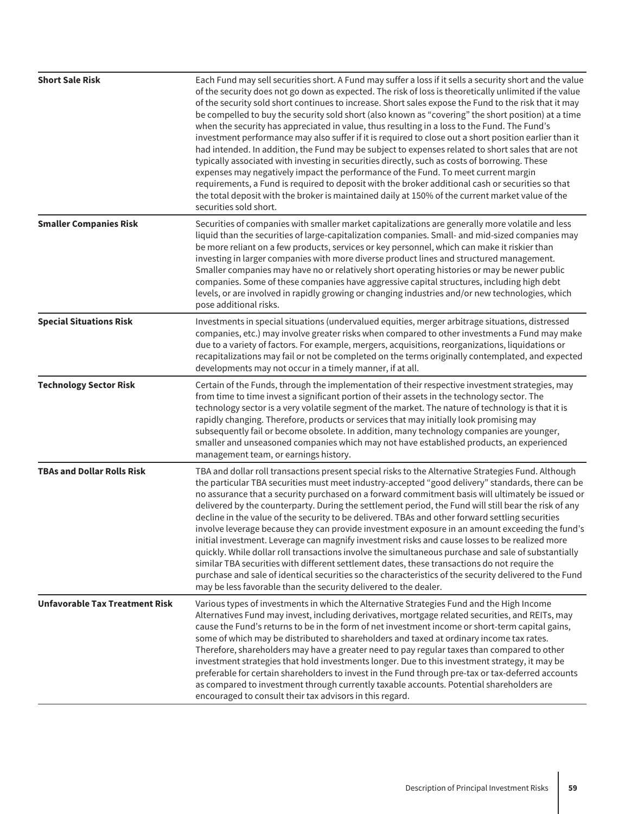| <b>Short Sale Risk</b>                | Each Fund may sell securities short. A Fund may suffer a loss if it sells a security short and the value<br>of the security does not go down as expected. The risk of loss is theoretically unlimited if the value<br>of the security sold short continues to increase. Short sales expose the Fund to the risk that it may<br>be compelled to buy the security sold short (also known as "covering" the short position) at a time<br>when the security has appreciated in value, thus resulting in a loss to the Fund. The Fund's<br>investment performance may also suffer if it is required to close out a short position earlier than it<br>had intended. In addition, the Fund may be subject to expenses related to short sales that are not<br>typically associated with investing in securities directly, such as costs of borrowing. These<br>expenses may negatively impact the performance of the Fund. To meet current margin<br>requirements, a Fund is required to deposit with the broker additional cash or securities so that<br>the total deposit with the broker is maintained daily at 150% of the current market value of the<br>securities sold short. |
|---------------------------------------|------------------------------------------------------------------------------------------------------------------------------------------------------------------------------------------------------------------------------------------------------------------------------------------------------------------------------------------------------------------------------------------------------------------------------------------------------------------------------------------------------------------------------------------------------------------------------------------------------------------------------------------------------------------------------------------------------------------------------------------------------------------------------------------------------------------------------------------------------------------------------------------------------------------------------------------------------------------------------------------------------------------------------------------------------------------------------------------------------------------------------------------------------------------------------|
| <b>Smaller Companies Risk</b>         | Securities of companies with smaller market capitalizations are generally more volatile and less<br>liquid than the securities of large-capitalization companies. Small- and mid-sized companies may<br>be more reliant on a few products, services or key personnel, which can make it riskier than<br>investing in larger companies with more diverse product lines and structured management.<br>Smaller companies may have no or relatively short operating histories or may be newer public<br>companies. Some of these companies have aggressive capital structures, including high debt<br>levels, or are involved in rapidly growing or changing industries and/or new technologies, which<br>pose additional risks.                                                                                                                                                                                                                                                                                                                                                                                                                                                 |
| <b>Special Situations Risk</b>        | Investments in special situations (undervalued equities, merger arbitrage situations, distressed<br>companies, etc.) may involve greater risks when compared to other investments a Fund may make<br>due to a variety of factors. For example, mergers, acquisitions, reorganizations, liquidations or<br>recapitalizations may fail or not be completed on the terms originally contemplated, and expected<br>developments may not occur in a timely manner, if at all.                                                                                                                                                                                                                                                                                                                                                                                                                                                                                                                                                                                                                                                                                                     |
| <b>Technology Sector Risk</b>         | Certain of the Funds, through the implementation of their respective investment strategies, may<br>from time to time invest a significant portion of their assets in the technology sector. The<br>technology sector is a very volatile segment of the market. The nature of technology is that it is<br>rapidly changing. Therefore, products or services that may initially look promising may<br>subsequently fail or become obsolete. In addition, many technology companies are younger,<br>smaller and unseasoned companies which may not have established products, an experienced<br>management team, or earnings history.                                                                                                                                                                                                                                                                                                                                                                                                                                                                                                                                           |
| <b>TBAs and Dollar Rolls Risk</b>     | TBA and dollar roll transactions present special risks to the Alternative Strategies Fund. Although<br>the particular TBA securities must meet industry-accepted "good delivery" standards, there can be<br>no assurance that a security purchased on a forward commitment basis will ultimately be issued or<br>delivered by the counterparty. During the settlement period, the Fund will still bear the risk of any<br>decline in the value of the security to be delivered. TBAs and other forward settling securities<br>involve leverage because they can provide investment exposure in an amount exceeding the fund's<br>initial investment. Leverage can magnify investment risks and cause losses to be realized more<br>quickly. While dollar roll transactions involve the simultaneous purchase and sale of substantially<br>similar TBA securities with different settlement dates, these transactions do not require the<br>purchase and sale of identical securities so the characteristics of the security delivered to the Fund<br>may be less favorable than the security delivered to the dealer.                                                        |
| <b>Unfavorable Tax Treatment Risk</b> | Various types of investments in which the Alternative Strategies Fund and the High Income<br>Alternatives Fund may invest, including derivatives, mortgage related securities, and REITs, may<br>cause the Fund's returns to be in the form of net investment income or short-term capital gains,<br>some of which may be distributed to shareholders and taxed at ordinary income tax rates.<br>Therefore, shareholders may have a greater need to pay regular taxes than compared to other<br>investment strategies that hold investments longer. Due to this investment strategy, it may be<br>preferable for certain shareholders to invest in the Fund through pre-tax or tax-deferred accounts<br>as compared to investment through currently taxable accounts. Potential shareholders are<br>encouraged to consult their tax advisors in this regard.                                                                                                                                                                                                                                                                                                                 |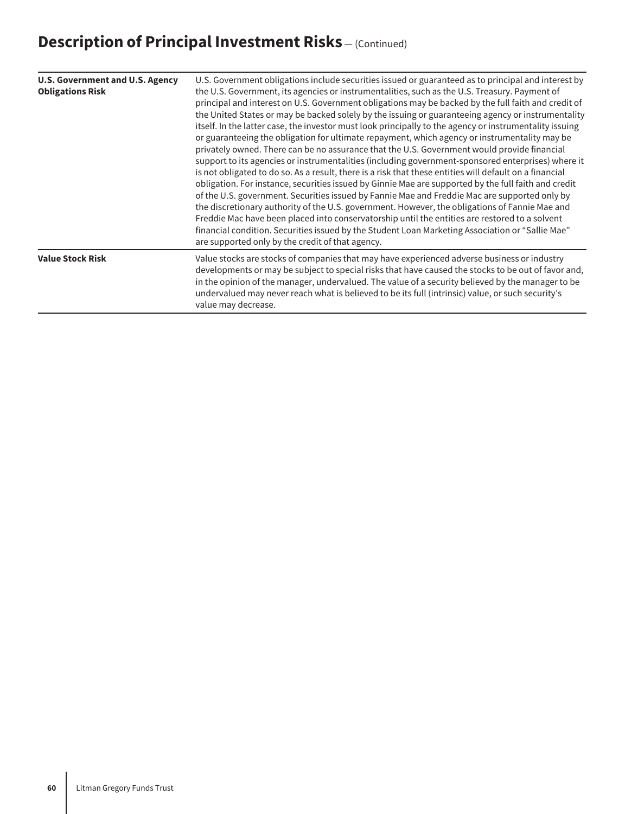| <b>U.S. Government and U.S. Agency</b><br><b>Obligations Risk</b>                                                                                                                                                                                                                                                                                                                                                                                              | U.S. Government obligations include securities issued or guaranteed as to principal and interest by<br>the U.S. Government, its agencies or instrumentalities, such as the U.S. Treasury. Payment of<br>principal and interest on U.S. Government obligations may be backed by the full faith and credit of<br>the United States or may be backed solely by the issuing or guaranteeing agency or instrumentality<br>itself. In the latter case, the investor must look principally to the agency or instrumentality issuing<br>or guaranteeing the obligation for ultimate repayment, which agency or instrumentality may be<br>privately owned. There can be no assurance that the U.S. Government would provide financial<br>support to its agencies or instrumentalities (including government-sponsored enterprises) where it<br>is not obligated to do so. As a result, there is a risk that these entities will default on a financial<br>obligation. For instance, securities issued by Ginnie Mae are supported by the full faith and credit<br>of the U.S. government. Securities issued by Fannie Mae and Freddie Mac are supported only by<br>the discretionary authority of the U.S. government. However, the obligations of Fannie Mae and<br>Freddie Mac have been placed into conservatorship until the entities are restored to a solvent<br>financial condition. Securities issued by the Student Loan Marketing Association or "Sallie Mae"<br>are supported only by the credit of that agency. |
|----------------------------------------------------------------------------------------------------------------------------------------------------------------------------------------------------------------------------------------------------------------------------------------------------------------------------------------------------------------------------------------------------------------------------------------------------------------|--------------------------------------------------------------------------------------------------------------------------------------------------------------------------------------------------------------------------------------------------------------------------------------------------------------------------------------------------------------------------------------------------------------------------------------------------------------------------------------------------------------------------------------------------------------------------------------------------------------------------------------------------------------------------------------------------------------------------------------------------------------------------------------------------------------------------------------------------------------------------------------------------------------------------------------------------------------------------------------------------------------------------------------------------------------------------------------------------------------------------------------------------------------------------------------------------------------------------------------------------------------------------------------------------------------------------------------------------------------------------------------------------------------------------------------------------------------------------------------------------------------------|
| <b>Value Stock Risk</b><br>Value stocks are stocks of companies that may have experienced adverse business or industry<br>developments or may be subject to special risks that have caused the stocks to be out of favor and,<br>in the opinion of the manager, undervalued. The value of a security believed by the manager to be<br>undervalued may never reach what is believed to be its full (intrinsic) value, or such security's<br>value may decrease. |                                                                                                                                                                                                                                                                                                                                                                                                                                                                                                                                                                                                                                                                                                                                                                                                                                                                                                                                                                                                                                                                                                                                                                                                                                                                                                                                                                                                                                                                                                                    |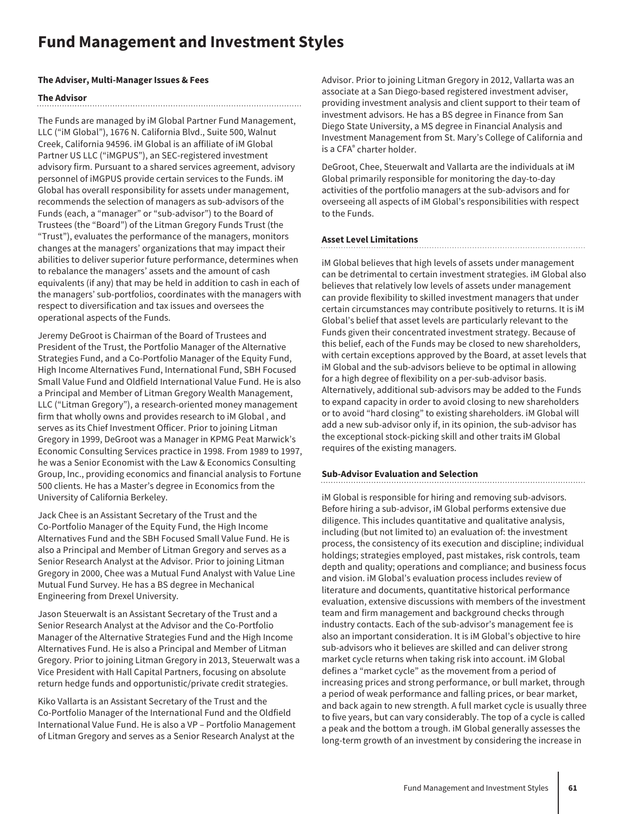### **Fund Management and Investment Styles**

#### **The Adviser, Multi-Manager Issues & Fees**

#### **The Advisor**

The Funds are managed by iM Global Partner Fund Management, LLC ("iM Global"), 1676 N. California Blvd., Suite 500, Walnut Creek, California 94596. iM Global is an affiliate of iM Global Partner US LLC ("iMGPUS"), an SEC-registered investment advisory firm. Pursuant to a shared services agreement, advisory personnel of iMGPUS provide certain services to the Funds. iM Global has overall responsibility for assets under management, recommends the selection of managers as sub-advisors of the Funds (each, a "manager" or "sub-advisor") to the Board of Trustees (the "Board") of the Litman Gregory Funds Trust (the "Trust"), evaluates the performance of the managers, monitors changes at the managers' organizations that may impact their abilities to deliver superior future performance, determines when to rebalance the managers' assets and the amount of cash equivalents (if any) that may be held in addition to cash in each of the managers' sub-portfolios, coordinates with the managers with respect to diversification and tax issues and oversees the operational aspects of the Funds.

Jeremy DeGroot is Chairman of the Board of Trustees and President of the Trust, the Portfolio Manager of the Alternative Strategies Fund, and a Co-Portfolio Manager of the Equity Fund, High Income Alternatives Fund, International Fund, SBH Focused Small Value Fund and Oldfield International Value Fund. He is also a Principal and Member of Litman Gregory Wealth Management, LLC ("Litman Gregory"), a research-oriented money management firm that wholly owns and provides research to iM Global , and serves as its Chief Investment Officer. Prior to joining Litman Gregory in 1999, DeGroot was a Manager in KPMG Peat Marwick's Economic Consulting Services practice in 1998. From 1989 to 1997, he was a Senior Economist with the Law & Economics Consulting Group, Inc., providing economics and financial analysis to Fortune 500 clients. He has a Master's degree in Economics from the University of California Berkeley.

Jack Chee is an Assistant Secretary of the Trust and the Co-Portfolio Manager of the Equity Fund, the High Income Alternatives Fund and the SBH Focused Small Value Fund. He is also a Principal and Member of Litman Gregory and serves as a Senior Research Analyst at the Advisor. Prior to joining Litman Gregory in 2000, Chee was a Mutual Fund Analyst with Value Line Mutual Fund Survey. He has a BS degree in Mechanical Engineering from Drexel University.

Jason Steuerwalt is an Assistant Secretary of the Trust and a Senior Research Analyst at the Advisor and the Co-Portfolio Manager of the Alternative Strategies Fund and the High Income Alternatives Fund. He is also a Principal and Member of Litman Gregory. Prior to joining Litman Gregory in 2013, Steuerwalt was a Vice President with Hall Capital Partners, focusing on absolute return hedge funds and opportunistic/private credit strategies.

Kiko Vallarta is an Assistant Secretary of the Trust and the Co-Portfolio Manager of the International Fund and the Oldfield International Value Fund. He is also a VP – Portfolio Management of Litman Gregory and serves as a Senior Research Analyst at the

Advisor. Prior to joining Litman Gregory in 2012, Vallarta was an associate at a San Diego-based registered investment adviser, providing investment analysis and client support to their team of investment advisors. He has a BS degree in Finance from San Diego State University, a MS degree in Financial Analysis and Investment Management from St. Mary's College of California and is a CFA® charter holder.

DeGroot, Chee, Steuerwalt and Vallarta are the individuals at iM Global primarily responsible for monitoring the day-to-day activities of the portfolio managers at the sub-advisors and for overseeing all aspects of iM Global's responsibilities with respect to the Funds.

#### **Asset Level Limitations**

iM Global believes that high levels of assets under management can be detrimental to certain investment strategies. iM Global also believes that relatively low levels of assets under management can provide flexibility to skilled investment managers that under certain circumstances may contribute positively to returns. It is iM Global's belief that asset levels are particularly relevant to the Funds given their concentrated investment strategy. Because of this belief, each of the Funds may be closed to new shareholders, with certain exceptions approved by the Board, at asset levels that iM Global and the sub-advisors believe to be optimal in allowing for a high degree of flexibility on a per-sub-advisor basis. Alternatively, additional sub-advisors may be added to the Funds to expand capacity in order to avoid closing to new shareholders or to avoid "hard closing" to existing shareholders. iM Global will add a new sub-advisor only if, in its opinion, the sub-advisor has the exceptional stock-picking skill and other traits iM Global requires of the existing managers.

#### **Sub-Advisor Evaluation and Selection**

iM Global is responsible for hiring and removing sub-advisors. Before hiring a sub-advisor, iM Global performs extensive due diligence. This includes quantitative and qualitative analysis, including (but not limited to) an evaluation of: the investment process, the consistency of its execution and discipline; individual holdings; strategies employed, past mistakes, risk controls, team depth and quality; operations and compliance; and business focus and vision. iM Global's evaluation process includes review of literature and documents, quantitative historical performance evaluation, extensive discussions with members of the investment team and firm management and background checks through industry contacts. Each of the sub-advisor's management fee is also an important consideration. It is iM Global's objective to hire sub-advisors who it believes are skilled and can deliver strong market cycle returns when taking risk into account. iM Global defines a "market cycle" as the movement from a period of increasing prices and strong performance, or bull market, through a period of weak performance and falling prices, or bear market, and back again to new strength. A full market cycle is usually three to five years, but can vary considerably. The top of a cycle is called a peak and the bottom a trough. iM Global generally assesses the long-term growth of an investment by considering the increase in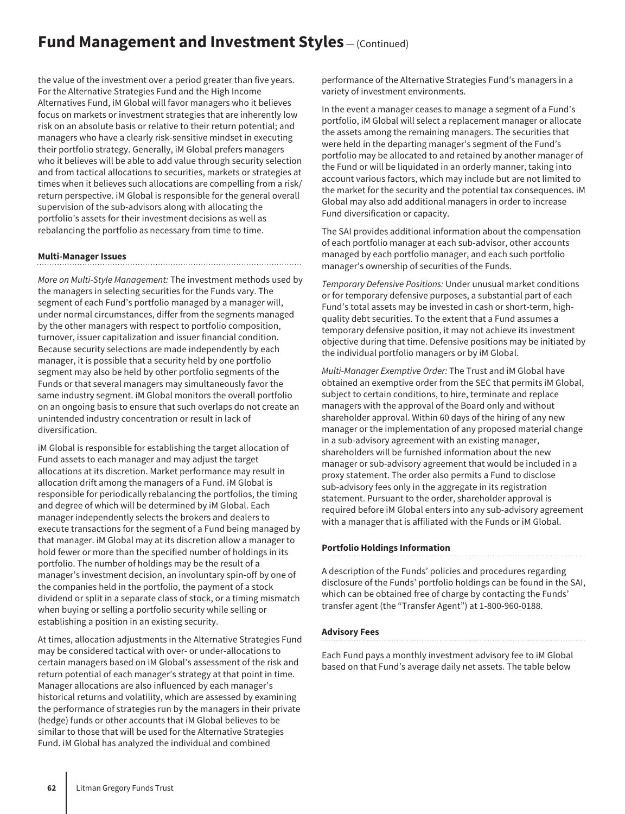### **Fund Management and Investment Styles** – (Continued)

the value of the investment over a period greater than five years. For the Alternative Strategies Fund and the High Income Alternatives Fund, iM Global will favor managers who it believes focus on markets or investment strategies that are inherently low risk on an absolute basis or relative to their return potential; and managers who have a clearly risk-sensitive mindset in executing their portfolio strategy. Generally, iM Global prefers managers who it believes will be able to add value through security selection and from tactical allocations to securities, markets or strategies at times when it believes such allocations are compelling from a risk/ return perspective. iM Global is responsible for the general overall supervision of the sub-advisors along with allocating the portfolio's assets for their investment decisions as well as rebalancing the portfolio as necessary from time to time.

#### **Multi-Manager Issues**

*More on Multi-Style Management:* The investment methods used by the managers in selecting securities for the Funds vary. The segment of each Fund's portfolio managed by a manager will, under normal circumstances, differ from the segments managed by the other managers with respect to portfolio composition, turnover, issuer capitalization and issuer financial condition. Because security selections are made independently by each manager, it is possible that a security held by one portfolio segment may also be held by other portfolio segments of the Funds or that several managers may simultaneously favor the same industry segment. iM Global monitors the overall portfolio on an ongoing basis to ensure that such overlaps do not create an unintended industry concentration or result in lack of diversification.

iM Global is responsible for establishing the target allocation of Fund assets to each manager and may adjust the target allocations at its discretion. Market performance may result in allocation drift among the managers of a Fund. iM Global is responsible for periodically rebalancing the portfolios, the timing and degree of which will be determined by iM Global. Each manager independently selects the brokers and dealers to execute transactions for the segment of a Fund being managed by that manager. iM Global may at its discretion allow a manager to hold fewer or more than the specified number of holdings in its portfolio. The number of holdings may be the result of a manager's investment decision, an involuntary spin-off by one of the companies held in the portfolio, the payment of a stock dividend or split in a separate class of stock, or a timing mismatch when buying or selling a portfolio security while selling or establishing a position in an existing security.

At times, allocation adjustments in the Alternative Strategies Fund may be considered tactical with over- or under-allocations to certain managers based on iM Global's assessment of the risk and return potential of each manager's strategy at that point in time. Manager allocations are also influenced by each manager's historical returns and volatility, which are assessed by examining the performance of strategies run by the managers in their private (hedge) funds or other accounts that iM Global believes to be similar to those that will be used for the Alternative Strategies Fund. iM Global has analyzed the individual and combined

performance of the Alternative Strategies Fund's managers in a variety of investment environments.

In the event a manager ceases to manage a segment of a Fund's portfolio, iM Global will select a replacement manager or allocate the assets among the remaining managers. The securities that were held in the departing manager's segment of the Fund's portfolio may be allocated to and retained by another manager of the Fund or will be liquidated in an orderly manner, taking into account various factors, which may include but are not limited to the market for the security and the potential tax consequences. iM Global may also add additional managers in order to increase Fund diversification or capacity.

The SAI provides additional information about the compensation of each portfolio manager at each sub-advisor, other accounts managed by each portfolio manager, and each such portfolio manager's ownership of securities of the Funds.

*Temporary Defensive Positions:* Under unusual market conditions or for temporary defensive purposes, a substantial part of each Fund's total assets may be invested in cash or short-term, highquality debt securities. To the extent that a Fund assumes a temporary defensive position, it may not achieve its investment objective during that time. Defensive positions may be initiated by the individual portfolio managers or by iM Global.

*Multi-Manager Exemptive Order:* The Trust and iM Global have obtained an exemptive order from the SEC that permits iM Global, subject to certain conditions, to hire, terminate and replace managers with the approval of the Board only and without shareholder approval. Within 60 days of the hiring of any new manager or the implementation of any proposed material change in a sub-advisory agreement with an existing manager, shareholders will be furnished information about the new manager or sub-advisory agreement that would be included in a proxy statement. The order also permits a Fund to disclose sub-advisory fees only in the aggregate in its registration statement. Pursuant to the order, shareholder approval is required before iM Global enters into any sub-advisory agreement with a manager that is affiliated with the Funds or iM Global.

#### **Portfolio Holdings Information**

A description of the Funds' policies and procedures regarding disclosure of the Funds' portfolio holdings can be found in the SAI, which can be obtained free of charge by contacting the Funds' transfer agent (the "Transfer Agent") at 1-800-960-0188.

#### **Advisory Fees**

Each Fund pays a monthly investment advisory fee to iM Global based on that Fund's average daily net assets. The table below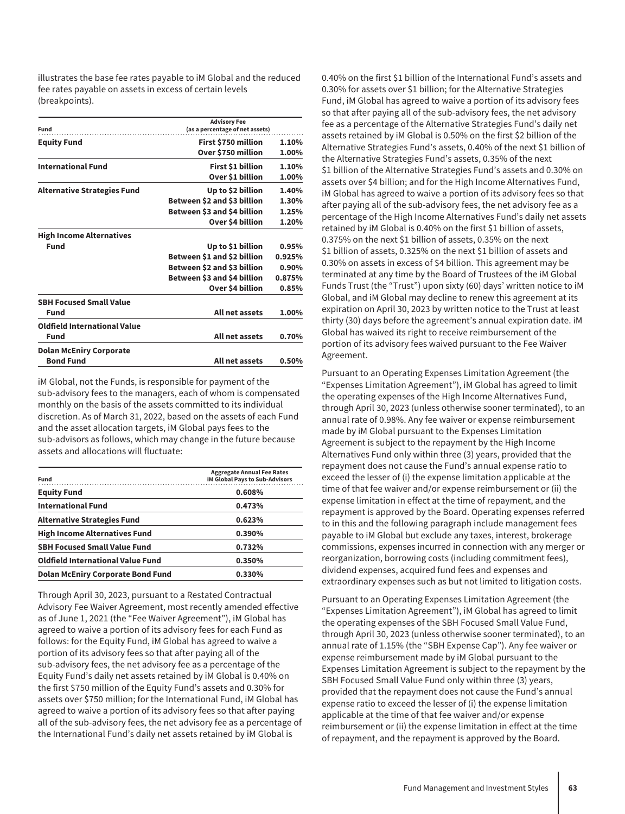illustrates the base fee rates payable to iM Global and the reduced fee rates payable on assets in excess of certain levels (breakpoints).

| Fund                                | <b>Advisory Fee</b><br>(as a percentage of net assets) |        |
|-------------------------------------|--------------------------------------------------------|--------|
| <b>Equity Fund</b>                  | First \$750 million                                    | 1.10%  |
|                                     | Over \$750 million                                     | 1.00%  |
| <b>International Fund</b>           | First \$1 billion                                      | 1.10%  |
|                                     | Over \$1 billion                                       | 1.00%  |
| <b>Alternative Strategies Fund</b>  | Up to \$2 billion                                      | 1.40%  |
|                                     | Between \$2 and \$3 billion                            | 1.30%  |
|                                     | Between \$3 and \$4 billion                            | 1.25%  |
|                                     | Over \$4 billion                                       | 1.20%  |
| <b>High Income Alternatives</b>     |                                                        |        |
| Fund                                | Up to \$1 billion                                      | 0.95%  |
|                                     | Between \$1 and \$2 billion                            | 0.925% |
|                                     | Between \$2 and \$3 billion                            | 0.90%  |
|                                     | Between \$3 and \$4 billion                            | 0.875% |
|                                     | Over \$4 billion                                       | 0.85%  |
| <b>SBH Focused Small Value</b>      |                                                        |        |
| Fund                                | All net assets                                         | 1.00%  |
| <b>Oldfield International Value</b> |                                                        |        |
| Fund                                | All net assets                                         | 0.70%  |
| <b>Dolan McEniry Corporate</b>      |                                                        |        |
| <b>Bond Fund</b>                    | All net assets                                         | 0.50%  |

iM Global, not the Funds, is responsible for payment of the sub-advisory fees to the managers, each of whom is compensated monthly on the basis of the assets committed to its individual discretion. As of March 31, 2022, based on the assets of each Fund and the asset allocation targets, iM Global pays fees to the sub-advisors as follows, which may change in the future because assets and allocations will fluctuate:

| Fund                                     | <b>Aggregate Annual Fee Rates</b><br><b>iM Global Pays to Sub-Advisors</b> |
|------------------------------------------|----------------------------------------------------------------------------|
| <b>Equity Fund</b>                       | 0.608%                                                                     |
| <b>International Fund</b>                | 0.473%                                                                     |
| <b>Alternative Strategies Fund</b>       | 0.623%                                                                     |
| <b>High Income Alternatives Fund</b>     | 0.390%                                                                     |
| <b>SBH Focused Small Value Fund</b>      | 0.732%                                                                     |
| <b>Oldfield International Value Fund</b> | 0.350%                                                                     |
| <b>Dolan McEniry Corporate Bond Fund</b> | 0.330%                                                                     |

Through April 30, 2023, pursuant to a Restated Contractual Advisory Fee Waiver Agreement, most recently amended effective as of June 1, 2021 (the "Fee Waiver Agreement"), iM Global has agreed to waive a portion of its advisory fees for each Fund as follows: for the Equity Fund, iM Global has agreed to waive a portion of its advisory fees so that after paying all of the sub-advisory fees, the net advisory fee as a percentage of the Equity Fund's daily net assets retained by iM Global is 0.40% on the first \$750 million of the Equity Fund's assets and 0.30% for assets over \$750 million; for the International Fund, iM Global has agreed to waive a portion of its advisory fees so that after paying all of the sub-advisory fees, the net advisory fee as a percentage of the International Fund's daily net assets retained by iM Global is

0.40% on the first \$1 billion of the International Fund's assets and 0.30% for assets over \$1 billion; for the Alternative Strategies Fund, iM Global has agreed to waive a portion of its advisory fees so that after paying all of the sub-advisory fees, the net advisory fee as a percentage of the Alternative Strategies Fund's daily net assets retained by iM Global is 0.50% on the first \$2 billion of the Alternative Strategies Fund's assets, 0.40% of the next \$1 billion of the Alternative Strategies Fund's assets, 0.35% of the next \$1 billion of the Alternative Strategies Fund's assets and 0.30% on assets over \$4 billion; and for the High Income Alternatives Fund, iM Global has agreed to waive a portion of its advisory fees so that after paying all of the sub-advisory fees, the net advisory fee as a percentage of the High Income Alternatives Fund's daily net assets retained by iM Global is 0.40% on the first \$1 billion of assets, 0.375% on the next \$1 billion of assets, 0.35% on the next \$1 billion of assets, 0.325% on the next \$1 billion of assets and 0.30% on assets in excess of \$4 billion. This agreement may be terminated at any time by the Board of Trustees of the iM Global Funds Trust (the "Trust") upon sixty (60) days' written notice to iM Global, and iM Global may decline to renew this agreement at its expiration on April 30, 2023 by written notice to the Trust at least thirty (30) days before the agreement's annual expiration date. iM Global has waived its right to receive reimbursement of the portion of its advisory fees waived pursuant to the Fee Waiver Agreement.

Pursuant to an Operating Expenses Limitation Agreement (the "Expenses Limitation Agreement"), iM Global has agreed to limit the operating expenses of the High Income Alternatives Fund, through April 30, 2023 (unless otherwise sooner terminated), to an annual rate of 0.98%. Any fee waiver or expense reimbursement made by iM Global pursuant to the Expenses Limitation Agreement is subject to the repayment by the High Income Alternatives Fund only within three (3) years, provided that the repayment does not cause the Fund's annual expense ratio to exceed the lesser of (i) the expense limitation applicable at the time of that fee waiver and/or expense reimbursement or (ii) the expense limitation in effect at the time of repayment, and the repayment is approved by the Board. Operating expenses referred to in this and the following paragraph include management fees payable to iM Global but exclude any taxes, interest, brokerage commissions, expenses incurred in connection with any merger or reorganization, borrowing costs (including commitment fees), dividend expenses, acquired fund fees and expenses and extraordinary expenses such as but not limited to litigation costs.

Pursuant to an Operating Expenses Limitation Agreement (the "Expenses Limitation Agreement"), iM Global has agreed to limit the operating expenses of the SBH Focused Small Value Fund, through April 30, 2023 (unless otherwise sooner terminated), to an annual rate of 1.15% (the "SBH Expense Cap"). Any fee waiver or expense reimbursement made by iM Global pursuant to the Expenses Limitation Agreement is subject to the repayment by the SBH Focused Small Value Fund only within three (3) years, provided that the repayment does not cause the Fund's annual expense ratio to exceed the lesser of (i) the expense limitation applicable at the time of that fee waiver and/or expense reimbursement or (ii) the expense limitation in effect at the time of repayment, and the repayment is approved by the Board.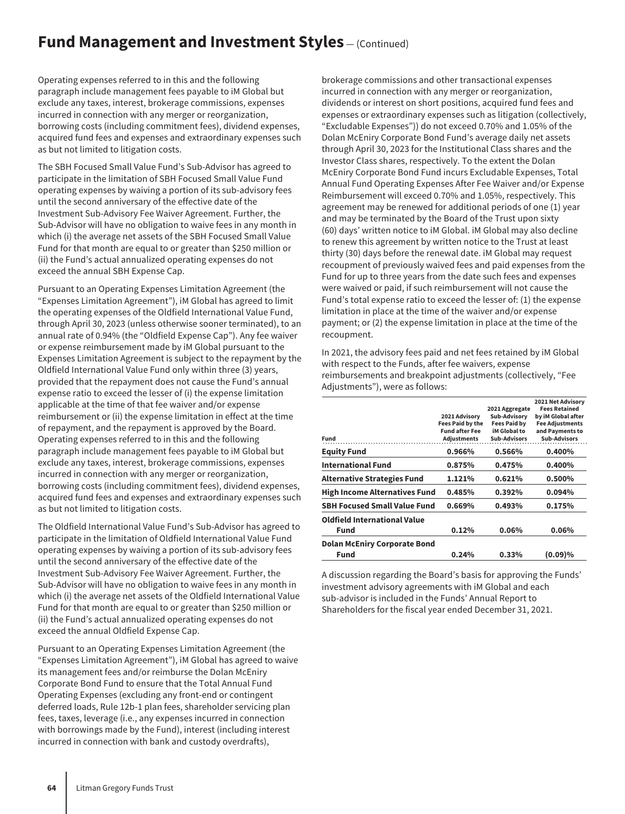### **Fund Management and Investment Styles** – (Continued)

Operating expenses referred to in this and the following paragraph include management fees payable to iM Global but exclude any taxes, interest, brokerage commissions, expenses incurred in connection with any merger or reorganization, borrowing costs (including commitment fees), dividend expenses, acquired fund fees and expenses and extraordinary expenses such as but not limited to litigation costs.

The SBH Focused Small Value Fund's Sub-Advisor has agreed to participate in the limitation of SBH Focused Small Value Fund operating expenses by waiving a portion of its sub-advisory fees until the second anniversary of the effective date of the Investment Sub-Advisory Fee Waiver Agreement. Further, the Sub-Advisor will have no obligation to waive fees in any month in which (i) the average net assets of the SBH Focused Small Value Fund for that month are equal to or greater than \$250 million or (ii) the Fund's actual annualized operating expenses do not exceed the annual SBH Expense Cap.

Pursuant to an Operating Expenses Limitation Agreement (the "Expenses Limitation Agreement"), iM Global has agreed to limit the operating expenses of the Oldfield International Value Fund, through April 30, 2023 (unless otherwise sooner terminated), to an annual rate of 0.94% (the "Oldfield Expense Cap"). Any fee waiver or expense reimbursement made by iM Global pursuant to the Expenses Limitation Agreement is subject to the repayment by the Oldfield International Value Fund only within three (3) years, provided that the repayment does not cause the Fund's annual expense ratio to exceed the lesser of (i) the expense limitation applicable at the time of that fee waiver and/or expense reimbursement or (ii) the expense limitation in effect at the time of repayment, and the repayment is approved by the Board. Operating expenses referred to in this and the following paragraph include management fees payable to iM Global but exclude any taxes, interest, brokerage commissions, expenses incurred in connection with any merger or reorganization, borrowing costs (including commitment fees), dividend expenses, acquired fund fees and expenses and extraordinary expenses such as but not limited to litigation costs.

The Oldfield International Value Fund's Sub-Advisor has agreed to participate in the limitation of Oldfield International Value Fund operating expenses by waiving a portion of its sub-advisory fees until the second anniversary of the effective date of the Investment Sub-Advisory Fee Waiver Agreement. Further, the Sub-Advisor will have no obligation to waive fees in any month in which (i) the average net assets of the Oldfield International Value Fund for that month are equal to or greater than \$250 million or (ii) the Fund's actual annualized operating expenses do not exceed the annual Oldfield Expense Cap.

Pursuant to an Operating Expenses Limitation Agreement (the "Expenses Limitation Agreement"), iM Global has agreed to waive its management fees and/or reimburse the Dolan McEniry Corporate Bond Fund to ensure that the Total Annual Fund Operating Expenses (excluding any front-end or contingent deferred loads, Rule 12b-1 plan fees, shareholder servicing plan fees, taxes, leverage (i.e., any expenses incurred in connection with borrowings made by the Fund), interest (including interest incurred in connection with bank and custody overdrafts),

brokerage commissions and other transactional expenses incurred in connection with any merger or reorganization, dividends or interest on short positions, acquired fund fees and expenses or extraordinary expenses such as litigation (collectively, "Excludable Expenses")) do not exceed 0.70% and 1.05% of the Dolan McEniry Corporate Bond Fund's average daily net assets through April 30, 2023 for the Institutional Class shares and the Investor Class shares, respectively. To the extent the Dolan McEniry Corporate Bond Fund incurs Excludable Expenses, Total Annual Fund Operating Expenses After Fee Waiver and/or Expense Reimbursement will exceed 0.70% and 1.05%, respectively. This agreement may be renewed for additional periods of one (1) year and may be terminated by the Board of the Trust upon sixty (60) days' written notice to iM Global. iM Global may also decline to renew this agreement by written notice to the Trust at least thirty (30) days before the renewal date. iM Global may request recoupment of previously waived fees and paid expenses from the Fund for up to three years from the date such fees and expenses were waived or paid, if such reimbursement will not cause the Fund's total expense ratio to exceed the lesser of: (1) the expense limitation in place at the time of the waiver and/or expense payment; or (2) the expense limitation in place at the time of the recoupment.

In 2021, the advisory fees paid and net fees retained by iM Global with respect to the Funds, after fee waivers, expense reimbursements and breakpoint adjustments (collectively, "Fee Adjustments"), were as follows:

| Fund                                        | 2021 Advisory<br><b>Fees Paid by the</b><br><b>Fund after Fee</b><br><b>Adjustments</b> | 2021 Aggregate<br>Sub-Advisory<br><b>Fees Paid by</b><br>iM Global to<br><b>Sub-Advisors</b> | 2021 Net Advisory<br><b>Fees Retained</b><br>by iM Global after<br><b>Fee Adjustments</b><br>and Pavments to<br><b>Sub-Advisors</b> |
|---------------------------------------------|-----------------------------------------------------------------------------------------|----------------------------------------------------------------------------------------------|-------------------------------------------------------------------------------------------------------------------------------------|
| <b>Equity Fund</b>                          | 0.966%                                                                                  | 0.566%                                                                                       | 0.400%                                                                                                                              |
| <b>International Fund</b>                   | 0.875%                                                                                  | 0.475%                                                                                       | 0.400%                                                                                                                              |
| <b>Alternative Strategies Fund</b>          | 1.121%                                                                                  | 0.621%                                                                                       | 0.500%                                                                                                                              |
| <b>High Income Alternatives Fund</b>        | 0.485%                                                                                  | 0.392%                                                                                       | 0.094%                                                                                                                              |
| <b>SBH Focused Small Value Fund</b>         | 0.669%                                                                                  | 0.493%                                                                                       | 0.175%                                                                                                                              |
| <b>Oldfield International Value</b><br>Fund | 0.12%                                                                                   | 0.06%                                                                                        | 0.06%                                                                                                                               |
| <b>Dolan McEniry Corporate Bond</b><br>Fund | 0.24%                                                                                   | 0.33%                                                                                        | (0.09)%                                                                                                                             |

A discussion regarding the Board's basis for approving the Funds' investment advisory agreements with iM Global and each sub-advisor is included in the Funds' Annual Report to Shareholders for the fiscal year ended December 31, 2021.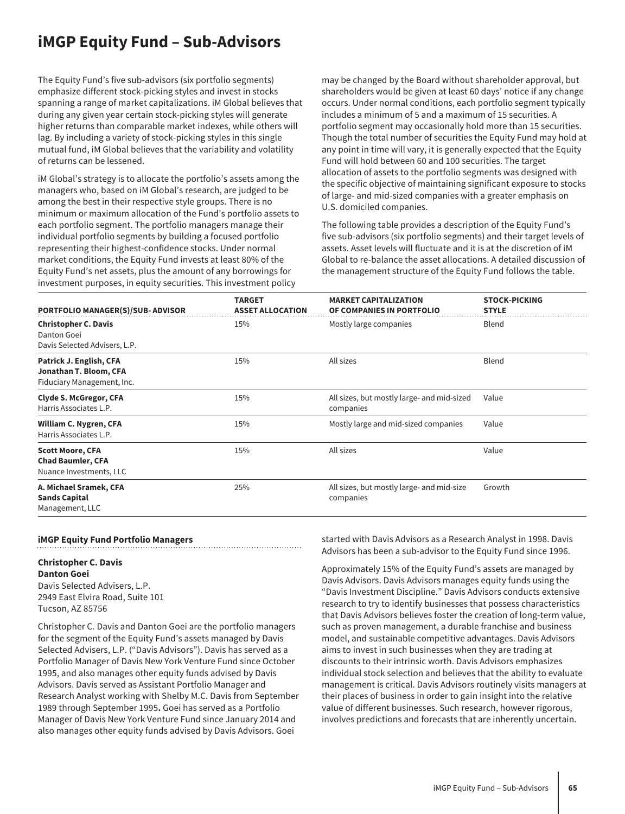## **iMGP Equity Fund – Sub-Advisors**

The Equity Fund's five sub-advisors (six portfolio segments) emphasize different stock-picking styles and invest in stocks spanning a range of market capitalizations. iM Global believes that during any given year certain stock-picking styles will generate higher returns than comparable market indexes, while others will lag. By including a variety of stock-picking styles in this single mutual fund, iM Global believes that the variability and volatility of returns can be lessened.

iM Global's strategy is to allocate the portfolio's assets among the managers who, based on iM Global's research, are judged to be among the best in their respective style groups. There is no minimum or maximum allocation of the Fund's portfolio assets to each portfolio segment. The portfolio managers manage their individual portfolio segments by building a focused portfolio representing their highest-confidence stocks. Under normal market conditions, the Equity Fund invests at least 80% of the Equity Fund's net assets, plus the amount of any borrowings for investment purposes, in equity securities. This investment policy

may be changed by the Board without shareholder approval, but shareholders would be given at least 60 days' notice if any change occurs. Under normal conditions, each portfolio segment typically includes a minimum of 5 and a maximum of 15 securities. A portfolio segment may occasionally hold more than 15 securities. Though the total number of securities the Equity Fund may hold at any point in time will vary, it is generally expected that the Equity Fund will hold between 60 and 100 securities. The target allocation of assets to the portfolio segments was designed with the specific objective of maintaining significant exposure to stocks of large- and mid-sized companies with a greater emphasis on U.S. domiciled companies.

The following table provides a description of the Equity Fund's five sub-advisors (six portfolio segments) and their target levels of assets. Asset levels will fluctuate and it is at the discretion of iM Global to re-balance the asset allocations. A detailed discussion of the management structure of the Equity Fund follows the table.

| <b>PORTFOLIO MANAGER(S)/SUB-ADVISOR</b>                                         | <b>TARGET</b><br><b>ASSET ALLOCATION</b> | <b>MARKET CAPITALIZATION</b><br>OF COMPANIES IN PORTFOLIO | <b>STOCK-PICKING</b><br><b>STYLE</b> |
|---------------------------------------------------------------------------------|------------------------------------------|-----------------------------------------------------------|--------------------------------------|
| <b>Christopher C. Davis</b><br>Danton Goei<br>Davis Selected Advisers, L.P.     | 15%                                      | Mostly large companies                                    | Blend                                |
| Patrick J. English, CFA<br>Jonathan T. Bloom, CFA<br>Fiduciary Management, Inc. | 15%                                      | All sizes                                                 | Blend                                |
| <b>Clyde S. McGregor, CFA</b><br>Harris Associates L.P.                         | 15%                                      | All sizes, but mostly large- and mid-sized<br>companies   | Value                                |
| William C. Nygren, CFA<br>Harris Associates L.P.                                | 15%                                      | Mostly large and mid-sized companies                      | Value                                |
| <b>Scott Moore, CFA</b><br><b>Chad Baumler, CFA</b><br>Nuance Investments, LLC  | 15%                                      | All sizes                                                 | Value                                |
| A. Michael Sramek, CFA<br><b>Sands Capital</b><br>Management, LLC               | 25%                                      | All sizes, but mostly large- and mid-size<br>companies    | Growth                               |

#### **iMGP Equity Fund Portfolio Managers**

#### **Christopher C. Davis**

**Danton Goei** Davis Selected Advisers, L.P. 2949 East Elvira Road, Suite 101 Tucson, AZ 85756

Christopher C. Davis and Danton Goei are the portfolio managers for the segment of the Equity Fund's assets managed by Davis Selected Advisers, L.P. ("Davis Advisors"). Davis has served as a Portfolio Manager of Davis New York Venture Fund since October 1995, and also manages other equity funds advised by Davis Advisors. Davis served as Assistant Portfolio Manager and Research Analyst working with Shelby M.C. Davis from September 1989 through September 1995**.** Goei has served as a Portfolio Manager of Davis New York Venture Fund since January 2014 and also manages other equity funds advised by Davis Advisors. Goei

started with Davis Advisors as a Research Analyst in 1998. Davis Advisors has been a sub-advisor to the Equity Fund since 1996.

Approximately 15% of the Equity Fund's assets are managed by Davis Advisors. Davis Advisors manages equity funds using the "Davis Investment Discipline." Davis Advisors conducts extensive research to try to identify businesses that possess characteristics that Davis Advisors believes foster the creation of long-term value, such as proven management, a durable franchise and business model, and sustainable competitive advantages. Davis Advisors aims to invest in such businesses when they are trading at discounts to their intrinsic worth. Davis Advisors emphasizes individual stock selection and believes that the ability to evaluate management is critical. Davis Advisors routinely visits managers at their places of business in order to gain insight into the relative value of different businesses. Such research, however rigorous, involves predictions and forecasts that are inherently uncertain.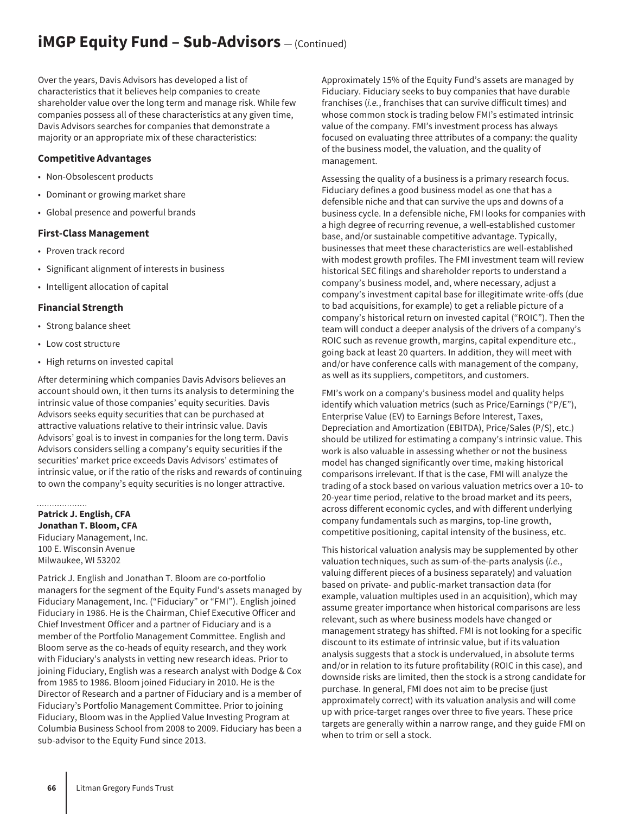## **iMGP Equity Fund - Sub-Advisors**  $-$  (Continued)

Over the years, Davis Advisors has developed a list of characteristics that it believes help companies to create shareholder value over the long term and manage risk. While few companies possess all of these characteristics at any given time, Davis Advisors searches for companies that demonstrate a majority or an appropriate mix of these characteristics:

#### **Competitive Advantages**

- Non-Obsolescent products
- Dominant or growing market share
- Global presence and powerful brands

#### **First-Class Management**

- Proven track record
- Significant alignment of interests in business
- Intelligent allocation of capital

#### **Financial Strength**

- Strong balance sheet
- Low cost structure
- High returns on invested capital

After determining which companies Davis Advisors believes an account should own, it then turns its analysis to determining the intrinsic value of those companies' equity securities. Davis Advisors seeks equity securities that can be purchased at attractive valuations relative to their intrinsic value. Davis Advisors' goal is to invest in companies for the long term. Davis Advisors considers selling a company's equity securities if the securities' market price exceeds Davis Advisors' estimates of intrinsic value, or if the ratio of the risks and rewards of continuing to own the company's equity securities is no longer attractive.

. . . . . . . . . . . . . . . . . . **Patrick J. English, CFA Jonathan T. Bloom, CFA** Fiduciary Management, Inc. 100 E. Wisconsin Avenue Milwaukee, WI 53202

Patrick J. English and Jonathan T. Bloom are co-portfolio managers for the segment of the Equity Fund's assets managed by Fiduciary Management, Inc. ("Fiduciary" or "FMI"). English joined Fiduciary in 1986. He is the Chairman, Chief Executive Officer and Chief Investment Officer and a partner of Fiduciary and is a member of the Portfolio Management Committee. English and Bloom serve as the co-heads of equity research, and they work with Fiduciary's analysts in vetting new research ideas. Prior to joining Fiduciary, English was a research analyst with Dodge & Cox from 1985 to 1986. Bloom joined Fiduciary in 2010. He is the Director of Research and a partner of Fiduciary and is a member of Fiduciary's Portfolio Management Committee. Prior to joining Fiduciary, Bloom was in the Applied Value Investing Program at Columbia Business School from 2008 to 2009. Fiduciary has been a sub-advisor to the Equity Fund since 2013.

Approximately 15% of the Equity Fund's assets are managed by Fiduciary. Fiduciary seeks to buy companies that have durable franchises (*i.e.*, franchises that can survive difficult times) and whose common stock is trading below FMI's estimated intrinsic value of the company. FMI's investment process has always focused on evaluating three attributes of a company: the quality of the business model, the valuation, and the quality of management.

Assessing the quality of a business is a primary research focus. Fiduciary defines a good business model as one that has a defensible niche and that can survive the ups and downs of a business cycle. In a defensible niche, FMI looks for companies with a high degree of recurring revenue, a well-established customer base, and/or sustainable competitive advantage. Typically, businesses that meet these characteristics are well-established with modest growth profiles. The FMI investment team will review historical SEC filings and shareholder reports to understand a company's business model, and, where necessary, adjust a company's investment capital base for illegitimate write-offs (due to bad acquisitions, for example) to get a reliable picture of a company's historical return on invested capital ("ROIC"). Then the team will conduct a deeper analysis of the drivers of a company's ROIC such as revenue growth, margins, capital expenditure etc., going back at least 20 quarters. In addition, they will meet with and/or have conference calls with management of the company, as well as its suppliers, competitors, and customers.

FMI's work on a company's business model and quality helps identify which valuation metrics (such as Price/Earnings ("P/E"), Enterprise Value (EV) to Earnings Before Interest, Taxes, Depreciation and Amortization (EBITDA), Price/Sales (P/S), etc.) should be utilized for estimating a company's intrinsic value. This work is also valuable in assessing whether or not the business model has changed significantly over time, making historical comparisons irrelevant. If that is the case, FMI will analyze the trading of a stock based on various valuation metrics over a 10- to 20-year time period, relative to the broad market and its peers, across different economic cycles, and with different underlying company fundamentals such as margins, top-line growth, competitive positioning, capital intensity of the business, etc.

This historical valuation analysis may be supplemented by other valuation techniques, such as sum-of-the-parts analysis (*i.e.*, valuing different pieces of a business separately) and valuation based on private- and public-market transaction data (for example, valuation multiples used in an acquisition), which may assume greater importance when historical comparisons are less relevant, such as where business models have changed or management strategy has shifted. FMI is not looking for a specific discount to its estimate of intrinsic value, but if its valuation analysis suggests that a stock is undervalued, in absolute terms and/or in relation to its future profitability (ROIC in this case), and downside risks are limited, then the stock is a strong candidate for purchase. In general, FMI does not aim to be precise (just approximately correct) with its valuation analysis and will come up with price-target ranges over three to five years. These price targets are generally within a narrow range, and they guide FMI on when to trim or sell a stock.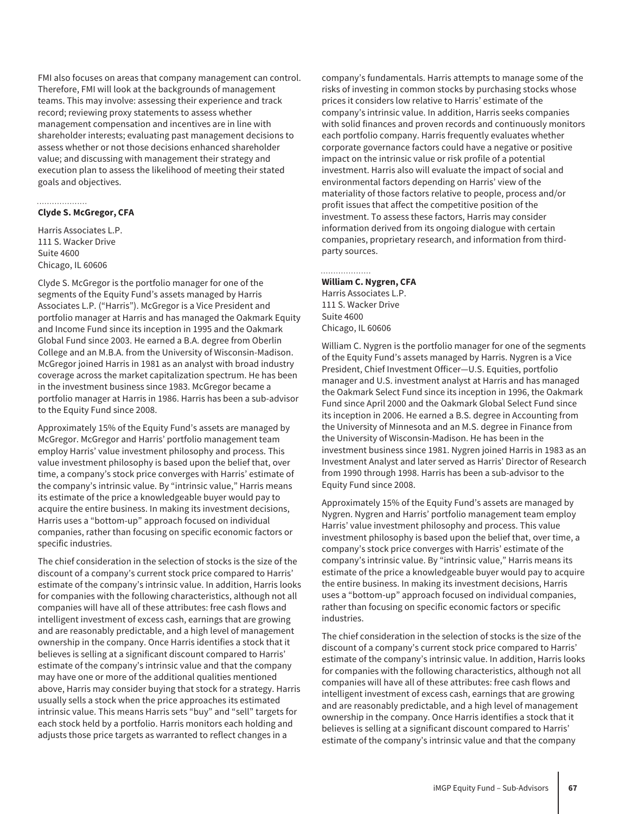FMI also focuses on areas that company management can control. Therefore, FMI will look at the backgrounds of management teams. This may involve: assessing their experience and track record; reviewing proxy statements to assess whether management compensation and incentives are in line with shareholder interests; evaluating past management decisions to assess whether or not those decisions enhanced shareholder value; and discussing with management their strategy and execution plan to assess the likelihood of meeting their stated goals and objectives.

#### **Clyde S. McGregor, CFA**

. . . . . . . . . . . . . . . . . .

Harris Associates L.P. 111 S. Wacker Drive Suite 4600 Chicago, IL 60606

Clyde S. McGregor is the portfolio manager for one of the segments of the Equity Fund's assets managed by Harris Associates L.P. ("Harris"). McGregor is a Vice President and portfolio manager at Harris and has managed the Oakmark Equity and Income Fund since its inception in 1995 and the Oakmark Global Fund since 2003. He earned a B.A. degree from Oberlin College and an M.B.A. from the University of Wisconsin-Madison. McGregor joined Harris in 1981 as an analyst with broad industry coverage across the market capitalization spectrum. He has been in the investment business since 1983. McGregor became a portfolio manager at Harris in 1986. Harris has been a sub-advisor to the Equity Fund since 2008.

Approximately 15% of the Equity Fund's assets are managed by McGregor. McGregor and Harris' portfolio management team employ Harris' value investment philosophy and process. This value investment philosophy is based upon the belief that, over time, a company's stock price converges with Harris' estimate of the company's intrinsic value. By "intrinsic value," Harris means its estimate of the price a knowledgeable buyer would pay to acquire the entire business. In making its investment decisions, Harris uses a "bottom-up" approach focused on individual companies, rather than focusing on specific economic factors or specific industries.

The chief consideration in the selection of stocks is the size of the discount of a company's current stock price compared to Harris' estimate of the company's intrinsic value. In addition, Harris looks for companies with the following characteristics, although not all companies will have all of these attributes: free cash flows and intelligent investment of excess cash, earnings that are growing and are reasonably predictable, and a high level of management ownership in the company. Once Harris identifies a stock that it believes is selling at a significant discount compared to Harris' estimate of the company's intrinsic value and that the company may have one or more of the additional qualities mentioned above, Harris may consider buying that stock for a strategy. Harris usually sells a stock when the price approaches its estimated intrinsic value. This means Harris sets "buy" and "sell" targets for each stock held by a portfolio. Harris monitors each holding and adjusts those price targets as warranted to reflect changes in a

company's fundamentals. Harris attempts to manage some of the risks of investing in common stocks by purchasing stocks whose prices it considers low relative to Harris' estimate of the company's intrinsic value. In addition, Harris seeks companies with solid finances and proven records and continuously monitors each portfolio company. Harris frequently evaluates whether corporate governance factors could have a negative or positive impact on the intrinsic value or risk profile of a potential investment. Harris also will evaluate the impact of social and environmental factors depending on Harris' view of the materiality of those factors relative to people, process and/or profit issues that affect the competitive position of the investment. To assess these factors, Harris may consider information derived from its ongoing dialogue with certain companies, proprietary research, and information from thirdparty sources.

#### . . . . . . . . . . . . . . . . . **William C. Nygren, CFA**

Harris Associates L.P. 111 S. Wacker Drive Suite 4600 Chicago, IL 60606

William C. Nygren is the portfolio manager for one of the segments of the Equity Fund's assets managed by Harris. Nygren is a Vice President, Chief Investment Officer—U.S. Equities, portfolio manager and U.S. investment analyst at Harris and has managed the Oakmark Select Fund since its inception in 1996, the Oakmark Fund since April 2000 and the Oakmark Global Select Fund since its inception in 2006. He earned a B.S. degree in Accounting from the University of Minnesota and an M.S. degree in Finance from the University of Wisconsin-Madison. He has been in the investment business since 1981. Nygren joined Harris in 1983 as an Investment Analyst and later served as Harris' Director of Research from 1990 through 1998. Harris has been a sub-advisor to the Equity Fund since 2008.

Approximately 15% of the Equity Fund's assets are managed by Nygren. Nygren and Harris' portfolio management team employ Harris' value investment philosophy and process. This value investment philosophy is based upon the belief that, over time, a company's stock price converges with Harris' estimate of the company's intrinsic value. By "intrinsic value," Harris means its estimate of the price a knowledgeable buyer would pay to acquire the entire business. In making its investment decisions, Harris uses a "bottom-up" approach focused on individual companies, rather than focusing on specific economic factors or specific industries.

The chief consideration in the selection of stocks is the size of the discount of a company's current stock price compared to Harris' estimate of the company's intrinsic value. In addition, Harris looks for companies with the following characteristics, although not all companies will have all of these attributes: free cash flows and intelligent investment of excess cash, earnings that are growing and are reasonably predictable, and a high level of management ownership in the company. Once Harris identifies a stock that it believes is selling at a significant discount compared to Harris' estimate of the company's intrinsic value and that the company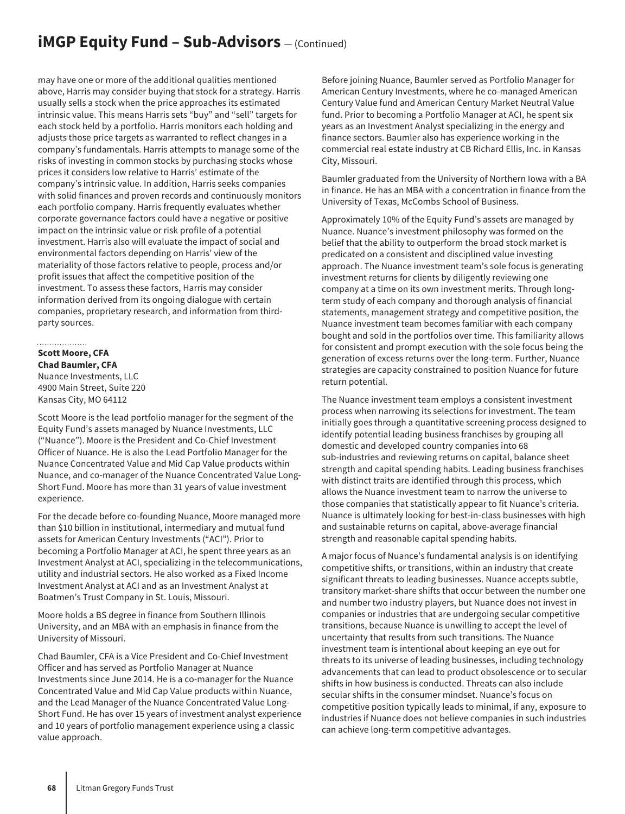## **iMGP Equity Fund - Sub-Advisors**  $-$  (Continued)

may have one or more of the additional qualities mentioned above, Harris may consider buying that stock for a strategy. Harris usually sells a stock when the price approaches its estimated intrinsic value. This means Harris sets "buy" and "sell" targets for each stock held by a portfolio. Harris monitors each holding and adjusts those price targets as warranted to reflect changes in a company's fundamentals. Harris attempts to manage some of the risks of investing in common stocks by purchasing stocks whose prices it considers low relative to Harris' estimate of the company's intrinsic value. In addition, Harris seeks companies with solid finances and proven records and continuously monitors each portfolio company. Harris frequently evaluates whether corporate governance factors could have a negative or positive impact on the intrinsic value or risk profile of a potential investment. Harris also will evaluate the impact of social and environmental factors depending on Harris' view of the materiality of those factors relative to people, process and/or profit issues that affect the competitive position of the investment. To assess these factors, Harris may consider information derived from its ongoing dialogue with certain companies, proprietary research, and information from thirdparty sources.

#### **Scott Moore, CFA**

**Chad Baumler, CFA** Nuance Investments, LLC 4900 Main Street, Suite 220 Kansas City, MO 64112

Scott Moore is the lead portfolio manager for the segment of the Equity Fund's assets managed by Nuance Investments, LLC ("Nuance"). Moore is the President and Co-Chief Investment Officer of Nuance. He is also the Lead Portfolio Manager for the Nuance Concentrated Value and Mid Cap Value products within Nuance, and co-manager of the Nuance Concentrated Value Long-Short Fund. Moore has more than 31 years of value investment experience.

For the decade before co-founding Nuance, Moore managed more than \$10 billion in institutional, intermediary and mutual fund assets for American Century Investments ("ACI"). Prior to becoming a Portfolio Manager at ACI, he spent three years as an Investment Analyst at ACI, specializing in the telecommunications, utility and industrial sectors. He also worked as a Fixed Income Investment Analyst at ACI and as an Investment Analyst at Boatmen's Trust Company in St. Louis, Missouri.

Moore holds a BS degree in finance from Southern Illinois University, and an MBA with an emphasis in finance from the University of Missouri.

Chad Baumler, CFA is a Vice President and Co-Chief Investment Officer and has served as Portfolio Manager at Nuance Investments since June 2014. He is a co-manager for the Nuance Concentrated Value and Mid Cap Value products within Nuance, and the Lead Manager of the Nuance Concentrated Value Long-Short Fund. He has over 15 years of investment analyst experience and 10 years of portfolio management experience using a classic value approach.

Before joining Nuance, Baumler served as Portfolio Manager for American Century Investments, where he co-managed American Century Value fund and American Century Market Neutral Value fund. Prior to becoming a Portfolio Manager at ACI, he spent six years as an Investment Analyst specializing in the energy and finance sectors. Baumler also has experience working in the commercial real estate industry at CB Richard Ellis, Inc. in Kansas City, Missouri.

Baumler graduated from the University of Northern Iowa with a BA in finance. He has an MBA with a concentration in finance from the University of Texas, McCombs School of Business.

Approximately 10% of the Equity Fund's assets are managed by Nuance. Nuance's investment philosophy was formed on the belief that the ability to outperform the broad stock market is predicated on a consistent and disciplined value investing approach. The Nuance investment team's sole focus is generating investment returns for clients by diligently reviewing one company at a time on its own investment merits. Through longterm study of each company and thorough analysis of financial statements, management strategy and competitive position, the Nuance investment team becomes familiar with each company bought and sold in the portfolios over time. This familiarity allows for consistent and prompt execution with the sole focus being the generation of excess returns over the long-term. Further, Nuance strategies are capacity constrained to position Nuance for future return potential.

The Nuance investment team employs a consistent investment process when narrowing its selections for investment. The team initially goes through a quantitative screening process designed to identify potential leading business franchises by grouping all domestic and developed country companies into 68 sub-industries and reviewing returns on capital, balance sheet strength and capital spending habits. Leading business franchises with distinct traits are identified through this process, which allows the Nuance investment team to narrow the universe to those companies that statistically appear to fit Nuance's criteria. Nuance is ultimately looking for best-in-class businesses with high and sustainable returns on capital, above-average financial strength and reasonable capital spending habits.

A major focus of Nuance's fundamental analysis is on identifying competitive shifts, or transitions, within an industry that create significant threats to leading businesses. Nuance accepts subtle, transitory market-share shifts that occur between the number one and number two industry players, but Nuance does not invest in companies or industries that are undergoing secular competitive transitions, because Nuance is unwilling to accept the level of uncertainty that results from such transitions. The Nuance investment team is intentional about keeping an eye out for threats to its universe of leading businesses, including technology advancements that can lead to product obsolescence or to secular shifts in how business is conducted. Threats can also include secular shifts in the consumer mindset. Nuance's focus on competitive position typically leads to minimal, if any, exposure to industries if Nuance does not believe companies in such industries can achieve long-term competitive advantages.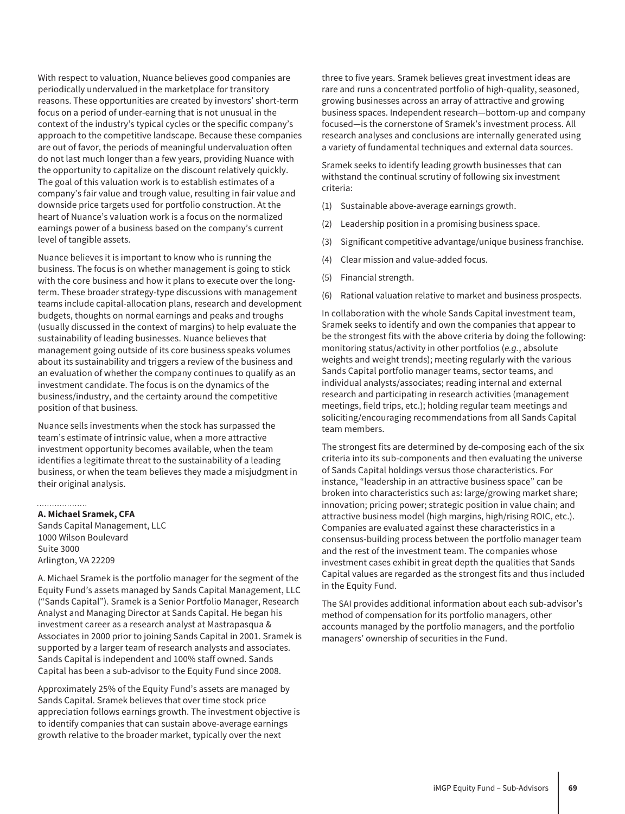With respect to valuation, Nuance believes good companies are periodically undervalued in the marketplace for transitory reasons. These opportunities are created by investors' short-term focus on a period of under-earning that is not unusual in the context of the industry's typical cycles or the specific company's approach to the competitive landscape. Because these companies are out of favor, the periods of meaningful undervaluation often do not last much longer than a few years, providing Nuance with the opportunity to capitalize on the discount relatively quickly. The goal of this valuation work is to establish estimates of a company's fair value and trough value, resulting in fair value and downside price targets used for portfolio construction. At the heart of Nuance's valuation work is a focus on the normalized earnings power of a business based on the company's current level of tangible assets.

Nuance believes it is important to know who is running the business. The focus is on whether management is going to stick with the core business and how it plans to execute over the longterm. These broader strategy-type discussions with management teams include capital-allocation plans, research and development budgets, thoughts on normal earnings and peaks and troughs (usually discussed in the context of margins) to help evaluate the sustainability of leading businesses. Nuance believes that management going outside of its core business speaks volumes about its sustainability and triggers a review of the business and an evaluation of whether the company continues to qualify as an investment candidate. The focus is on the dynamics of the business/industry, and the certainty around the competitive position of that business.

Nuance sells investments when the stock has surpassed the team's estimate of intrinsic value, when a more attractive investment opportunity becomes available, when the team identifies a legitimate threat to the sustainability of a leading business, or when the team believes they made a misjudgment in their original analysis.

### **A. Michael Sramek, CFA**

Sands Capital Management, LLC 1000 Wilson Boulevard Suite 3000 Arlington, VA 22209

A. Michael Sramek is the portfolio manager for the segment of the Equity Fund's assets managed by Sands Capital Management, LLC ("Sands Capital"). Sramek is a Senior Portfolio Manager, Research Analyst and Managing Director at Sands Capital. He began his investment career as a research analyst at Mastrapasqua & Associates in 2000 prior to joining Sands Capital in 2001. Sramek is supported by a larger team of research analysts and associates. Sands Capital is independent and 100% staff owned. Sands Capital has been a sub-advisor to the Equity Fund since 2008.

Approximately 25% of the Equity Fund's assets are managed by Sands Capital. Sramek believes that over time stock price appreciation follows earnings growth. The investment objective is to identify companies that can sustain above-average earnings growth relative to the broader market, typically over the next

three to five years. Sramek believes great investment ideas are rare and runs a concentrated portfolio of high-quality, seasoned, growing businesses across an array of attractive and growing business spaces. Independent research—bottom-up and company focused—is the cornerstone of Sramek's investment process. All research analyses and conclusions are internally generated using a variety of fundamental techniques and external data sources.

Sramek seeks to identify leading growth businesses that can withstand the continual scrutiny of following six investment criteria:

- (1) Sustainable above-average earnings growth.
- (2) Leadership position in a promising business space.
- (3) Significant competitive advantage/unique business franchise.
- (4) Clear mission and value-added focus.
- (5) Financial strength.
- (6) Rational valuation relative to market and business prospects.

In collaboration with the whole Sands Capital investment team, Sramek seeks to identify and own the companies that appear to be the strongest fits with the above criteria by doing the following: monitoring status/activity in other portfolios (*e.g.*, absolute weights and weight trends); meeting regularly with the various Sands Capital portfolio manager teams, sector teams, and individual analysts/associates; reading internal and external research and participating in research activities (management meetings, field trips, etc.); holding regular team meetings and soliciting/encouraging recommendations from all Sands Capital team members.

The strongest fits are determined by de-composing each of the six criteria into its sub-components and then evaluating the universe of Sands Capital holdings versus those characteristics. For instance, "leadership in an attractive business space" can be broken into characteristics such as: large/growing market share; innovation; pricing power; strategic position in value chain; and attractive business model (high margins, high/rising ROIC, etc.). Companies are evaluated against these characteristics in a consensus-building process between the portfolio manager team and the rest of the investment team. The companies whose investment cases exhibit in great depth the qualities that Sands Capital values are regarded as the strongest fits and thus included in the Equity Fund.

The SAI provides additional information about each sub-advisor's method of compensation for its portfolio managers, other accounts managed by the portfolio managers, and the portfolio managers' ownership of securities in the Fund.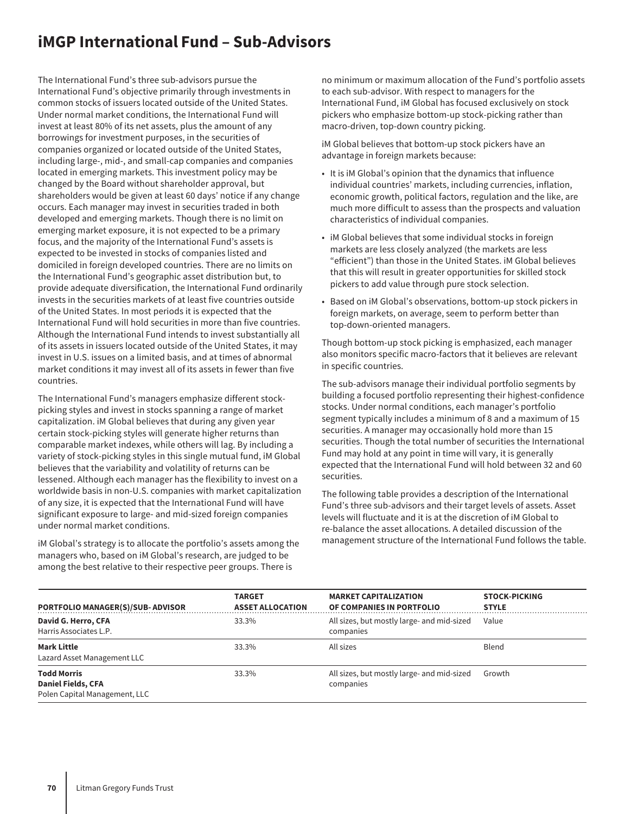## **iMGP International Fund – Sub-Advisors**

The International Fund's three sub-advisors pursue the International Fund's objective primarily through investments in common stocks of issuers located outside of the United States. Under normal market conditions, the International Fund will invest at least 80% of its net assets, plus the amount of any borrowings for investment purposes, in the securities of companies organized or located outside of the United States, including large-, mid-, and small-cap companies and companies located in emerging markets. This investment policy may be changed by the Board without shareholder approval, but shareholders would be given at least 60 days' notice if any change occurs. Each manager may invest in securities traded in both developed and emerging markets. Though there is no limit on emerging market exposure, it is not expected to be a primary focus, and the majority of the International Fund's assets is expected to be invested in stocks of companies listed and domiciled in foreign developed countries. There are no limits on the International Fund's geographic asset distribution but, to provide adequate diversification, the International Fund ordinarily invests in the securities markets of at least five countries outside of the United States. In most periods it is expected that the International Fund will hold securities in more than five countries. Although the International Fund intends to invest substantially all of its assets in issuers located outside of the United States, it may invest in U.S. issues on a limited basis, and at times of abnormal market conditions it may invest all of its assets in fewer than five countries.

The International Fund's managers emphasize different stockpicking styles and invest in stocks spanning a range of market capitalization. iM Global believes that during any given year certain stock-picking styles will generate higher returns than comparable market indexes, while others will lag. By including a variety of stock-picking styles in this single mutual fund, iM Global believes that the variability and volatility of returns can be lessened. Although each manager has the flexibility to invest on a worldwide basis in non-U.S. companies with market capitalization of any size, it is expected that the International Fund will have significant exposure to large- and mid-sized foreign companies under normal market conditions.

iM Global's strategy is to allocate the portfolio's assets among the managers who, based on iM Global's research, are judged to be among the best relative to their respective peer groups. There is

no minimum or maximum allocation of the Fund's portfolio assets to each sub-advisor. With respect to managers for the International Fund, iM Global has focused exclusively on stock pickers who emphasize bottom-up stock-picking rather than macro-driven, top-down country picking.

iM Global believes that bottom-up stock pickers have an advantage in foreign markets because:

- It is iM Global's opinion that the dynamics that influence individual countries' markets, including currencies, inflation, economic growth, political factors, regulation and the like, are much more difficult to assess than the prospects and valuation characteristics of individual companies.
- iM Global believes that some individual stocks in foreign markets are less closely analyzed (the markets are less "efficient") than those in the United States. iM Global believes that this will result in greater opportunities for skilled stock pickers to add value through pure stock selection.
- Based on iM Global's observations, bottom-up stock pickers in foreign markets, on average, seem to perform better than top-down-oriented managers.

Though bottom-up stock picking is emphasized, each manager also monitors specific macro-factors that it believes are relevant in specific countries.

The sub-advisors manage their individual portfolio segments by building a focused portfolio representing their highest-confidence stocks. Under normal conditions, each manager's portfolio segment typically includes a minimum of 8 and a maximum of 15 securities. A manager may occasionally hold more than 15 securities. Though the total number of securities the International Fund may hold at any point in time will vary, it is generally expected that the International Fund will hold between 32 and 60 securities.

The following table provides a description of the International Fund's three sub-advisors and their target levels of assets. Asset levels will fluctuate and it is at the discretion of iM Global to re-balance the asset allocations. A detailed discussion of the management structure of the International Fund follows the table.

| PORTFOLIO MANAGER(S)/SUB-ADVISOR                                                 | <b>TARGET</b><br><b>ASSET ALLOCATION</b> | <b>MARKET CAPITALIZATION</b><br>OF COMPANIES IN PORTFOLIO | <b>STOCK-PICKING</b><br><b>STYLE</b> |
|----------------------------------------------------------------------------------|------------------------------------------|-----------------------------------------------------------|--------------------------------------|
| David G. Herro, CFA<br>Harris Associates L.P.                                    | 33.3%                                    | All sizes, but mostly large- and mid-sized<br>companies   | Value                                |
| <b>Mark Little</b><br>Lazard Asset Management LLC                                | 33.3%                                    | All sizes                                                 | Blend                                |
| <b>Todd Morris</b><br><b>Daniel Fields, CFA</b><br>Polen Capital Management, LLC | 33.3%                                    | All sizes, but mostly large- and mid-sized<br>companies   | Growth                               |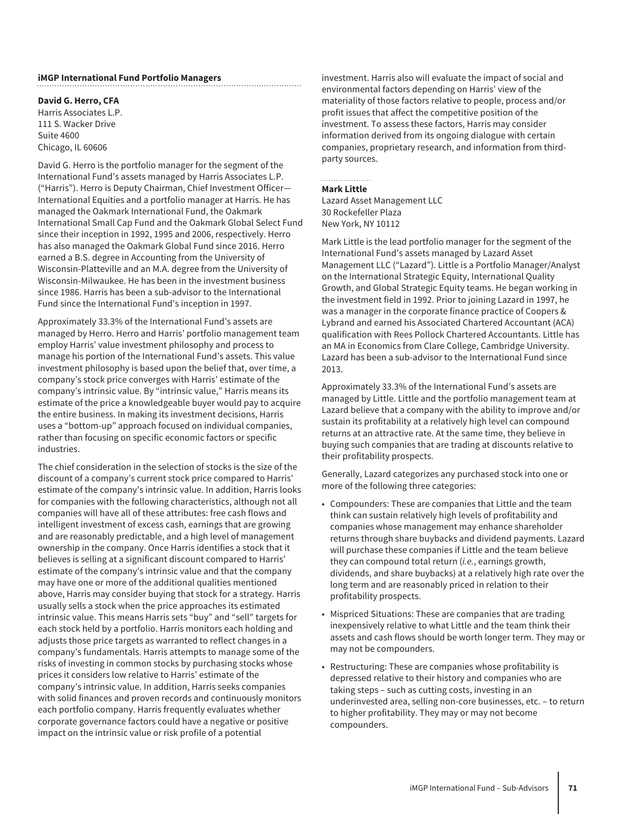#### **iMGP International Fund Portfolio Managers**

**David G. Herro, CFA**

Harris Associates L.P. 111 S. Wacker Drive Suite 4600 Chicago, IL 60606

David G. Herro is the portfolio manager for the segment of the International Fund's assets managed by Harris Associates L.P. ("Harris"). Herro is Deputy Chairman, Chief Investment Officer— International Equities and a portfolio manager at Harris. He has managed the Oakmark International Fund, the Oakmark International Small Cap Fund and the Oakmark Global Select Fund since their inception in 1992, 1995 and 2006, respectively. Herro has also managed the Oakmark Global Fund since 2016. Herro earned a B.S. degree in Accounting from the University of Wisconsin-Platteville and an M.A. degree from the University of Wisconsin-Milwaukee. He has been in the investment business since 1986. Harris has been a sub-advisor to the International Fund since the International Fund's inception in 1997.

Approximately 33.3% of the International Fund's assets are managed by Herro. Herro and Harris' portfolio management team employ Harris' value investment philosophy and process to manage his portion of the International Fund's assets. This value investment philosophy is based upon the belief that, over time, a company's stock price converges with Harris' estimate of the company's intrinsic value. By "intrinsic value," Harris means its estimate of the price a knowledgeable buyer would pay to acquire the entire business. In making its investment decisions, Harris uses a "bottom-up" approach focused on individual companies, rather than focusing on specific economic factors or specific industries.

The chief consideration in the selection of stocks is the size of the discount of a company's current stock price compared to Harris' estimate of the company's intrinsic value. In addition, Harris looks for companies with the following characteristics, although not all companies will have all of these attributes: free cash flows and intelligent investment of excess cash, earnings that are growing and are reasonably predictable, and a high level of management ownership in the company. Once Harris identifies a stock that it believes is selling at a significant discount compared to Harris' estimate of the company's intrinsic value and that the company may have one or more of the additional qualities mentioned above, Harris may consider buying that stock for a strategy. Harris usually sells a stock when the price approaches its estimated intrinsic value. This means Harris sets "buy" and "sell" targets for each stock held by a portfolio. Harris monitors each holding and adjusts those price targets as warranted to reflect changes in a company's fundamentals. Harris attempts to manage some of the risks of investing in common stocks by purchasing stocks whose prices it considers low relative to Harris' estimate of the company's intrinsic value. In addition, Harris seeks companies with solid finances and proven records and continuously monitors each portfolio company. Harris frequently evaluates whether corporate governance factors could have a negative or positive impact on the intrinsic value or risk profile of a potential

investment. Harris also will evaluate the impact of social and environmental factors depending on Harris' view of the materiality of those factors relative to people, process and/or profit issues that affect the competitive position of the investment. To assess these factors, Harris may consider information derived from its ongoing dialogue with certain companies, proprietary research, and information from thirdparty sources.

#### **Mark Little**

Lazard Asset Management LLC 30 Rockefeller Plaza New York, NY 10112

Mark Little is the lead portfolio manager for the segment of the International Fund's assets managed by Lazard Asset Management LLC ("Lazard"). Little is a Portfolio Manager/Analyst on the International Strategic Equity, International Quality Growth, and Global Strategic Equity teams. He began working in the investment field in 1992. Prior to joining Lazard in 1997, he was a manager in the corporate finance practice of Coopers & Lybrand and earned his Associated Chartered Accountant (ACA) qualification with Rees Pollock Chartered Accountants. Little has an MA in Economics from Clare College, Cambridge University. Lazard has been a sub-advisor to the International Fund since 2013.

Approximately 33.3% of the International Fund's assets are managed by Little. Little and the portfolio management team at Lazard believe that a company with the ability to improve and/or sustain its profitability at a relatively high level can compound returns at an attractive rate. At the same time, they believe in buying such companies that are trading at discounts relative to their profitability prospects.

Generally, Lazard categorizes any purchased stock into one or more of the following three categories:

- Compounders: These are companies that Little and the team think can sustain relatively high levels of profitability and companies whose management may enhance shareholder returns through share buybacks and dividend payments. Lazard will purchase these companies if Little and the team believe they can compound total return (*i.e.*, earnings growth, dividends, and share buybacks) at a relatively high rate over the long term and are reasonably priced in relation to their profitability prospects.
- Mispriced Situations: These are companies that are trading inexpensively relative to what Little and the team think their assets and cash flows should be worth longer term. They may or may not be compounders.
- Restructuring: These are companies whose profitability is depressed relative to their history and companies who are taking steps – such as cutting costs, investing in an underinvested area, selling non-core businesses, etc. – to return to higher profitability. They may or may not become compounders.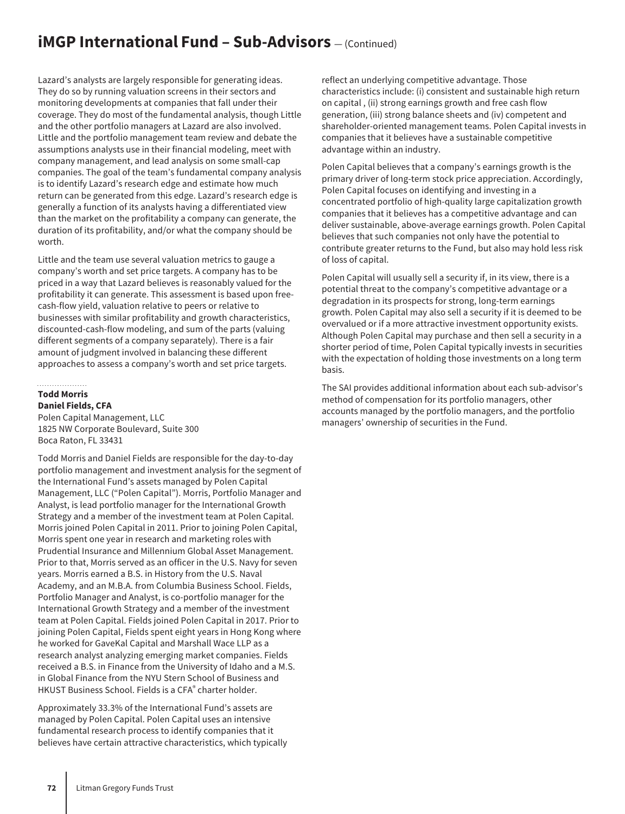## **iMGP International Fund - Sub-Advisors** - (Continued)

Lazard's analysts are largely responsible for generating ideas. They do so by running valuation screens in their sectors and monitoring developments at companies that fall under their coverage. They do most of the fundamental analysis, though Little and the other portfolio managers at Lazard are also involved. Little and the portfolio management team review and debate the assumptions analysts use in their financial modeling, meet with company management, and lead analysis on some small-cap companies. The goal of the team's fundamental company analysis is to identify Lazard's research edge and estimate how much return can be generated from this edge. Lazard's research edge is generally a function of its analysts having a differentiated view than the market on the profitability a company can generate, the duration of its profitability, and/or what the company should be worth.

Little and the team use several valuation metrics to gauge a company's worth and set price targets. A company has to be priced in a way that Lazard believes is reasonably valued for the profitability it can generate. This assessment is based upon freecash-flow yield, valuation relative to peers or relative to businesses with similar profitability and growth characteristics, discounted-cash-flow modeling, and sum of the parts (valuing different segments of a company separately). There is a fair amount of judgment involved in balancing these different approaches to assess a company's worth and set price targets.

### **Todd Morris**

### **Daniel Fields, CFA**

Polen Capital Management, LLC 1825 NW Corporate Boulevard, Suite 300 Boca Raton, FL 33431

Todd Morris and Daniel Fields are responsible for the day-to-day portfolio management and investment analysis for the segment of the International Fund's assets managed by Polen Capital Management, LLC ("Polen Capital"). Morris, Portfolio Manager and Analyst, is lead portfolio manager for the International Growth Strategy and a member of the investment team at Polen Capital. Morris joined Polen Capital in 2011. Prior to joining Polen Capital, Morris spent one year in research and marketing roles with Prudential Insurance and Millennium Global Asset Management. Prior to that, Morris served as an officer in the U.S. Navy for seven years. Morris earned a B.S. in History from the U.S. Naval Academy, and an M.B.A. from Columbia Business School. Fields, Portfolio Manager and Analyst, is co-portfolio manager for the International Growth Strategy and a member of the investment team at Polen Capital. Fields joined Polen Capital in 2017. Prior to joining Polen Capital, Fields spent eight years in Hong Kong where he worked for GaveKal Capital and Marshall Wace LLP as a research analyst analyzing emerging market companies. Fields received a B.S. in Finance from the University of Idaho and a M.S. in Global Finance from the NYU Stern School of Business and HKUST Business School. Fields is a CFA® charter holder.

Approximately 33.3% of the International Fund's assets are managed by Polen Capital. Polen Capital uses an intensive fundamental research process to identify companies that it believes have certain attractive characteristics, which typically

reflect an underlying competitive advantage. Those characteristics include: (i) consistent and sustainable high return on capital , (ii) strong earnings growth and free cash flow generation, (iii) strong balance sheets and (iv) competent and shareholder-oriented management teams. Polen Capital invests in companies that it believes have a sustainable competitive advantage within an industry.

Polen Capital believes that a company's earnings growth is the primary driver of long-term stock price appreciation. Accordingly, Polen Capital focuses on identifying and investing in a concentrated portfolio of high-quality large capitalization growth companies that it believes has a competitive advantage and can deliver sustainable, above-average earnings growth. Polen Capital believes that such companies not only have the potential to contribute greater returns to the Fund, but also may hold less risk of loss of capital.

Polen Capital will usually sell a security if, in its view, there is a potential threat to the company's competitive advantage or a degradation in its prospects for strong, long-term earnings growth. Polen Capital may also sell a security if it is deemed to be overvalued or if a more attractive investment opportunity exists. Although Polen Capital may purchase and then sell a security in a shorter period of time, Polen Capital typically invests in securities with the expectation of holding those investments on a long term basis.

The SAI provides additional information about each sub-advisor's method of compensation for its portfolio managers, other accounts managed by the portfolio managers, and the portfolio managers' ownership of securities in the Fund.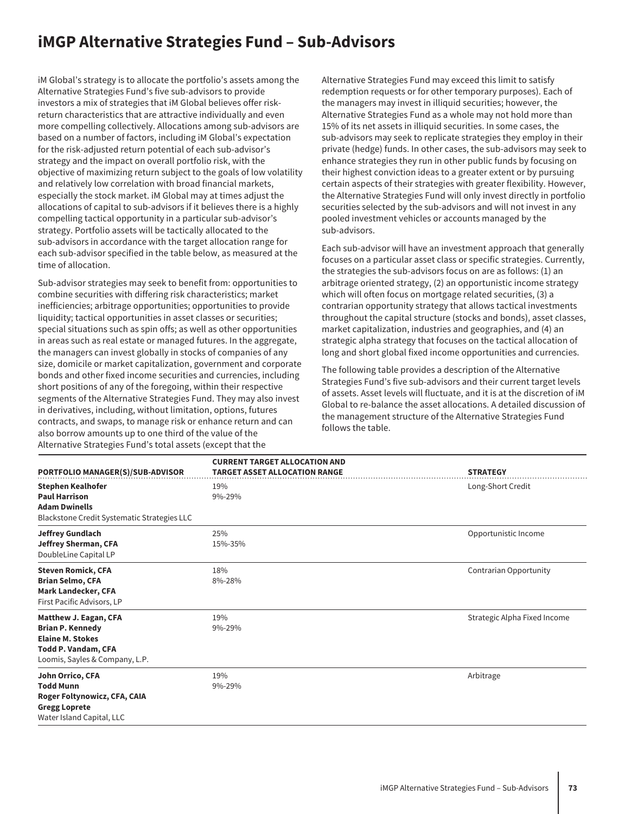## **iMGP Alternative Strategies Fund – Sub-Advisors**

iM Global's strategy is to allocate the portfolio's assets among the Alternative Strategies Fund's five sub-advisors to provide investors a mix of strategies that iM Global believes offer riskreturn characteristics that are attractive individually and even more compelling collectively. Allocations among sub-advisors are based on a number of factors, including iM Global's expectation for the risk-adjusted return potential of each sub-advisor's strategy and the impact on overall portfolio risk, with the objective of maximizing return subject to the goals of low volatility and relatively low correlation with broad financial markets, especially the stock market. iM Global may at times adjust the allocations of capital to sub-advisors if it believes there is a highly compelling tactical opportunity in a particular sub-advisor's strategy. Portfolio assets will be tactically allocated to the sub-advisors in accordance with the target allocation range for each sub-advisor specified in the table below, as measured at the time of allocation.

Sub-advisor strategies may seek to benefit from: opportunities to combine securities with differing risk characteristics; market inefficiencies; arbitrage opportunities; opportunities to provide liquidity; tactical opportunities in asset classes or securities; special situations such as spin offs; as well as other opportunities in areas such as real estate or managed futures. In the aggregate, the managers can invest globally in stocks of companies of any size, domicile or market capitalization, government and corporate bonds and other fixed income securities and currencies, including short positions of any of the foregoing, within their respective segments of the Alternative Strategies Fund. They may also invest in derivatives, including, without limitation, options, futures contracts, and swaps, to manage risk or enhance return and can also borrow amounts up to one third of the value of the Alternative Strategies Fund's total assets (except that the

Alternative Strategies Fund may exceed this limit to satisfy redemption requests or for other temporary purposes). Each of the managers may invest in illiquid securities; however, the Alternative Strategies Fund as a whole may not hold more than 15% of its net assets in illiquid securities. In some cases, the sub-advisors may seek to replicate strategies they employ in their private (hedge) funds. In other cases, the sub-advisors may seek to enhance strategies they run in other public funds by focusing on their highest conviction ideas to a greater extent or by pursuing certain aspects of their strategies with greater flexibility. However, the Alternative Strategies Fund will only invest directly in portfolio securities selected by the sub-advisors and will not invest in any pooled investment vehicles or accounts managed by the sub-advisors.

Each sub-advisor will have an investment approach that generally focuses on a particular asset class or specific strategies. Currently, the strategies the sub-advisors focus on are as follows: (1) an arbitrage oriented strategy, (2) an opportunistic income strategy which will often focus on mortgage related securities, (3) a contrarian opportunity strategy that allows tactical investments throughout the capital structure (stocks and bonds), asset classes, market capitalization, industries and geographies, and (4) an strategic alpha strategy that focuses on the tactical allocation of long and short global fixed income opportunities and currencies.

The following table provides a description of the Alternative Strategies Fund's five sub-advisors and their current target levels of assets. Asset levels will fluctuate, and it is at the discretion of iM Global to re-balance the asset allocations. A detailed discussion of the management structure of the Alternative Strategies Fund follows the table.

| PORTFOLIO MANAGER(S)/SUB-ADVISOR                                                                                                            | <b>CURRENT TARGET ALLOCATION AND</b><br><b>TARGET ASSET ALLOCATION RANGE</b> | <b>STRATEGY</b>              |
|---------------------------------------------------------------------------------------------------------------------------------------------|------------------------------------------------------------------------------|------------------------------|
| <b>Stephen Kealhofer</b><br><b>Paul Harrison</b><br><b>Adam Dwinells</b><br>Blackstone Credit Systematic Strategies LLC                     | 19%<br>9%-29%                                                                | Long-Short Credit            |
| <b>Jeffrey Gundlach</b><br>Jeffrey Sherman, CFA<br>DoubleLine Capital LP                                                                    | 25%<br>15%-35%                                                               | Opportunistic Income         |
| <b>Steven Romick, CFA</b><br><b>Brian Selmo, CFA</b><br><b>Mark Landecker, CFA</b><br>First Pacific Advisors, LP                            | 18%<br>8%-28%                                                                | Contrarian Opportunity       |
| Matthew J. Eagan, CFA<br><b>Brian P. Kennedy</b><br><b>Elaine M. Stokes</b><br><b>Todd P. Vandam, CFA</b><br>Loomis, Sayles & Company, L.P. | 19%<br>$9\% - 29\%$                                                          | Strategic Alpha Fixed Income |
| John Orrico, CFA<br><b>Todd Munn</b><br>Roger Foltynowicz, CFA, CAIA<br><b>Gregg Loprete</b><br>Water Island Capital, LLC                   | 19%<br>9%-29%                                                                | Arbitrage                    |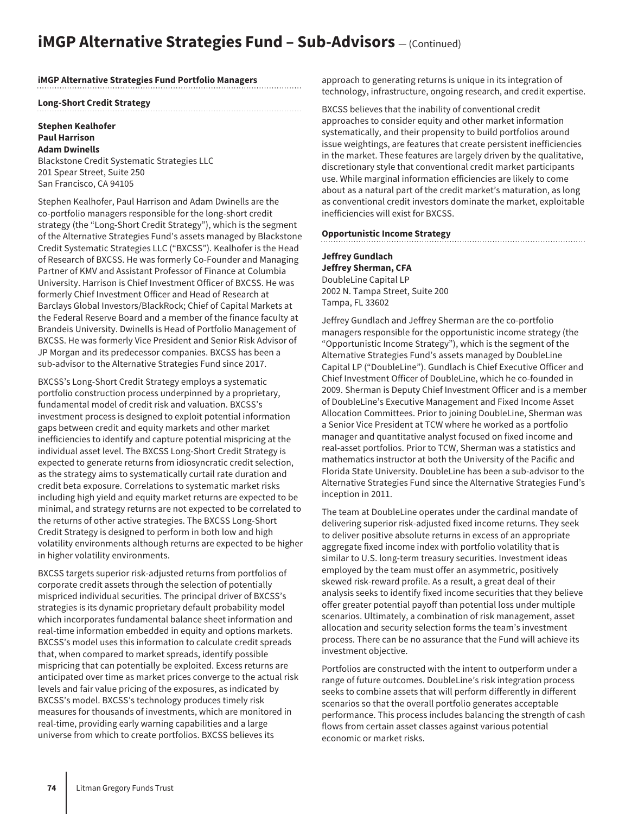## **iMGP Alternative Strategies Fund - Sub-Advisors** – (Continued)

#### **iMGP Alternative Strategies Fund Portfolio Managers**

#### **Long-Short Credit Strategy**

#### **Stephen Kealhofer Paul Harrison Adam Dwinells**

Blackstone Credit Systematic Strategies LLC 201 Spear Street, Suite 250 San Francisco, CA 94105

Stephen Kealhofer, Paul Harrison and Adam Dwinells are the co-portfolio managers responsible for the long-short credit strategy (the "Long-Short Credit Strategy"), which is the segment of the Alternative Strategies Fund's assets managed by Blackstone Credit Systematic Strategies LLC ("BXCSS"). Kealhofer is the Head of Research of BXCSS. He was formerly Co-Founder and Managing Partner of KMV and Assistant Professor of Finance at Columbia University. Harrison is Chief Investment Officer of BXCSS. He was formerly Chief Investment Officer and Head of Research at Barclays Global Investors/BlackRock; Chief of Capital Markets at the Federal Reserve Board and a member of the finance faculty at Brandeis University. Dwinells is Head of Portfolio Management of BXCSS. He was formerly Vice President and Senior Risk Advisor of JP Morgan and its predecessor companies. BXCSS has been a sub-advisor to the Alternative Strategies Fund since 2017.

BXCSS's Long-Short Credit Strategy employs a systematic portfolio construction process underpinned by a proprietary, fundamental model of credit risk and valuation. BXCSS's investment process is designed to exploit potential information gaps between credit and equity markets and other market inefficiencies to identify and capture potential mispricing at the individual asset level. The BXCSS Long-Short Credit Strategy is expected to generate returns from idiosyncratic credit selection, as the strategy aims to systematically curtail rate duration and credit beta exposure. Correlations to systematic market risks including high yield and equity market returns are expected to be minimal, and strategy returns are not expected to be correlated to the returns of other active strategies. The BXCSS Long-Short Credit Strategy is designed to perform in both low and high volatility environments although returns are expected to be higher in higher volatility environments.

BXCSS targets superior risk-adjusted returns from portfolios of corporate credit assets through the selection of potentially mispriced individual securities. The principal driver of BXCSS's strategies is its dynamic proprietary default probability model which incorporates fundamental balance sheet information and real-time information embedded in equity and options markets. BXCSS's model uses this information to calculate credit spreads that, when compared to market spreads, identify possible mispricing that can potentially be exploited. Excess returns are anticipated over time as market prices converge to the actual risk levels and fair value pricing of the exposures, as indicated by BXCSS's model. BXCSS's technology produces timely risk measures for thousands of investments, which are monitored in real-time, providing early warning capabilities and a large universe from which to create portfolios. BXCSS believes its

approach to generating returns is unique in its integration of technology, infrastructure, ongoing research, and credit expertise.

BXCSS believes that the inability of conventional credit approaches to consider equity and other market information systematically, and their propensity to build portfolios around issue weightings, are features that create persistent inefficiencies in the market. These features are largely driven by the qualitative, discretionary style that conventional credit market participants use. While marginal information efficiencies are likely to come about as a natural part of the credit market's maturation, as long as conventional credit investors dominate the market, exploitable inefficiencies will exist for BXCSS.

#### **Opportunistic Income Strategy**

**Jeffrey Gundlach Jeffrey Sherman, CFA** DoubleLine Capital LP 2002 N. Tampa Street, Suite 200 Tampa, FL 33602

Jeffrey Gundlach and Jeffrey Sherman are the co-portfolio managers responsible for the opportunistic income strategy (the "Opportunistic Income Strategy"), which is the segment of the Alternative Strategies Fund's assets managed by DoubleLine Capital LP ("DoubleLine"). Gundlach is Chief Executive Officer and Chief Investment Officer of DoubleLine, which he co-founded in 2009. Sherman is Deputy Chief Investment Officer and is a member of DoubleLine's Executive Management and Fixed Income Asset Allocation Committees. Prior to joining DoubleLine, Sherman was a Senior Vice President at TCW where he worked as a portfolio manager and quantitative analyst focused on fixed income and real-asset portfolios. Prior to TCW, Sherman was a statistics and mathematics instructor at both the University of the Pacific and Florida State University. DoubleLine has been a sub-advisor to the Alternative Strategies Fund since the Alternative Strategies Fund's inception in 2011.

The team at DoubleLine operates under the cardinal mandate of delivering superior risk-adjusted fixed income returns. They seek to deliver positive absolute returns in excess of an appropriate aggregate fixed income index with portfolio volatility that is similar to U.S. long-term treasury securities. Investment ideas employed by the team must offer an asymmetric, positively skewed risk-reward profile. As a result, a great deal of their analysis seeks to identify fixed income securities that they believe offer greater potential payoff than potential loss under multiple scenarios. Ultimately, a combination of risk management, asset allocation and security selection forms the team's investment process. There can be no assurance that the Fund will achieve its investment objective.

Portfolios are constructed with the intent to outperform under a range of future outcomes. DoubleLine's risk integration process seeks to combine assets that will perform differently in different scenarios so that the overall portfolio generates acceptable performance. This process includes balancing the strength of cash flows from certain asset classes against various potential economic or market risks.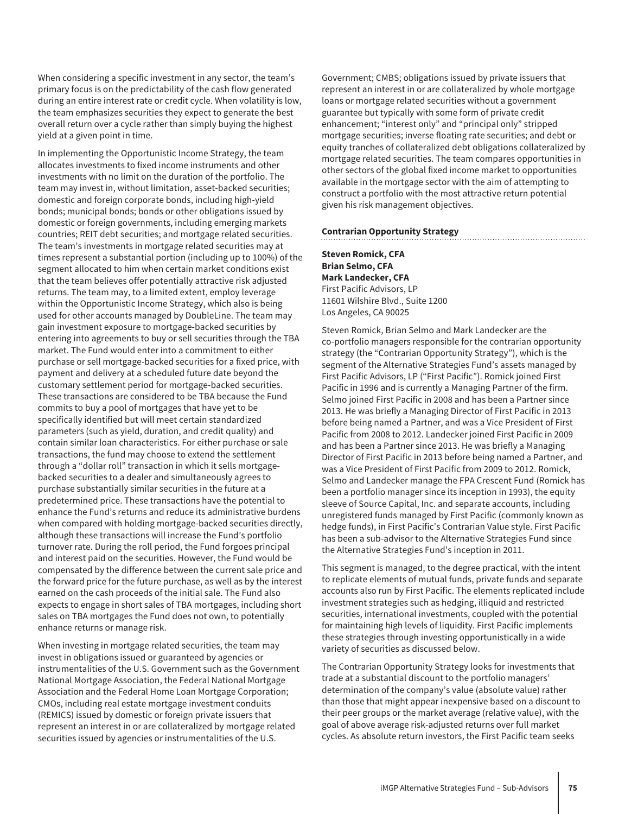When considering a specific investment in any sector, the team's primary focus is on the predictability of the cash flow generated during an entire interest rate or credit cycle. When volatility is low, the team emphasizes securities they expect to generate the best overall return over a cycle rather than simply buying the highest yield at a given point in time.

In implementing the Opportunistic Income Strategy, the team allocates investments to fixed income instruments and other investments with no limit on the duration of the portfolio. The team may invest in, without limitation, asset-backed securities; domestic and foreign corporate bonds, including high-yield bonds; municipal bonds; bonds or other obligations issued by domestic or foreign governments, including emerging markets countries; REIT debt securities; and mortgage related securities. The team's investments in mortgage related securities may at times represent a substantial portion (including up to 100%) of the segment allocated to him when certain market conditions exist that the team believes offer potentially attractive risk adjusted returns. The team may, to a limited extent, employ leverage within the Opportunistic Income Strategy, which also is being used for other accounts managed by DoubleLine. The team may gain investment exposure to mortgage-backed securities by entering into agreements to buy or sell securities through the TBA market. The Fund would enter into a commitment to either purchase or sell mortgage-backed securities for a fixed price, with payment and delivery at a scheduled future date beyond the customary settlement period for mortgage-backed securities. These transactions are considered to be TBA because the Fund commits to buy a pool of mortgages that have yet to be specifically identified but will meet certain standardized parameters (such as yield, duration, and credit quality) and contain similar loan characteristics. For either purchase or sale transactions, the fund may choose to extend the settlement through a "dollar roll" transaction in which it sells mortgagebacked securities to a dealer and simultaneously agrees to purchase substantially similar securities in the future at a predetermined price. These transactions have the potential to enhance the Fund's returns and reduce its administrative burdens when compared with holding mortgage-backed securities directly, although these transactions will increase the Fund's portfolio turnover rate. During the roll period, the Fund forgoes principal and interest paid on the securities. However, the Fund would be compensated by the difference between the current sale price and the forward price for the future purchase, as well as by the interest earned on the cash proceeds of the initial sale. The Fund also expects to engage in short sales of TBA mortgages, including short sales on TBA mortgages the Fund does not own, to potentially enhance returns or manage risk.

When investing in mortgage related securities, the team may invest in obligations issued or guaranteed by agencies or instrumentalities of the U.S. Government such as the Government National Mortgage Association, the Federal National Mortgage Association and the Federal Home Loan Mortgage Corporation; CMOs, including real estate mortgage investment conduits (REMICS) issued by domestic or foreign private issuers that represent an interest in or are collateralized by mortgage related securities issued by agencies or instrumentalities of the U.S.

Government; CMBS; obligations issued by private issuers that represent an interest in or are collateralized by whole mortgage loans or mortgage related securities without a government guarantee but typically with some form of private credit enhancement; "interest only" and "principal only" stripped mortgage securities; inverse floating rate securities; and debt or equity tranches of collateralized debt obligations collateralized by mortgage related securities. The team compares opportunities in other sectors of the global fixed income market to opportunities available in the mortgage sector with the aim of attempting to construct a portfolio with the most attractive return potential given his risk management objectives.

#### **Contrarian Opportunity Strategy**

#### **Steven Romick, CFA Brian Selmo, CFA Mark Landecker, CFA** First Pacific Advisors, LP 11601 Wilshire Blvd., Suite 1200 Los Angeles, CA 90025

Steven Romick, Brian Selmo and Mark Landecker are the co-portfolio managers responsible for the contrarian opportunity strategy (the "Contrarian Opportunity Strategy"), which is the segment of the Alternative Strategies Fund's assets managed by First Pacific Advisors, LP ("First Pacific"). Romick joined First Pacific in 1996 and is currently a Managing Partner of the firm. Selmo joined First Pacific in 2008 and has been a Partner since 2013. He was briefly a Managing Director of First Pacific in 2013 before being named a Partner, and was a Vice President of First Pacific from 2008 to 2012. Landecker joined First Pacific in 2009 and has been a Partner since 2013. He was briefly a Managing Director of First Pacific in 2013 before being named a Partner, and was a Vice President of First Pacific from 2009 to 2012. Romick, Selmo and Landecker manage the FPA Crescent Fund (Romick has been a portfolio manager since its inception in 1993), the equity sleeve of Source Capital, Inc. and separate accounts, including unregistered funds managed by First Pacific (commonly known as hedge funds), in First Pacific's Contrarian Value style. First Pacific has been a sub-advisor to the Alternative Strategies Fund since the Alternative Strategies Fund's inception in 2011.

This segment is managed, to the degree practical, with the intent to replicate elements of mutual funds, private funds and separate accounts also run by First Pacific. The elements replicated include investment strategies such as hedging, illiquid and restricted securities, international investments, coupled with the potential for maintaining high levels of liquidity. First Pacific implements these strategies through investing opportunistically in a wide variety of securities as discussed below.

The Contrarian Opportunity Strategy looks for investments that trade at a substantial discount to the portfolio managers' determination of the company's value (absolute value) rather than those that might appear inexpensive based on a discount to their peer groups or the market average (relative value), with the goal of above average risk-adjusted returns over full market cycles. As absolute return investors, the First Pacific team seeks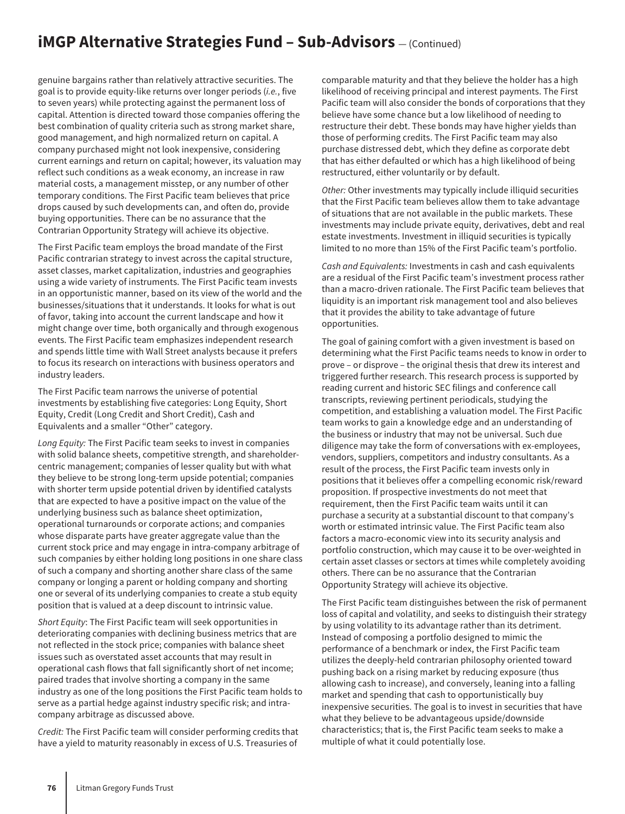## **iMGP Alternative Strategies Fund - Sub-Advisors** – (Continued)

genuine bargains rather than relatively attractive securities. The goal is to provide equity-like returns over longer periods (*i.e.*, five to seven years) while protecting against the permanent loss of capital. Attention is directed toward those companies offering the best combination of quality criteria such as strong market share, good management, and high normalized return on capital. A company purchased might not look inexpensive, considering current earnings and return on capital; however, its valuation may reflect such conditions as a weak economy, an increase in raw material costs, a management misstep, or any number of other temporary conditions. The First Pacific team believes that price drops caused by such developments can, and often do, provide buying opportunities. There can be no assurance that the Contrarian Opportunity Strategy will achieve its objective.

The First Pacific team employs the broad mandate of the First Pacific contrarian strategy to invest across the capital structure, asset classes, market capitalization, industries and geographies using a wide variety of instruments. The First Pacific team invests in an opportunistic manner, based on its view of the world and the businesses/situations that it understands. It looks for what is out of favor, taking into account the current landscape and how it might change over time, both organically and through exogenous events. The First Pacific team emphasizes independent research and spends little time with Wall Street analysts because it prefers to focus its research on interactions with business operators and industry leaders.

The First Pacific team narrows the universe of potential investments by establishing five categories: Long Equity, Short Equity, Credit (Long Credit and Short Credit), Cash and Equivalents and a smaller "Other" category.

*Long Equity:* The First Pacific team seeks to invest in companies with solid balance sheets, competitive strength, and shareholdercentric management; companies of lesser quality but with what they believe to be strong long-term upside potential; companies with shorter term upside potential driven by identified catalysts that are expected to have a positive impact on the value of the underlying business such as balance sheet optimization, operational turnarounds or corporate actions; and companies whose disparate parts have greater aggregate value than the current stock price and may engage in intra-company arbitrage of such companies by either holding long positions in one share class of such a company and shorting another share class of the same company or longing a parent or holding company and shorting one or several of its underlying companies to create a stub equity position that is valued at a deep discount to intrinsic value.

*Short Equity*: The First Pacific team will seek opportunities in deteriorating companies with declining business metrics that are not reflected in the stock price; companies with balance sheet issues such as overstated asset accounts that may result in operational cash flows that fall significantly short of net income; paired trades that involve shorting a company in the same industry as one of the long positions the First Pacific team holds to serve as a partial hedge against industry specific risk; and intracompany arbitrage as discussed above.

*Credit:* The First Pacific team will consider performing credits that have a yield to maturity reasonably in excess of U.S. Treasuries of

comparable maturity and that they believe the holder has a high likelihood of receiving principal and interest payments. The First Pacific team will also consider the bonds of corporations that they believe have some chance but a low likelihood of needing to restructure their debt. These bonds may have higher yields than those of performing credits. The First Pacific team may also purchase distressed debt, which they define as corporate debt that has either defaulted or which has a high likelihood of being restructured, either voluntarily or by default.

*Other:* Other investments may typically include illiquid securities that the First Pacific team believes allow them to take advantage of situations that are not available in the public markets. These investments may include private equity, derivatives, debt and real estate investments. Investment in illiquid securities is typically limited to no more than 15% of the First Pacific team's portfolio.

*Cash and Equivalents:* Investments in cash and cash equivalents are a residual of the First Pacific team's investment process rather than a macro-driven rationale. The First Pacific team believes that liquidity is an important risk management tool and also believes that it provides the ability to take advantage of future opportunities.

The goal of gaining comfort with a given investment is based on determining what the First Pacific teams needs to know in order to prove – or disprove – the original thesis that drew its interest and triggered further research. This research process is supported by reading current and historic SEC filings and conference call transcripts, reviewing pertinent periodicals, studying the competition, and establishing a valuation model. The First Pacific team works to gain a knowledge edge and an understanding of the business or industry that may not be universal. Such due diligence may take the form of conversations with ex-employees, vendors, suppliers, competitors and industry consultants. As a result of the process, the First Pacific team invests only in positions that it believes offer a compelling economic risk/reward proposition. If prospective investments do not meet that requirement, then the First Pacific team waits until it can purchase a security at a substantial discount to that company's worth or estimated intrinsic value. The First Pacific team also factors a macro-economic view into its security analysis and portfolio construction, which may cause it to be over-weighted in certain asset classes or sectors at times while completely avoiding others. There can be no assurance that the Contrarian Opportunity Strategy will achieve its objective.

The First Pacific team distinguishes between the risk of permanent loss of capital and volatility, and seeks to distinguish their strategy by using volatility to its advantage rather than its detriment. Instead of composing a portfolio designed to mimic the performance of a benchmark or index, the First Pacific team utilizes the deeply-held contrarian philosophy oriented toward pushing back on a rising market by reducing exposure (thus allowing cash to increase), and conversely, leaning into a falling market and spending that cash to opportunistically buy inexpensive securities. The goal is to invest in securities that have what they believe to be advantageous upside/downside characteristics; that is, the First Pacific team seeks to make a multiple of what it could potentially lose.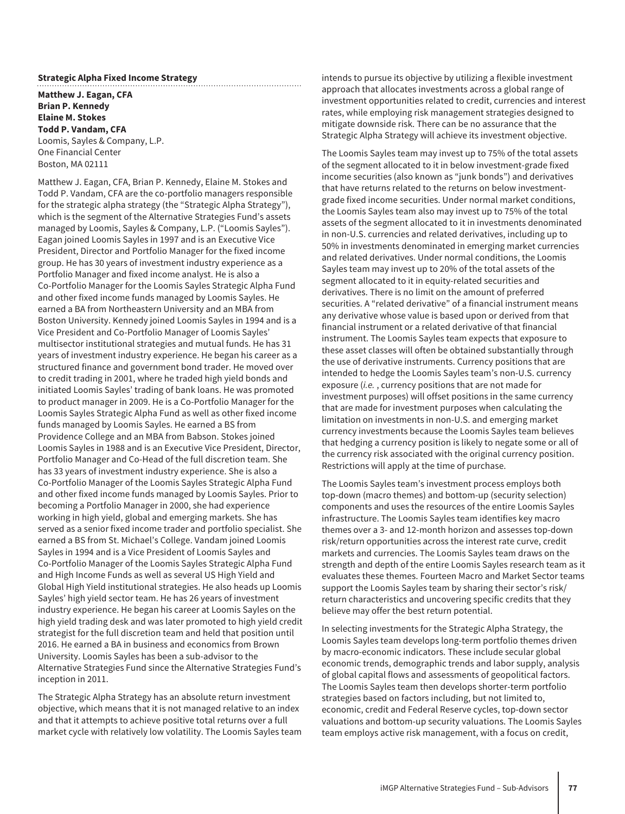#### **Strategic Alpha Fixed Income Strategy**

**Matthew J. Eagan, CFA Brian P. Kennedy Elaine M. Stokes Todd P. Vandam, CFA** Loomis, Sayles & Company, L.P. One Financial Center Boston, MA 02111

Matthew J. Eagan, CFA, Brian P. Kennedy, Elaine M. Stokes and Todd P. Vandam, CFA are the co-portfolio managers responsible for the strategic alpha strategy (the "Strategic Alpha Strategy"), which is the segment of the Alternative Strategies Fund's assets managed by Loomis, Sayles & Company, L.P. ("Loomis Sayles"). Eagan joined Loomis Sayles in 1997 and is an Executive Vice President, Director and Portfolio Manager for the fixed income group. He has 30 years of investment industry experience as a Portfolio Manager and fixed income analyst. He is also a Co-Portfolio Manager for the Loomis Sayles Strategic Alpha Fund and other fixed income funds managed by Loomis Sayles. He earned a BA from Northeastern University and an MBA from Boston University. Kennedy joined Loomis Sayles in 1994 and is a Vice President and Co-Portfolio Manager of Loomis Sayles' multisector institutional strategies and mutual funds. He has 31 years of investment industry experience. He began his career as a structured finance and government bond trader. He moved over to credit trading in 2001, where he traded high yield bonds and initiated Loomis Sayles' trading of bank loans. He was promoted to product manager in 2009. He is a Co-Portfolio Manager for the Loomis Sayles Strategic Alpha Fund as well as other fixed income funds managed by Loomis Sayles. He earned a BS from Providence College and an MBA from Babson. Stokes joined Loomis Sayles in 1988 and is an Executive Vice President, Director, Portfolio Manager and Co-Head of the full discretion team. She has 33 years of investment industry experience. She is also a Co-Portfolio Manager of the Loomis Sayles Strategic Alpha Fund and other fixed income funds managed by Loomis Sayles. Prior to becoming a Portfolio Manager in 2000, she had experience working in high yield, global and emerging markets. She has served as a senior fixed income trader and portfolio specialist. She earned a BS from St. Michael's College. Vandam joined Loomis Sayles in 1994 and is a Vice President of Loomis Sayles and Co-Portfolio Manager of the Loomis Sayles Strategic Alpha Fund and High Income Funds as well as several US High Yield and Global High Yield institutional strategies. He also heads up Loomis Sayles' high yield sector team. He has 26 years of investment industry experience. He began his career at Loomis Sayles on the high yield trading desk and was later promoted to high yield credit strategist for the full discretion team and held that position until 2016. He earned a BA in business and economics from Brown University. Loomis Sayles has been a sub-advisor to the Alternative Strategies Fund since the Alternative Strategies Fund's inception in 2011.

The Strategic Alpha Strategy has an absolute return investment objective, which means that it is not managed relative to an index and that it attempts to achieve positive total returns over a full market cycle with relatively low volatility. The Loomis Sayles team intends to pursue its objective by utilizing a flexible investment approach that allocates investments across a global range of investment opportunities related to credit, currencies and interest rates, while employing risk management strategies designed to mitigate downside risk. There can be no assurance that the Strategic Alpha Strategy will achieve its investment objective.

The Loomis Sayles team may invest up to 75% of the total assets of the segment allocated to it in below investment-grade fixed income securities (also known as "junk bonds") and derivatives that have returns related to the returns on below investmentgrade fixed income securities. Under normal market conditions, the Loomis Sayles team also may invest up to 75% of the total assets of the segment allocated to it in investments denominated in non-U.S. currencies and related derivatives, including up to 50% in investments denominated in emerging market currencies and related derivatives. Under normal conditions, the Loomis Sayles team may invest up to 20% of the total assets of the segment allocated to it in equity-related securities and derivatives. There is no limit on the amount of preferred securities. A "related derivative" of a financial instrument means any derivative whose value is based upon or derived from that financial instrument or a related derivative of that financial instrument. The Loomis Sayles team expects that exposure to these asset classes will often be obtained substantially through the use of derivative instruments. Currency positions that are intended to hedge the Loomis Sayles team's non-U.S. currency exposure (*i.e.* , currency positions that are not made for investment purposes) will offset positions in the same currency that are made for investment purposes when calculating the limitation on investments in non-U.S. and emerging market currency investments because the Loomis Sayles team believes that hedging a currency position is likely to negate some or all of the currency risk associated with the original currency position. Restrictions will apply at the time of purchase.

The Loomis Sayles team's investment process employs both top-down (macro themes) and bottom-up (security selection) components and uses the resources of the entire Loomis Sayles infrastructure. The Loomis Sayles team identifies key macro themes over a 3- and 12-month horizon and assesses top-down risk/return opportunities across the interest rate curve, credit markets and currencies. The Loomis Sayles team draws on the strength and depth of the entire Loomis Sayles research team as it evaluates these themes. Fourteen Macro and Market Sector teams support the Loomis Sayles team by sharing their sector's risk/ return characteristics and uncovering specific credits that they believe may offer the best return potential.

In selecting investments for the Strategic Alpha Strategy, the Loomis Sayles team develops long-term portfolio themes driven by macro-economic indicators. These include secular global economic trends, demographic trends and labor supply, analysis of global capital flows and assessments of geopolitical factors. The Loomis Sayles team then develops shorter-term portfolio strategies based on factors including, but not limited to, economic, credit and Federal Reserve cycles, top-down sector valuations and bottom-up security valuations. The Loomis Sayles team employs active risk management, with a focus on credit,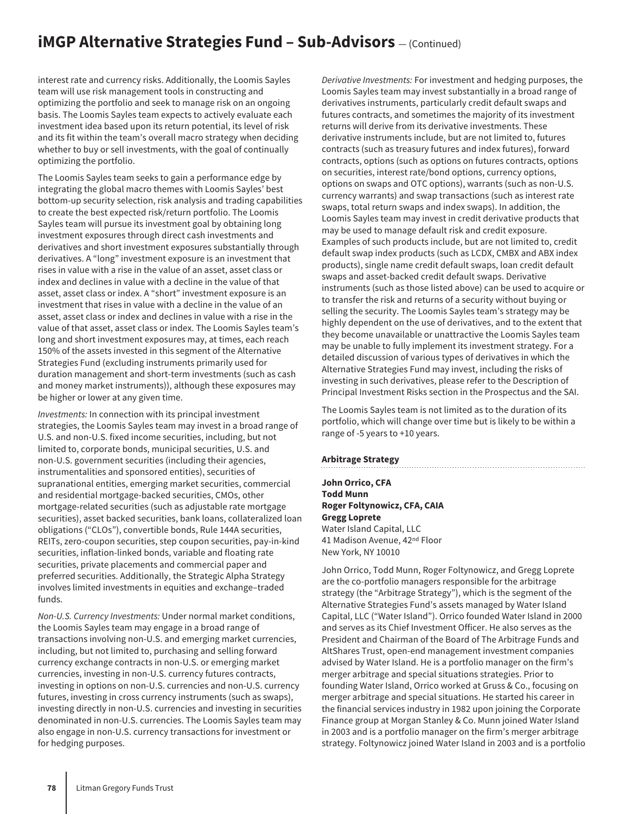## **iMGP Alternative Strategies Fund - Sub-Advisors** – (Continued)

interest rate and currency risks. Additionally, the Loomis Sayles team will use risk management tools in constructing and optimizing the portfolio and seek to manage risk on an ongoing basis. The Loomis Sayles team expects to actively evaluate each investment idea based upon its return potential, its level of risk and its fit within the team's overall macro strategy when deciding whether to buy or sell investments, with the goal of continually optimizing the portfolio.

The Loomis Sayles team seeks to gain a performance edge by integrating the global macro themes with Loomis Sayles' best bottom-up security selection, risk analysis and trading capabilities to create the best expected risk/return portfolio. The Loomis Sayles team will pursue its investment goal by obtaining long investment exposures through direct cash investments and derivatives and short investment exposures substantially through derivatives. A "long" investment exposure is an investment that rises in value with a rise in the value of an asset, asset class or index and declines in value with a decline in the value of that asset, asset class or index. A "short" investment exposure is an investment that rises in value with a decline in the value of an asset, asset class or index and declines in value with a rise in the value of that asset, asset class or index. The Loomis Sayles team's long and short investment exposures may, at times, each reach 150% of the assets invested in this segment of the Alternative Strategies Fund (excluding instruments primarily used for duration management and short-term investments (such as cash and money market instruments)), although these exposures may be higher or lower at any given time.

*Investments:* In connection with its principal investment strategies, the Loomis Sayles team may invest in a broad range of U.S. and non-U.S. fixed income securities, including, but not limited to, corporate bonds, municipal securities, U.S. and non-U.S. government securities (including their agencies, instrumentalities and sponsored entities), securities of supranational entities, emerging market securities, commercial and residential mortgage-backed securities, CMOs, other mortgage-related securities (such as adjustable rate mortgage securities), asset backed securities, bank loans, collateralized loan obligations ("CLOs"), convertible bonds, Rule 144A securities, REITs, zero-coupon securities, step coupon securities, pay-in-kind securities, inflation-linked bonds, variable and floating rate securities, private placements and commercial paper and preferred securities. Additionally, the Strategic Alpha Strategy involves limited investments in equities and exchange–traded funds.

*Non-U.S. Currency Investments:* Under normal market conditions, the Loomis Sayles team may engage in a broad range of transactions involving non-U.S. and emerging market currencies, including, but not limited to, purchasing and selling forward currency exchange contracts in non-U.S. or emerging market currencies, investing in non-U.S. currency futures contracts, investing in options on non-U.S. currencies and non-U.S. currency futures, investing in cross currency instruments (such as swaps), investing directly in non-U.S. currencies and investing in securities denominated in non-U.S. currencies. The Loomis Sayles team may also engage in non-U.S. currency transactions for investment or for hedging purposes.

*Derivative Investments:* For investment and hedging purposes, the Loomis Sayles team may invest substantially in a broad range of derivatives instruments, particularly credit default swaps and futures contracts, and sometimes the majority of its investment returns will derive from its derivative investments. These derivative instruments include, but are not limited to, futures contracts (such as treasury futures and index futures), forward contracts, options (such as options on futures contracts, options on securities, interest rate/bond options, currency options, options on swaps and OTC options), warrants (such as non-U.S. currency warrants) and swap transactions (such as interest rate swaps, total return swaps and index swaps). In addition, the Loomis Sayles team may invest in credit derivative products that may be used to manage default risk and credit exposure. Examples of such products include, but are not limited to, credit default swap index products (such as LCDX, CMBX and ABX index products), single name credit default swaps, loan credit default swaps and asset-backed credit default swaps. Derivative instruments (such as those listed above) can be used to acquire or to transfer the risk and returns of a security without buying or selling the security. The Loomis Sayles team's strategy may be highly dependent on the use of derivatives, and to the extent that they become unavailable or unattractive the Loomis Sayles team may be unable to fully implement its investment strategy. For a detailed discussion of various types of derivatives in which the Alternative Strategies Fund may invest, including the risks of investing in such derivatives, please refer to the Description of Principal Investment Risks section in the Prospectus and the SAI.

The Loomis Sayles team is not limited as to the duration of its portfolio, which will change over time but is likely to be within a range of -5 years to +10 years.

#### **Arbitrage Strategy**

**John Orrico, CFA Todd Munn Roger Foltynowicz, CFA, CAIA Gregg Loprete** Water Island Capital, LLC 41 Madison Avenue, 42<sup>nd</sup> Floor New York, NY 10010

John Orrico, Todd Munn, Roger Foltynowicz, and Gregg Loprete are the co-portfolio managers responsible for the arbitrage strategy (the "Arbitrage Strategy"), which is the segment of the Alternative Strategies Fund's assets managed by Water Island Capital, LLC ("Water Island"). Orrico founded Water Island in 2000 and serves as its Chief Investment Officer. He also serves as the President and Chairman of the Board of The Arbitrage Funds and AltShares Trust, open-end management investment companies advised by Water Island. He is a portfolio manager on the firm's merger arbitrage and special situations strategies. Prior to founding Water Island, Orrico worked at Gruss & Co., focusing on merger arbitrage and special situations. He started his career in the financial services industry in 1982 upon joining the Corporate Finance group at Morgan Stanley & Co. Munn joined Water Island in 2003 and is a portfolio manager on the firm's merger arbitrage strategy. Foltynowicz joined Water Island in 2003 and is a portfolio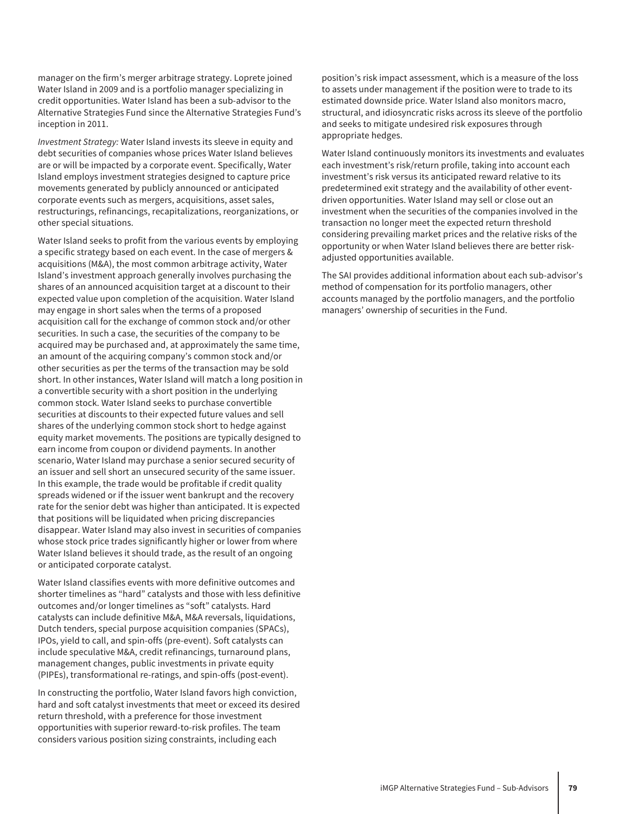manager on the firm's merger arbitrage strategy. Loprete joined Water Island in 2009 and is a portfolio manager specializing in credit opportunities. Water Island has been a sub-advisor to the Alternative Strategies Fund since the Alternative Strategies Fund's inception in 2011.

*Investment Strategy:* Water Island invests its sleeve in equity and debt securities of companies whose prices Water Island believes are or will be impacted by a corporate event. Specifically, Water Island employs investment strategies designed to capture price movements generated by publicly announced or anticipated corporate events such as mergers, acquisitions, asset sales, restructurings, refinancings, recapitalizations, reorganizations, or other special situations.

Water Island seeks to profit from the various events by employing a specific strategy based on each event. In the case of mergers & acquisitions (M&A), the most common arbitrage activity, Water Island's investment approach generally involves purchasing the shares of an announced acquisition target at a discount to their expected value upon completion of the acquisition. Water Island may engage in short sales when the terms of a proposed acquisition call for the exchange of common stock and/or other securities. In such a case, the securities of the company to be acquired may be purchased and, at approximately the same time, an amount of the acquiring company's common stock and/or other securities as per the terms of the transaction may be sold short. In other instances, Water Island will match a long position in a convertible security with a short position in the underlying common stock. Water Island seeks to purchase convertible securities at discounts to their expected future values and sell shares of the underlying common stock short to hedge against equity market movements. The positions are typically designed to earn income from coupon or dividend payments. In another scenario, Water Island may purchase a senior secured security of an issuer and sell short an unsecured security of the same issuer. In this example, the trade would be profitable if credit quality spreads widened or if the issuer went bankrupt and the recovery rate for the senior debt was higher than anticipated. It is expected that positions will be liquidated when pricing discrepancies disappear. Water Island may also invest in securities of companies whose stock price trades significantly higher or lower from where Water Island believes it should trade, as the result of an ongoing or anticipated corporate catalyst.

Water Island classifies events with more definitive outcomes and shorter timelines as "hard" catalysts and those with less definitive outcomes and/or longer timelines as "soft" catalysts. Hard catalysts can include definitive M&A, M&A reversals, liquidations, Dutch tenders, special purpose acquisition companies (SPACs), IPOs, yield to call, and spin-offs (pre-event). Soft catalysts can include speculative M&A, credit refinancings, turnaround plans, management changes, public investments in private equity (PIPEs), transformational re-ratings, and spin-offs (post-event).

In constructing the portfolio, Water Island favors high conviction, hard and soft catalyst investments that meet or exceed its desired return threshold, with a preference for those investment opportunities with superior reward-to-risk profiles. The team considers various position sizing constraints, including each

position's risk impact assessment, which is a measure of the loss to assets under management if the position were to trade to its estimated downside price. Water Island also monitors macro, structural, and idiosyncratic risks across its sleeve of the portfolio and seeks to mitigate undesired risk exposures through appropriate hedges.

Water Island continuously monitors its investments and evaluates each investment's risk/return profile, taking into account each investment's risk versus its anticipated reward relative to its predetermined exit strategy and the availability of other eventdriven opportunities. Water Island may sell or close out an investment when the securities of the companies involved in the transaction no longer meet the expected return threshold considering prevailing market prices and the relative risks of the opportunity or when Water Island believes there are better riskadjusted opportunities available.

The SAI provides additional information about each sub-advisor's method of compensation for its portfolio managers, other accounts managed by the portfolio managers, and the portfolio managers' ownership of securities in the Fund.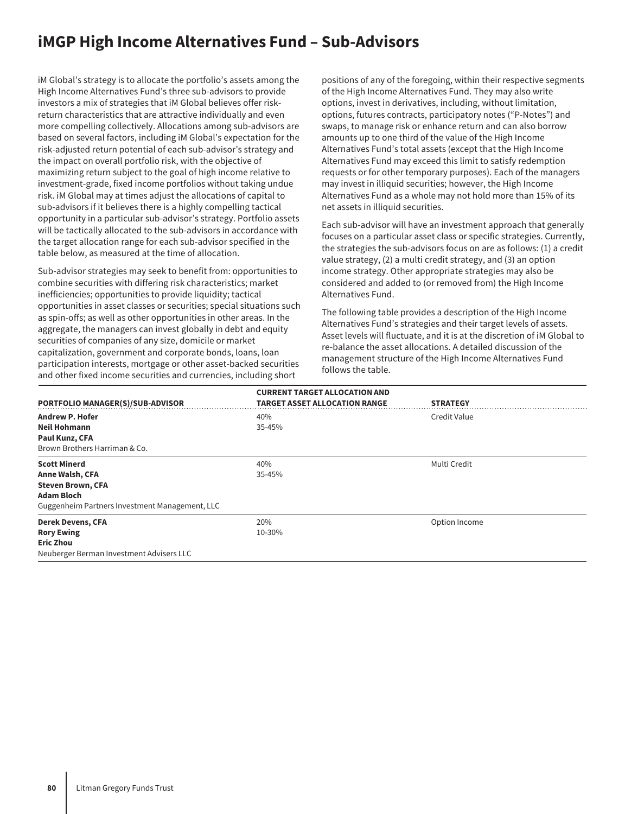## **iMGP High Income Alternatives Fund – Sub-Advisors**

iM Global's strategy is to allocate the portfolio's assets among the High Income Alternatives Fund's three sub-advisors to provide investors a mix of strategies that iM Global believes offer riskreturn characteristics that are attractive individually and even more compelling collectively. Allocations among sub-advisors are based on several factors, including iM Global's expectation for the risk-adjusted return potential of each sub-advisor's strategy and the impact on overall portfolio risk, with the objective of maximizing return subject to the goal of high income relative to investment-grade, fixed income portfolios without taking undue risk. iM Global may at times adjust the allocations of capital to sub-advisors if it believes there is a highly compelling tactical opportunity in a particular sub-advisor's strategy. Portfolio assets will be tactically allocated to the sub-advisors in accordance with the target allocation range for each sub-advisor specified in the table below, as measured at the time of allocation.

Sub-advisor strategies may seek to benefit from: opportunities to combine securities with differing risk characteristics; market inefficiencies; opportunities to provide liquidity; tactical opportunities in asset classes or securities; special situations such as spin-offs; as well as other opportunities in other areas. In the aggregate, the managers can invest globally in debt and equity securities of companies of any size, domicile or market capitalization, government and corporate bonds, loans, loan participation interests, mortgage or other asset-backed securities and other fixed income securities and currencies, including short

positions of any of the foregoing, within their respective segments of the High Income Alternatives Fund. They may also write options, invest in derivatives, including, without limitation, options, futures contracts, participatory notes ("P-Notes") and swaps, to manage risk or enhance return and can also borrow amounts up to one third of the value of the High Income Alternatives Fund's total assets (except that the High Income Alternatives Fund may exceed this limit to satisfy redemption requests or for other temporary purposes). Each of the managers may invest in illiquid securities; however, the High Income Alternatives Fund as a whole may not hold more than 15% of its net assets in illiquid securities.

Each sub-advisor will have an investment approach that generally focuses on a particular asset class or specific strategies. Currently, the strategies the sub-advisors focus on are as follows: (1) a credit value strategy, (2) a multi credit strategy, and (3) an option income strategy. Other appropriate strategies may also be considered and added to (or removed from) the High Income Alternatives Fund.

The following table provides a description of the High Income Alternatives Fund's strategies and their target levels of assets. Asset levels will fluctuate, and it is at the discretion of iM Global to re-balance the asset allocations. A detailed discussion of the management structure of the High Income Alternatives Fund follows the table.

| PORTFOLIO MANAGER(S)/SUB-ADVISOR               | <b>CURRENT TARGET ALLOCATION AND</b><br><b>TARGET ASSET ALLOCATION RANGE</b> | <b>STRATEGY</b> |
|------------------------------------------------|------------------------------------------------------------------------------|-----------------|
| <b>Andrew P. Hofer</b>                         | 40%                                                                          | Credit Value    |
| <b>Neil Hohmann</b>                            | 35-45%                                                                       |                 |
| Paul Kunz, CFA                                 |                                                                              |                 |
| Brown Brothers Harriman & Co.                  |                                                                              |                 |
| <b>Scott Minerd</b>                            | 40%                                                                          | Multi Credit    |
| Anne Walsh, CFA                                | 35-45%                                                                       |                 |
| <b>Steven Brown, CFA</b>                       |                                                                              |                 |
| <b>Adam Bloch</b>                              |                                                                              |                 |
| Guggenheim Partners Investment Management, LLC |                                                                              |                 |
| <b>Derek Devens, CFA</b>                       | 20%                                                                          | Option Income   |
| <b>Rory Ewing</b>                              | 10-30%                                                                       |                 |
| <b>Eric Zhou</b>                               |                                                                              |                 |
| Neuberger Berman Investment Advisers LLC       |                                                                              |                 |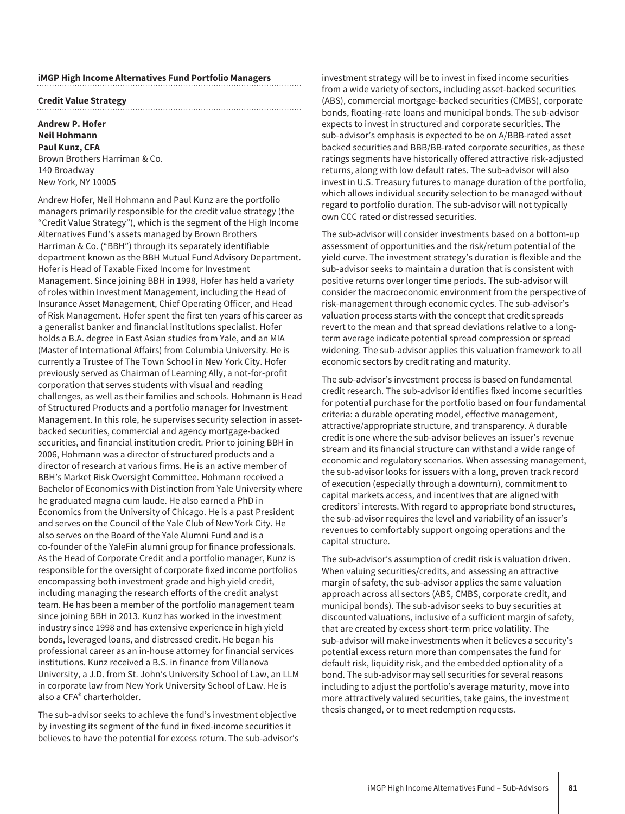#### **iMGP High Income Alternatives Fund Portfolio Managers**

#### **Credit Value Strategy**

#### **Andrew P. Hofer Neil Hohmann Paul Kunz, CFA** Brown Brothers Harriman & Co. 140 Broadway New York, NY 10005

Andrew Hofer, Neil Hohmann and Paul Kunz are the portfolio managers primarily responsible for the credit value strategy (the "Credit Value Strategy"), which is the segment of the High Income Alternatives Fund's assets managed by Brown Brothers Harriman & Co. ("BBH") through its separately identifiable department known as the BBH Mutual Fund Advisory Department. Hofer is Head of Taxable Fixed Income for Investment Management. Since joining BBH in 1998, Hofer has held a variety of roles within Investment Management, including the Head of Insurance Asset Management, Chief Operating Officer, and Head of Risk Management. Hofer spent the first ten years of his career as a generalist banker and financial institutions specialist. Hofer holds a B.A. degree in East Asian studies from Yale, and an MIA (Master of International Affairs) from Columbia University. He is currently a Trustee of The Town School in New York City. Hofer previously served as Chairman of Learning Ally, a not-for-profit corporation that serves students with visual and reading challenges, as well as their families and schools. Hohmann is Head of Structured Products and a portfolio manager for Investment Management. In this role, he supervises security selection in assetbacked securities, commercial and agency mortgage-backed securities, and financial institution credit. Prior to joining BBH in 2006, Hohmann was a director of structured products and a director of research at various firms. He is an active member of BBH's Market Risk Oversight Committee. Hohmann received a Bachelor of Economics with Distinction from Yale University where he graduated magna cum laude. He also earned a PhD in Economics from the University of Chicago. He is a past President and serves on the Council of the Yale Club of New York City. He also serves on the Board of the Yale Alumni Fund and is a co-founder of the YaleFin alumni group for finance professionals. As the Head of Corporate Credit and a portfolio manager, Kunz is responsible for the oversight of corporate fixed income portfolios encompassing both investment grade and high yield credit, including managing the research efforts of the credit analyst team. He has been a member of the portfolio management team since joining BBH in 2013. Kunz has worked in the investment industry since 1998 and has extensive experience in high yield bonds, leveraged loans, and distressed credit. He began his professional career as an in-house attorney for financial services institutions. Kunz received a B.S. in finance from Villanova University, a J.D. from St. John's University School of Law, an LLM in corporate law from New York University School of Law. He is also a CFA® charterholder.

The sub-advisor seeks to achieve the fund's investment objective by investing its segment of the fund in fixed-income securities it believes to have the potential for excess return. The sub-advisor's investment strategy will be to invest in fixed income securities from a wide variety of sectors, including asset-backed securities (ABS), commercial mortgage-backed securities (CMBS), corporate bonds, floating-rate loans and municipal bonds. The sub-advisor expects to invest in structured and corporate securities. The sub-advisor's emphasis is expected to be on A/BBB-rated asset backed securities and BBB/BB-rated corporate securities, as these ratings segments have historically offered attractive risk-adjusted returns, along with low default rates. The sub-advisor will also invest in U.S. Treasury futures to manage duration of the portfolio, which allows individual security selection to be managed without regard to portfolio duration. The sub-advisor will not typically own CCC rated or distressed securities.

The sub-advisor will consider investments based on a bottom-up assessment of opportunities and the risk/return potential of the yield curve. The investment strategy's duration is flexible and the sub-advisor seeks to maintain a duration that is consistent with positive returns over longer time periods. The sub-advisor will consider the macroeconomic environment from the perspective of risk-management through economic cycles. The sub-advisor's valuation process starts with the concept that credit spreads revert to the mean and that spread deviations relative to a longterm average indicate potential spread compression or spread widening. The sub-advisor applies this valuation framework to all economic sectors by credit rating and maturity.

The sub-advisor's investment process is based on fundamental credit research. The sub-advisor identifies fixed income securities for potential purchase for the portfolio based on four fundamental criteria: a durable operating model, effective management, attractive/appropriate structure, and transparency. A durable credit is one where the sub-advisor believes an issuer's revenue stream and its financial structure can withstand a wide range of economic and regulatory scenarios. When assessing management, the sub-advisor looks for issuers with a long, proven track record of execution (especially through a downturn), commitment to capital markets access, and incentives that are aligned with creditors' interests. With regard to appropriate bond structures, the sub-advisor requires the level and variability of an issuer's revenues to comfortably support ongoing operations and the capital structure.

The sub-advisor's assumption of credit risk is valuation driven. When valuing securities/credits, and assessing an attractive margin of safety, the sub-advisor applies the same valuation approach across all sectors (ABS, CMBS, corporate credit, and municipal bonds). The sub-advisor seeks to buy securities at discounted valuations, inclusive of a sufficient margin of safety, that are created by excess short-term price volatility. The sub-advisor will make investments when it believes a security's potential excess return more than compensates the fund for default risk, liquidity risk, and the embedded optionality of a bond. The sub-advisor may sell securities for several reasons including to adjust the portfolio's average maturity, move into more attractively valued securities, take gains, the investment thesis changed, or to meet redemption requests.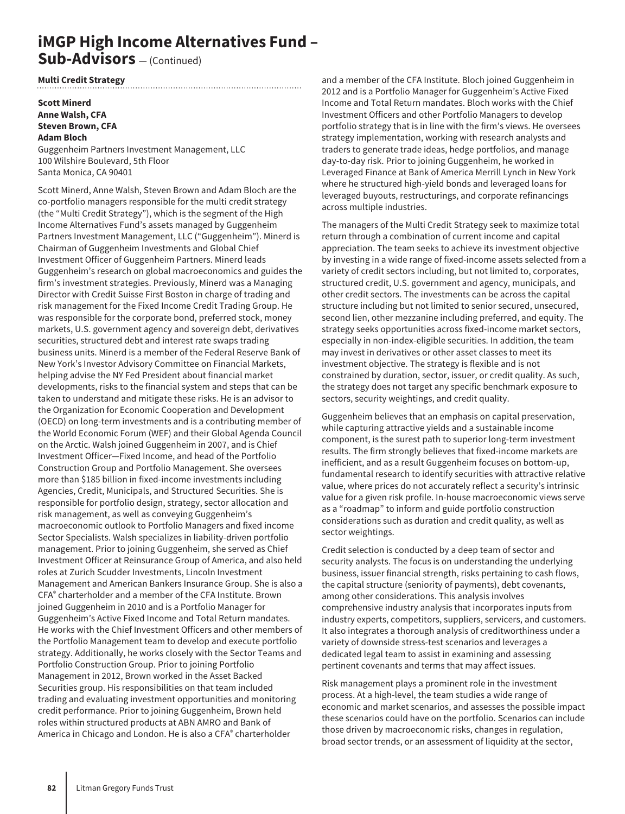### **iMGP High Income Alternatives Fund – Sub-Advisors** — (Continued)

#### **Multi Credit Strategy**

#### **Scott Minerd Anne Walsh, CFA Steven Brown, CFA Adam Bloch**

Guggenheim Partners Investment Management, LLC 100 Wilshire Boulevard, 5th Floor Santa Monica, CA 90401

Scott Minerd, Anne Walsh, Steven Brown and Adam Bloch are the co-portfolio managers responsible for the multi credit strategy (the "Multi Credit Strategy"), which is the segment of the High Income Alternatives Fund's assets managed by Guggenheim Partners Investment Management, LLC ("Guggenheim"). Minerd is Chairman of Guggenheim Investments and Global Chief Investment Officer of Guggenheim Partners. Minerd leads Guggenheim's research on global macroeconomics and guides the firm's investment strategies. Previously, Minerd was a Managing Director with Credit Suisse First Boston in charge of trading and risk management for the Fixed Income Credit Trading Group. He was responsible for the corporate bond, preferred stock, money markets, U.S. government agency and sovereign debt, derivatives securities, structured debt and interest rate swaps trading business units. Minerd is a member of the Federal Reserve Bank of New York's Investor Advisory Committee on Financial Markets, helping advise the NY Fed President about financial market developments, risks to the financial system and steps that can be taken to understand and mitigate these risks. He is an advisor to the Organization for Economic Cooperation and Development (OECD) on long-term investments and is a contributing member of the World Economic Forum (WEF) and their Global Agenda Council on the Arctic. Walsh joined Guggenheim in 2007, and is Chief Investment Officer—Fixed Income, and head of the Portfolio Construction Group and Portfolio Management. She oversees more than \$185 billion in fixed-income investments including Agencies, Credit, Municipals, and Structured Securities. She is responsible for portfolio design, strategy, sector allocation and risk management, as well as conveying Guggenheim's macroeconomic outlook to Portfolio Managers and fixed income Sector Specialists. Walsh specializes in liability-driven portfolio management. Prior to joining Guggenheim, she served as Chief Investment Officer at Reinsurance Group of America, and also held roles at Zurich Scudder Investments, Lincoln Investment Management and American Bankers Insurance Group. She is also a CFA® charterholder and a member of the CFA Institute. Brown joined Guggenheim in 2010 and is a Portfolio Manager for Guggenheim's Active Fixed Income and Total Return mandates. He works with the Chief Investment Officers and other members of the Portfolio Management team to develop and execute portfolio strategy. Additionally, he works closely with the Sector Teams and Portfolio Construction Group. Prior to joining Portfolio Management in 2012, Brown worked in the Asset Backed Securities group. His responsibilities on that team included trading and evaluating investment opportunities and monitoring credit performance. Prior to joining Guggenheim, Brown held roles within structured products at ABN AMRO and Bank of America in Chicago and London. He is also a CFA® charterholder

and a member of the CFA Institute. Bloch joined Guggenheim in 2012 and is a Portfolio Manager for Guggenheim's Active Fixed Income and Total Return mandates. Bloch works with the Chief Investment Officers and other Portfolio Managers to develop portfolio strategy that is in line with the firm's views. He oversees strategy implementation, working with research analysts and traders to generate trade ideas, hedge portfolios, and manage day-to-day risk. Prior to joining Guggenheim, he worked in Leveraged Finance at Bank of America Merrill Lynch in New York where he structured high-yield bonds and leveraged loans for leveraged buyouts, restructurings, and corporate refinancings across multiple industries.

The managers of the Multi Credit Strategy seek to maximize total return through a combination of current income and capital appreciation. The team seeks to achieve its investment objective by investing in a wide range of fixed-income assets selected from a variety of credit sectors including, but not limited to, corporates, structured credit, U.S. government and agency, municipals, and other credit sectors. The investments can be across the capital structure including but not limited to senior secured, unsecured, second lien, other mezzanine including preferred, and equity. The strategy seeks opportunities across fixed-income market sectors, especially in non-index-eligible securities. In addition, the team may invest in derivatives or other asset classes to meet its investment objective. The strategy is flexible and is not constrained by duration, sector, issuer, or credit quality. As such, the strategy does not target any specific benchmark exposure to sectors, security weightings, and credit quality.

Guggenheim believes that an emphasis on capital preservation, while capturing attractive yields and a sustainable income component, is the surest path to superior long-term investment results. The firm strongly believes that fixed-income markets are inefficient, and as a result Guggenheim focuses on bottom-up, fundamental research to identify securities with attractive relative value, where prices do not accurately reflect a security's intrinsic value for a given risk profile. In-house macroeconomic views serve as a "roadmap" to inform and guide portfolio construction considerations such as duration and credit quality, as well as sector weightings.

Credit selection is conducted by a deep team of sector and security analysts. The focus is on understanding the underlying business, issuer financial strength, risks pertaining to cash flows, the capital structure (seniority of payments), debt covenants, among other considerations. This analysis involves comprehensive industry analysis that incorporates inputs from industry experts, competitors, suppliers, servicers, and customers. It also integrates a thorough analysis of creditworthiness under a variety of downside stress-test scenarios and leverages a dedicated legal team to assist in examining and assessing pertinent covenants and terms that may affect issues.

Risk management plays a prominent role in the investment process. At a high-level, the team studies a wide range of economic and market scenarios, and assesses the possible impact these scenarios could have on the portfolio. Scenarios can include those driven by macroeconomic risks, changes in regulation, broad sector trends, or an assessment of liquidity at the sector,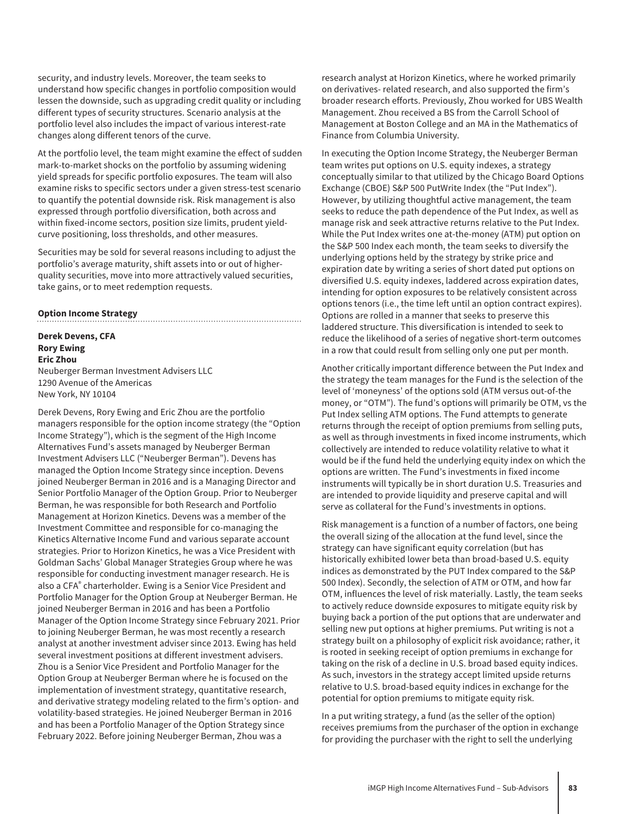security, and industry levels. Moreover, the team seeks to understand how specific changes in portfolio composition would lessen the downside, such as upgrading credit quality or including different types of security structures. Scenario analysis at the portfolio level also includes the impact of various interest-rate changes along different tenors of the curve.

At the portfolio level, the team might examine the effect of sudden mark-to-market shocks on the portfolio by assuming widening yield spreads for specific portfolio exposures. The team will also examine risks to specific sectors under a given stress-test scenario to quantify the potential downside risk. Risk management is also expressed through portfolio diversification, both across and within fixed-income sectors, position size limits, prudent yieldcurve positioning, loss thresholds, and other measures.

Securities may be sold for several reasons including to adjust the portfolio's average maturity, shift assets into or out of higherquality securities, move into more attractively valued securities, take gains, or to meet redemption requests.

#### **Option Income Strategy**

**Derek Devens, CFA Rory Ewing Eric Zhou** Neuberger Berman Investment Advisers LLC 1290 Avenue of the Americas New York, NY 10104

Derek Devens, Rory Ewing and Eric Zhou are the portfolio managers responsible for the option income strategy (the "Option Income Strategy"), which is the segment of the High Income Alternatives Fund's assets managed by Neuberger Berman Investment Advisers LLC ("Neuberger Berman"). Devens has managed the Option Income Strategy since inception. Devens joined Neuberger Berman in 2016 and is a Managing Director and Senior Portfolio Manager of the Option Group. Prior to Neuberger Berman, he was responsible for both Research and Portfolio Management at Horizon Kinetics. Devens was a member of the Investment Committee and responsible for co-managing the Kinetics Alternative Income Fund and various separate account strategies. Prior to Horizon Kinetics, he was a Vice President with Goldman Sachs' Global Manager Strategies Group where he was responsible for conducting investment manager research. He is also a CFA® charterholder. Ewing is a Senior Vice President and Portfolio Manager for the Option Group at Neuberger Berman. He joined Neuberger Berman in 2016 and has been a Portfolio Manager of the Option Income Strategy since February 2021. Prior to joining Neuberger Berman, he was most recently a research analyst at another investment adviser since 2013. Ewing has held several investment positions at different investment advisers. Zhou is a Senior Vice President and Portfolio Manager for the Option Group at Neuberger Berman where he is focused on the implementation of investment strategy, quantitative research, and derivative strategy modeling related to the firm's option- and volatility-based strategies. He joined Neuberger Berman in 2016 and has been a Portfolio Manager of the Option Strategy since February 2022. Before joining Neuberger Berman, Zhou was a

research analyst at Horizon Kinetics, where he worked primarily on derivatives- related research, and also supported the firm's broader research efforts. Previously, Zhou worked for UBS Wealth Management. Zhou received a BS from the Carroll School of Management at Boston College and an MA in the Mathematics of Finance from Columbia University.

In executing the Option Income Strategy, the Neuberger Berman team writes put options on U.S. equity indexes, a strategy conceptually similar to that utilized by the Chicago Board Options Exchange (CBOE) S&P 500 PutWrite Index (the "Put Index"). However, by utilizing thoughtful active management, the team seeks to reduce the path dependence of the Put Index, as well as manage risk and seek attractive returns relative to the Put Index. While the Put Index writes one at-the-money (ATM) put option on the S&P 500 Index each month, the team seeks to diversify the underlying options held by the strategy by strike price and expiration date by writing a series of short dated put options on diversified U.S. equity indexes, laddered across expiration dates, intending for option exposures to be relatively consistent across options tenors (i.e., the time left until an option contract expires). Options are rolled in a manner that seeks to preserve this laddered structure. This diversification is intended to seek to reduce the likelihood of a series of negative short-term outcomes in a row that could result from selling only one put per month.

Another critically important difference between the Put Index and the strategy the team manages for the Fund is the selection of the level of 'moneyness' of the options sold (ATM versus out-of-the money, or "OTM"). The fund's options will primarily be OTM, vs the Put Index selling ATM options. The Fund attempts to generate returns through the receipt of option premiums from selling puts, as well as through investments in fixed income instruments, which collectively are intended to reduce volatility relative to what it would be if the fund held the underlying equity index on which the options are written. The Fund's investments in fixed income instruments will typically be in short duration U.S. Treasuries and are intended to provide liquidity and preserve capital and will serve as collateral for the Fund's investments in options.

Risk management is a function of a number of factors, one being the overall sizing of the allocation at the fund level, since the strategy can have significant equity correlation (but has historically exhibited lower beta than broad-based U.S. equity indices as demonstrated by the PUT Index compared to the S&P 500 Index). Secondly, the selection of ATM or OTM, and how far OTM, influences the level of risk materially. Lastly, the team seeks to actively reduce downside exposures to mitigate equity risk by buying back a portion of the put options that are underwater and selling new put options at higher premiums. Put writing is not a strategy built on a philosophy of explicit risk avoidance; rather, it is rooted in seeking receipt of option premiums in exchange for taking on the risk of a decline in U.S. broad based equity indices. As such, investors in the strategy accept limited upside returns relative to U.S. broad-based equity indices in exchange for the potential for option premiums to mitigate equity risk.

In a put writing strategy, a fund (as the seller of the option) receives premiums from the purchaser of the option in exchange for providing the purchaser with the right to sell the underlying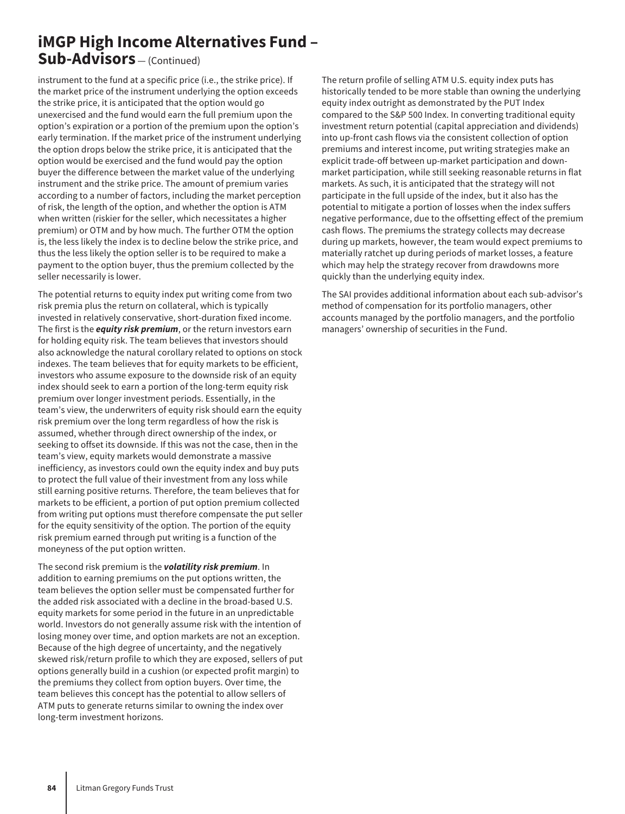### **iMGP High Income Alternatives Fund – Sub-Advisors** — (Continued)

instrument to the fund at a specific price (i.e., the strike price). If the market price of the instrument underlying the option exceeds the strike price, it is anticipated that the option would go unexercised and the fund would earn the full premium upon the option's expiration or a portion of the premium upon the option's early termination. If the market price of the instrument underlying the option drops below the strike price, it is anticipated that the option would be exercised and the fund would pay the option buyer the difference between the market value of the underlying instrument and the strike price. The amount of premium varies according to a number of factors, including the market perception of risk, the length of the option, and whether the option is ATM when written (riskier for the seller, which necessitates a higher premium) or OTM and by how much. The further OTM the option is, the less likely the index is to decline below the strike price, and thus the less likely the option seller is to be required to make a payment to the option buyer, thus the premium collected by the seller necessarily is lower.

The potential returns to equity index put writing come from two risk premia plus the return on collateral, which is typically invested in relatively conservative, short-duration fixed income. The first is the *equity risk premium*, or the return investors earn for holding equity risk. The team believes that investors should also acknowledge the natural corollary related to options on stock indexes. The team believes that for equity markets to be efficient, investors who assume exposure to the downside risk of an equity index should seek to earn a portion of the long-term equity risk premium over longer investment periods. Essentially, in the team's view, the underwriters of equity risk should earn the equity risk premium over the long term regardless of how the risk is assumed, whether through direct ownership of the index, or seeking to offset its downside. If this was not the case, then in the team's view, equity markets would demonstrate a massive inefficiency, as investors could own the equity index and buy puts to protect the full value of their investment from any loss while still earning positive returns. Therefore, the team believes that for markets to be efficient, a portion of put option premium collected from writing put options must therefore compensate the put seller for the equity sensitivity of the option. The portion of the equity risk premium earned through put writing is a function of the moneyness of the put option written.

The second risk premium is the *volatility risk premium*. In addition to earning premiums on the put options written, the team believes the option seller must be compensated further for the added risk associated with a decline in the broad-based U.S. equity markets for some period in the future in an unpredictable world. Investors do not generally assume risk with the intention of losing money over time, and option markets are not an exception. Because of the high degree of uncertainty, and the negatively skewed risk/return profile to which they are exposed, sellers of put options generally build in a cushion (or expected profit margin) to the premiums they collect from option buyers. Over time, the team believes this concept has the potential to allow sellers of ATM puts to generate returns similar to owning the index over long-term investment horizons.

The return profile of selling ATM U.S. equity index puts has historically tended to be more stable than owning the underlying equity index outright as demonstrated by the PUT Index compared to the S&P 500 Index. In converting traditional equity investment return potential (capital appreciation and dividends) into up-front cash flows via the consistent collection of option premiums and interest income, put writing strategies make an explicit trade-off between up-market participation and downmarket participation, while still seeking reasonable returns in flat markets. As such, it is anticipated that the strategy will not participate in the full upside of the index, but it also has the potential to mitigate a portion of losses when the index suffers negative performance, due to the offsetting effect of the premium cash flows. The premiums the strategy collects may decrease during up markets, however, the team would expect premiums to materially ratchet up during periods of market losses, a feature which may help the strategy recover from drawdowns more quickly than the underlying equity index.

The SAI provides additional information about each sub-advisor's method of compensation for its portfolio managers, other accounts managed by the portfolio managers, and the portfolio managers' ownership of securities in the Fund.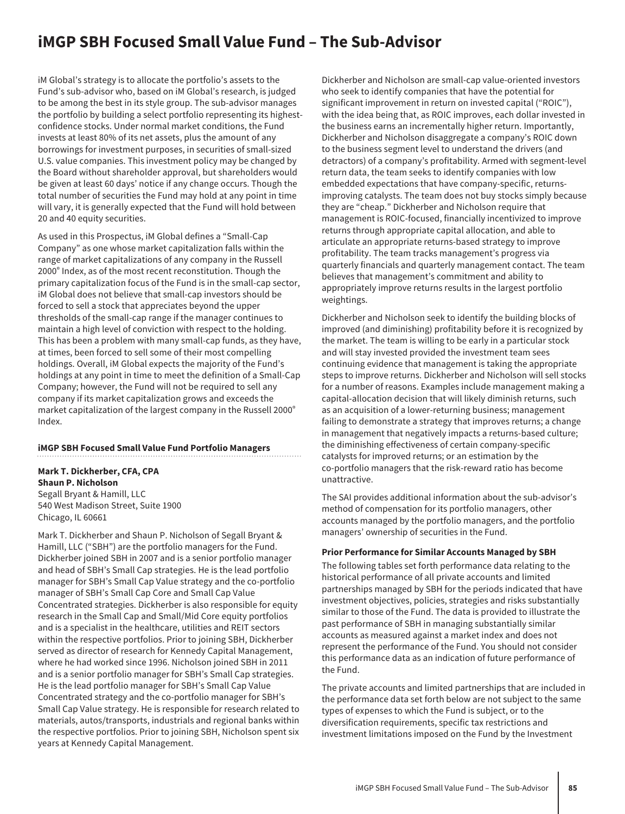## **iMGP SBH Focused Small Value Fund – The Sub-Advisor**

iM Global's strategy is to allocate the portfolio's assets to the Fund's sub-advisor who, based on iM Global's research, is judged to be among the best in its style group. The sub-advisor manages the portfolio by building a select portfolio representing its highestconfidence stocks. Under normal market conditions, the Fund invests at least 80% of its net assets, plus the amount of any borrowings for investment purposes, in securities of small-sized U.S. value companies. This investment policy may be changed by the Board without shareholder approval, but shareholders would be given at least 60 days' notice if any change occurs. Though the total number of securities the Fund may hold at any point in time will vary, it is generally expected that the Fund will hold between 20 and 40 equity securities.

As used in this Prospectus, iM Global defines a "Small-Cap Company" as one whose market capitalization falls within the range of market capitalizations of any company in the Russell 2000® Index, as of the most recent reconstitution. Though the primary capitalization focus of the Fund is in the small-cap sector, iM Global does not believe that small-cap investors should be forced to sell a stock that appreciates beyond the upper thresholds of the small-cap range if the manager continues to maintain a high level of conviction with respect to the holding. This has been a problem with many small-cap funds, as they have, at times, been forced to sell some of their most compelling holdings. Overall, iM Global expects the majority of the Fund's holdings at any point in time to meet the definition of a Small-Cap Company; however, the Fund will not be required to sell any company if its market capitalization grows and exceeds the market capitalization of the largest company in the Russell 2000® Index.

#### **iMGP SBH Focused Small Value Fund Portfolio Managers**

**Mark T. Dickherber, CFA, CPA Shaun P. Nicholson** Segall Bryant & Hamill, LLC

540 West Madison Street, Suite 1900 Chicago, IL 60661

Mark T. Dickherber and Shaun P. Nicholson of Segall Bryant & Hamill, LLC ("SBH") are the portfolio managers for the Fund. Dickherber joined SBH in 2007 and is a senior portfolio manager and head of SBH's Small Cap strategies. He is the lead portfolio manager for SBH's Small Cap Value strategy and the co-portfolio manager of SBH's Small Cap Core and Small Cap Value Concentrated strategies. Dickherber is also responsible for equity research in the Small Cap and Small/Mid Core equity portfolios and is a specialist in the healthcare, utilities and REIT sectors within the respective portfolios. Prior to joining SBH, Dickherber served as director of research for Kennedy Capital Management, where he had worked since 1996. Nicholson joined SBH in 2011 and is a senior portfolio manager for SBH's Small Cap strategies. He is the lead portfolio manager for SBH's Small Cap Value Concentrated strategy and the co-portfolio manager for SBH's Small Cap Value strategy. He is responsible for research related to materials, autos/transports, industrials and regional banks within the respective portfolios. Prior to joining SBH, Nicholson spent six years at Kennedy Capital Management.

Dickherber and Nicholson are small-cap value-oriented investors who seek to identify companies that have the potential for significant improvement in return on invested capital ("ROIC"), with the idea being that, as ROIC improves, each dollar invested in the business earns an incrementally higher return. Importantly, Dickherber and Nicholson disaggregate a company's ROIC down to the business segment level to understand the drivers (and detractors) of a company's profitability. Armed with segment-level return data, the team seeks to identify companies with low embedded expectations that have company-specific, returnsimproving catalysts. The team does not buy stocks simply because they are "cheap." Dickherber and Nicholson require that management is ROIC-focused, financially incentivized to improve returns through appropriate capital allocation, and able to articulate an appropriate returns-based strategy to improve profitability. The team tracks management's progress via quarterly financials and quarterly management contact. The team believes that management's commitment and ability to appropriately improve returns results in the largest portfolio weightings.

Dickherber and Nicholson seek to identify the building blocks of improved (and diminishing) profitability before it is recognized by the market. The team is willing to be early in a particular stock and will stay invested provided the investment team sees continuing evidence that management is taking the appropriate steps to improve returns. Dickherber and Nicholson will sell stocks for a number of reasons. Examples include management making a capital-allocation decision that will likely diminish returns, such as an acquisition of a lower-returning business; management failing to demonstrate a strategy that improves returns; a change in management that negatively impacts a returns-based culture; the diminishing effectiveness of certain company-specific catalysts for improved returns; or an estimation by the co-portfolio managers that the risk-reward ratio has become unattractive.

The SAI provides additional information about the sub-advisor's method of compensation for its portfolio managers, other accounts managed by the portfolio managers, and the portfolio managers' ownership of securities in the Fund.

#### **Prior Performance for Similar Accounts Managed by SBH**

The following tables set forth performance data relating to the historical performance of all private accounts and limited partnerships managed by SBH for the periods indicated that have investment objectives, policies, strategies and risks substantially similar to those of the Fund. The data is provided to illustrate the past performance of SBH in managing substantially similar accounts as measured against a market index and does not represent the performance of the Fund. You should not consider this performance data as an indication of future performance of the Fund.

The private accounts and limited partnerships that are included in the performance data set forth below are not subject to the same types of expenses to which the Fund is subject, or to the diversification requirements, specific tax restrictions and investment limitations imposed on the Fund by the Investment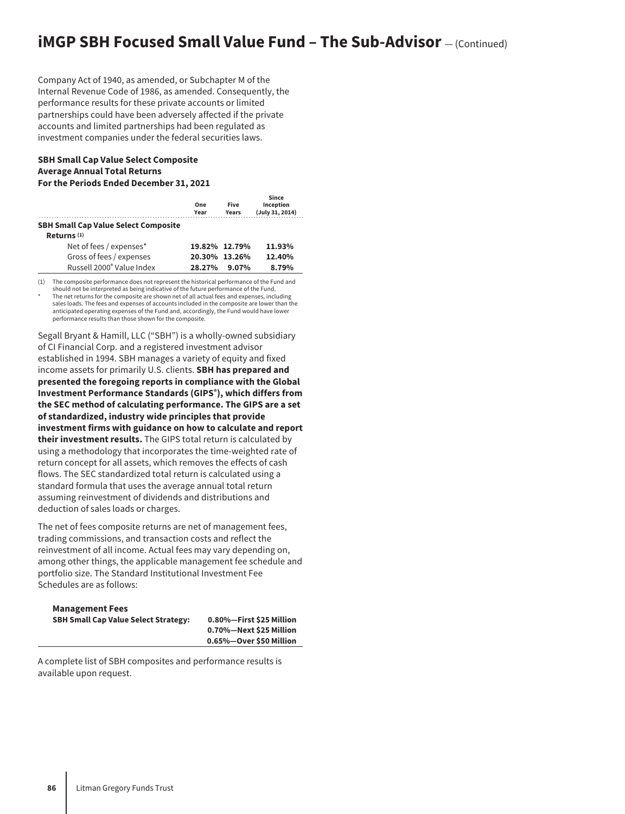## **iMGP SBH Focused Small Value Fund - The Sub-Advisor** - (Continued)

Company Act of 1940, as amended, or Subchapter M of the Internal Revenue Code of 1986, as amended. Consequently, the performance results for these private accounts or limited partnerships could have been adversely affected if the private accounts and limited partnerships had been regulated as investment companies under the federal securities laws.

#### **SBH Small Cap Value Select Composite Average Annual Total Returns For the Periods Ended December 31, 2021**

|                                             | One<br>Year | <b>Five</b><br><b>Years</b> | Since<br>Inception<br>(July 31, 2014) |
|---------------------------------------------|-------------|-----------------------------|---------------------------------------|
| <b>SBH Small Cap Value Select Composite</b> |             |                             |                                       |
| Returns $(1)$                               |             |                             |                                       |
| Net of fees / expenses*                     |             | 19.82% 12.79%               | 11.93%                                |
| Gross of fees / expenses                    |             | 20.30% 13.26%               | 12.40%                                |
| Russell 2000 <sup>®</sup> Value Index       | 28.27%      | $9.07\%$                    | 8.79%                                 |
|                                             |             |                             |                                       |

(1) The composite performance does not represent the historical performance of the Fund and

should not be interpreted as being indicative of the future performance of the Fund. The net returns for the composite are shown net of all actual fees and expenses, including sales loads. The fees and expenses of accounts included in the composite are lower than the anticipated operating expenses of the Fund and, accordingly, the Fund would have lower performance results than those shown for the composite.

Segall Bryant & Hamill, LLC ("SBH") is a wholly-owned subsidiary of CI Financial Corp. and a registered investment advisor established in 1994. SBH manages a variety of equity and fixed income assets for primarily U.S. clients. **SBH has prepared and presented the foregoing reports in compliance with the Global Investment Performance Standards (GIPS®), which differs from the SEC method of calculating performance. The GIPS are a set of standardized, industry wide principles that provide investment firms with guidance on how to calculate and report their investment results.** The GIPS total return is calculated by using a methodology that incorporates the time-weighted rate of return concept for all assets, which removes the effects of cash flows. The SEC standardized total return is calculated using a standard formula that uses the average annual total return assuming reinvestment of dividends and distributions and deduction of sales loads or charges.

The net of fees composite returns are net of management fees, trading commissions, and transaction costs and reflect the reinvestment of all income. Actual fees may vary depending on, among other things, the applicable management fee schedule and portfolio size. The Standard Institutional Investment Fee Schedules are as follows:

### **Management Fees SBH Small Cap Value Select Strategy: 0.80%—First \$25 Million**

**0.70%—Next \$25 Million 0.65%—Over \$50 Million**

A complete list of SBH composites and performance results is available upon request.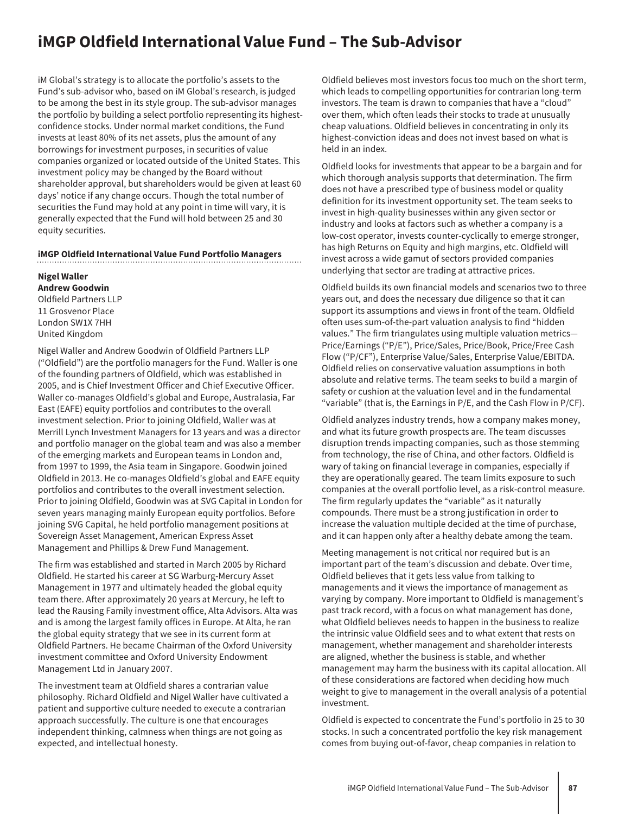## **iMGP Oldfield International Value Fund – The Sub-Advisor**

iM Global's strategy is to allocate the portfolio's assets to the Fund's sub-advisor who, based on iM Global's research, is judged to be among the best in its style group. The sub-advisor manages the portfolio by building a select portfolio representing its highestconfidence stocks. Under normal market conditions, the Fund invests at least 80% of its net assets, plus the amount of any borrowings for investment purposes, in securities of value companies organized or located outside of the United States. This investment policy may be changed by the Board without shareholder approval, but shareholders would be given at least 60 days' notice if any change occurs. Though the total number of securities the Fund may hold at any point in time will vary, it is generally expected that the Fund will hold between 25 and 30 equity securities.

#### **iMGP Oldfield International Value Fund Portfolio Managers**

**Nigel Waller Andrew Goodwin**

Oldfield Partners LLP 11 Grosvenor Place London SW1X 7HH United Kingdom

Nigel Waller and Andrew Goodwin of Oldfield Partners LLP ("Oldfield") are the portfolio managers for the Fund. Waller is one of the founding partners of Oldfield, which was established in 2005, and is Chief Investment Officer and Chief Executive Officer. Waller co-manages Oldfield's global and Europe, Australasia, Far East (EAFE) equity portfolios and contributes to the overall investment selection. Prior to joining Oldfield, Waller was at Merrill Lynch Investment Managers for 13 years and was a director and portfolio manager on the global team and was also a member of the emerging markets and European teams in London and, from 1997 to 1999, the Asia team in Singapore. Goodwin joined Oldfield in 2013. He co-manages Oldfield's global and EAFE equity portfolios and contributes to the overall investment selection. Prior to joining Oldfield, Goodwin was at SVG Capital in London for seven years managing mainly European equity portfolios. Before joining SVG Capital, he held portfolio management positions at Sovereign Asset Management, American Express Asset Management and Phillips & Drew Fund Management.

The firm was established and started in March 2005 by Richard Oldfield. He started his career at SG Warburg-Mercury Asset Management in 1977 and ultimately headed the global equity team there. After approximately 20 years at Mercury, he left to lead the Rausing Family investment office, Alta Advisors. Alta was and is among the largest family offices in Europe. At Alta, he ran the global equity strategy that we see in its current form at Oldfield Partners. He became Chairman of the Oxford University investment committee and Oxford University Endowment Management Ltd in January 2007.

The investment team at Oldfield shares a contrarian value philosophy. Richard Oldfield and Nigel Waller have cultivated a patient and supportive culture needed to execute a contrarian approach successfully. The culture is one that encourages independent thinking, calmness when things are not going as expected, and intellectual honesty.

Oldfield believes most investors focus too much on the short term, which leads to compelling opportunities for contrarian long-term investors. The team is drawn to companies that have a "cloud" over them, which often leads their stocks to trade at unusually cheap valuations. Oldfield believes in concentrating in only its highest-conviction ideas and does not invest based on what is held in an index.

Oldfield looks for investments that appear to be a bargain and for which thorough analysis supports that determination. The firm does not have a prescribed type of business model or quality definition for its investment opportunity set. The team seeks to invest in high-quality businesses within any given sector or industry and looks at factors such as whether a company is a low-cost operator, invests counter-cyclically to emerge stronger, has high Returns on Equity and high margins, etc. Oldfield will invest across a wide gamut of sectors provided companies underlying that sector are trading at attractive prices.

Oldfield builds its own financial models and scenarios two to three years out, and does the necessary due diligence so that it can support its assumptions and views in front of the team. Oldfield often uses sum-of-the-part valuation analysis to find "hidden values." The firm triangulates using multiple valuation metrics— Price/Earnings ("P/E"), Price/Sales, Price/Book, Price/Free Cash Flow ("P/CF"), Enterprise Value/Sales, Enterprise Value/EBITDA. Oldfield relies on conservative valuation assumptions in both absolute and relative terms. The team seeks to build a margin of safety or cushion at the valuation level and in the fundamental "variable" (that is, the Earnings in P/E, and the Cash Flow in P/CF).

Oldfield analyzes industry trends, how a company makes money, and what its future growth prospects are. The team discusses disruption trends impacting companies, such as those stemming from technology, the rise of China, and other factors. Oldfield is wary of taking on financial leverage in companies, especially if they are operationally geared. The team limits exposure to such companies at the overall portfolio level, as a risk-control measure. The firm regularly updates the "variable" as it naturally compounds. There must be a strong justification in order to increase the valuation multiple decided at the time of purchase, and it can happen only after a healthy debate among the team.

Meeting management is not critical nor required but is an important part of the team's discussion and debate. Over time, Oldfield believes that it gets less value from talking to managements and it views the importance of management as varying by company. More important to Oldfield is management's past track record, with a focus on what management has done, what Oldfield believes needs to happen in the business to realize the intrinsic value Oldfield sees and to what extent that rests on management, whether management and shareholder interests are aligned, whether the business is stable, and whether management may harm the business with its capital allocation. All of these considerations are factored when deciding how much weight to give to management in the overall analysis of a potential investment.

Oldfield is expected to concentrate the Fund's portfolio in 25 to 30 stocks. In such a concentrated portfolio the key risk management comes from buying out-of-favor, cheap companies in relation to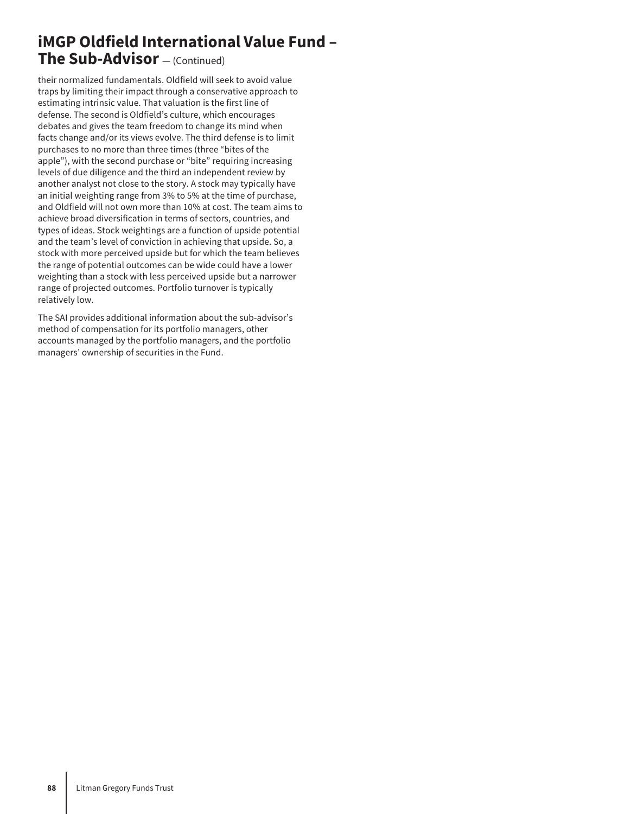## **iMGP Oldfield International Value Fund – The Sub-Advisor** — (Continued)

their normalized fundamentals. Oldfield will seek to avoid value traps by limiting their impact through a conservative approach to estimating intrinsic value. That valuation is the first line of defense. The second is Oldfield's culture, which encourages debates and gives the team freedom to change its mind when facts change and/or its views evolve. The third defense is to limit purchases to no more than three times (three "bites of the apple"), with the second purchase or "bite" requiring increasing levels of due diligence and the third an independent review by another analyst not close to the story. A stock may typically have an initial weighting range from 3% to 5% at the time of purchase, and Oldfield will not own more than 10% at cost. The team aims to achieve broad diversification in terms of sectors, countries, and types of ideas. Stock weightings are a function of upside potential and the team's level of conviction in achieving that upside. So, a stock with more perceived upside but for which the team believes the range of potential outcomes can be wide could have a lower weighting than a stock with less perceived upside but a narrower range of projected outcomes. Portfolio turnover is typically relatively low.

The SAI provides additional information about the sub-advisor's method of compensation for its portfolio managers, other accounts managed by the portfolio managers, and the portfolio managers' ownership of securities in the Fund.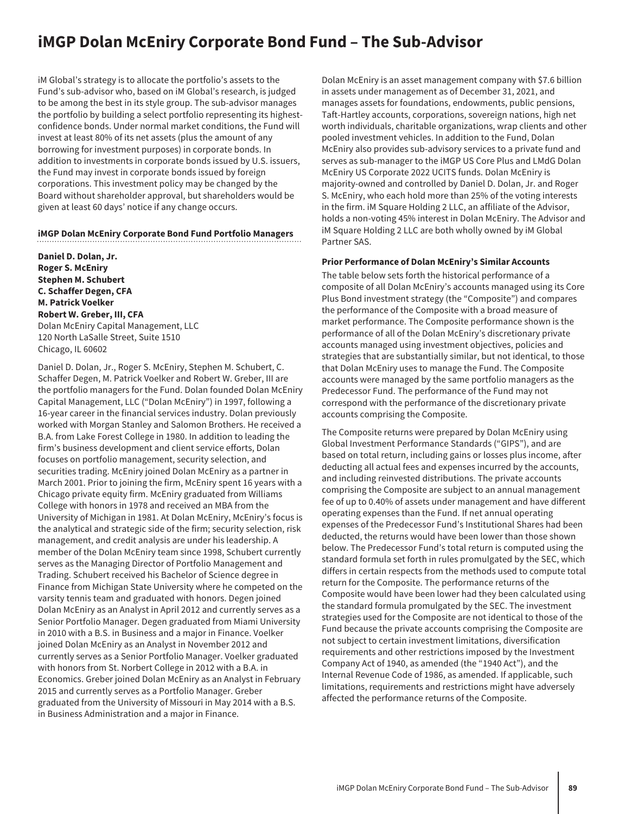## **iMGP Dolan McEniry Corporate Bond Fund – The Sub-Advisor**

iM Global's strategy is to allocate the portfolio's assets to the Fund's sub-advisor who, based on iM Global's research, is judged to be among the best in its style group. The sub-advisor manages the portfolio by building a select portfolio representing its highestconfidence bonds. Under normal market conditions, the Fund will invest at least 80% of its net assets (plus the amount of any borrowing for investment purposes) in corporate bonds. In addition to investments in corporate bonds issued by U.S. issuers, the Fund may invest in corporate bonds issued by foreign corporations. This investment policy may be changed by the Board without shareholder approval, but shareholders would be given at least 60 days' notice if any change occurs.

#### **iMGP Dolan McEniry Corporate Bond Fund Portfolio Managers**

**Daniel D. Dolan, Jr. Roger S. McEniry Stephen M. Schubert C. Schaffer Degen, CFA M. Patrick Voelker Robert W. Greber, III, CFA** Dolan McEniry Capital Management, LLC 120 North LaSalle Street, Suite 1510 Chicago, IL 60602

Daniel D. Dolan, Jr., Roger S. McEniry, Stephen M. Schubert, C. Schaffer Degen, M. Patrick Voelker and Robert W. Greber, III are the portfolio managers for the Fund. Dolan founded Dolan McEniry Capital Management, LLC ("Dolan McEniry") in 1997, following a 16-year career in the financial services industry. Dolan previously worked with Morgan Stanley and Salomon Brothers. He received a B.A. from Lake Forest College in 1980. In addition to leading the firm's business development and client service efforts, Dolan focuses on portfolio management, security selection, and securities trading. McEniry joined Dolan McEniry as a partner in March 2001. Prior to joining the firm, McEniry spent 16 years with a Chicago private equity firm. McEniry graduated from Williams College with honors in 1978 and received an MBA from the University of Michigan in 1981. At Dolan McEniry, McEniry's focus is the analytical and strategic side of the firm; security selection, risk management, and credit analysis are under his leadership. A member of the Dolan McEniry team since 1998, Schubert currently serves as the Managing Director of Portfolio Management and Trading. Schubert received his Bachelor of Science degree in Finance from Michigan State University where he competed on the varsity tennis team and graduated with honors. Degen joined Dolan McEniry as an Analyst in April 2012 and currently serves as a Senior Portfolio Manager. Degen graduated from Miami University in 2010 with a B.S. in Business and a major in Finance. Voelker joined Dolan McEniry as an Analyst in November 2012 and currently serves as a Senior Portfolio Manager. Voelker graduated with honors from St. Norbert College in 2012 with a B.A. in Economics. Greber joined Dolan McEniry as an Analyst in February 2015 and currently serves as a Portfolio Manager. Greber graduated from the University of Missouri in May 2014 with a B.S. in Business Administration and a major in Finance.

Dolan McEniry is an asset management company with \$7.6 billion in assets under management as of December 31, 2021, and manages assets for foundations, endowments, public pensions, Taft-Hartley accounts, corporations, sovereign nations, high net worth individuals, charitable organizations, wrap clients and other pooled investment vehicles. In addition to the Fund, Dolan McEniry also provides sub-advisory services to a private fund and serves as sub-manager to the iMGP US Core Plus and LMdG Dolan McEniry US Corporate 2022 UCITS funds. Dolan McEniry is majority-owned and controlled by Daniel D. Dolan, Jr. and Roger S. McEniry, who each hold more than 25% of the voting interests in the firm. iM Square Holding 2 LLC, an affiliate of the Advisor, holds a non-voting 45% interest in Dolan McEniry. The Advisor and iM Square Holding 2 LLC are both wholly owned by iM Global Partner SAS.

#### **Prior Performance of Dolan McEniry's Similar Accounts**

The table below sets forth the historical performance of a composite of all Dolan McEniry's accounts managed using its Core Plus Bond investment strategy (the "Composite") and compares the performance of the Composite with a broad measure of market performance. The Composite performance shown is the performance of all of the Dolan McEniry's discretionary private accounts managed using investment objectives, policies and strategies that are substantially similar, but not identical, to those that Dolan McEniry uses to manage the Fund. The Composite accounts were managed by the same portfolio managers as the Predecessor Fund. The performance of the Fund may not correspond with the performance of the discretionary private accounts comprising the Composite.

The Composite returns were prepared by Dolan McEniry using Global Investment Performance Standards ("GIPS"), and are based on total return, including gains or losses plus income, after deducting all actual fees and expenses incurred by the accounts, and including reinvested distributions. The private accounts comprising the Composite are subject to an annual management fee of up to 0.40% of assets under management and have different operating expenses than the Fund. If net annual operating expenses of the Predecessor Fund's Institutional Shares had been deducted, the returns would have been lower than those shown below. The Predecessor Fund's total return is computed using the standard formula set forth in rules promulgated by the SEC, which differs in certain respects from the methods used to compute total return for the Composite. The performance returns of the Composite would have been lower had they been calculated using the standard formula promulgated by the SEC. The investment strategies used for the Composite are not identical to those of the Fund because the private accounts comprising the Composite are not subject to certain investment limitations, diversification requirements and other restrictions imposed by the Investment Company Act of 1940, as amended (the "1940 Act"), and the Internal Revenue Code of 1986, as amended. If applicable, such limitations, requirements and restrictions might have adversely affected the performance returns of the Composite.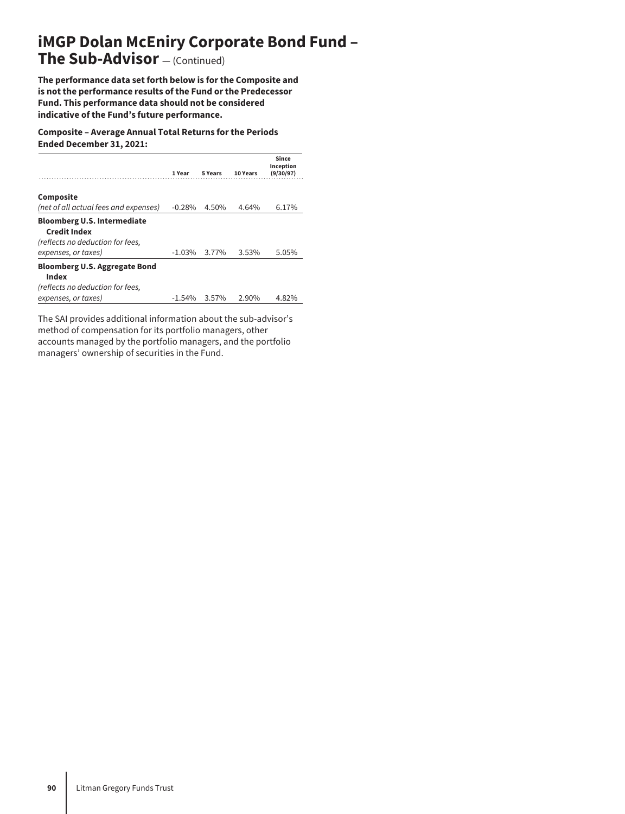# **iMGP Dolan McEniry Corporate Bond Fund –**

## **The Sub-Advisor** — (Continued)

**The performance data set forth below is for the Composite and is not the performance results of the Fund or the Predecessor Fund. This performance data should not be considered indicative of the Fund's future performance.**

**Composite – Average Annual Total Returns for the Periods Ended December 31, 2021:**

|                                                                                                                      | 1 Year   | 5 Years | 10 Years | Since<br>Inception<br>(9/30/97) |
|----------------------------------------------------------------------------------------------------------------------|----------|---------|----------|---------------------------------|
| Composite<br>(net of all actual fees and expenses)                                                                   | $-0.28%$ | 4.50%   | 4.64%    | 6.17%                           |
| <b>Bloomberg U.S. Intermediate</b><br><b>Credit Index</b><br>(reflects no deduction for fees,<br>expenses, or taxes) | $-1.03%$ | 3.77%   | 3.53%    | 5.05%                           |
| <b>Bloomberg U.S. Aggregate Bond</b><br>Index<br>(reflects no deduction for fees,<br>expenses, or taxes)             | $-1.54%$ | 3.57%   | 2.90%    | 4.82%                           |

The SAI provides additional information about the sub-advisor's method of compensation for its portfolio managers, other accounts managed by the portfolio managers, and the portfolio managers' ownership of securities in the Fund.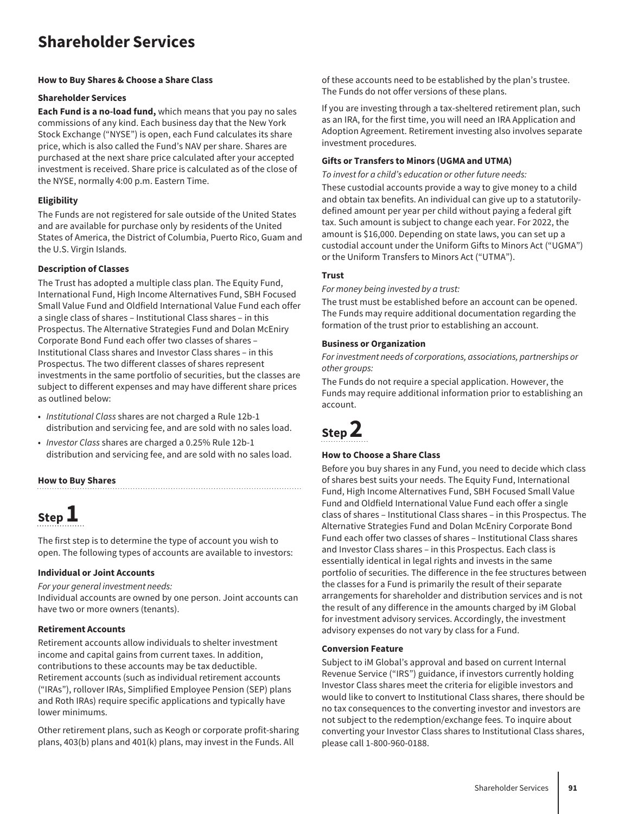## **Shareholder Services**

#### **How to Buy Shares & Choose a Share Class**

#### **Shareholder Services**

**Each Fund is a no-load fund,** which means that you pay no sales commissions of any kind. Each business day that the New York Stock Exchange ("NYSE") is open, each Fund calculates its share price, which is also called the Fund's NAV per share. Shares are purchased at the next share price calculated after your accepted investment is received. Share price is calculated as of the close of the NYSE, normally 4:00 p.m. Eastern Time.

#### **Eligibility**

The Funds are not registered for sale outside of the United States and are available for purchase only by residents of the United States of America, the District of Columbia, Puerto Rico, Guam and the U.S. Virgin Islands.

#### **Description of Classes**

The Trust has adopted a multiple class plan. The Equity Fund, International Fund, High Income Alternatives Fund, SBH Focused Small Value Fund and Oldfield International Value Fund each offer a single class of shares – Institutional Class shares – in this Prospectus. The Alternative Strategies Fund and Dolan McEniry Corporate Bond Fund each offer two classes of shares – Institutional Class shares and Investor Class shares – in this Prospectus. The two different classes of shares represent investments in the same portfolio of securities, but the classes are subject to different expenses and may have different share prices as outlined below:

- *Institutional Class* shares are not charged a Rule 12b-1 distribution and servicing fee, and are sold with no sales load.
- *Investor Class* shares are charged a 0.25% Rule 12b-1 distribution and servicing fee, and are sold with no sales load.

#### **How to Buy Shares**

# **Step 1**

The first step is to determine the type of account you wish to open. The following types of accounts are available to investors:

#### **Individual or Joint Accounts**

*For your general investment needs:*

Individual accounts are owned by one person. Joint accounts can have two or more owners (tenants).

#### **Retirement Accounts**

Retirement accounts allow individuals to shelter investment income and capital gains from current taxes. In addition, contributions to these accounts may be tax deductible. Retirement accounts (such as individual retirement accounts ("IRAs"), rollover IRAs, Simplified Employee Pension (SEP) plans and Roth IRAs) require specific applications and typically have lower minimums.

Other retirement plans, such as Keogh or corporate profit-sharing plans, 403(b) plans and 401(k) plans, may invest in the Funds. All

of these accounts need to be established by the plan's trustee. The Funds do not offer versions of these plans.

If you are investing through a tax-sheltered retirement plan, such as an IRA, for the first time, you will need an IRA Application and Adoption Agreement. Retirement investing also involves separate investment procedures.

#### **Gifts or Transfers to Minors (UGMA and UTMA)**

*To invest for a child's education or other future needs:*

These custodial accounts provide a way to give money to a child and obtain tax benefits. An individual can give up to a statutorilydefined amount per year per child without paying a federal gift tax. Such amount is subject to change each year. For 2022, the amount is \$16,000. Depending on state laws, you can set up a custodial account under the Uniform Gifts to Minors Act ("UGMA") or the Uniform Transfers to Minors Act ("UTMA").

#### **Trust**

*For money being invested by a trust:*

The trust must be established before an account can be opened. The Funds may require additional documentation regarding the formation of the trust prior to establishing an account.

#### **Business or Organization**

*For investment needs of corporations, associations, partnerships or other groups:*

The Funds do not require a special application. However, the Funds may require additional information prior to establishing an account.

# **Step 2**

#### **How to Choose a Share Class**

Before you buy shares in any Fund, you need to decide which class of shares best suits your needs. The Equity Fund, International Fund, High Income Alternatives Fund, SBH Focused Small Value Fund and Oldfield International Value Fund each offer a single class of shares – Institutional Class shares – in this Prospectus. The Alternative Strategies Fund and Dolan McEniry Corporate Bond Fund each offer two classes of shares – Institutional Class shares and Investor Class shares – in this Prospectus. Each class is essentially identical in legal rights and invests in the same portfolio of securities. The difference in the fee structures between the classes for a Fund is primarily the result of their separate arrangements for shareholder and distribution services and is not the result of any difference in the amounts charged by iM Global for investment advisory services. Accordingly, the investment advisory expenses do not vary by class for a Fund.

#### **Conversion Feature**

Subject to iM Global's approval and based on current Internal Revenue Service ("IRS") guidance, if investors currently holding Investor Class shares meet the criteria for eligible investors and would like to convert to Institutional Class shares, there should be no tax consequences to the converting investor and investors are not subject to the redemption/exchange fees. To inquire about converting your Investor Class shares to Institutional Class shares, please call 1-800-960-0188.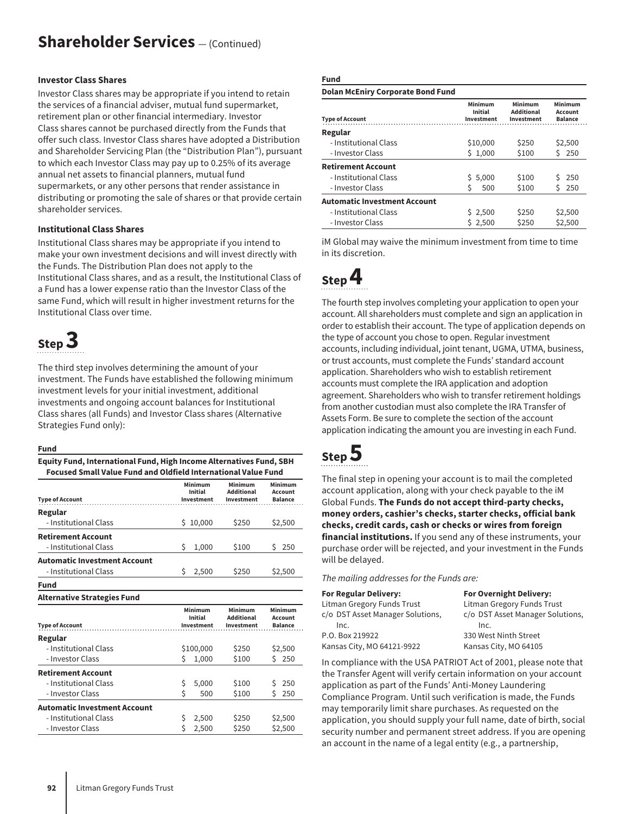#### **Investor Class Shares**

Investor Class shares may be appropriate if you intend to retain the services of a financial adviser, mutual fund supermarket, retirement plan or other financial intermediary. Investor Class shares cannot be purchased directly from the Funds that offer such class. Investor Class shares have adopted a Distribution and Shareholder Servicing Plan (the "Distribution Plan"), pursuant to which each Investor Class may pay up to 0.25% of its average annual net assets to financial planners, mutual fund supermarkets, or any other persons that render assistance in distributing or promoting the sale of shares or that provide certain shareholder services.

#### **Institutional Class Shares**

Institutional Class shares may be appropriate if you intend to make your own investment decisions and will invest directly with the Funds. The Distribution Plan does not apply to the Institutional Class shares, and as a result, the Institutional Class of a Fund has a lower expense ratio than the Investor Class of the same Fund, which will result in higher investment returns for the Institutional Class over time.

# **Step 3**

The third step involves determining the amount of your investment. The Funds have established the following minimum investment levels for your initial investment, additional investments and ongoing account balances for Institutional Class shares (all Funds) and Investor Class shares (Alternative Strategies Fund only):

#### **Fund**

**Equity Fund, International Fund, High Income Alternatives Fund, SBH Focused Small Value Fund and Oldfield International Value Fund**

| <b>Type of Account</b>              | Minimum<br>Initial<br>Investment        | Minimum<br><b>Additional</b><br>Investment | Minimum<br>Account<br><b>Balance</b> |
|-------------------------------------|-----------------------------------------|--------------------------------------------|--------------------------------------|
| Regular                             |                                         |                                            |                                      |
| - Institutional Class               | 10,000<br>S                             | \$250                                      | \$2,500                              |
| <b>Retirement Account</b>           |                                         |                                            |                                      |
| - Institutional Class               | Ŝ<br>1,000                              | \$100                                      | 250<br>S                             |
| <b>Automatic Investment Account</b> |                                         |                                            |                                      |
| - Institutional Class               | Ŝ<br>2,500                              | \$250                                      | \$2,500                              |
| Fund                                |                                         |                                            |                                      |
| <b>Alternative Strategies Fund</b>  |                                         |                                            |                                      |
| <b>Type of Account</b>              | Minimum<br><b>Initial</b><br>Investment | Minimum<br><b>Additional</b><br>Investment | Minimum<br>Account<br><b>Balance</b> |
| Regular                             |                                         |                                            |                                      |
| - Institutional Class               | \$100,000                               | \$250                                      | \$2,500                              |

|                                     | ------- | <u> マニュー しし</u> |         |  |
|-------------------------------------|---------|-----------------|---------|--|
| - Investor Class                    | 1.000   | \$100           | 250     |  |
| <b>Retirement Account</b>           |         |                 |         |  |
| - Institutional Class               | 5.000   | \$100           | \$250   |  |
| - Investor Class                    | 500     | \$100           | 250     |  |
| <b>Automatic Investment Account</b> |         |                 |         |  |
| - Institutional Class               | 2.500   | \$250           | \$2,500 |  |
| - Investor Class                    | 2.500   | \$250           | \$2,500 |  |

#### **Fund**

| <b>Dolan McEniry Corporate Bond Fund</b> |                                  |                                            |                                      |
|------------------------------------------|----------------------------------|--------------------------------------------|--------------------------------------|
| <b>Type of Account</b>                   | Minimum<br>Initial<br>Investment | Minimum<br><b>Additional</b><br>Investment | Minimum<br>Account<br><b>Balance</b> |
| Regular                                  |                                  |                                            |                                      |
| - Institutional Class                    | \$10,000                         | \$250                                      | \$2,500                              |
| - Investor Class                         | \$1,000                          | \$100                                      | 250<br>Š.                            |
| <b>Retirement Account</b>                |                                  |                                            |                                      |
| - Institutional Class                    | \$5,000                          | \$100                                      | 250<br>S                             |
| - Investor Class                         | Ŝ<br>500                         | \$100                                      | 250                                  |
| Automatic Investment Account             |                                  |                                            |                                      |
| - Institutional Class                    | \$2,500                          | \$250                                      | \$2,500                              |
| - Investor Class                         | \$2,500                          | \$250                                      | \$2,500                              |
|                                          |                                  |                                            |                                      |

iM Global may waive the minimum investment from time to time in its discretion.

# **Step 4**

The fourth step involves completing your application to open your account. All shareholders must complete and sign an application in order to establish their account. The type of application depends on the type of account you chose to open. Regular investment accounts, including individual, joint tenant, UGMA, UTMA, business, or trust accounts, must complete the Funds' standard account application. Shareholders who wish to establish retirement accounts must complete the IRA application and adoption agreement. Shareholders who wish to transfer retirement holdings from another custodian must also complete the IRA Transfer of Assets Form. Be sure to complete the section of the account application indicating the amount you are investing in each Fund.

# **Step 5**

The final step in opening your account is to mail the completed account application, along with your check payable to the iM Global Funds. **The Funds do not accept third-party checks, money orders, cashier's checks, starter checks, official bank checks, credit cards, cash or checks or wires from foreign financial institutions.** If you send any of these instruments, your purchase order will be rejected, and your investment in the Funds will be delayed.

#### *The mailing addresses for the Funds are:*

| For Regular Delivery:            | <b>For Overnight Delivery:</b>   |
|----------------------------------|----------------------------------|
| Litman Gregory Funds Trust       | Litman Gregory Funds Trust       |
| c/o DST Asset Manager Solutions, | c/o DST Asset Manager Solutions, |
| Inc.                             | Inc.                             |
| P.O. Box 219922                  | 330 West Ninth Street            |
| Kansas City, MO 64121-9922       | Kansas City, MO 64105            |
|                                  |                                  |

In compliance with the USA PATRIOT Act of 2001, please note that the Transfer Agent will verify certain information on your account application as part of the Funds' Anti-Money Laundering Compliance Program. Until such verification is made, the Funds may temporarily limit share purchases. As requested on the application, you should supply your full name, date of birth, social security number and permanent street address. If you are opening an account in the name of a legal entity (e.g., a partnership,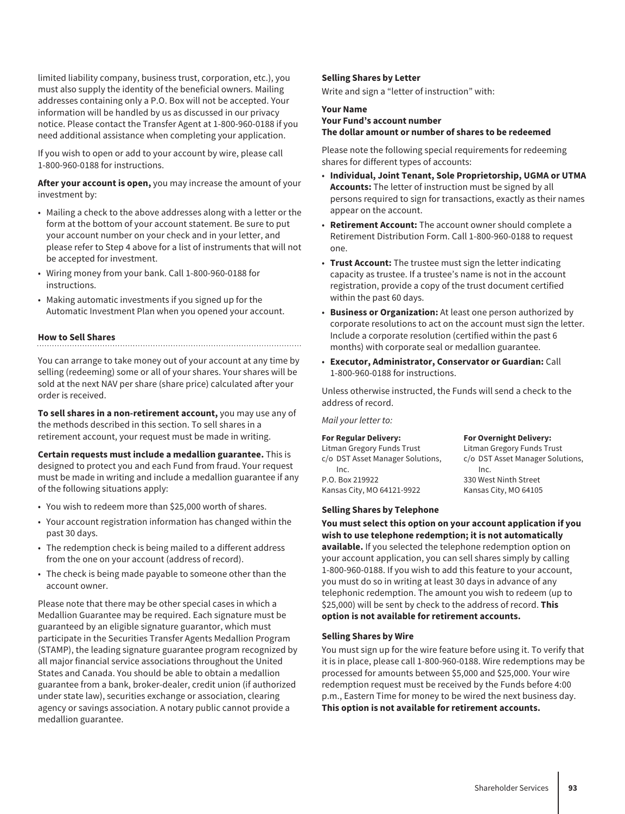limited liability company, business trust, corporation, etc.), you must also supply the identity of the beneficial owners. Mailing addresses containing only a P.O. Box will not be accepted. Your information will be handled by us as discussed in our privacy notice. Please contact the Transfer Agent at 1-800-960-0188 if you need additional assistance when completing your application.

If you wish to open or add to your account by wire, please call 1-800-960-0188 for instructions.

**After your account is open,** you may increase the amount of your investment by:

- Mailing a check to the above addresses along with a letter or the form at the bottom of your account statement. Be sure to put your account number on your check and in your letter, and please refer to Step 4 above for a list of instruments that will not be accepted for investment.
- Wiring money from your bank. Call 1-800-960-0188 for instructions.
- Making automatic investments if you signed up for the Automatic Investment Plan when you opened your account.

#### **How to Sell Shares**

You can arrange to take money out of your account at any time by selling (redeeming) some or all of your shares. Your shares will be sold at the next NAV per share (share price) calculated after your order is received.

**To sell shares in a non-retirement account,** you may use any of the methods described in this section. To sell shares in a retirement account, your request must be made in writing.

**Certain requests must include a medallion guarantee.** This is designed to protect you and each Fund from fraud. Your request must be made in writing and include a medallion guarantee if any of the following situations apply:

- You wish to redeem more than \$25,000 worth of shares.
- Your account registration information has changed within the past 30 days.
- The redemption check is being mailed to a different address from the one on your account (address of record).
- The check is being made payable to someone other than the account owner.

Please note that there may be other special cases in which a Medallion Guarantee may be required. Each signature must be guaranteed by an eligible signature guarantor, which must participate in the Securities Transfer Agents Medallion Program (STAMP), the leading signature guarantee program recognized by all major financial service associations throughout the United States and Canada. You should be able to obtain a medallion guarantee from a bank, broker-dealer, credit union (if authorized under state law), securities exchange or association, clearing agency or savings association. A notary public cannot provide a medallion guarantee.

#### **Selling Shares by Letter**

Write and sign a "letter of instruction" with:

#### **Your Name Your Fund's account number The dollar amount or number of shares to be redeemed**

Please note the following special requirements for redeeming shares for different types of accounts:

- **Individual, Joint Tenant, Sole Proprietorship, UGMA or UTMA Accounts:** The letter of instruction must be signed by all persons required to sign for transactions, exactly as their names appear on the account.
- **Retirement Account:** The account owner should complete a Retirement Distribution Form. Call 1-800-960-0188 to request one.
- **Trust Account:** The trustee must sign the letter indicating capacity as trustee. If a trustee's name is not in the account registration, provide a copy of the trust document certified within the past 60 days.
- **Business or Organization:** At least one person authorized by corporate resolutions to act on the account must sign the letter. Include a corporate resolution (certified within the past 6 months) with corporate seal or medallion guarantee.
- **Executor, Administrator, Conservator or Guardian:** Call 1-800-960-0188 for instructions.

Unless otherwise instructed, the Funds will send a check to the address of record.

*Mail your letter to:*

#### **For Regular Delivery:**

Litman Gregory Funds Trust c/o DST Asset Manager Solutions, Inc. P.O. Box 219922 Kansas City, MO 64121-9922

**For Overnight Delivery:** Litman Gregory Funds Trust c/o DST Asset Manager Solutions, Inc. 330 West Ninth Street Kansas City, MO 64105

#### **Selling Shares by Telephone**

**You must select this option on your account application if you wish to use telephone redemption; it is not automatically available.** If you selected the telephone redemption option on your account application, you can sell shares simply by calling 1-800-960-0188. If you wish to add this feature to your account, you must do so in writing at least 30 days in advance of any telephonic redemption. The amount you wish to redeem (up to \$25,000) will be sent by check to the address of record. **This option is not available for retirement accounts.**

#### **Selling Shares by Wire**

You must sign up for the wire feature before using it. To verify that it is in place, please call 1-800-960-0188. Wire redemptions may be processed for amounts between \$5,000 and \$25,000. Your wire redemption request must be received by the Funds before 4:00 p.m., Eastern Time for money to be wired the next business day. **This option is not available for retirement accounts.**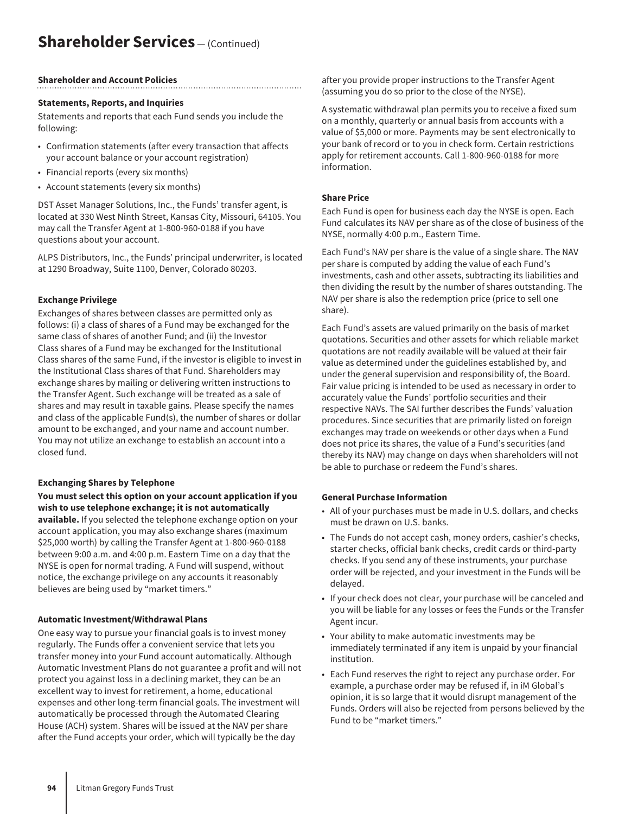## **Shareholder Services** — (Continued)

#### **Shareholder and Account Policies**

#### **Statements, Reports, and Inquiries**

Statements and reports that each Fund sends you include the following:

- Confirmation statements (after every transaction that affects your account balance or your account registration)
- Financial reports (every six months)
- Account statements (every six months)

DST Asset Manager Solutions, Inc., the Funds' transfer agent, is located at 330 West Ninth Street, Kansas City, Missouri, 64105. You may call the Transfer Agent at 1-800-960-0188 if you have questions about your account.

ALPS Distributors, Inc., the Funds' principal underwriter, is located at 1290 Broadway, Suite 1100, Denver, Colorado 80203.

#### **Exchange Privilege**

Exchanges of shares between classes are permitted only as follows: (i) a class of shares of a Fund may be exchanged for the same class of shares of another Fund; and (ii) the Investor Class shares of a Fund may be exchanged for the Institutional Class shares of the same Fund, if the investor is eligible to invest in the Institutional Class shares of that Fund. Shareholders may exchange shares by mailing or delivering written instructions to the Transfer Agent. Such exchange will be treated as a sale of shares and may result in taxable gains. Please specify the names and class of the applicable Fund(s), the number of shares or dollar amount to be exchanged, and your name and account number. You may not utilize an exchange to establish an account into a closed fund.

#### **Exchanging Shares by Telephone**

**You must select this option on your account application if you wish to use telephone exchange; it is not automatically available.** If you selected the telephone exchange option on your account application, you may also exchange shares (maximum \$25,000 worth) by calling the Transfer Agent at 1-800-960-0188 between 9:00 a.m. and 4:00 p.m. Eastern Time on a day that the NYSE is open for normal trading. A Fund will suspend, without notice, the exchange privilege on any accounts it reasonably believes are being used by "market timers."

#### **Automatic Investment/Withdrawal Plans**

One easy way to pursue your financial goals is to invest money regularly. The Funds offer a convenient service that lets you transfer money into your Fund account automatically. Although Automatic Investment Plans do not guarantee a profit and will not protect you against loss in a declining market, they can be an excellent way to invest for retirement, a home, educational expenses and other long-term financial goals. The investment will automatically be processed through the Automated Clearing House (ACH) system. Shares will be issued at the NAV per share after the Fund accepts your order, which will typically be the day

after you provide proper instructions to the Transfer Agent (assuming you do so prior to the close of the NYSE).

A systematic withdrawal plan permits you to receive a fixed sum on a monthly, quarterly or annual basis from accounts with a value of \$5,000 or more. Payments may be sent electronically to your bank of record or to you in check form. Certain restrictions apply for retirement accounts. Call 1-800-960-0188 for more information.

#### **Share Price**

Each Fund is open for business each day the NYSE is open. Each Fund calculates its NAV per share as of the close of business of the NYSE, normally 4:00 p.m., Eastern Time.

Each Fund's NAV per share is the value of a single share. The NAV per share is computed by adding the value of each Fund's investments, cash and other assets, subtracting its liabilities and then dividing the result by the number of shares outstanding. The NAV per share is also the redemption price (price to sell one share).

Each Fund's assets are valued primarily on the basis of market quotations. Securities and other assets for which reliable market quotations are not readily available will be valued at their fair value as determined under the guidelines established by, and under the general supervision and responsibility of, the Board. Fair value pricing is intended to be used as necessary in order to accurately value the Funds' portfolio securities and their respective NAVs. The SAI further describes the Funds' valuation procedures. Since securities that are primarily listed on foreign exchanges may trade on weekends or other days when a Fund does not price its shares, the value of a Fund's securities (and thereby its NAV) may change on days when shareholders will not be able to purchase or redeem the Fund's shares.

#### **General Purchase Information**

- All of your purchases must be made in U.S. dollars, and checks must be drawn on U.S. banks.
- The Funds do not accept cash, money orders, cashier's checks, starter checks, official bank checks, credit cards or third-party checks. If you send any of these instruments, your purchase order will be rejected, and your investment in the Funds will be delayed.
- If your check does not clear, your purchase will be canceled and you will be liable for any losses or fees the Funds or the Transfer Agent incur.
- Your ability to make automatic investments may be immediately terminated if any item is unpaid by your financial institution.
- Each Fund reserves the right to reject any purchase order. For example, a purchase order may be refused if, in iM Global's opinion, it is so large that it would disrupt management of the Funds. Orders will also be rejected from persons believed by the Fund to be "market timers."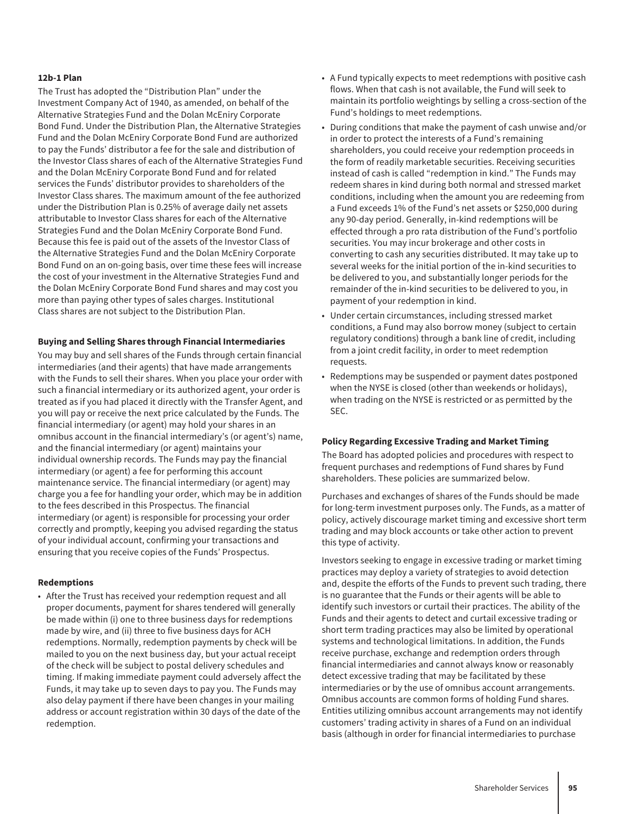#### **12b-1 Plan**

The Trust has adopted the "Distribution Plan" under the Investment Company Act of 1940, as amended, on behalf of the Alternative Strategies Fund and the Dolan McEniry Corporate Bond Fund. Under the Distribution Plan, the Alternative Strategies Fund and the Dolan McEniry Corporate Bond Fund are authorized to pay the Funds' distributor a fee for the sale and distribution of the Investor Class shares of each of the Alternative Strategies Fund and the Dolan McEniry Corporate Bond Fund and for related services the Funds' distributor provides to shareholders of the Investor Class shares. The maximum amount of the fee authorized under the Distribution Plan is 0.25% of average daily net assets attributable to Investor Class shares for each of the Alternative Strategies Fund and the Dolan McEniry Corporate Bond Fund. Because this fee is paid out of the assets of the Investor Class of the Alternative Strategies Fund and the Dolan McEniry Corporate Bond Fund on an on-going basis, over time these fees will increase the cost of your investment in the Alternative Strategies Fund and the Dolan McEniry Corporate Bond Fund shares and may cost you more than paying other types of sales charges. Institutional Class shares are not subject to the Distribution Plan.

#### **Buying and Selling Shares through Financial Intermediaries**

You may buy and sell shares of the Funds through certain financial intermediaries (and their agents) that have made arrangements with the Funds to sell their shares. When you place your order with such a financial intermediary or its authorized agent, your order is treated as if you had placed it directly with the Transfer Agent, and you will pay or receive the next price calculated by the Funds. The financial intermediary (or agent) may hold your shares in an omnibus account in the financial intermediary's (or agent's) name, and the financial intermediary (or agent) maintains your individual ownership records. The Funds may pay the financial intermediary (or agent) a fee for performing this account maintenance service. The financial intermediary (or agent) may charge you a fee for handling your order, which may be in addition to the fees described in this Prospectus. The financial intermediary (or agent) is responsible for processing your order correctly and promptly, keeping you advised regarding the status of your individual account, confirming your transactions and ensuring that you receive copies of the Funds' Prospectus.

#### **Redemptions**

• After the Trust has received your redemption request and all proper documents, payment for shares tendered will generally be made within (i) one to three business days for redemptions made by wire, and (ii) three to five business days for ACH redemptions. Normally, redemption payments by check will be mailed to you on the next business day, but your actual receipt of the check will be subject to postal delivery schedules and timing. If making immediate payment could adversely affect the Funds, it may take up to seven days to pay you. The Funds may also delay payment if there have been changes in your mailing address or account registration within 30 days of the date of the redemption.

- A Fund typically expects to meet redemptions with positive cash flows. When that cash is not available, the Fund will seek to maintain its portfolio weightings by selling a cross-section of the Fund's holdings to meet redemptions.
- During conditions that make the payment of cash unwise and/or in order to protect the interests of a Fund's remaining shareholders, you could receive your redemption proceeds in the form of readily marketable securities. Receiving securities instead of cash is called "redemption in kind." The Funds may redeem shares in kind during both normal and stressed market conditions, including when the amount you are redeeming from a Fund exceeds 1% of the Fund's net assets or \$250,000 during any 90-day period. Generally, in-kind redemptions will be effected through a pro rata distribution of the Fund's portfolio securities. You may incur brokerage and other costs in converting to cash any securities distributed. It may take up to several weeks for the initial portion of the in-kind securities to be delivered to you, and substantially longer periods for the remainder of the in-kind securities to be delivered to you, in payment of your redemption in kind.
- Under certain circumstances, including stressed market conditions, a Fund may also borrow money (subject to certain regulatory conditions) through a bank line of credit, including from a joint credit facility, in order to meet redemption requests.
- Redemptions may be suspended or payment dates postponed when the NYSE is closed (other than weekends or holidays), when trading on the NYSE is restricted or as permitted by the SEC.

#### **Policy Regarding Excessive Trading and Market Timing**

The Board has adopted policies and procedures with respect to frequent purchases and redemptions of Fund shares by Fund shareholders. These policies are summarized below.

Purchases and exchanges of shares of the Funds should be made for long-term investment purposes only. The Funds, as a matter of policy, actively discourage market timing and excessive short term trading and may block accounts or take other action to prevent this type of activity.

Investors seeking to engage in excessive trading or market timing practices may deploy a variety of strategies to avoid detection and, despite the efforts of the Funds to prevent such trading, there is no guarantee that the Funds or their agents will be able to identify such investors or curtail their practices. The ability of the Funds and their agents to detect and curtail excessive trading or short term trading practices may also be limited by operational systems and technological limitations. In addition, the Funds receive purchase, exchange and redemption orders through financial intermediaries and cannot always know or reasonably detect excessive trading that may be facilitated by these intermediaries or by the use of omnibus account arrangements. Omnibus accounts are common forms of holding Fund shares. Entities utilizing omnibus account arrangements may not identify customers' trading activity in shares of a Fund on an individual basis (although in order for financial intermediaries to purchase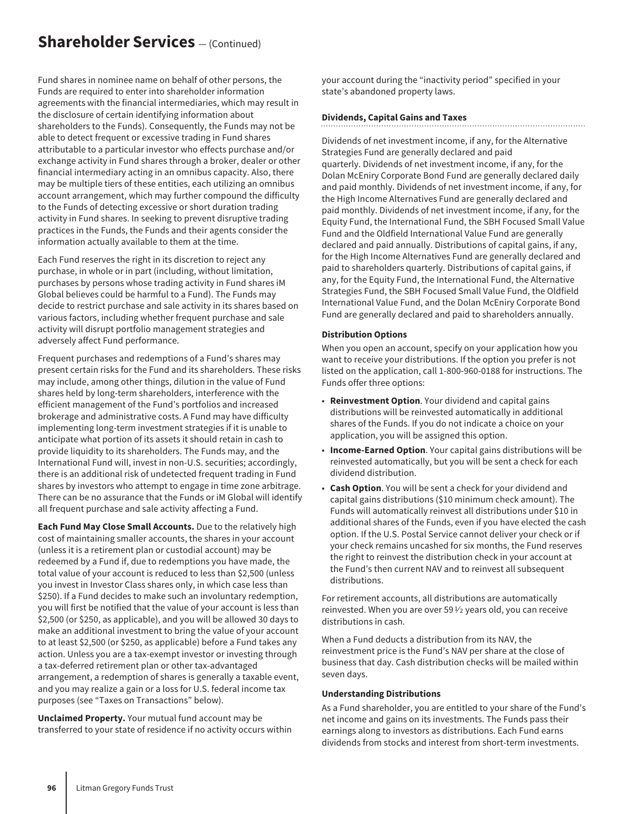## **Shareholder Services** — (Continued)

Fund shares in nominee name on behalf of other persons, the Funds are required to enter into shareholder information agreements with the financial intermediaries, which may result in the disclosure of certain identifying information about shareholders to the Funds). Consequently, the Funds may not be able to detect frequent or excessive trading in Fund shares attributable to a particular investor who effects purchase and/or exchange activity in Fund shares through a broker, dealer or other financial intermediary acting in an omnibus capacity. Also, there may be multiple tiers of these entities, each utilizing an omnibus account arrangement, which may further compound the difficulty to the Funds of detecting excessive or short duration trading activity in Fund shares. In seeking to prevent disruptive trading practices in the Funds, the Funds and their agents consider the information actually available to them at the time.

Each Fund reserves the right in its discretion to reject any purchase, in whole or in part (including, without limitation, purchases by persons whose trading activity in Fund shares iM Global believes could be harmful to a Fund). The Funds may decide to restrict purchase and sale activity in its shares based on various factors, including whether frequent purchase and sale activity will disrupt portfolio management strategies and adversely affect Fund performance.

Frequent purchases and redemptions of a Fund's shares may present certain risks for the Fund and its shareholders. These risks may include, among other things, dilution in the value of Fund shares held by long-term shareholders, interference with the efficient management of the Fund's portfolios and increased brokerage and administrative costs. A Fund may have difficulty implementing long-term investment strategies if it is unable to anticipate what portion of its assets it should retain in cash to provide liquidity to its shareholders. The Funds may, and the International Fund will, invest in non-U.S. securities; accordingly, there is an additional risk of undetected frequent trading in Fund shares by investors who attempt to engage in time zone arbitrage. There can be no assurance that the Funds or iM Global will identify all frequent purchase and sale activity affecting a Fund.

**Each Fund May Close Small Accounts.** Due to the relatively high cost of maintaining smaller accounts, the shares in your account (unless it is a retirement plan or custodial account) may be redeemed by a Fund if, due to redemptions you have made, the total value of your account is reduced to less than \$2,500 (unless you invest in Investor Class shares only, in which case less than \$250). If a Fund decides to make such an involuntary redemption, you will first be notified that the value of your account is less than \$2,500 (or \$250, as applicable), and you will be allowed 30 days to make an additional investment to bring the value of your account to at least \$2,500 (or \$250, as applicable) before a Fund takes any action. Unless you are a tax-exempt investor or investing through a tax-deferred retirement plan or other tax-advantaged arrangement, a redemption of shares is generally a taxable event, and you may realize a gain or a loss for U.S. federal income tax purposes (see "Taxes on Transactions" below).

**Unclaimed Property.** Your mutual fund account may be transferred to your state of residence if no activity occurs within your account during the "inactivity period" specified in your state's abandoned property laws.

#### **Dividends, Capital Gains and Taxes**

Dividends of net investment income, if any, for the Alternative Strategies Fund are generally declared and paid quarterly. Dividends of net investment income, if any, for the Dolan McEniry Corporate Bond Fund are generally declared daily and paid monthly. Dividends of net investment income, if any, for the High Income Alternatives Fund are generally declared and paid monthly. Dividends of net investment income, if any, for the Equity Fund, the International Fund, the SBH Focused Small Value Fund and the Oldfield International Value Fund are generally declared and paid annually. Distributions of capital gains, if any, for the High Income Alternatives Fund are generally declared and paid to shareholders quarterly. Distributions of capital gains, if any, for the Equity Fund, the International Fund, the Alternative Strategies Fund, the SBH Focused Small Value Fund, the Oldfield International Value Fund, and the Dolan McEniry Corporate Bond Fund are generally declared and paid to shareholders annually.

#### **Distribution Options**

When you open an account, specify on your application how you want to receive your distributions. If the option you prefer is not listed on the application, call 1-800-960-0188 for instructions. The Funds offer three options:

- **Reinvestment Option**. Your dividend and capital gains distributions will be reinvested automatically in additional shares of the Funds. If you do not indicate a choice on your application, you will be assigned this option.
- **Income-Earned Option**. Your capital gains distributions will be reinvested automatically, but you will be sent a check for each dividend distribution.
- **Cash Option**. You will be sent a check for your dividend and capital gains distributions (\$10 minimum check amount). The Funds will automatically reinvest all distributions under \$10 in additional shares of the Funds, even if you have elected the cash option. If the U.S. Postal Service cannot deliver your check or if your check remains uncashed for six months, the Fund reserves the right to reinvest the distribution check in your account at the Fund's then current NAV and to reinvest all subsequent distributions.

For retirement accounts, all distributions are automatically reinvested. When you are over 59 $\frac{1}{2}$  years old, you can receive distributions in cash.

When a Fund deducts a distribution from its NAV, the reinvestment price is the Fund's NAV per share at the close of business that day. Cash distribution checks will be mailed within seven days.

#### **Understanding Distributions**

As a Fund shareholder, you are entitled to your share of the Fund's net income and gains on its investments. The Funds pass their earnings along to investors as distributions. Each Fund earns dividends from stocks and interest from short-term investments.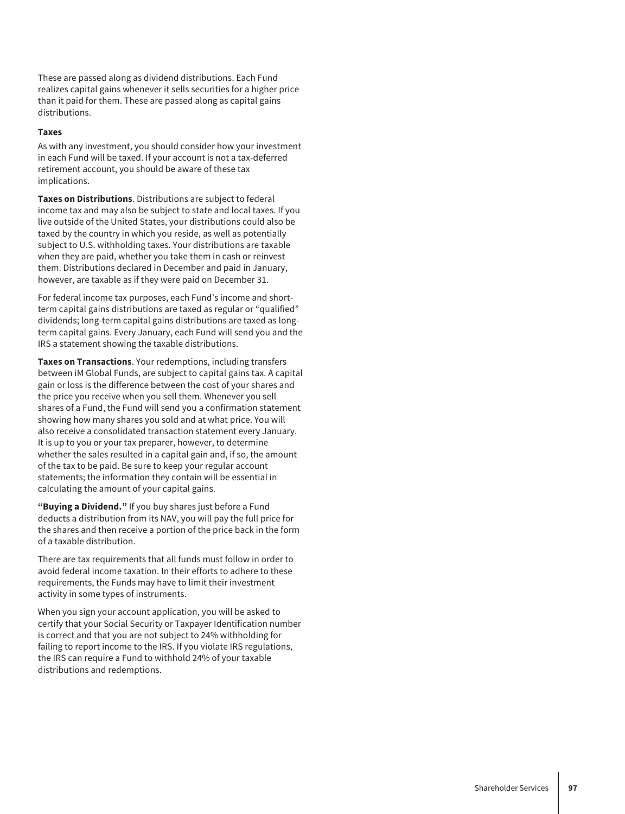These are passed along as dividend distributions. Each Fund realizes capital gains whenever it sells securities for a higher price than it paid for them. These are passed along as capital gains distributions.

#### **Taxes**

As with any investment, you should consider how your investment in each Fund will be taxed. If your account is not a tax-deferred retirement account, you should be aware of these tax implications.

**Taxes on Distributions**. Distributions are subject to federal income tax and may also be subject to state and local taxes. If you live outside of the United States, your distributions could also be taxed by the country in which you reside, as well as potentially subject to U.S. withholding taxes. Your distributions are taxable when they are paid, whether you take them in cash or reinvest them. Distributions declared in December and paid in January, however, are taxable as if they were paid on December 31.

For federal income tax purposes, each Fund's income and shortterm capital gains distributions are taxed as regular or "qualified" dividends; long-term capital gains distributions are taxed as longterm capital gains. Every January, each Fund will send you and the IRS a statement showing the taxable distributions.

**Taxes on Transactions**. Your redemptions, including transfers between iM Global Funds, are subject to capital gains tax. A capital gain or loss is the difference between the cost of your shares and the price you receive when you sell them. Whenever you sell shares of a Fund, the Fund will send you a confirmation statement showing how many shares you sold and at what price. You will also receive a consolidated transaction statement every January. It is up to you or your tax preparer, however, to determine whether the sales resulted in a capital gain and, if so, the amount of the tax to be paid. Be sure to keep your regular account statements; the information they contain will be essential in calculating the amount of your capital gains.

**"Buying a Dividend."** If you buy shares just before a Fund deducts a distribution from its NAV, you will pay the full price for the shares and then receive a portion of the price back in the form of a taxable distribution.

There are tax requirements that all funds must follow in order to avoid federal income taxation. In their efforts to adhere to these requirements, the Funds may have to limit their investment activity in some types of instruments.

When you sign your account application, you will be asked to certify that your Social Security or Taxpayer Identification number is correct and that you are not subject to 24% withholding for failing to report income to the IRS. If you violate IRS regulations, the IRS can require a Fund to withhold 24% of your taxable distributions and redemptions.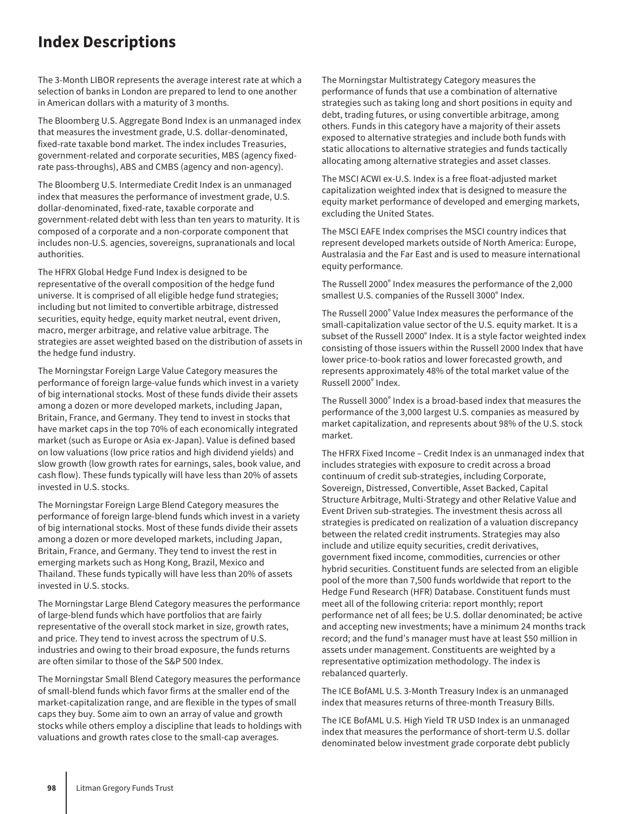## **Index Descriptions**

The 3-Month LIBOR represents the average interest rate at which a selection of banks in London are prepared to lend to one another in American dollars with a maturity of 3 months.

The Bloomberg U.S. Aggregate Bond Index is an unmanaged index that measures the investment grade, U.S. dollar-denominated, fixed-rate taxable bond market. The index includes Treasuries, government-related and corporate securities, MBS (agency fixedrate pass-throughs), ABS and CMBS (agency and non-agency).

The Bloomberg U.S. Intermediate Credit Index is an unmanaged index that measures the performance of investment grade, U.S. dollar-denominated, fixed-rate, taxable corporate and government-related debt with less than ten years to maturity. It is composed of a corporate and a non-corporate component that includes non-U.S. agencies, sovereigns, supranationals and local authorities.

The HFRX Global Hedge Fund Index is designed to be representative of the overall composition of the hedge fund universe. It is comprised of all eligible hedge fund strategies; including but not limited to convertible arbitrage, distressed securities, equity hedge, equity market neutral, event driven, macro, merger arbitrage, and relative value arbitrage. The strategies are asset weighted based on the distribution of assets in the hedge fund industry.

The Morningstar Foreign Large Value Category measures the performance of foreign large-value funds which invest in a variety of big international stocks. Most of these funds divide their assets among a dozen or more developed markets, including Japan, Britain, France, and Germany. They tend to invest in stocks that have market caps in the top 70% of each economically integrated market (such as Europe or Asia ex-Japan). Value is defined based on low valuations (low price ratios and high dividend yields) and slow growth (low growth rates for earnings, sales, book value, and cash flow). These funds typically will have less than 20% of assets invested in U.S. stocks.

The Morningstar Foreign Large Blend Category measures the performance of foreign large-blend funds which invest in a variety of big international stocks. Most of these funds divide their assets among a dozen or more developed markets, including Japan, Britain, France, and Germany. They tend to invest the rest in emerging markets such as Hong Kong, Brazil, Mexico and Thailand. These funds typically will have less than 20% of assets invested in U.S. stocks.

The Morningstar Large Blend Category measures the performance of large-blend funds which have portfolios that are fairly representative of the overall stock market in size, growth rates, and price. They tend to invest across the spectrum of U.S. industries and owing to their broad exposure, the funds returns are often similar to those of the S&P 500 Index.

The Morningstar Small Blend Category measures the performance of small-blend funds which favor firms at the smaller end of the market-capitalization range, and are flexible in the types of small caps they buy. Some aim to own an array of value and growth stocks while others employ a discipline that leads to holdings with valuations and growth rates close to the small-cap averages.

The Morningstar Multistrategy Category measures the performance of funds that use a combination of alternative strategies such as taking long and short positions in equity and debt, trading futures, or using convertible arbitrage, among others. Funds in this category have a majority of their assets exposed to alternative strategies and include both funds with static allocations to alternative strategies and funds tactically allocating among alternative strategies and asset classes.

The MSCI ACWI ex-U.S. Index is a free float-adjusted market capitalization weighted index that is designed to measure the equity market performance of developed and emerging markets, excluding the United States.

The MSCI EAFE Index comprises the MSCI country indices that represent developed markets outside of North America: Europe, Australasia and the Far East and is used to measure international equity performance.

The Russell 2000® Index measures the performance of the 2,000 smallest U.S. companies of the Russell 3000® Index.

The Russell 2000® Value Index measures the performance of the small-capitalization value sector of the U.S. equity market. It is a subset of the Russell 2000® Index. It is a style factor weighted index consisting of those issuers within the Russell 2000 Index that have lower price-to-book ratios and lower forecasted growth, and represents approximately 48% of the total market value of the Russell 2000® Index.

The Russell 3000® Index is a broad-based index that measures the performance of the 3,000 largest U.S. companies as measured by market capitalization, and represents about 98% of the U.S. stock market.

The HFRX Fixed Income – Credit Index is an unmanaged index that includes strategies with exposure to credit across a broad continuum of credit sub-strategies, including Corporate, Sovereign, Distressed, Convertible, Asset Backed, Capital Structure Arbitrage, Multi-Strategy and other Relative Value and Event Driven sub-strategies. The investment thesis across all strategies is predicated on realization of a valuation discrepancy between the related credit instruments. Strategies may also include and utilize equity securities, credit derivatives, government fixed income, commodities, currencies or other hybrid securities. Constituent funds are selected from an eligible pool of the more than 7,500 funds worldwide that report to the Hedge Fund Research (HFR) Database. Constituent funds must meet all of the following criteria: report monthly; report performance net of all fees; be U.S. dollar denominated; be active and accepting new investments; have a minimum 24 months track record; and the fund's manager must have at least \$50 million in assets under management. Constituents are weighted by a representative optimization methodology. The index is rebalanced quarterly.

The ICE BofAML U.S. 3-Month Treasury Index is an unmanaged index that measures returns of three-month Treasury Bills.

The ICE BofAML U.S. High Yield TR USD Index is an unmanaged index that measures the performance of short-term U.S. dollar denominated below investment grade corporate debt publicly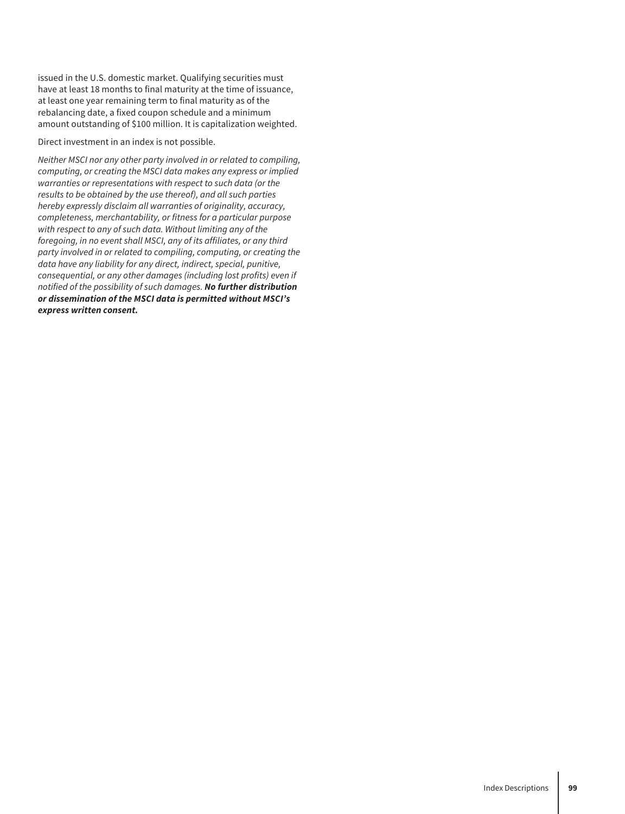issued in the U.S. domestic market. Qualifying securities must have at least 18 months to final maturity at the time of issuance, at least one year remaining term to final maturity as of the rebalancing date, a fixed coupon schedule and a minimum amount outstanding of \$100 million. It is capitalization weighted.

Direct investment in an index is not possible.

*Neither MSCI nor any other party involved in or related to compiling, computing, or creating the MSCI data makes any express or implied warranties or representations with respect to such data (or the results to be obtained by the use thereof), and all such parties hereby expressly disclaim all warranties of originality, accuracy, completeness, merchantability, or fitness for a particular purpose with respect to any of such data. Without limiting any of the foregoing, in no event shall MSCI, any of its affiliates, or any third party involved in or related to compiling, computing, or creating the data have any liability for any direct, indirect, special, punitive, consequential, or any other damages (including lost profits) even if notified of the possibility of such damages. No further distribution or dissemination of the MSCI data is permitted without MSCI's express written consent.*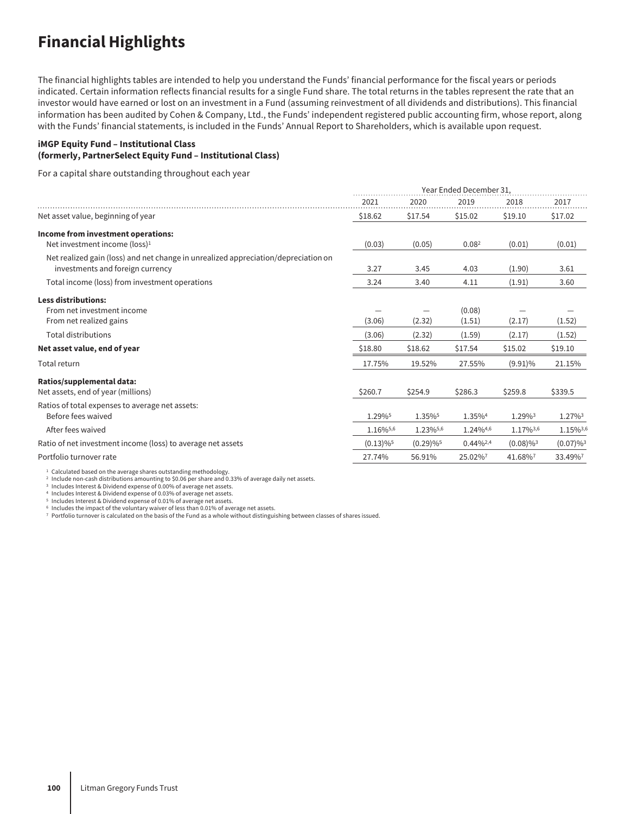## **Financial Highlights**

The financial highlights tables are intended to help you understand the Funds' financial performance for the fiscal years or periods indicated. Certain information reflects financial results for a single Fund share. The total returns in the tables represent the rate that an investor would have earned or lost on an investment in a Fund (assuming reinvestment of all dividends and distributions). This financial information has been audited by Cohen & Company, Ltd., the Funds' independent registered public accounting firm, whose report, along with the Funds' financial statements, is included in the Funds' Annual Report to Shareholders, which is available upon request.

#### **iMGP Equity Fund – Institutional Class (formerly, PartnerSelect Equity Fund – Institutional Class)**

For a capital share outstanding throughout each year

|                                                                                                                        | Year Ended December 31. |                         |                   |                         |                         |
|------------------------------------------------------------------------------------------------------------------------|-------------------------|-------------------------|-------------------|-------------------------|-------------------------|
|                                                                                                                        | 2021                    | 2020                    | 2019              | 2018                    | 2017                    |
| Net asset value, beginning of year                                                                                     | \$18.62                 | \$17.54                 | \$15.02           | \$19.10                 | \$17.02                 |
| Income from investment operations:                                                                                     |                         |                         |                   |                         |                         |
| Net investment income (loss) <sup>1</sup>                                                                              | (0.03)                  | (0.05)                  | 0.08 <sup>2</sup> | (0.01)                  | (0.01)                  |
| Net realized gain (loss) and net change in unrealized appreciation/depreciation on<br>investments and foreign currency | 3.27                    | 3.45                    | 4.03              | (1.90)                  | 3.61                    |
| Total income (loss) from investment operations                                                                         | 3.24                    | 3.40                    | 4.11              | (1.91)                  | 3.60                    |
| <b>Less distributions:</b>                                                                                             |                         |                         |                   |                         |                         |
| From net investment income                                                                                             |                         |                         | (0.08)            |                         |                         |
| From net realized gains                                                                                                | (3.06)                  | (2.32)                  | (1.51)            | (2.17)                  | (1.52)                  |
| <b>Total distributions</b>                                                                                             | (3.06)                  | (2.32)                  | (1.59)            | (2.17)                  | (1.52)                  |
| Net asset value, end of year                                                                                           | \$18.80                 | \$18.62                 | \$17.54           | \$15.02                 | \$19.10                 |
| Total return                                                                                                           | 17.75%                  | 19.52%                  | 27.55%            | $(9.91)\%$              | 21.15%                  |
| Ratios/supplemental data:                                                                                              |                         |                         |                   |                         |                         |
| Net assets, end of year (millions)                                                                                     | \$260.7                 | \$254.9                 | \$286.3           | \$259.8                 | \$339.5                 |
| Ratios of total expenses to average net assets:                                                                        |                         |                         |                   |                         |                         |
| Before fees waived                                                                                                     | 1.29%                   | 1.35%                   | 1.35%4            | 1.29%3                  | 1.27%3                  |
| After fees waived                                                                                                      | 1.16%5,6                | 1.23%5,6                | 1.24%4,6          | 1.17%3,6                | 1.15%3,6                |
| Ratio of net investment income (loss) to average net assets                                                            | $(0.13)\%$ <sup>5</sup> | $(0.29)\%$ <sup>5</sup> | $0.44\%^{2,4}$    | $(0.08)\%$ <sup>3</sup> | $(0.07)\%$ <sup>3</sup> |
| Portfolio turnover rate                                                                                                | 27.74%                  | 56.91%                  | 25.02%7           | 41.68%                  | 33.49%7                 |

ʰ Calculated based on the average shares outstanding methodology.<br>₽ Include non-cash distributions amounting to \$0.06 per share and 0.33% of average daily net assets.<br>₿ Includes Interest & Dividend expense of 0.00% of ave

<sup>4</sup> Includes Interest & Dividend expense of 0.03% of average net assets.

<sup>5</sup> Includes Interest & Dividend expense of 0.01% of average net assets. <sup>6</sup> Includes the impact of the voluntary waiver of less than 0.01% of average net assets.

<sup>7</sup> Portfolio turnover is calculated on the basis of the Fund as a whole without distinguishing between classes of shares issued.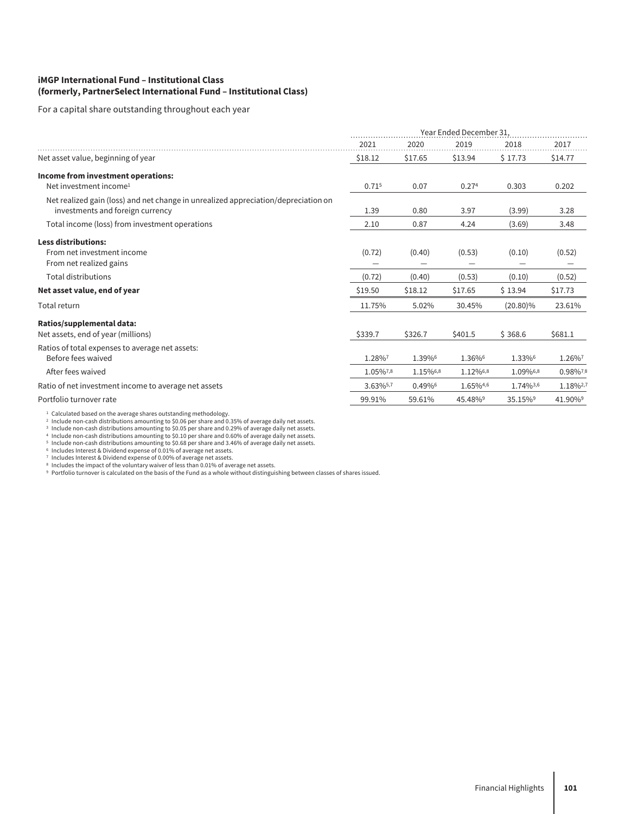#### **iMGP International Fund – Institutional Class (formerly, PartnerSelect International Fund – Institutional Class)**

For a capital share outstanding throughout each year

|                                                                                                                        | Year Ended December 31, |          |          |             |          |
|------------------------------------------------------------------------------------------------------------------------|-------------------------|----------|----------|-------------|----------|
|                                                                                                                        | 2021                    | 2020     | 2019     | 2018        | 2017     |
| Net asset value, beginning of year                                                                                     | \$18.12                 | \$17.65  | \$13.94  | \$17.73     | \$14.77  |
| Income from investment operations:                                                                                     |                         |          |          |             |          |
| Net investment income <sup>1</sup>                                                                                     | 0.715                   | 0.07     | 0.274    | 0.303       | 0.202    |
| Net realized gain (loss) and net change in unrealized appreciation/depreciation on<br>investments and foreign currency | 1.39                    | 0.80     | 3.97     | (3.99)      | 3.28     |
| Total income (loss) from investment operations                                                                         | 2.10                    | 0.87     | 4.24     | (3.69)      | 3.48     |
| <b>Less distributions:</b>                                                                                             |                         |          |          |             |          |
| From net investment income                                                                                             | (0.72)                  | (0.40)   | (0.53)   | (0.10)      | (0.52)   |
| From net realized gains                                                                                                |                         |          |          |             |          |
| <b>Total distributions</b>                                                                                             | (0.72)                  | (0.40)   | (0.53)   | (0.10)      | (0.52)   |
| Net asset value, end of year                                                                                           | \$19.50                 | \$18.12  | \$17.65  | \$13.94     | \$17.73  |
| Total return                                                                                                           | 11.75%                  | 5.02%    | 30.45%   | $(20.80)\%$ | 23.61%   |
| Ratios/supplemental data:                                                                                              |                         |          |          |             |          |
| Net assets, end of year (millions)                                                                                     | \$339.7                 | \$326.7  | \$401.5  | \$368.6     | \$681.1  |
| Ratios of total expenses to average net assets:                                                                        |                         |          |          |             |          |
| Before fees waived                                                                                                     | 1.28%7                  | 1.39%6   | 1.36%6   | 1.33%6      | 1.26%7   |
| After fees waived                                                                                                      | 1.05%7,8                | 1.15%6,8 | 1.12%6,8 | 1.09%6,8    | 0.98%7,8 |
| Ratio of net investment income to average net assets                                                                   | 3.63%5,7                | 0.49%6   | 1.65%4,6 | 1.74%3,6    | 1.18%2,7 |
| Portfolio turnover rate                                                                                                | 99.91%                  | 59.61%   | 45.48%   | 35.15%9     | 41.90%9  |

<sup>1</sup> Calculated based on the average shares outstanding methodology.<br><sup>2</sup> Include non-cash distributions amounting to \$0.05 per share and 0.35% of average daily net assets.<br><sup>3</sup> Include non-cash distributions amounting to \$0

® Includes the impact of the voluntary waiver of less than 0.01% of average net assets.<br>⋼ Portfolio turnover is calculated on the basis of the Fund as a whole without distinguishing between classes of shares issued.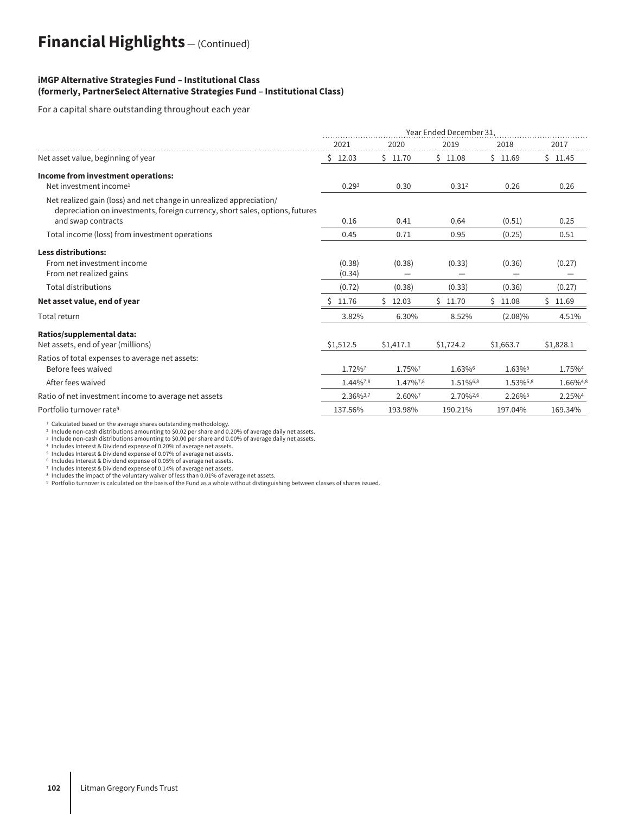## **Financial Highlights** — (Continued)

#### **iMGP Alternative Strategies Fund – Institutional Class (formerly, PartnerSelect Alternative Strategies Fund – Institutional Class)**

For a capital share outstanding throughout each year

|                                                                                                                                                     | Year Ended December 31 |           |                   |            |                    |  |
|-----------------------------------------------------------------------------------------------------------------------------------------------------|------------------------|-----------|-------------------|------------|--------------------|--|
|                                                                                                                                                     | 2021                   | 2020      | 2019              | 2018       | 2017               |  |
| Net asset value, beginning of year                                                                                                                  | \$12.03                | \$11.70   | \$11.08           | \$11.69    | \$11.45            |  |
| Income from investment operations:                                                                                                                  |                        |           |                   |            |                    |  |
| Net investment income <sup>1</sup>                                                                                                                  | 0.29 <sup>3</sup>      | 0.30      | 0.31 <sup>2</sup> | 0.26       | 0.26               |  |
| Net realized gain (loss) and net change in unrealized appreciation/<br>depreciation on investments, foreign currency, short sales, options, futures |                        |           |                   |            |                    |  |
| and swap contracts                                                                                                                                  | 0.16                   | 0.41      | 0.64              | (0.51)     | 0.25               |  |
| Total income (loss) from investment operations                                                                                                      | 0.45                   | 0.71      | 0.95              | (0.25)     | 0.51               |  |
| <b>Less distributions:</b>                                                                                                                          |                        |           |                   |            |                    |  |
| From net investment income                                                                                                                          | (0.38)                 | (0.38)    | (0.33)            | (0.36)     | (0.27)             |  |
| From net realized gains                                                                                                                             | (0.34)                 |           |                   |            |                    |  |
| <b>Total distributions</b>                                                                                                                          | (0.72)                 | (0.38)    | (0.33)            | (0.36)     | (0.27)             |  |
| Net asset value, end of year                                                                                                                        | 11.76                  | \$12.03   | \$11.70           | \$11.08    | \$11.69            |  |
| Total return                                                                                                                                        | 3.82%                  | 6.30%     | 8.52%             | $(2.08)\%$ | 4.51%              |  |
| Ratios/supplemental data:                                                                                                                           |                        |           |                   |            |                    |  |
| Net assets, end of year (millions)                                                                                                                  | \$1,512.5              | \$1,417.1 | \$1,724.2         | \$1,663.7  | \$1,828.1          |  |
| Ratios of total expenses to average net assets:<br>Before fees waived                                                                               | 1.72%7                 | 1.75%7    | 1.63%6            | 1.63%      | 1.75% <sup>4</sup> |  |
| After fees waived                                                                                                                                   | 1.44%7,8               | 1.47%7,8  | 1.51%6,8          | 1.53%5,8   | 1.66%4,8           |  |
| Ratio of net investment income to average net assets                                                                                                | 2.36%3,7               | 2.60%7    | 2.70%2,6          | 2.26%      | 2.25%4             |  |
| Portfolio turnover rate <sup>9</sup>                                                                                                                | 137.56%                | 193.98%   | 190.21%           | 197.04%    | 169.34%            |  |

 $^{\rm 1}$  Calculated based on the average shares outstanding methodology.<br>2 Include non-cash distributions amounting to \$0.02 per share and 0.20% of average daily net assets.

<sup>3</sup> Include non-cash distributions amounting to \$0.00 per share and 0.00% of average daily net assets.

<sup>4</sup> Includes Interest & Dividend expense of 0.20% of average net assets. <sup>5</sup> Includes Interest & Dividend expense of 0.07% of average net assets.

<sup>6</sup> Includes Interest & Dividend expense of 0.05% of average net assets.

<sup>7</sup> Includes Interest & Dividend expense of 0.14% of average net assets.<br>® Includes the impact of the voluntary waiver of less than 0.01% of average net assets.<br>® Portfolio turnover is calculated on the basis of the Fund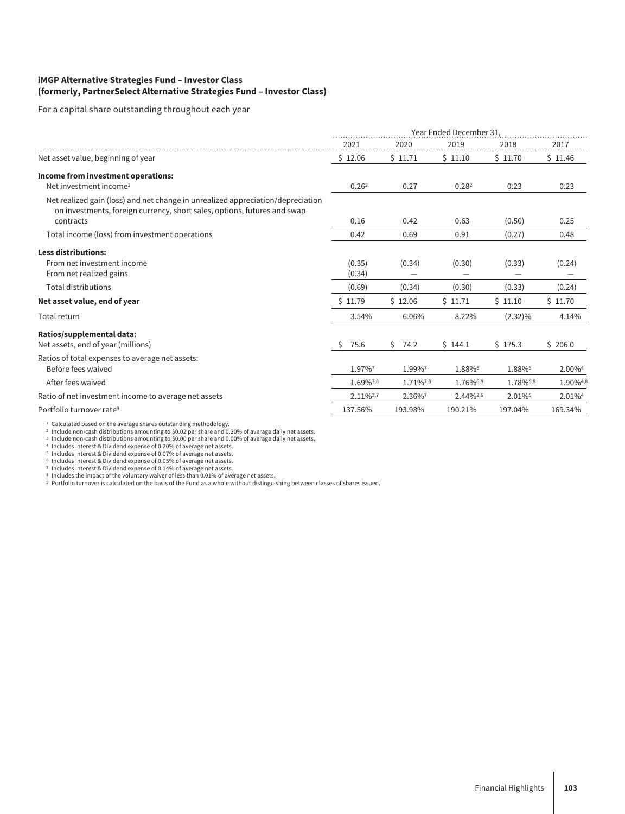#### **iMGP Alternative Strategies Fund – Investor Class (formerly, PartnerSelect Alternative Strategies Fund – Investor Class)**

For a capital share outstanding throughout each year

|                                                                                                                                                             | Year Ended December 31. |            |          |            |                    |  |
|-------------------------------------------------------------------------------------------------------------------------------------------------------------|-------------------------|------------|----------|------------|--------------------|--|
|                                                                                                                                                             | 2021                    | 2020       | 2019     | 2018       | 2017               |  |
| Net asset value, beginning of year                                                                                                                          | \$12.06                 | \$11.71    | \$11.10  | \$11.70    | \$11.46            |  |
| Income from investment operations:                                                                                                                          |                         |            |          |            |                    |  |
| Net investment income <sup>1</sup>                                                                                                                          | 0.26 <sup>3</sup>       | 0.27       | 0.282    | 0.23       | 0.23               |  |
| Net realized gain (loss) and net change in unrealized appreciation/depreciation<br>on investments, foreign currency, short sales, options, futures and swap |                         |            |          |            |                    |  |
| contracts                                                                                                                                                   | 0.16                    | 0.42       | 0.63     | (0.50)     | 0.25               |  |
| Total income (loss) from investment operations                                                                                                              | 0.42                    | 0.69       | 0.91     | (0.27)     | 0.48               |  |
| <b>Less distributions:</b>                                                                                                                                  |                         |            |          |            |                    |  |
| From net investment income                                                                                                                                  | (0.35)                  | (0.34)     | (0.30)   | (0.33)     | (0.24)             |  |
| From net realized gains                                                                                                                                     | (0.34)                  |            |          |            |                    |  |
| <b>Total distributions</b>                                                                                                                                  | (0.69)                  | (0.34)     | (0.30)   | (0.33)     | (0.24)             |  |
| Net asset value, end of year                                                                                                                                | \$11.79                 | \$12.06    | \$11.71  | \$11.10    | \$11.70            |  |
| Total return                                                                                                                                                | 3.54%                   | 6.06%      | 8.22%    | $(2.32)\%$ | 4.14%              |  |
| Ratios/supplemental data:                                                                                                                                   |                         |            |          |            |                    |  |
| Net assets, end of year (millions)                                                                                                                          | 75.6<br><sub>S</sub>    | Ŝ.<br>74.2 | \$144.1  | \$175.3    | \$206.0            |  |
| Ratios of total expenses to average net assets:<br>Before fees waived                                                                                       | 1.97%7                  | 1.99%7     | 1.88%6   | 1.88%      | 2.00% <sup>4</sup> |  |
| After fees waived                                                                                                                                           | 1.69%7,8                | 1.71%7,8   | 1.76%6,8 | 1.78%5,8   | 1.90%4,8           |  |
| Ratio of net investment income to average net assets                                                                                                        | 2.11%3,7                | 2.36%7     | 2.44%2,6 | 2.01%      | 2.01%4             |  |
| Portfolio turnover rate <sup>9</sup>                                                                                                                        | 137.56%                 | 193.98%    | 190.21%  | 197.04%    | 169.34%            |  |

<sup>1</sup> Calculated based on the average shares outstanding methodology.<br><sup>2</sup> Include non-cash distributions amounting to \$0.02 per share and 0.20% of average daily net assets.<br><sup>3</sup> Include non-cash distributions amounting to \$0.

<sup>6</sup> Includes Interest & Dividend expense of 0.05% of average net assets.

<sup>7</sup> Includes Interest & Dividend expense of 0.14% of average net assets.<br>® Includes the impact of the voluntary waiver of less than 0.01% of average net assets.<br>® Portfolio turnover is calculated on the basis of the Fund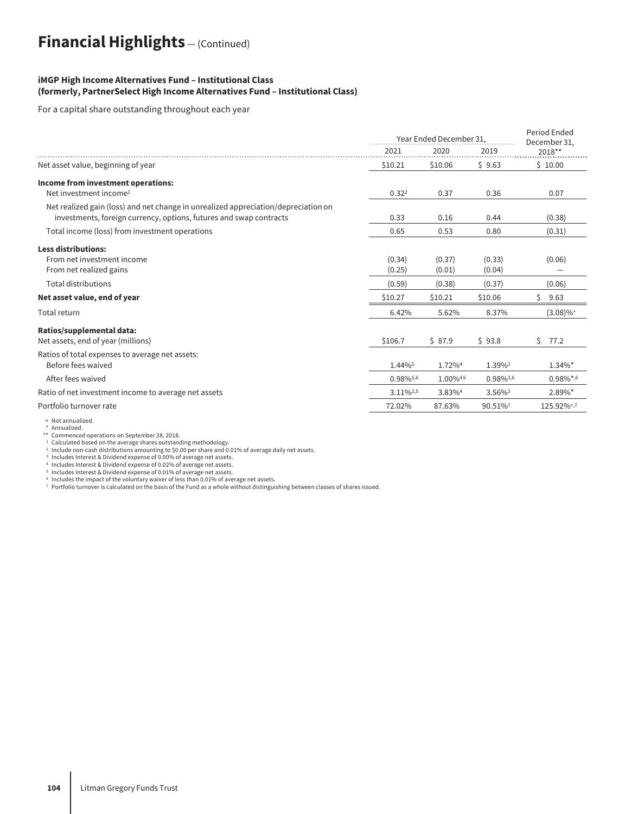## **Financial Highlights** — (Continued)

#### **iMGP High Income Alternatives Fund – Institutional Class (formerly, PartnerSelect High Income Alternatives Fund – Institutional Class)**

For a capital share outstanding throughout each year

|                                                                                                                                                          | Year Ended December 31 |          |                       | Period Ended<br>December 31, |
|----------------------------------------------------------------------------------------------------------------------------------------------------------|------------------------|----------|-----------------------|------------------------------|
|                                                                                                                                                          | 2021                   | 2020     | 2019                  | 2018**                       |
| Net asset value, beginning of year                                                                                                                       | \$10.21                | \$10.06  | \$9.63                | \$10.00                      |
| Income from investment operations:                                                                                                                       |                        |          |                       |                              |
| Net investment income <sup>1</sup>                                                                                                                       | 0.32 <sup>2</sup>      | 0.37     | 0.36                  | 0.07                         |
| Net realized gain (loss) and net change in unrealized appreciation/depreciation on<br>investments, foreign currency, options, futures and swap contracts | 0.33                   | 0.16     | 0.44                  | (0.38)                       |
| Total income (loss) from investment operations                                                                                                           | 0.65                   | 0.53     | 0.80                  | (0.31)                       |
| <b>Less distributions:</b>                                                                                                                               |                        |          |                       |                              |
| From net investment income                                                                                                                               | (0.34)                 | (0.37)   | (0.33)                | (0.06)                       |
| From net realized gains                                                                                                                                  | (0.25)                 | (0.01)   | (0.04)                |                              |
| <b>Total distributions</b>                                                                                                                               | (0.59)                 | (0.38)   | (0.37)                | (0.06)                       |
| Net asset value, end of year                                                                                                                             | \$10.27                | \$10.21  | \$10.06               | \$<br>9.63                   |
| Total return                                                                                                                                             | 6.42%                  | 5.62%    | 8.37%                 | $(3.08)\%$ <sup>+</sup>      |
| Ratios/supplemental data:                                                                                                                                |                        |          |                       |                              |
| Net assets, end of year (millions)                                                                                                                       | \$106.7                | \$87.9   | \$93.8                | Ŝ.<br>77.2                   |
| Ratios of total expenses to average net assets:                                                                                                          |                        |          |                       |                              |
| Before fees waived                                                                                                                                       | 1.44%                  | 1.72%4   | 1.39%3                | $1.34\%$ *                   |
| After fees waived                                                                                                                                        | 0.98%5,6               | 1.00%4,6 | 0.98%3,6              | $0.98\%$ *,6                 |
| Ratio of net investment income to average net assets                                                                                                     | $3.11\%^{2,5}$         | 3.83%4   | $3.56\%$ <sup>3</sup> | $2.89\%$ *                   |
| Portfolio turnover rate                                                                                                                                  | 72.02%                 | 87.63%   | 90.51%7               | 125.92%+,7                   |
|                                                                                                                                                          |                        |          |                       |                              |

### + Not annualized. \* Annualized.

\*\* Commenced operations on September 28, 2018.<br><sup>1</sup> Calculated based on the average shares outstanding methodology.<br><sup>2</sup> Include non-cash distributions amounting to \$0.00 per share and 0.01% of average daily net assets.

<sup>3</sup> Includes Interest & Dividend expense of 0.00% of average net assets. <sup>4</sup> Includes Interest & Dividend expense of 0.02% of average net assets. <sup>5</sup> Includes Interest & Dividend expense of 0.01% of average net assets.

6 Includes the impact of the voluntary waiver of less than 0.01% of average net assets.<br>7 Portfolio turnover is calculated on the basis of the Fund as a whole without distinguishing between classes of shares issued.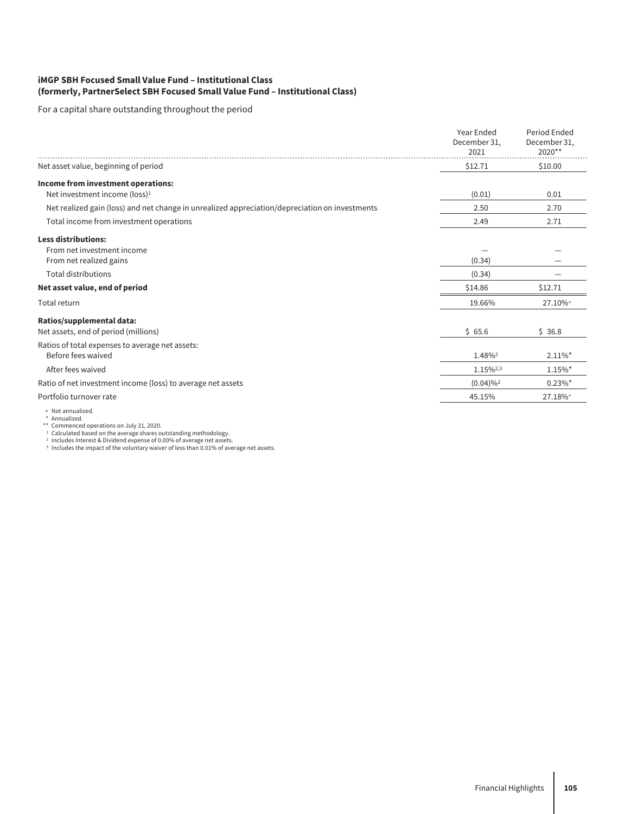#### **iMGP SBH Focused Small Value Fund – Institutional Class (formerly, PartnerSelect SBH Focused Small Value Fund – Institutional Class)**

For a capital share outstanding throughout the period

|                                                                                                | Year Ended<br>December 31,<br>2021 | Period Ended<br>December 31,<br>2020** |  |
|------------------------------------------------------------------------------------------------|------------------------------------|----------------------------------------|--|
| Net asset value, beginning of period                                                           | \$12.71                            | \$10.00                                |  |
| Income from investment operations:<br>Net investment income (loss) <sup>1</sup>                | (0.01)                             | 0.01                                   |  |
| Net realized gain (loss) and net change in unrealized appreciation/depreciation on investments | 2.50                               | 2.70                                   |  |
| Total income from investment operations                                                        | 2.49                               | 2.71                                   |  |
| <b>Less distributions:</b><br>From net investment income<br>From net realized gains            | (0.34)                             |                                        |  |
| <b>Total distributions</b>                                                                     | (0.34)                             |                                        |  |
| Net asset value, end of period                                                                 | \$14.86                            | \$12.71                                |  |
| Total return                                                                                   | 19.66%                             | 27.10%+                                |  |
| Ratios/supplemental data:<br>Net assets, end of period (millions)                              | \$65.6                             | \$36.8                                 |  |
| Ratios of total expenses to average net assets:<br>Before fees waived                          | 1.48%2                             | $2.11\%$ *                             |  |
| After fees waived                                                                              | 1.15%2,3                           | $1.15\%$ <sup>*</sup>                  |  |
| Ratio of net investment income (loss) to average net assets                                    | $(0.04)\%$ <sup>2</sup>            | $0.23\%$ *                             |  |
| Portfolio turnover rate                                                                        | 45.15%                             | 27.18%+                                |  |
| + Not annualized.<br>.                                                                         |                                    |                                        |  |

\* Annualized.<br>\*\* Commenced operations on July 31, 2020.<br><sup>1</sup> Calculated based on the average shares outstanding methodology.<br><sup>2</sup> Includes Interest & Dividend expense of 0.00% of average net assets.<br><sup>2</sup> Includes the impact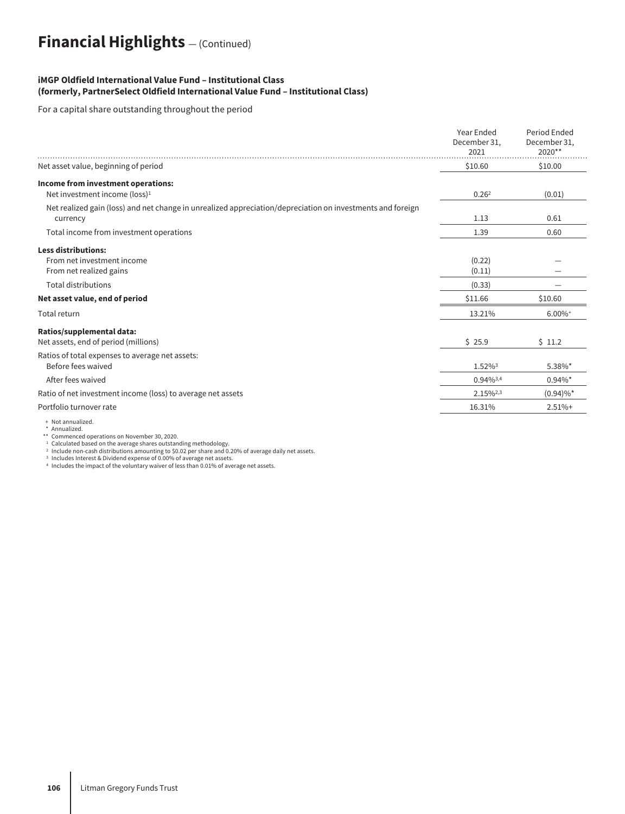## **Financial Highlights** — (Continued)

#### **iMGP Oldfield International Value Fund – Institutional Class (formerly, PartnerSelect Oldfield International Value Fund – Institutional Class)**

For a capital share outstanding throughout the period

|                                                                                                                                                     | Year Ended<br>December 31,<br>2021    | Period Ended<br>December 31,<br>2020** |  |
|-----------------------------------------------------------------------------------------------------------------------------------------------------|---------------------------------------|----------------------------------------|--|
| Net asset value, beginning of period                                                                                                                | \$10.60                               | \$10.00                                |  |
| Income from investment operations:<br>Net investment income (loss) <sup>1</sup>                                                                     | 0.26 <sup>2</sup>                     | (0.01)                                 |  |
| Net realized gain (loss) and net change in unrealized appreciation/depreciation on investments and foreign<br>currency                              | 1.13                                  | 0.61                                   |  |
| Total income from investment operations                                                                                                             | 1.39                                  | 0.60                                   |  |
| <b>Less distributions:</b><br>From net investment income<br>From net realized gains<br><b>Total distributions</b><br>Net asset value, end of period | (0.22)<br>(0.11)<br>(0.33)<br>\$11.66 | \$10.60                                |  |
| Total return                                                                                                                                        | 13.21%                                | $6.00\%$ <sup>+</sup>                  |  |
| Ratios/supplemental data:<br>Net assets, end of period (millions)                                                                                   | \$25.9                                | \$11.2                                 |  |
| Ratios of total expenses to average net assets:<br>Before fees waived                                                                               | 1.52%3                                | 5.38%*                                 |  |
| After fees waived                                                                                                                                   | $0.94\%^{3,4}$                        | $0.94\%$ *                             |  |
| Ratio of net investment income (loss) to average net assets                                                                                         | 2.15%2,3                              | $(0.94)\%$ *                           |  |
| Portfolio turnover rate                                                                                                                             | 16.31%                                | $2.51%+$                               |  |
| + Not annualized.                                                                                                                                   |                                       |                                        |  |

+ Not annualized.<br>\*\* Commenced operations on November 30, 2020.<br>\*\* Commenced operations on November 30, 2020.<br><sup>2</sup> Include non-cash distributions amounting to \$0.02 per share and 0.20% of average daily net assets.<br><sup>2</sup> Incl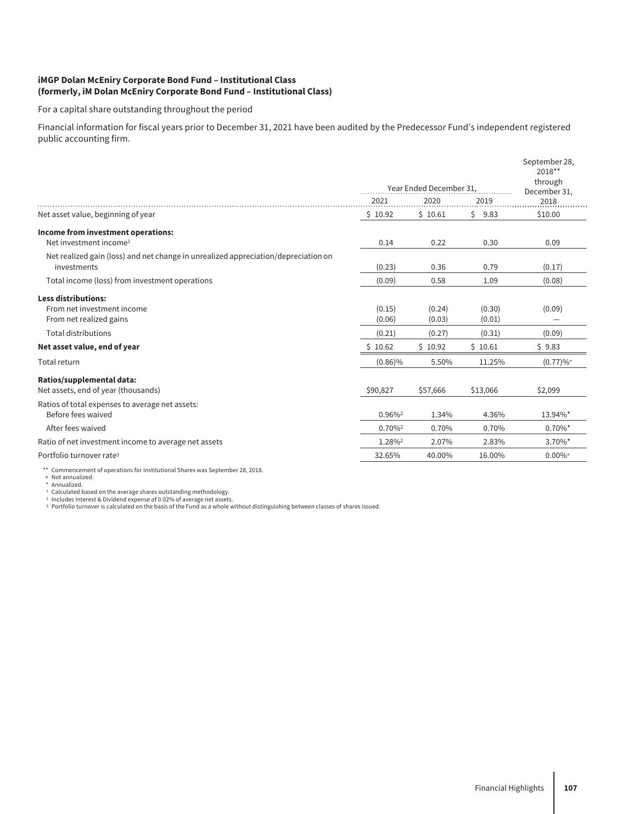#### **iMGP Dolan McEniry Corporate Bond Fund – Institutional Class (formerly, iM Dolan McEniry Corporate Bond Fund – Institutional Class)**

For a capital share outstanding throughout the period

Financial information for fiscal years prior to December 31, 2021 have been audited by the Predecessor Fund's independent registered public accounting firm.

|                                                                                    |                         |          |            | September 28,<br>2018** |
|------------------------------------------------------------------------------------|-------------------------|----------|------------|-------------------------|
|                                                                                    | Year Ended December 31. |          |            | through<br>December 31, |
|                                                                                    | 2021                    | 2020     | 2019       | 2018                    |
| Net asset value, beginning of year                                                 | \$10.92                 | \$10.61  | Ś.<br>9.83 | \$10.00                 |
| Income from investment operations:                                                 |                         |          |            |                         |
| Net investment income <sup>1</sup>                                                 | 0.14                    | 0.22     | 0.30       | 0.09                    |
| Net realized gain (loss) and net change in unrealized appreciation/depreciation on |                         |          |            |                         |
| investments                                                                        | (0.23)                  | 0.36     | 0.79       | (0.17)                  |
| Total income (loss) from investment operations                                     | (0.09)                  | 0.58     | 1.09       | (0.08)                  |
| <b>Less distributions:</b>                                                         |                         |          |            |                         |
| From net investment income                                                         | (0.15)                  | (0.24)   | (0.30)     | (0.09)                  |
| From net realized gains                                                            | (0.06)                  | (0.03)   | (0.01)     |                         |
| <b>Total distributions</b>                                                         | (0.21)                  | (0.27)   | (0.31)     | (0.09)                  |
| Net asset value, end of year                                                       | \$10.62                 | \$10.92  | \$10.61    | \$9.83                  |
| Total return                                                                       | $(0.86)\%$              | 5.50%    | 11.25%     | (0.77)%                 |
| Ratios/supplemental data:                                                          |                         |          |            |                         |
| Net assets, end of year (thousands)                                                | \$90,827                | \$57,666 | \$13,066   | \$2,099                 |
| Ratios of total expenses to average net assets:                                    |                         |          |            |                         |
| Before fees waived                                                                 | 0.96%                   | 1.34%    | 4.36%      | 13.94%*                 |
| After fees waived                                                                  | 0.70%                   | 0.70%    | 0.70%      | $0.70\%$ *              |
| Ratio of net investment income to average net assets                               | 1.28%2                  | 2.07%    | 2.83%      | 3.70%*                  |
| Portfolio turnover rate <sup>3</sup>                                               | 32.65%                  | 40.00%   | 16.00%     | $0.00\%$ <sup>+</sup>   |

\*\* Commencement of operations for Institutional Shares was September 28, 2018.

+ Not annualized.<br>\* Annualized.<br>1 Calculated based on the average shares outstanding methodology.<br><sup>2</sup> Includes Interest & Dividend expense of 0.02% of average net assets.<br><sup>2</sup> Portfolio turnover is calculated on the basis o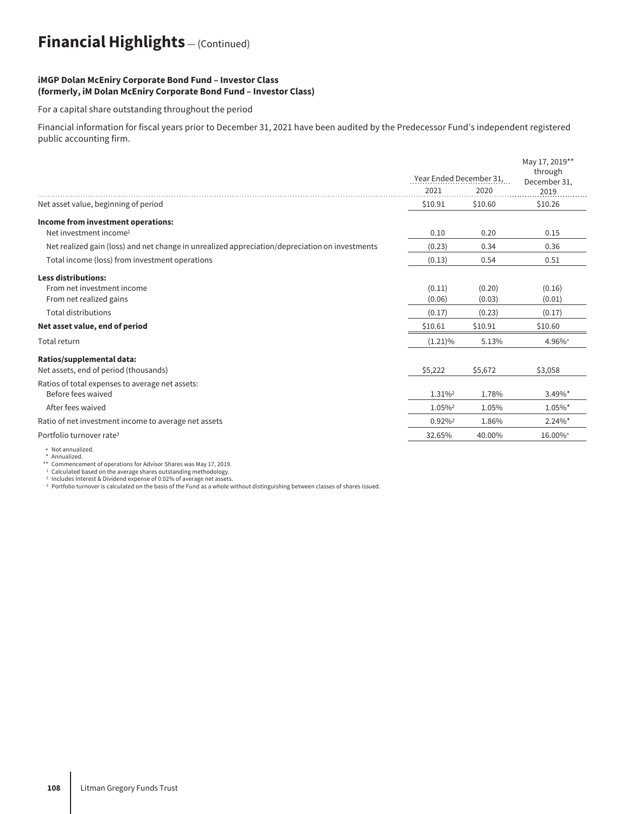# **Financial Highlights** — (Continued)

#### **iMGP Dolan McEniry Corporate Bond Fund – Investor Class (formerly, iM Dolan McEniry Corporate Bond Fund – Investor Class)**

For a capital share outstanding throughout the period

Financial information for fiscal years prior to December 31, 2021 have been audited by the Predecessor Fund's independent registered public accounting firm.

|                                                                                                | Year Ended December 31, |                  | May 17, 2019**<br>through<br>December 31, |
|------------------------------------------------------------------------------------------------|-------------------------|------------------|-------------------------------------------|
|                                                                                                | 2021                    | 2020             | 2019                                      |
| Net asset value, beginning of period                                                           | \$10.91                 | \$10.60          | \$10.26                                   |
| Income from investment operations:<br>Net investment income <sup>1</sup>                       | 0.10                    | 0.20             | 0.15                                      |
| Net realized gain (loss) and net change in unrealized appreciation/depreciation on investments | (0.23)                  | 0.34             | 0.36                                      |
| Total income (loss) from investment operations                                                 | (0.13)                  | 0.54             | 0.51                                      |
| <b>Less distributions:</b>                                                                     |                         |                  |                                           |
| From net investment income<br>From net realized gains                                          | (0.11)<br>(0.06)        | (0.20)<br>(0.03) | (0.16)<br>(0.01)                          |
| <b>Total distributions</b>                                                                     | (0.17)                  | (0.23)           | (0.17)                                    |
| Net asset value, end of period                                                                 | \$10.61                 | \$10.91          | \$10.60                                   |
| Total return                                                                                   | $(1.21)\%$              | 5.13%            | 4.96%+                                    |
| Ratios/supplemental data:<br>Net assets, end of period (thousands)                             | \$5,222                 | \$5,672          | \$3,058                                   |
| Ratios of total expenses to average net assets:<br>Before fees waived                          | 1.31%                   | 1.78%            | 3.49%*                                    |
| After fees waived                                                                              | 1.05%2                  | 1.05%            | $1.05\%$ <sup>*</sup>                     |
| Ratio of net investment income to average net assets                                           | 0.92%                   | 1.86%            | $2.24\%$ *                                |
| Portfolio turnover rate <sup>3</sup>                                                           | 32.65%                  | 40.00%           | 16.00%+                                   |

+ Not annualized. \* Annualized.

\*\* Commencement of operations for Advisor Shares was May 17, 2019.

<sup>1</sup> Calculated based on the average shares outstanding methodology.

<sup>2</sup> Includes Interest & Dividend expense of 0.02% of average net assets. <sup>3</sup> Portfolio turnover is calculated on the basis of the Fund as a whole without distinguishing between classes of shares issued.